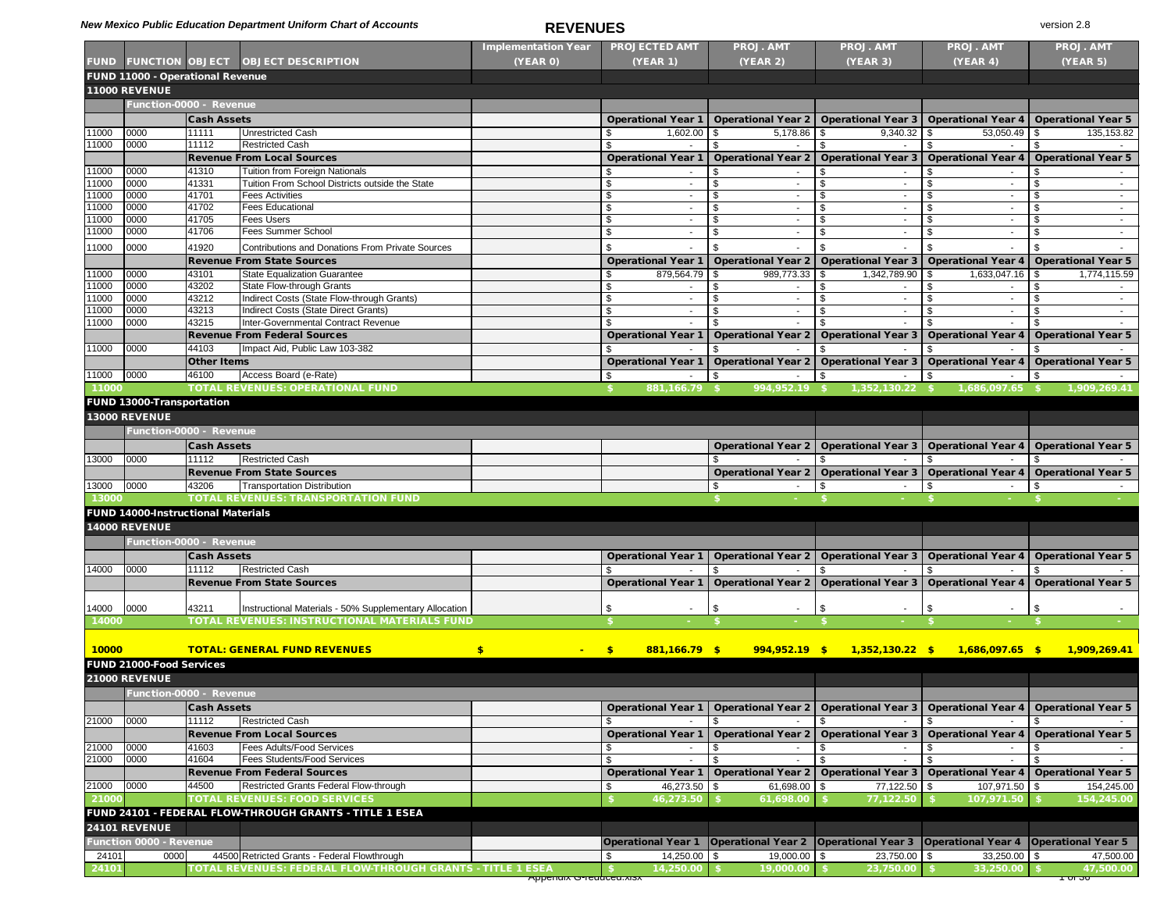### *New Mexico Public Education Department Uniform Chart of Accounts* **<b>REVENUES** version 2.8

|                |                                           |                             |                                                                                                            | <b>Implementation Year</b>       | <b>PROJECTED AMT</b>           | <b>PROJ. AMT</b>                        | <b>PROJ. AMT</b>            | <b>PROJ. AMT</b>                                             | <b>PROJ. AMT</b>          |
|----------------|-------------------------------------------|-----------------------------|------------------------------------------------------------------------------------------------------------|----------------------------------|--------------------------------|-----------------------------------------|-----------------------------|--------------------------------------------------------------|---------------------------|
| <b>FUND</b>    | <b>FUNCTION OBJECT</b>                    |                             | <b>OBJECT DESCRIPTION</b>                                                                                  | <b>(YEAR 0)</b>                  | <b>(YEAR 1)</b>                | <b>(YEAR 2)</b>                         | <b>(YEAR 3)</b>             | (YEAR 4)                                                     | <b>(YEAR 5)</b>           |
|                | FUND 11000 - Operational Revenue          |                             |                                                                                                            |                                  |                                |                                         |                             |                                                              |                           |
|                | 11000 REVENUE                             |                             |                                                                                                            |                                  |                                |                                         |                             |                                                              |                           |
|                | Function-0000 - Revenue                   |                             |                                                                                                            |                                  |                                |                                         |                             |                                                              |                           |
|                |                                           | <b>Cash Assets</b>          |                                                                                                            |                                  | <b>Operational Year 1</b>      |                                         |                             | Operational Year 2   Operational Year 3   Operational Year 4 | <b>Operational Year 5</b> |
| 11000          | 0000                                      | 11111                       | <b>Unrestricted Cash</b>                                                                                   |                                  | 1,602.00                       | 5,178.86<br>l \$                        | 9,340.32<br>l \$            | 53,050.49<br>l \$                                            | 135, 153.82<br>l \$       |
| 11000          | 0000                                      | 11112                       | <b>Restricted Cash</b>                                                                                     |                                  |                                |                                         |                             |                                                              |                           |
|                |                                           |                             | <b>Revenue From Local Sources</b>                                                                          |                                  | <b>Operational Year 1</b>      | <b>Operational Year 2</b>               | <b>Operational Year 3</b>   | <b>Operational Year 4</b>                                    | <b>Operational Year 5</b> |
| 11000          | 0000                                      | 41310<br>41331              | <b>Tuition from Foreign Nationals</b><br>Tuition From School Districts outside the State                   |                                  |                                |                                         |                             |                                                              |                           |
| 11000<br>11000 | 0000<br>0000                              | 41701                       | <b>Fees Activities</b>                                                                                     |                                  | $\sim$                         | -\$                                     |                             | -\$<br>-S                                                    |                           |
| 11000          | 0000                                      | 41702                       | <b>Fees Educational</b>                                                                                    |                                  | $\sim$                         |                                         |                             |                                                              |                           |
| 11000          | 0000                                      | 41705                       | <b>Fees Users</b>                                                                                          |                                  |                                |                                         |                             |                                                              |                           |
| 11000          | 0000                                      | 41706                       | <b>Fees Summer School</b>                                                                                  |                                  | $\overline{\phantom{0}}$       |                                         |                             |                                                              |                           |
| 11000          | 0000                                      | 41920                       | <b>Contributions and Donations From Private Sources</b>                                                    |                                  |                                |                                         |                             |                                                              |                           |
|                |                                           |                             | <b>Revenue From State Sources</b>                                                                          |                                  | <b>Operational Year 1</b>      |                                         |                             | Operational Year 2   Operational Year 3   Operational Year 4 | <b>Operational Year 5</b> |
| 11000          | 0000                                      | 43101                       | <b>State Equalization Guarantee</b>                                                                        |                                  | 879,564.79   \$                | 989,773.33                              | 1,342,789.90                | 1,633,047.16<br>l S                                          | 1,774,115.59<br>- \$      |
| 11000          | 0000                                      | 43202                       | <b>State Flow-through Grants</b>                                                                           |                                  |                                |                                         |                             |                                                              |                           |
| 11000          | 0000                                      | 43212                       | Indirect Costs (State Flow-through Grants)                                                                 |                                  |                                |                                         |                             |                                                              |                           |
| 11000          | 0000                                      | 43213                       | Indirect Costs (State Direct Grants)                                                                       |                                  |                                |                                         |                             |                                                              | - \$                      |
| 11000          | 0000                                      | 43215                       | Inter-Governmental Contract Revenue                                                                        |                                  |                                |                                         |                             |                                                              |                           |
|                |                                           |                             | <b>Revenue From Federal Sources</b>                                                                        |                                  | <b>Operational Year 1</b>      | <b>Operational Year 2</b>               | <b>Operational Year 3</b>   | <b>Operational Year 4</b>                                    | <b>Operational Year 5</b> |
| 11000          | 0000                                      | 44103                       | Impact Aid, Public Law 103-382                                                                             |                                  |                                |                                         |                             |                                                              |                           |
|                |                                           | <b>Other Items</b><br>46100 |                                                                                                            |                                  | <b>Operational Year 1</b>      | <b>Operational Year 2</b>               | <b>Operational Year 3</b>   | <b>Operational Year 4</b>                                    | <b>Operational Year 5</b> |
| 11000<br>11000 | 0000                                      |                             | Access Board (e-Rate)<br><b>TOTAL REVENUES: OPERATIONAL FUND</b>                                           |                                  | 881,166.79 \$                  | 994,952.19 \$                           | $1,352,130.22$ \$           | 1,686,097.65 \$                                              | 1,909,269.41              |
|                |                                           |                             |                                                                                                            |                                  |                                |                                         |                             |                                                              |                           |
|                | FUND 13000-Transportation                 |                             |                                                                                                            |                                  |                                |                                         |                             |                                                              |                           |
|                | <b>13000 REVENUE</b>                      |                             |                                                                                                            |                                  |                                |                                         |                             |                                                              |                           |
|                | Function-0000 - Revenue                   |                             |                                                                                                            |                                  |                                |                                         |                             |                                                              |                           |
|                |                                           | <b>Cash Assets</b>          |                                                                                                            |                                  |                                | <b>Operational Year 2</b>               | <b>Operational Year 3</b>   | <b>Operational Year 4</b>                                    | <b>Operational Year 5</b> |
| 13000          | 0000                                      | 11112                       | <b>Restricted Cash</b>                                                                                     |                                  |                                |                                         |                             |                                                              |                           |
|                |                                           |                             | <b>Revenue From State Sources</b>                                                                          |                                  |                                | <b>Operational Year 2</b>               | <b>Operational Year 3</b>   | <b>Operational Year 4</b>                                    | <b>Operational Year 5</b> |
| 13000          | 0000                                      | 43206                       | <b>Transportation Distribution</b>                                                                         |                                  |                                |                                         |                             |                                                              |                           |
| 13000          |                                           |                             | <b>TOTAL REVENUES: TRANSPORTATION FUND</b>                                                                 |                                  |                                |                                         |                             |                                                              |                           |
|                | <b>FUND 14000-Instructional Materials</b> |                             |                                                                                                            |                                  |                                |                                         |                             |                                                              |                           |
|                | <b>14000 REVENUE</b>                      |                             |                                                                                                            |                                  |                                |                                         |                             |                                                              |                           |
|                | Function-0000 - Revenue                   |                             |                                                                                                            |                                  |                                |                                         |                             |                                                              |                           |
|                |                                           | <b>Cash Assets</b>          |                                                                                                            |                                  | <b>Operational Year 1</b>      | <b>Operational Year 2</b>               | <b>Operational Year 3</b>   | <b>Operational Year 4</b>                                    | <b>Operational Year 5</b> |
| 14000          | 0000                                      | 11112                       | <b>Restricted Cash</b>                                                                                     |                                  |                                | -SG                                     |                             | -S                                                           |                           |
|                |                                           |                             | <b>Revenue From State Sources</b>                                                                          |                                  | <b>Operational Year 1</b>      | <b>Operational Year 2</b>               | <b>Operational Year 3</b>   | <b>Operational Year 4</b>                                    | <b>Operational Year 5</b> |
| 14000          | 0000                                      | 43211                       | Instructional Materials - 50% Supplementary Allocation                                                     |                                  | \$                             |                                         | - \$<br>$\sim$              |                                                              |                           |
| 14000          |                                           |                             | TOTAL REVENUES: INSTRUCTIONAL MATERIALS FUND                                                               |                                  | $\sim$                         | -\$                                     |                             | - \$<br>$\sim$                                               | \$                        |
|                |                                           |                             |                                                                                                            |                                  |                                |                                         |                             |                                                              |                           |
|                |                                           |                             | <b>TOTAL: GENERAL FUND REVENUES</b>                                                                        |                                  |                                |                                         |                             |                                                              |                           |
| 10000          |                                           |                             |                                                                                                            | $\mathbf{\$}$<br><b>Contract</b> | $881,166.79$ \$<br>$$^{\circ}$ | $994,952.19$ \$                         | $1,352,130.22$ \$           | $1,686,097.65$ \$                                            | 1,909,269.41              |
|                | <b>FUND 21000-Food Services</b>           |                             |                                                                                                            |                                  |                                |                                         |                             |                                                              |                           |
|                | <b>21000 REVENUE</b>                      |                             |                                                                                                            |                                  |                                |                                         |                             |                                                              |                           |
|                | Function-0000 - Revenue                   |                             |                                                                                                            |                                  |                                |                                         |                             |                                                              |                           |
|                |                                           | <b>Cash Assets</b>          |                                                                                                            |                                  | <b>Operational Year 1</b>      | Operational Year 2   Operational Year 3 |                             | <b>Operational Year 4</b>                                    | <b>Operational Year 5</b> |
| 21000          | 0000                                      | 11112                       | <b>Restricted Cash</b>                                                                                     |                                  |                                |                                         |                             |                                                              |                           |
|                |                                           |                             | <b>Revenue From Local Sources</b>                                                                          |                                  | <b>Operational Year 1</b>      | <b>Operational Year 2</b>               | <b>Operational Year 3</b>   | <b>Operational Year 4</b>                                    | <b>Operational Year 5</b> |
| 21000          | 0000<br>0000                              | 41603<br>41604              | <b>Fees Adults/Food Services</b><br><b>Fees Students/Food Services</b>                                     |                                  |                                |                                         |                             |                                                              |                           |
| 21000          |                                           |                             | <b>Revenue From Federal Sources</b>                                                                        |                                  | <b>Operational Year 1</b>      | <b>Operational Year 2</b>               | <b>Operational Year 3</b>   | <b>Operational Year 4</b>                                    | <b>Operational Year 5</b> |
| 21000          | 0000                                      | 44500                       | Restricted Grants Federal Flow-through                                                                     |                                  | 46,273.50 \$                   | $61,698.00$ \$                          | $77,122.50$ \$              | $107,971.50$ \$                                              | 154,245.00                |
| 21000          |                                           |                             | <b>TOTAL REVENUES: FOOD SERVICES</b>                                                                       |                                  | 46,273.50                      | 61,698.00                               | 77,122.50                   | 107,971.50                                                   | 154,245.00                |
|                |                                           |                             | FUND 24101 - FEDERAL FLOW-THROUGH GRANTS - TITLE 1 ESEA                                                    |                                  |                                |                                         |                             |                                                              |                           |
|                | <b>24101 REVENUE</b>                      |                             |                                                                                                            |                                  |                                |                                         |                             |                                                              |                           |
|                |                                           |                             |                                                                                                            |                                  |                                |                                         |                             | <b>Operational Year 4</b>                                    |                           |
|                | <b>Function 0000 - Revenue</b>            |                             |                                                                                                            |                                  | <b>Operational Year 1</b>      | Operational Year 2   Operational Year 3 |                             |                                                              | <b>Operational Year 5</b> |
| 24101          | 0000                                      |                             | 44500 Retricted Grants - Federal Flowthrough<br>TOTAL REVENUES: FEDERAL FLOW-THROUGH GRANTS - TITLE 1 ESEA |                                  | $14,250.00$ \ \$<br>14,250.00  | $19,000.00$ \$<br>19,000.00             | $23,750.00$ \$<br>23,750.00 | $33,250.00$ \ \$<br>33,250.00                                | 47,500.00<br>47,500.00    |
| 24101          |                                           |                             |                                                                                                            | <u>Apperium O-reuuceu.xisx</u>   |                                |                                         |                             |                                                              | ᠇᠊ᠳ᠊ᡂ                     |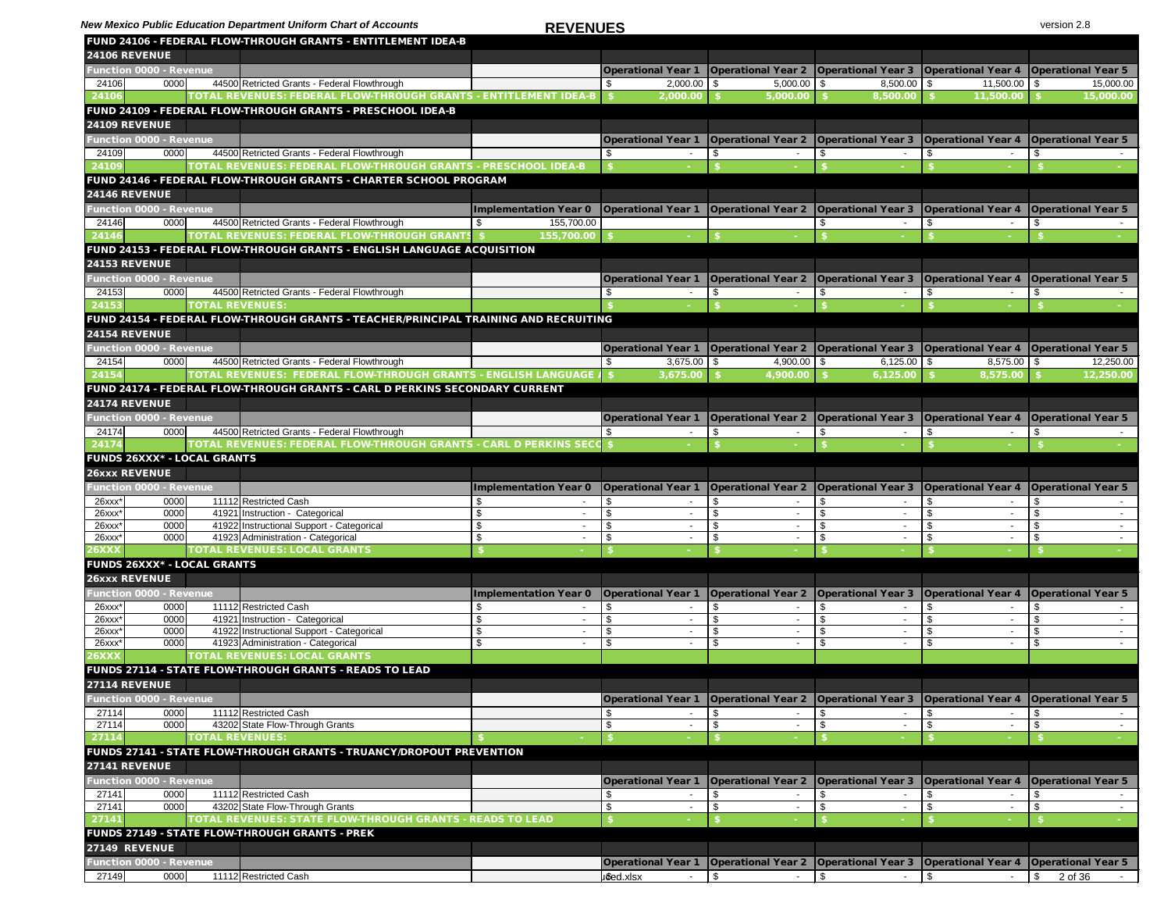**New Mexico Public Education Department Uniform Chart of Accounts REVENUES REVENUES** version 2.8

|                                                            |              |                        | FUND 24106 - FEDERAL FLOW-THROUGH GRANTS - ENTITLEMENT IDEA-B                                                     | , , , , , , , , , , , ,                                                                                                        |                                                              |                                         |                                                              |                                      |                           |
|------------------------------------------------------------|--------------|------------------------|-------------------------------------------------------------------------------------------------------------------|--------------------------------------------------------------------------------------------------------------------------------|--------------------------------------------------------------|-----------------------------------------|--------------------------------------------------------------|--------------------------------------|---------------------------|
| <b>24106 REVENUE</b>                                       |              |                        |                                                                                                                   |                                                                                                                                |                                                              |                                         |                                                              |                                      |                           |
| <u><b>Function 0000 - Revenue</b></u>                      |              |                        |                                                                                                                   |                                                                                                                                | <b>Operational Year 1</b>                                    | <b>Operational Year 2</b>               | <b>Operational Year 3</b>                                    | <b>Operational Year 4</b>            | <b>Operational Year 5</b> |
| 24106                                                      | 0000         |                        | 44500 Retricted Grants - Federal Flowthrough                                                                      |                                                                                                                                | $2,000.00$ \ \$                                              | $5,000.00$ \$                           | $8,500.00$ \$                                                | $11,500.00$ \ \$                     | 15,000.00                 |
| 24106                                                      |              |                        | TOTAL REVENUES: FEDERAL FLOW-THROUGH GRANTS - ENTITLEMENT IDEA-B                                                  |                                                                                                                                | 2,000.00                                                     | 5,000.00                                | 8,500.00                                                     | 11,500.00                            | 15,000.00                 |
|                                                            |              |                        | FUND 24109 - FEDERAL FLOW-THROUGH GRANTS - PRESCHOOL IDEA-B                                                       |                                                                                                                                |                                                              |                                         |                                                              |                                      |                           |
| <b>24109 REVENUE</b>                                       |              |                        |                                                                                                                   |                                                                                                                                |                                                              |                                         |                                                              |                                      |                           |
| <b>Function 0000 - Revenue</b>                             |              |                        |                                                                                                                   |                                                                                                                                | <b>Operational Year 1</b>                                    | Operational Year 2   Operational Year 3 |                                                              | <b>Operational Year 4</b>            | <b>Operational Year 5</b> |
| 24109                                                      | 0000         |                        | 44500 Retricted Grants - Federal Flowthrough                                                                      |                                                                                                                                |                                                              |                                         |                                                              |                                      |                           |
| 24109                                                      |              |                        | TOTAL REVENUES: FEDERAL FLOW-THROUGH GRANTS - PRESCHOOL IDEA-B                                                    |                                                                                                                                |                                                              |                                         |                                                              |                                      |                           |
|                                                            |              |                        | FUND 24146 - FEDERAL FLOW-THROUGH GRANTS - CHARTER SCHOOL PROGRAM                                                 |                                                                                                                                |                                                              |                                         |                                                              |                                      |                           |
| <b>24146 REVENUE</b>                                       |              |                        |                                                                                                                   |                                                                                                                                |                                                              |                                         |                                                              |                                      |                           |
| <b>Function 0000 - Revenue</b>                             |              |                        |                                                                                                                   | Implementation Year 0                                                                                                          | <b>Operational Year 1</b>                                    | <b>Operational Year 2</b>               | <b>Operational Year 3</b>                                    | <b>Operational Year 4</b>            | <b>Operational Year 5</b> |
| 24146                                                      | 0000         |                        | 44500 Retricted Grants - Federal Flowthrough                                                                      | 155,700.00                                                                                                                     |                                                              |                                         |                                                              |                                      | - \$                      |
| 24146                                                      |              |                        | <b>TOTAL REVENUES: FEDERAL FLOW-THROUGH GRANTS</b>                                                                | 155,700.00                                                                                                                     |                                                              |                                         |                                                              |                                      |                           |
|                                                            |              |                        | FUND 24153 - FEDERAL FLOW-THROUGH GRANTS - ENGLISH LANGUAGE ACQUISITION                                           |                                                                                                                                |                                                              |                                         |                                                              |                                      |                           |
| <b>24153 REVENUE</b>                                       |              |                        |                                                                                                                   |                                                                                                                                |                                                              |                                         |                                                              |                                      |                           |
| <b>Function 0000 - Revenue</b>                             |              |                        |                                                                                                                   |                                                                                                                                | <b>Operational Year 1</b>                                    | <b>Operational Year 2</b>               | <b>Operational Year 3</b>                                    | <b>Operational Year 4</b>            | <b>Operational Year 5</b> |
| 24153                                                      | 0000         |                        | 44500 Retricted Grants - Federal Flowthrough                                                                      |                                                                                                                                |                                                              |                                         |                                                              |                                      |                           |
| 24153                                                      |              | <b>TOTAL REVENUES:</b> |                                                                                                                   |                                                                                                                                |                                                              |                                         |                                                              |                                      |                           |
|                                                            |              |                        | FUND 24154 - FEDERAL FLOW-THROUGH GRANTS - TEACHER/PRINCIPAL TRAINING AND RECRUITING                              |                                                                                                                                |                                                              |                                         |                                                              |                                      |                           |
| <b>24154 REVENUE</b>                                       |              |                        |                                                                                                                   |                                                                                                                                |                                                              |                                         |                                                              |                                      |                           |
| <b>Function 0000 - Revenue</b>                             |              |                        |                                                                                                                   |                                                                                                                                | <b>Operational Year 1</b>                                    |                                         | Operational Year 2   Operational Year 3   Operational Year 4 |                                      | <b>Operational Year 5</b> |
| 24154                                                      | 0000         |                        | 44500 Retricted Grants - Federal Flowthrough                                                                      |                                                                                                                                | $3,675.00$ \ \ \$                                            | 4,900.00 $\$\$                          | 6,125.00                                                     | -\$<br>8,575.00                      | 12,250.00                 |
| 24154                                                      |              |                        | TOTAL REVENUES: FEDERAL FLOW-THROUGH GRANTS - ENGLISH LANGUAGE.                                                   |                                                                                                                                | 3,675.00                                                     | 4,900.00                                | 6,125.00                                                     | 8,575.00                             | 12,250.00                 |
|                                                            |              |                        | FUND 24174 - FEDERAL FLOW-THROUGH GRANTS - CARL D PERKINS SECONDARY CURRENT                                       |                                                                                                                                |                                                              |                                         |                                                              |                                      |                           |
| <b>24174 REVENUE</b>                                       |              |                        |                                                                                                                   |                                                                                                                                |                                                              |                                         |                                                              |                                      |                           |
| <b>Function 0000 - Revenue</b>                             |              |                        |                                                                                                                   |                                                                                                                                | <b>Operational Year 1</b>                                    | <b>Operational Year 2</b>               | <b>Operational Year 3</b>                                    | <b>Operational Year 4</b>            | <b>Operational Year 5</b> |
| 24174                                                      | 0000         |                        | 44500 Retricted Grants - Federal Flowthrough<br>TOTAL REVENUES: FEDERAL FLOW-THROUGH GRANTS - CARL D PERKINS SECC |                                                                                                                                |                                                              |                                         |                                                              |                                      |                           |
| 24174                                                      |              |                        |                                                                                                                   |                                                                                                                                |                                                              |                                         |                                                              |                                      |                           |
| <b>FUNDS 26XXX* - LOCAL GRANTS</b><br><b>26xxx REVENUE</b> |              |                        |                                                                                                                   |                                                                                                                                |                                                              |                                         |                                                              |                                      |                           |
|                                                            |              |                        |                                                                                                                   |                                                                                                                                |                                                              |                                         |                                                              |                                      |                           |
| <b>Function 0000 - Revenue</b><br>$26$ xxx $*$             | 0000         |                        | 11112 Restricted Cash                                                                                             | Implementation Year 0   Operational Year 1   Operational Year 2   Operational Year 3   Operational Year 5   Operational Year 5 | \$                                                           |                                         |                                                              |                                      | \$                        |
| $26$ xxx $*$                                               | 0000         |                        | 41921 Instruction - Categorical                                                                                   |                                                                                                                                | \$                                                           | \$<br>$\overline{\phantom{a}}$<br>\$    | \$<br>\$                                                     | \$<br>$\overline{\phantom{a}}$<br>\$ | \$                        |
| $26$ xxx <sup>*</sup>                                      | 0000         |                        | 41922 Instructional Support - Categorical                                                                         |                                                                                                                                | \$<br>$\sim$                                                 | \$<br>$\sim$                            | \$                                                           | \$<br>$\sim$                         | \$                        |
| $26$ xx $x^*$                                              | 0000         |                        | 41923 Administration - Categorical                                                                                |                                                                                                                                | \$                                                           | \$<br>$\overline{\phantom{a}}$          | \$                                                           | \$<br>$\overline{\phantom{a}}$       | \$                        |
| 26XXX                                                      |              |                        | <b>TOTAL REVENUES: LOCAL GRANTS</b>                                                                               |                                                                                                                                |                                                              |                                         |                                                              |                                      |                           |
| <b>FUNDS 26XXX* - LOCAL GRANTS</b>                         |              |                        |                                                                                                                   |                                                                                                                                |                                                              |                                         |                                                              |                                      |                           |
| 26xxx REVENUE                                              |              |                        |                                                                                                                   |                                                                                                                                |                                                              |                                         |                                                              |                                      |                           |
| <b>Function 0000 - Revenue</b>                             |              |                        |                                                                                                                   | <b>Implementation Year 0</b>                                                                                                   | Operational Year 1 Operational Year 2                        |                                         | <b>Operational Year 3</b>                                    | <b>Operational Year 4</b>            | <b>Operational Year 5</b> |
| $26$ xxx $*$                                               | 0000         |                        | 11112 Restricted Cash                                                                                             |                                                                                                                                |                                                              | \$                                      | \$                                                           | \$                                   | -\$                       |
| $26$ xxx $*$                                               | 0000         |                        | 41921 Instruction - Categorical                                                                                   |                                                                                                                                | \$                                                           | $\sqrt[6]{2}$<br>$\sim$                 | \$                                                           | \$                                   | \$                        |
| $26$ xxx $*$                                               | 0000<br>0000 |                        | 41922 Instructional Support - Categorical<br>41923 Administration - Categorical                                   |                                                                                                                                | \$                                                           | $\sim$<br>\$                            | \$.                                                          | \$<br>$\sim$<br>\$                   | \$<br>\$                  |
| $26$ xx $x^*$<br>26XXX                                     |              |                        | <b>TOTAL REVENUES: LOCAL GRANTS</b>                                                                               |                                                                                                                                |                                                              | $\sim$                                  |                                                              | $\sim$                               |                           |
|                                                            |              |                        | FUNDS 27114 - STATE FLOW-THROUGH GRANTS - READS TO LEAD                                                           |                                                                                                                                |                                                              |                                         |                                                              |                                      |                           |
| 27114 REVENUE                                              |              |                        |                                                                                                                   |                                                                                                                                |                                                              |                                         |                                                              |                                      |                           |
| <b>Function 0000 - Revenue</b>                             |              |                        |                                                                                                                   |                                                                                                                                | <b>Operational Year 1</b>                                    | <b>Operational Year 2</b>               | <b>Operational Year 3</b>                                    | <b>Operational Year 4</b>            | <b>Operational Year 5</b> |
| 27114                                                      | 0000         |                        | 11112 Restricted Cash                                                                                             |                                                                                                                                |                                                              | \$                                      |                                                              | \$                                   |                           |
| 27114                                                      | 0000         |                        | 43202 State Flow-Through Grants                                                                                   |                                                                                                                                | \$                                                           | \$                                      | \$                                                           | \$                                   | \$                        |
| 27114                                                      |              | <b>TOTAL REVENUES:</b> |                                                                                                                   |                                                                                                                                |                                                              |                                         |                                                              |                                      |                           |
|                                                            |              |                        | FUNDS 27141 - STATE FLOW-THROUGH GRANTS - TRUANCY/DROPOUT PREVENTION                                              |                                                                                                                                |                                                              |                                         |                                                              |                                      |                           |
| <b>27141 REVENUE</b>                                       |              |                        |                                                                                                                   |                                                                                                                                |                                                              |                                         |                                                              |                                      |                           |
| Function 0000 - Revenue                                    |              |                        |                                                                                                                   |                                                                                                                                | <b>Operational Year 1</b>                                    | <b>Operational Year 2</b>               | <b>Operational Year 3</b>                                    | <b>Operational Year 4</b>            | <b>Operational Year 5</b> |
| 27141                                                      | 0000         |                        | 11112 Restricted Cash                                                                                             |                                                                                                                                |                                                              | \$<br>$\sim$                            | \$                                                           | \$                                   | \$                        |
| 27141                                                      | 0000         |                        | 43202 State Flow-Through Grants                                                                                   |                                                                                                                                | \$                                                           | \$<br>$\sim$                            |                                                              | \$                                   | -\$                       |
| 27141                                                      |              |                        | TOTAL REVENUES: STATE FLOW-THROUGH GRANTS - READS TO LEAD                                                         |                                                                                                                                |                                                              |                                         |                                                              |                                      |                           |
|                                                            |              |                        | FUNDS 27149 - STATE FLOW-THROUGH GRANTS - PREK                                                                    |                                                                                                                                |                                                              |                                         |                                                              |                                      |                           |
| <b>27149 REVENUE</b>                                       |              |                        |                                                                                                                   |                                                                                                                                |                                                              |                                         |                                                              |                                      |                           |
| <b>Function 0000 - Revenue</b>                             |              |                        |                                                                                                                   |                                                                                                                                | Operational Year 1   Operational Year 2   Operational Year 3 |                                         |                                                              | <b>Operational Year 4</b>            | <b>Operational Year 5</b> |
| 27149                                                      | 0000         |                        | 11112 Restricted Cash                                                                                             |                                                                                                                                | ußed.xlsx                                                    | $\sqrt{3}$<br>$\sim$                    | \$.                                                          | \$.                                  | \$<br>2 of 36             |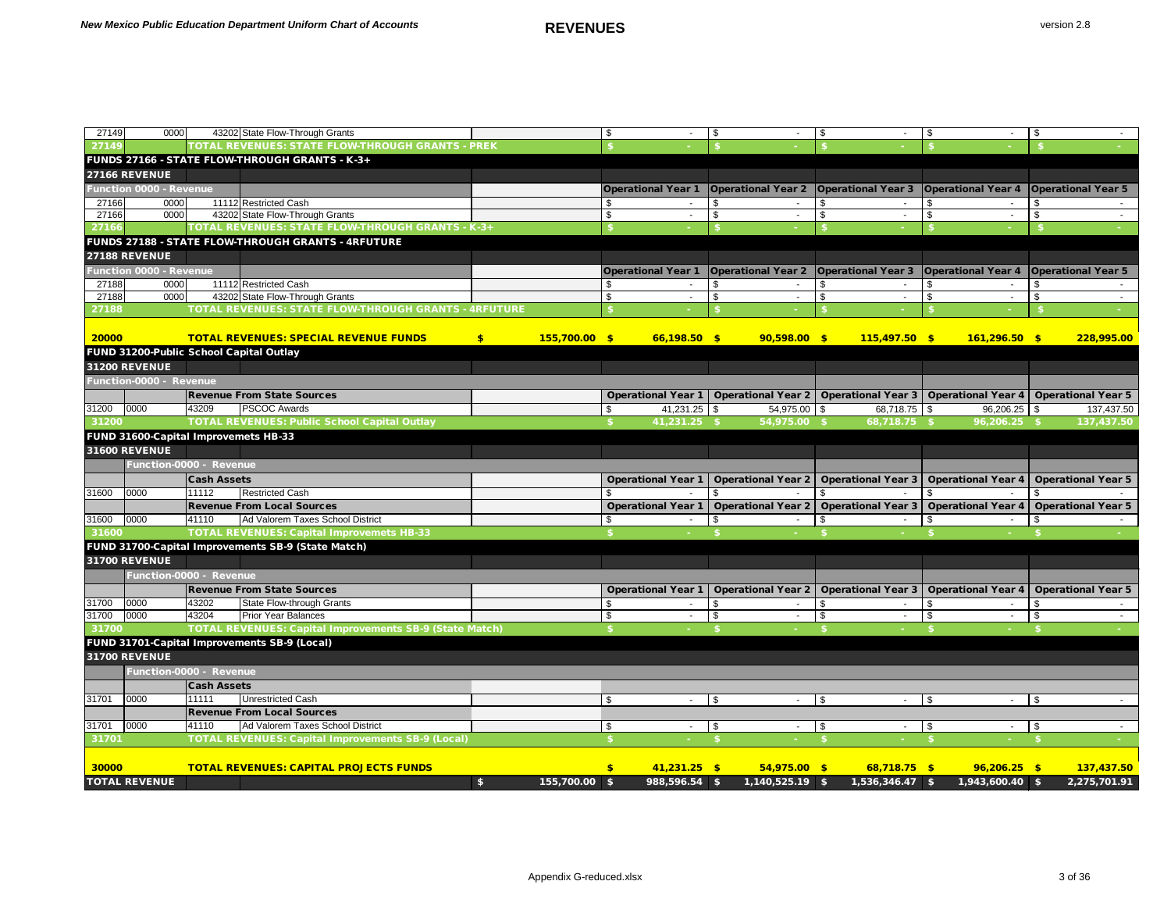| 27149 | 0000                                    |                    | 43202 State Flow-Through Grants                                |     |                 |      |                           | - \$                                    | \$         | $\sim$                    | -\$                                                                                                    |               |                           |
|-------|-----------------------------------------|--------------------|----------------------------------------------------------------|-----|-----------------|------|---------------------------|-----------------------------------------|------------|---------------------------|--------------------------------------------------------------------------------------------------------|---------------|---------------------------|
| 27149 |                                         |                    | <b>TOTAL REVENUES: STATE FLOW-THROUGH GRANTS - PREK</b>        |     |                 |      |                           |                                         |            |                           |                                                                                                        |               |                           |
|       |                                         |                    | FUNDS 27166 - STATE FLOW-THROUGH GRANTS - K-3+                 |     |                 |      |                           |                                         |            |                           |                                                                                                        |               |                           |
|       | <b>27166 REVENUE</b>                    |                    |                                                                |     |                 |      |                           |                                         |            |                           |                                                                                                        |               |                           |
|       | <b>Function 0000 - Revenue</b>          |                    |                                                                |     |                 |      | <b>Operational Year 1</b> | <b>Operational Year 2</b>               |            |                           | Operational Year 3   Operational Year 4                                                                |               | <b>Operational Year 5</b> |
| 27166 | 0000                                    |                    | 11112 Restricted Cash                                          |     |                 |      |                           |                                         |            |                           |                                                                                                        |               |                           |
| 27166 | 0000                                    |                    | 43202 State Flow-Through Grants                                |     |                 | \$   |                           | - \$<br>$\sim$                          | \$         | $\sim$                    | \$                                                                                                     | \$            |                           |
| 27166 |                                         |                    | TOTAL REVENUES: STATE FLOW-THROUGH GRANTS - K-3+               |     |                 |      |                           |                                         |            |                           |                                                                                                        |               |                           |
|       |                                         |                    | FUNDS 27188 - STATE FLOW-THROUGH GRANTS - 4RFUTURE             |     |                 |      |                           |                                         |            |                           |                                                                                                        |               |                           |
|       | <b>27188 REVENUE</b>                    |                    |                                                                |     |                 |      |                           |                                         |            |                           |                                                                                                        |               |                           |
|       | <b>Function 0000 - Revenue</b>          |                    |                                                                |     |                 |      | <b>Operational Year 1</b> | <b>Operational Year 2</b>               |            | <b>Operational Year 3</b> | <b>Operational Year 4</b>                                                                              |               | <b>Operational Year 5</b> |
| 27188 | 0000                                    |                    | 11112 Restricted Cash                                          |     |                 |      |                           | - \$                                    | S.         |                           | \$                                                                                                     |               |                           |
| 27188 | 0000                                    |                    | 43202 State Flow-Through Grants                                |     |                 | \$   |                           | \$                                      | \$         |                           | \$                                                                                                     | \$            |                           |
| 27188 |                                         |                    | <b>TOTAL REVENUES: STATE FLOW-THROUGH GRANTS - 4RFUTURE</b>    |     |                 |      |                           |                                         |            |                           |                                                                                                        |               |                           |
| 20000 | FUND 31200-Public School Capital Outlay |                    | <b>TOTAL REVENUES: SPECIAL REVENUE FUNDS</b>                   | \$. | $155,700.00$ \$ |      | $66,198.50$ \$            | $90,598.00$ \$                          |            | $115,497.50$ \$           | $161,296.50$ \$                                                                                        |               | 228,995.00                |
|       | <b>31200 REVENUE</b>                    |                    |                                                                |     |                 |      |                           |                                         |            |                           |                                                                                                        |               |                           |
|       | Function-0000 - Revenue                 |                    |                                                                |     |                 |      |                           |                                         |            |                           |                                                                                                        |               |                           |
|       |                                         |                    | <b>Revenue From State Sources</b>                              |     |                 |      |                           |                                         |            |                           | Operational Year 1   Operational Year 2   Operational Year 3   Operational Year 4   Operational Year 5 |               |                           |
| 31200 | 0000                                    | 43209              | <b>PSCOC Awards</b>                                            |     |                 |      | $41,231.25$ \$            | 54,975.00 \$                            |            | 68,718.75 \$              | $96,206.25$ \$                                                                                         |               | 137,437.50                |
| 31200 |                                         |                    | <b>TOTAL REVENUES: Public School Capital Outlay</b>            |     |                 |      | 41,231.25 \$              | $54,975.00$ \$                          |            | 68,718.75 \$              | 96,206.25 \$                                                                                           |               | 137,437.50                |
|       | FUND 31600-Capital Improvemets HB-33    |                    |                                                                |     |                 |      |                           |                                         |            |                           |                                                                                                        |               |                           |
|       | <b>31600 REVENUE</b>                    |                    |                                                                |     |                 |      |                           |                                         |            |                           |                                                                                                        |               |                           |
|       |                                         |                    |                                                                |     |                 |      |                           |                                         |            |                           |                                                                                                        |               |                           |
|       | Function-0000 - Revenue                 |                    |                                                                |     |                 |      |                           |                                         |            |                           |                                                                                                        |               |                           |
|       |                                         | <b>Cash Assets</b> |                                                                |     |                 |      | <b>Operational Year 1</b> | <b>Operational Year 2</b>               |            | <b>Operational Year 3</b> | <b>Operational Year 4</b>                                                                              |               | <b>Operational Year 5</b> |
| 31600 | 0000                                    | 11112              | <b>Restricted Cash</b>                                         |     |                 |      |                           |                                         |            |                           |                                                                                                        |               |                           |
|       |                                         |                    | <b>Revenue From Local Sources</b>                              |     |                 |      | <b>Operational Year 1</b> | Operational Year 2   Operational Year 3 |            |                           | <b>Operational Year 4</b>                                                                              |               | <b>Operational Year 5</b> |
| 31600 | 0000                                    | 41110              | Ad Valorem Taxes School District                               |     |                 |      |                           |                                         |            |                           |                                                                                                        |               |                           |
| 31600 |                                         |                    | <b>TOTAL REVENUES: Capital Improvemets HB-33</b>               |     |                 |      |                           |                                         |            |                           |                                                                                                        |               |                           |
|       |                                         |                    | FUND 31700-Capital Improvements SB-9 (State Match)             |     |                 |      |                           |                                         |            |                           |                                                                                                        |               |                           |
|       | <b>31700 REVENUE</b>                    |                    |                                                                |     |                 |      |                           |                                         |            |                           |                                                                                                        |               |                           |
|       | Function-0000 - Revenue                 |                    |                                                                |     |                 |      |                           |                                         |            |                           |                                                                                                        |               |                           |
|       |                                         |                    | <b>Revenue From State Sources</b>                              |     |                 |      | <b>Operational Year 1</b> |                                         |            |                           | Operational Year 2   Operational Year 3   Operational Year 4   Operational Year 5                      |               |                           |
| 31700 | 0000                                    | 43202              | <b>State Flow-through Grants</b>                               |     |                 | - \$ |                           |                                         |            |                           |                                                                                                        |               |                           |
| 31700 | 0000                                    | 43204              | <b>Prior Year Balances</b>                                     |     |                 | \$   |                           | \$                                      | $\sqrt{3}$ | $\sim$                    | \$                                                                                                     | $\sqrt[6]{2}$ |                           |
| 31700 |                                         |                    | <b>TOTAL REVENUES: Capital Improvements SB-9 (State Match)</b> |     |                 |      |                           |                                         |            |                           |                                                                                                        |               |                           |
|       |                                         |                    | FUND 31701-Capital Improvements SB-9 (Local)                   |     |                 |      |                           |                                         |            |                           |                                                                                                        |               |                           |
|       | <b>31700 REVENUE</b>                    |                    |                                                                |     |                 |      |                           |                                         |            |                           |                                                                                                        |               |                           |
|       | Function-0000 - Revenue                 |                    |                                                                |     |                 |      |                           |                                         |            |                           |                                                                                                        |               |                           |
|       |                                         | <b>Cash Assets</b> |                                                                |     |                 |      |                           |                                         |            |                           |                                                                                                        |               |                           |
| 31701 | 0000                                    | 11111              | Unrestricted Cash                                              |     |                 | \$   |                           | $\sqrt{3}$                              | $\sqrt{3}$ | $\sim 10$                 | $\sqrt[6]{5}$                                                                                          | l \$          |                           |
|       |                                         |                    | <b>Revenue From Local Sources</b>                              |     |                 |      |                           |                                         |            |                           |                                                                                                        |               |                           |
| 31701 | 0000                                    | 41110              | Ad Valorem Taxes School District                               |     |                 | \$   |                           | $\sqrt{3}$                              | $\sqrt{3}$ | $\sim$                    | \$                                                                                                     | \$            |                           |
| 31701 |                                         |                    | <b>TOTAL REVENUES: Capital Improvements SB-9 (Local)</b>       |     |                 |      |                           |                                         |            |                           |                                                                                                        | - \$          |                           |
|       |                                         |                    |                                                                |     |                 |      |                           |                                         |            |                           |                                                                                                        |               |                           |
| 30000 |                                         |                    | <b>TOTAL REVENUES: CAPITAL PROJECTS FUNDS</b>                  |     |                 | \$   | $41,231.25$ \$            | $54,975.00$ \$                          |            | $68,718.75$ \$            | $96,206.25$ \$                                                                                         |               | 137,437.50                |
|       | <b>TOTAL REVENUE</b>                    |                    |                                                                | \$  | 155,700.00 \$   |      | 988,596.54 \$             | $1,140,525.19$ \$                       |            | $1,536,346.47$ \$         | 1,943,600.40 \$                                                                                        |               | 2,275,701.91              |
|       |                                         |                    |                                                                |     |                 |      |                           |                                         |            |                           |                                                                                                        |               |                           |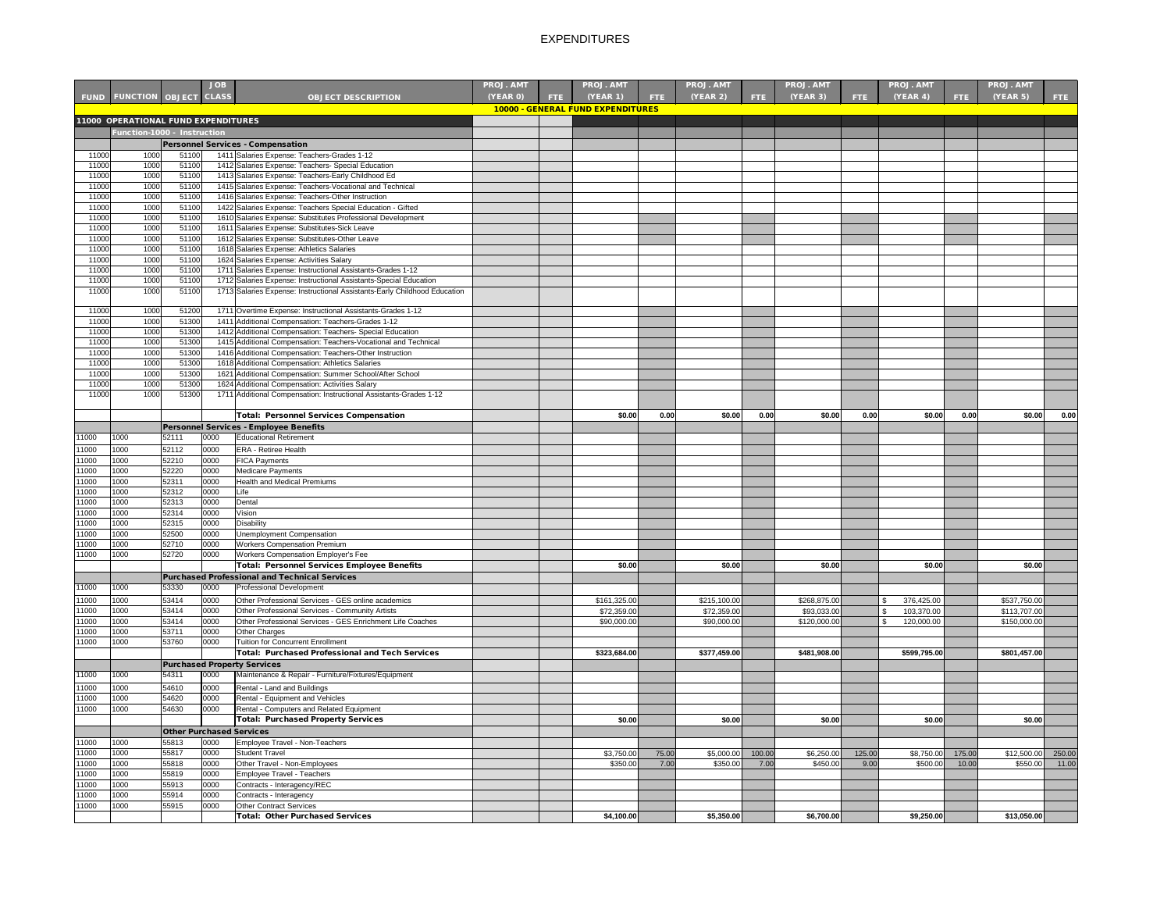|                |                                     |                                 | JOB.         |                                                                                                                              | <b>PROJ. AMT</b> |      | <b>PROJ. AMT</b>                                     |            | <b>PROJ. AMT</b> |        | <b>PROJ. AMT</b> |        | <b>PROJ. AMT</b> |        | <b>PROJ. AMT</b> |        |
|----------------|-------------------------------------|---------------------------------|--------------|------------------------------------------------------------------------------------------------------------------------------|------------------|------|------------------------------------------------------|------------|------------------|--------|------------------|--------|------------------|--------|------------------|--------|
| <b>FUND</b>    | <b>FUNCTION OBJECT CLASS</b>        |                                 |              | <b>OBJECT DESCRIPTION</b>                                                                                                    | (YEAR 0)         | FTE. | <b>(YEAR 1)</b><br>10000 - GENERAL FUND EXPENDITURES | <b>FTE</b> | (YEAR 2)         | FTE.   | <b>(YEAR 3)</b>  | FTE:   | (YEAR 4)         | FTE:   | (YEAR 5)         | FTE.   |
|                | 11000 OPERATIONAL FUND EXPENDITURES |                                 |              |                                                                                                                              |                  |      |                                                      |            |                  |        |                  |        |                  |        |                  |        |
|                | Function-1000 - Instruction         |                                 |              |                                                                                                                              |                  |      |                                                      |            |                  |        |                  |        |                  |        |                  |        |
|                |                                     |                                 |              | <b>Personnel Services - Compensation</b>                                                                                     |                  |      |                                                      |            |                  |        |                  |        |                  |        |                  |        |
| 11000          | 1000                                | 51100                           |              | 1411 Salaries Expense: Teachers-Grades 1-12                                                                                  |                  |      |                                                      |            |                  |        |                  |        |                  |        |                  |        |
| 11000<br>11000 | 1000<br>1000                        | 51100<br>51100                  |              | 1412 Salaries Expense: Teachers- Special Education<br>1413 Salaries Expense: Teachers-Early Childhood Ed                     |                  |      |                                                      |            |                  |        |                  |        |                  |        |                  |        |
| 11000          | 1000                                | 51100                           |              | 1415 Salaries Expense: Teachers-Vocational and Technical                                                                     |                  |      |                                                      |            |                  |        |                  |        |                  |        |                  |        |
| 11000          | 1000                                | 51100                           |              | 1416 Salaries Expense: Teachers-Other Instruction                                                                            |                  |      |                                                      |            |                  |        |                  |        |                  |        |                  |        |
| 11000          | 1000                                | 51100                           |              | 1422 Salaries Expense: Teachers Special Education - Gifted                                                                   |                  |      |                                                      |            |                  |        |                  |        |                  |        |                  |        |
| 11000          | 1000                                | 51100                           |              | 1610 Salaries Expense: Substitutes Professional Development                                                                  |                  |      |                                                      |            |                  |        |                  |        |                  |        |                  |        |
| 11000<br>11000 | 1000<br>1000                        | 51100<br>51100                  |              | 1611 Salaries Expense: Substitutes-Sick Leave<br>1612 Salaries Expense: Substitutes-Other Leave                              |                  |      |                                                      |            |                  |        |                  |        |                  |        |                  |        |
| 11000          | 1000                                | 51100                           |              | 1618 Salaries Expense: Athletics Salaries                                                                                    |                  |      |                                                      |            |                  |        |                  |        |                  |        |                  |        |
| 11000          | 1000                                | 51100                           |              | 1624 Salaries Expense: Activities Salary                                                                                     |                  |      |                                                      |            |                  |        |                  |        |                  |        |                  |        |
| 11000          | 1000                                | 51100                           |              | 1711 Salaries Expense: Instructional Assistants-Grades 1-12                                                                  |                  |      |                                                      |            |                  |        |                  |        |                  |        |                  |        |
| 11000          | 1000                                | 51100                           |              | 1712 Salaries Expense: Instructional Assistants-Special Education                                                            |                  |      |                                                      |            |                  |        |                  |        |                  |        |                  |        |
| 11000          | 1000                                | 51100                           |              | 1713 Salaries Expense: Instructional Assistants-Early Childhood Education                                                    |                  |      |                                                      |            |                  |        |                  |        |                  |        |                  |        |
| 11000          | 1000                                | 51200                           |              | 1711 Overtime Expense: Instructional Assistants-Grades 1-12                                                                  |                  |      |                                                      |            |                  |        |                  |        |                  |        |                  |        |
| 11000          | 1000                                | 51300                           |              | 1411 Additional Compensation: Teachers-Grades 1-12                                                                           |                  |      |                                                      |            |                  |        |                  |        |                  |        |                  |        |
| 11000<br>11000 | 1000<br>1000                        | 51300<br>51300                  |              | 1412 Additional Compensation: Teachers- Special Education<br>1415 Additional Compensation: Teachers-Vocational and Technical |                  |      |                                                      |            |                  |        |                  |        |                  |        |                  |        |
| 11000          | 1000                                | 51300                           |              | 1416 Additional Compensation: Teachers-Other Instruction                                                                     |                  |      |                                                      |            |                  |        |                  |        |                  |        |                  |        |
| 11000          | 1000                                | 51300                           |              | 1618 Additional Compensation: Athletics Salaries                                                                             |                  |      |                                                      |            |                  |        |                  |        |                  |        |                  |        |
| 11000          | 1000                                | 51300                           |              | 1621 Additional Compensation: Summer School/After School                                                                     |                  |      |                                                      |            |                  |        |                  |        |                  |        |                  |        |
| 11000          | 1000                                | 51300                           |              | 1624 Additional Compensation: Activities Salary                                                                              |                  |      |                                                      |            |                  |        |                  |        |                  |        |                  |        |
| 11000          | 1000                                | 51300                           |              | 1711 Additional Compensation: Instructional Assistants-Grades 1-12                                                           |                  |      |                                                      |            |                  |        |                  |        |                  |        |                  |        |
|                |                                     |                                 |              | Total: Personnel Services Compensation                                                                                       |                  |      | \$0.00                                               | 0.00       | \$0.00           | 0.00   | \$0.00           | 0.00   | \$0.00           | 0.00   | \$0.00           | 0.00   |
|                |                                     |                                 |              | Personnel Services - Employee Benefits                                                                                       |                  |      |                                                      |            |                  |        |                  |        |                  |        |                  |        |
| 11000          | 1000                                | 52111                           | 0000         | <b>Educational Retirement</b>                                                                                                |                  |      |                                                      |            |                  |        |                  |        |                  |        |                  |        |
| 11000          | 1000                                | 52112                           | 0000         | <b>ERA</b> - Retiree Health                                                                                                  |                  |      |                                                      |            |                  |        |                  |        |                  |        |                  |        |
| 11000          | 1000                                | 52210                           | 0000         | <b>FICA Payments</b>                                                                                                         |                  |      |                                                      |            |                  |        |                  |        |                  |        |                  |        |
| 11000          | 1000                                | 52220                           | 0000         | Medicare Payments                                                                                                            |                  |      |                                                      |            |                  |        |                  |        |                  |        |                  |        |
| 11000<br>11000 | 1000<br>1000                        | 52311<br>52312                  | 0000<br>0000 | <b>Health and Medical Premiums</b><br>Life                                                                                   |                  |      |                                                      |            |                  |        |                  |        |                  |        |                  |        |
| 11000          | 1000                                | 52313                           | 0000         | Dental                                                                                                                       |                  |      |                                                      |            |                  |        |                  |        |                  |        |                  |        |
| 11000          | 1000                                | 52314                           | 0000         | Vision                                                                                                                       |                  |      |                                                      |            |                  |        |                  |        |                  |        |                  |        |
| 11000          | 1000                                | 52315                           | 0000         | Disability                                                                                                                   |                  |      |                                                      |            |                  |        |                  |        |                  |        |                  |        |
| 11000          | 1000                                | 52500                           | 0000         | Unemployment Compensation                                                                                                    |                  |      |                                                      |            |                  |        |                  |        |                  |        |                  |        |
| 11000          | 1000                                | 52710                           | 0000         | <b>Workers Compensation Premium</b>                                                                                          |                  |      |                                                      |            |                  |        |                  |        |                  |        |                  |        |
| 11000          | 1000                                | 52720                           | 0000         | Workers Compensation Employer's Fee<br>Total: Personnel Services Employee Benefits                                           |                  |      | \$0.00                                               |            | \$0.00           |        | \$0.00           |        | \$0.00           |        | \$0.00           |        |
|                |                                     |                                 |              | <b>Purchased Professional and Technical Services</b>                                                                         |                  |      |                                                      |            |                  |        |                  |        |                  |        |                  |        |
| 11000          | 1000                                | 53330                           | 0000         | <b>Professional Development</b>                                                                                              |                  |      |                                                      |            |                  |        |                  |        |                  |        |                  |        |
| 11000          | 1000                                | 53414                           | 0000         | Other Professional Services - GES online academics                                                                           |                  |      | \$161,325.00                                         |            | \$215,100.00     |        | \$268,875.00     |        | 376,425.00       |        | \$537,750.00     |        |
| 11000          | 1000                                | 53414                           | 0000         | Other Professional Services - Community Artists                                                                              |                  |      | \$72,359.00                                          |            | \$72,359.00      |        | \$93,033.00      |        | 103,370.00       |        | \$113,707.00     |        |
| 11000          | 1000                                | 53414                           | 0000         | Other Professional Services - GES Enrichment Life Coaches                                                                    |                  |      | \$90,000.00                                          |            | \$90,000.00      |        | \$120,000.00     |        | 120,000.00       |        | \$150,000.00     |        |
| 11000          | 1000                                | 53711                           | 0000         | <b>Other Charges</b>                                                                                                         |                  |      |                                                      |            |                  |        |                  |        |                  |        |                  |        |
| 11000          | 1000                                | 53760                           | 0000         | Tuition for Concurrent Enrollment                                                                                            |                  |      |                                                      |            |                  |        |                  |        |                  |        |                  |        |
|                |                                     |                                 |              | Total: Purchased Professional and Tech Services                                                                              |                  |      | \$323,684.00                                         |            | \$377,459.00     |        | \$481,908.00     |        | \$599,795.00     |        | \$801,457.00     |        |
| 11000          | 1000                                | 54311                           | 0000         | <b>Purchased Property Services</b><br>Maintenance & Repair - Furniture/Fixtures/Equipment                                    |                  |      |                                                      |            |                  |        |                  |        |                  |        |                  |        |
| 11000          | 1000                                | 54610                           | 0000         | Rental - Land and Buildings                                                                                                  |                  |      |                                                      |            |                  |        |                  |        |                  |        |                  |        |
| 11000          | 1000                                | 54620                           | 0000         | Rental - Equipment and Vehicles                                                                                              |                  |      |                                                      |            |                  |        |                  |        |                  |        |                  |        |
| 11000          | 1000                                | 54630                           | 0000         | Rental - Computers and Related Equipment                                                                                     |                  |      |                                                      |            |                  |        |                  |        |                  |        |                  |        |
|                |                                     |                                 |              | <b>Total: Purchased Property Services</b>                                                                                    |                  |      | \$0.00                                               |            | \$0.00           |        | \$0.00           |        | \$0.00           |        | \$0.00           |        |
|                |                                     | <b>Other Purchased Services</b> |              |                                                                                                                              |                  |      |                                                      |            |                  |        |                  |        |                  |        |                  |        |
| 11000          | 1000                                | 55813                           | 0000         | Employee Travel - Non-Teachers                                                                                               |                  |      |                                                      |            |                  |        |                  |        |                  |        |                  |        |
| 11000          | 1000                                | 55817                           | 0000         | <b>Student Travel</b>                                                                                                        |                  |      | \$3,750.00                                           | 75.00      | \$5,000.00       | 100.00 | \$6,250.00       | 125.00 | \$8,750.00       | 175.00 | \$12,500.00      | 250.00 |
| 11000          | 1000                                | 55818                           | 0000         | Other Travel - Non-Employees                                                                                                 |                  |      | \$350.00                                             | 7.00       | \$350.00         | 7.00   | \$450.00         | 9.00   | \$500.00         | 10.00  | \$550.00         | 11.00  |
| 11000<br>11000 | 1000<br>1000                        | 55819<br>55913                  | 0000<br>0000 | Employee Travel - Teachers<br>Contracts - Interagency/REC                                                                    |                  |      |                                                      |            |                  |        |                  |        |                  |        |                  |        |
| 11000          | 1000                                | 55914                           | 0000         | Contracts - Interagency                                                                                                      |                  |      |                                                      |            |                  |        |                  |        |                  |        |                  |        |
| 11000          | 1000                                | 55915                           | 0000         | Other Contract Services                                                                                                      |                  |      |                                                      |            |                  |        |                  |        |                  |        |                  |        |
|                |                                     |                                 |              | Total: Other Purchased Services                                                                                              |                  |      | \$4,100.00                                           |            | \$5,350.00       |        | \$6,700.00       |        | \$9,250.00       |        | \$13,050.00      |        |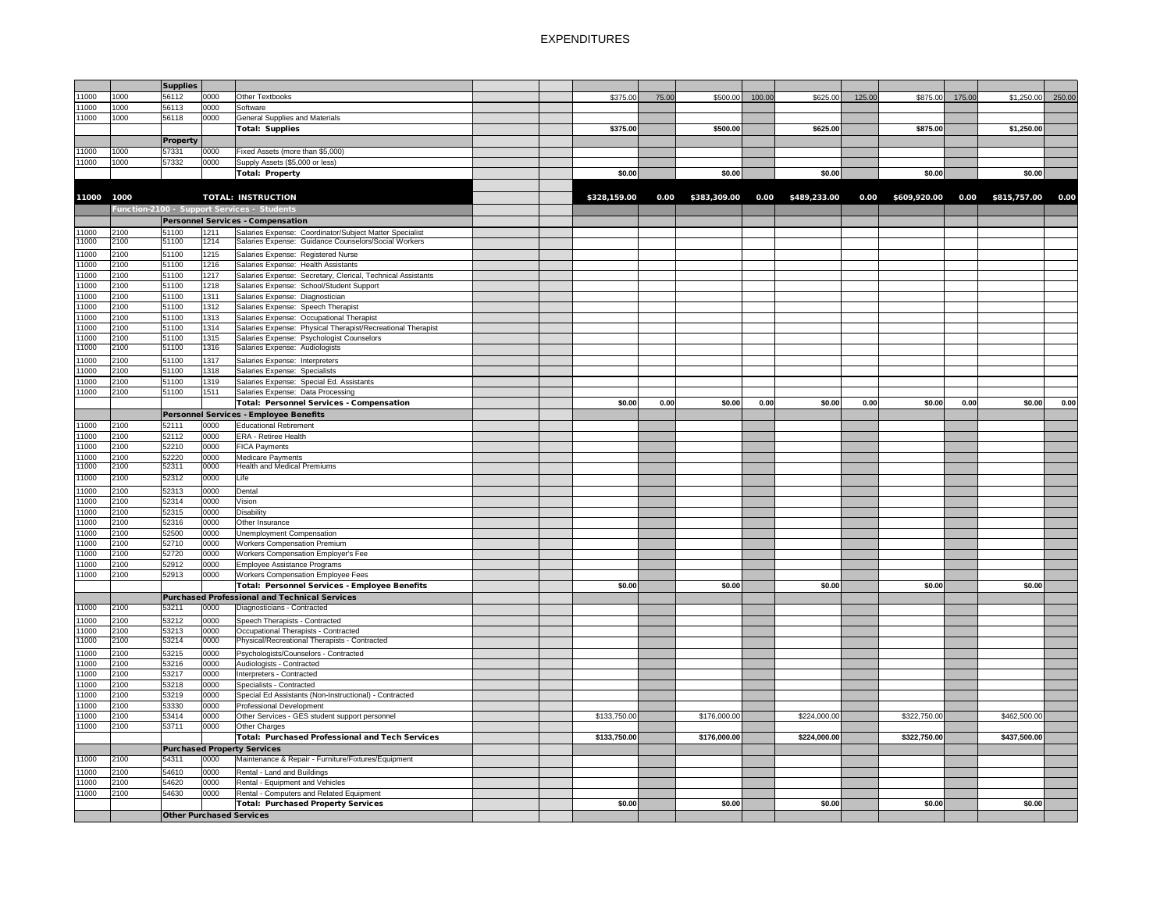|                |              | <b>Supplies</b>                 |              |                                                                  |  |              |       |                     |        |              |        |                                     |        |              |        |
|----------------|--------------|---------------------------------|--------------|------------------------------------------------------------------|--|--------------|-------|---------------------|--------|--------------|--------|-------------------------------------|--------|--------------|--------|
| 11000          | 1000         | 56112                           | 0000         | Other Textbooks                                                  |  | \$375.00     | 75.00 | \$500.00            | 100.00 | \$625.00     | 125.00 | \$875.00                            | 175.00 | \$1,250.00   | 250.00 |
| 11000          | 1000         | 56113                           | 0000         | Software                                                         |  |              |       |                     |        |              |        |                                     |        |              |        |
| 11000          | 1000         | 56118                           | 0000         | <b>General Supplies and Materials</b>                            |  | \$375.00     |       |                     |        |              |        |                                     |        |              |        |
|                |              |                                 |              | <b>Total: Supplies</b>                                           |  |              |       | \$500.00            |        | \$625.00     |        | \$875.00                            |        | \$1,250.00   |        |
|                |              | <b>Property</b>                 |              |                                                                  |  |              |       |                     |        |              |        |                                     |        |              |        |
| 11000          | 1000         | 57331                           | 0000         | Fixed Assets (more than \$5,000)                                 |  |              |       |                     |        |              |        |                                     |        |              |        |
| 11000          | 1000         | 57332                           | 0000         | Supply Assets (\$5,000 or less)                                  |  |              |       |                     |        |              |        |                                     |        |              |        |
|                |              |                                 |              | <b>Total: Property</b>                                           |  | \$0.00       |       | \$0.00              |        | \$0.00       |        | \$0.00                              |        | \$0.00       |        |
|                |              |                                 |              |                                                                  |  |              |       |                     |        |              |        |                                     |        |              |        |
| 11000          | 1000         |                                 |              | <b>TOTAL: INSTRUCTION</b>                                        |  | \$328,159.00 |       | $0.00$ \$383,309.00 | 0.00   | \$489,233.00 |        | 0.00 \$609,920.00 0.00 \$815,757.00 |        |              | 0.00   |
|                |              |                                 |              | Function-2100 - Support Services - Students                      |  |              |       |                     |        |              |        |                                     |        |              |        |
|                |              |                                 |              | Personnel Services - Compensation                                |  |              |       |                     |        |              |        |                                     |        |              |        |
| 11000          | 2100         | 51100                           | 1211         | Salaries Expense: Coordinator/Subject Matter Specialist          |  |              |       |                     |        |              |        |                                     |        |              |        |
| 11000          | 2100         | 51100                           | 1214         | Salaries Expense: Guidance Counselors/Social Workers             |  |              |       |                     |        |              |        |                                     |        |              |        |
| 11000          | 2100         | 51100                           | 1215         | Salaries Expense: Registered Nurse                               |  |              |       |                     |        |              |        |                                     |        |              |        |
| 11000          | 2100         | 51100                           | 1216         | Salaries Expense: Health Assistants                              |  |              |       |                     |        |              |        |                                     |        |              |        |
| 11000          | 2100         | 51100                           | 1217         | Salaries Expense: Secretary, Clerical, Technical Assistants      |  |              |       |                     |        |              |        |                                     |        |              |        |
| 11000          | 2100         | 51100                           | 1218         | Salaries Expense: School/Student Support                         |  |              |       |                     |        |              |        |                                     |        |              |        |
| 11000          | 2100         | 51100                           | 1311         | Salaries Expense: Diagnostician                                  |  |              |       |                     |        |              |        |                                     |        |              |        |
| 11000          | 2100         | 51100                           | 1312         | Salaries Expense: Speech Therapist                               |  |              |       |                     |        |              |        |                                     |        |              |        |
| 11000          | 2100         | 51100                           | 1313         | Salaries Expense: Occupational Therapist                         |  |              |       |                     |        |              |        |                                     |        |              |        |
| 11000          | 2100         | 51100                           | 1314         | Salaries Expense: Physical Therapist/Recreational Therapist      |  |              |       |                     |        |              |        |                                     |        |              |        |
| 11000          | 2100         | 51100                           | 1315         | Salaries Expense: Psychologist Counselors                        |  |              |       |                     |        |              |        |                                     |        |              |        |
| 11000          | 2100         | 51100                           | 1316         | Salaries Expense: Audiologists                                   |  |              |       |                     |        |              |        |                                     |        |              |        |
| 11000          | 2100         | 51100                           | 1317         | Salaries Expense: Interpreters                                   |  |              |       |                     |        |              |        |                                     |        |              |        |
| 11000          | 2100         | 51100                           | 1318         | Salaries Expense: Specialists                                    |  |              |       |                     |        |              |        |                                     |        |              |        |
| 11000          | 2100         | 51100                           | 1319         | Salaries Expense: Special Ed. Assistants                         |  |              |       |                     |        |              |        |                                     |        |              |        |
| 11000          | 2100         | 51100                           | 1511         | Salaries Expense: Data Processing                                |  |              |       |                     |        |              |        |                                     |        |              |        |
|                |              |                                 |              | <b>Total: Personnel Services - Compensation</b>                  |  | \$0.00       | 0.00  | \$0.00              | 0.00   | \$0.00       | 0.00   | \$0.00                              | 0.00   | \$0.00       | 0.00   |
|                |              |                                 |              | <b>Personnel Services - Employee Benefits</b>                    |  |              |       |                     |        |              |        |                                     |        |              |        |
| 11000          | 2100         | 52111                           | 0000         | <b>Educational Retirement</b>                                    |  |              |       |                     |        |              |        |                                     |        |              |        |
| 11000          | 2100         | 52112                           | 0000         | <b>ERA - Retiree Health</b>                                      |  |              |       |                     |        |              |        |                                     |        |              |        |
| 11000          | 2100         | 52210                           | 0000         | <b>FICA Payments</b>                                             |  |              |       |                     |        |              |        |                                     |        |              |        |
| 11000<br>11000 | 2100<br>2100 | 52220<br>52311                  | 0000<br>0000 | <b>Medicare Payments</b><br><b>Health and Medical Premiums</b>   |  |              |       |                     |        |              |        |                                     |        |              |        |
|                |              |                                 |              |                                                                  |  |              |       |                     |        |              |        |                                     |        |              |        |
| 11000          | 2100         | 52312                           | 0000         | Life                                                             |  |              |       |                     |        |              |        |                                     |        |              |        |
| 11000          | 2100         | 52313                           | 0000         | Dental                                                           |  |              |       |                     |        |              |        |                                     |        |              |        |
| 11000          | 2100         | 52314                           | 0000         | Vision                                                           |  |              |       |                     |        |              |        |                                     |        |              |        |
| 11000          | 2100         | 52315                           | 0000         | Disability                                                       |  |              |       |                     |        |              |        |                                     |        |              |        |
| 11000          | 2100         | 52316                           | 0000         | Other Insurance                                                  |  |              |       |                     |        |              |        |                                     |        |              |        |
| 11000<br>11000 | 2100<br>2100 | 52500<br>52710                  | 0000<br>0000 | Unemployment Compensation<br><b>Workers Compensation Premium</b> |  |              |       |                     |        |              |        |                                     |        |              |        |
| 11000          | 2100         | 52720                           | 0000         | <b>Workers Compensation Employer's Fee</b>                       |  |              |       |                     |        |              |        |                                     |        |              |        |
| 11000          | 2100         | 52912                           | 0000         | Employee Assistance Programs                                     |  |              |       |                     |        |              |        |                                     |        |              |        |
| 11000          | 2100         | 52913                           | 0000         | <b>Workers Compensation Employee Fees</b>                        |  |              |       |                     |        |              |        |                                     |        |              |        |
|                |              |                                 |              | Total: Personnel Services - Employee Benefits                    |  | \$0.00       |       | \$0.00              |        | \$0.00       |        | \$0.00                              |        | \$0.00       |        |
|                |              |                                 |              | <b>Purchased Professional and Technical Services</b>             |  |              |       |                     |        |              |        |                                     |        |              |        |
| 11000          | 2100         | 53211                           | 0000         | Diagnosticians - Contracted                                      |  |              |       |                     |        |              |        |                                     |        |              |        |
| 11000          | 2100         | 53212                           | 0000         | Speech Therapists - Contracted                                   |  |              |       |                     |        |              |        |                                     |        |              |        |
| 11000          | 2100         | 53213                           | 0000         | Occupational Therapists - Contracted                             |  |              |       |                     |        |              |        |                                     |        |              |        |
| 11000          | 2100         | 53214                           | 0000         | Physical/Recreational Therapists - Contracted                    |  |              |       |                     |        |              |        |                                     |        |              |        |
| 11000          | 2100         | 53215                           | 0000         | Psychologists/Counselors - Contracted                            |  |              |       |                     |        |              |        |                                     |        |              |        |
| 11000          | 2100         | 53216                           | 0000         | Audiologists - Contracted                                        |  |              |       |                     |        |              |        |                                     |        |              |        |
| 11000          | 2100         | 53217                           | 0000         | Interpreters - Contracted                                        |  |              |       |                     |        |              |        |                                     |        |              |        |
| 11000          | 2100         | 53218                           | 0000         | Specialists - Contracted                                         |  |              |       |                     |        |              |        |                                     |        |              |        |
| 11000          | 2100         | 53219                           | 0000         | Special Ed Assistants (Non-Instructional) - Contracted           |  |              |       |                     |        |              |        |                                     |        |              |        |
| 11000          | 2100         | 53330                           | 0000         | Professional Development                                         |  |              |       |                     |        |              |        |                                     |        |              |        |
| 11000          | 2100         | 53414                           | 0000         | Other Services - GES student support personnel                   |  | \$133,750.00 |       | \$176,000.00        |        | \$224,000.00 |        | \$322,750.00                        |        | \$462,500.00 |        |
| 11000          | 2100         | 53711                           | 0000         | Other Charges                                                    |  |              |       |                     |        |              |        |                                     |        |              |        |
|                |              |                                 |              | Total: Purchased Professional and Tech Services                  |  | \$133,750.00 |       | \$176,000.00        |        | \$224,000.00 |        | \$322,750.00                        |        | \$437,500.00 |        |
|                |              |                                 |              | <b>Purchased Property Services</b>                               |  |              |       |                     |        |              |        |                                     |        |              |        |
| 11000          | 2100         | 54311                           | 0000         | Maintenance & Repair - Furniture/Fixtures/Equipment              |  |              |       |                     |        |              |        |                                     |        |              |        |
| 11000          | 2100         | 54610                           | 0000         | Rental - Land and Buildings                                      |  |              |       |                     |        |              |        |                                     |        |              |        |
| 11000          | 2100         | 54620                           | 0000         | Rental - Equipment and Vehicles                                  |  |              |       |                     |        |              |        |                                     |        |              |        |
| 11000          | 2100         | 54630                           | 0000         | Rental - Computers and Related Equipment                         |  |              |       |                     |        |              |        |                                     |        |              |        |
|                |              |                                 |              | <b>Total: Purchased Property Services</b>                        |  | \$0.00       |       | \$0.00              |        | \$0.00       |        | \$0.00                              |        | \$0.00       |        |
|                |              | <b>Other Purchased Services</b> |              |                                                                  |  |              |       |                     |        |              |        |                                     |        |              |        |
|                |              |                                 |              |                                                                  |  |              |       |                     |        |              |        |                                     |        |              |        |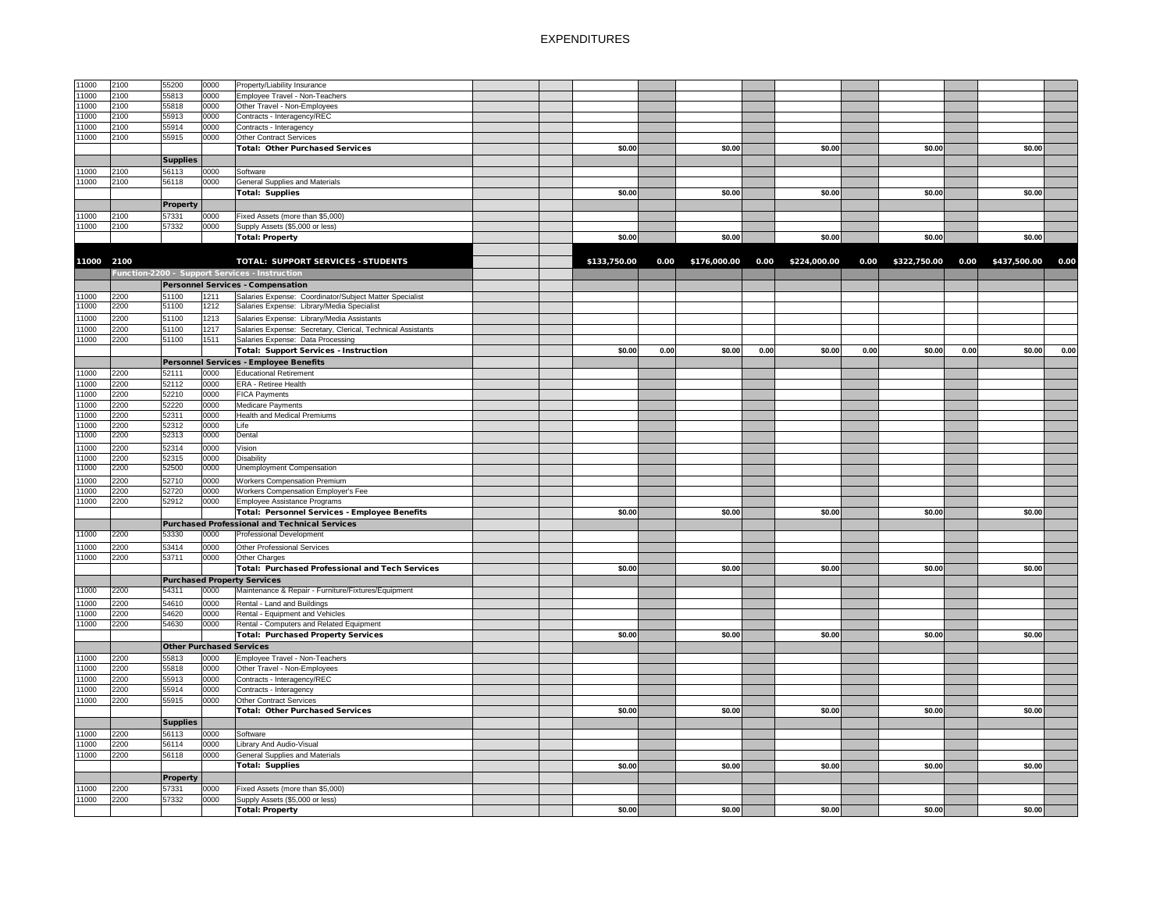| 11000          | 2100         | 55200                           | 0000         | Property/Liability Insurance                                |              |      |              |      |              |      |                   |      |                   |      |
|----------------|--------------|---------------------------------|--------------|-------------------------------------------------------------|--------------|------|--------------|------|--------------|------|-------------------|------|-------------------|------|
| 11000          | 2100         | 55813                           | 0000         | Employee Travel - Non-Teachers                              |              |      |              |      |              |      |                   |      |                   |      |
| 11000          | 2100         | 55818                           | 0000         | Other Travel - Non-Employees                                |              |      |              |      |              |      |                   |      |                   |      |
| 11000          | 2100         | 55913                           | 0000         | Contracts - Interagency/REC                                 |              |      |              |      |              |      |                   |      |                   |      |
| 11000          | 2100         | 55914                           | 0000         | Contracts - Interagency                                     |              |      |              |      |              |      |                   |      |                   |      |
| 11000          | 2100         | 55915                           | 0000         | <b>Other Contract Services</b>                              |              |      |              |      |              |      |                   |      |                   |      |
|                |              |                                 |              | Total: Other Purchased Services                             | \$0.00       |      | \$0.00       |      | \$0.00       |      | \$0.00            |      | \$0.00            |      |
|                |              | <b>Supplies</b>                 |              |                                                             |              |      |              |      |              |      |                   |      |                   |      |
|                |              |                                 |              |                                                             |              |      |              |      |              |      |                   |      |                   |      |
| 11000          | 2100         | 56113                           | 0000         | Software                                                    |              |      |              |      |              |      |                   |      |                   |      |
| 11000          | 2100         | 56118                           | 0000         | <b>General Supplies and Materials</b>                       |              |      |              |      |              |      |                   |      |                   |      |
|                |              |                                 |              | Total: Supplies                                             | \$0.00       |      | \$0.00       |      | \$0.00       |      | \$0.00            |      | \$0.00            |      |
|                |              | <b>Property</b>                 |              |                                                             |              |      |              |      |              |      |                   |      |                   |      |
| 11000          | 2100         | 57331                           | 0000         | Fixed Assets (more than \$5,000)                            |              |      |              |      |              |      |                   |      |                   |      |
| 11000          | 2100         | 57332                           | 0000         | Supply Assets (\$5,000 or less)                             |              |      |              |      |              |      |                   |      |                   |      |
|                |              |                                 |              | <b>Total: Property</b>                                      | \$0.00       |      | \$0.00       |      | \$0.00       |      | \$0.00            |      | \$0.00            |      |
|                |              |                                 |              |                                                             |              |      |              |      |              |      |                   |      |                   |      |
|                |              |                                 |              |                                                             |              |      |              |      |              |      |                   |      |                   |      |
| 11000 2100     |              |                                 |              | <b>TOTAL: SUPPORT SERVICES - STUDENTS</b>                   | \$133,750.00 | 0.00 | \$176,000.00 | 0.00 | \$224,000.00 |      | 0.00 \$322,750.00 |      | 0.00 \$437,500.00 | 0.00 |
|                |              |                                 |              | Function-2200 - Support Services - Instruction              |              |      |              |      |              |      |                   |      |                   |      |
|                |              |                                 |              | <b>Personnel Services - Compensation</b>                    |              |      |              |      |              |      |                   |      |                   |      |
| 11000          | 2200         | 51100                           | 1211         | Salaries Expense: Coordinator/Subject Matter Specialist     |              |      |              |      |              |      |                   |      |                   |      |
| 11000          | 2200         | 51100                           | 1212         | Salaries Expense: Library/Media Specialist                  |              |      |              |      |              |      |                   |      |                   |      |
| 11000          | 2200         | 51100                           | 1213         | Salaries Expense: Library/Media Assistants                  |              |      |              |      |              |      |                   |      |                   |      |
| 11000          | 2200         | 51100                           | 1217         | Salaries Expense: Secretary, Clerical, Technical Assistants |              |      |              |      |              |      |                   |      |                   |      |
|                | 2200         | 51100                           | 1511         |                                                             |              |      |              |      |              |      |                   |      |                   |      |
| 11000          |              |                                 |              | Salaries Expense: Data Processing                           |              |      |              |      |              |      |                   |      |                   |      |
|                |              |                                 |              | <b>Total: Support Services - Instruction</b>                | \$0.00       | 0.00 | \$0.00       | 0.00 | \$0.00       | 0.00 | \$0.00            | 0.00 | \$0.00            | 0.00 |
|                |              |                                 |              | <b>Personnel Services - Employee Benefits</b>               |              |      |              |      |              |      |                   |      |                   |      |
| 11000          | 2200         | 52111                           | 0000         | <b>Educational Retirement</b>                               |              |      |              |      |              |      |                   |      |                   |      |
| 11000          | 2200         | 52112                           | 0000         | <b>ERA - Retiree Health</b>                                 |              |      |              |      |              |      |                   |      |                   |      |
| 11000          | 2200         | 52210                           | 0000         | <b>FICA Payments</b>                                        |              |      |              |      |              |      |                   |      |                   |      |
| 11000          | 2200         | 52220                           | 0000         | Medicare Payments                                           |              |      |              |      |              |      |                   |      |                   |      |
| 11000          | 2200         | 52311                           | 0000         | <b>Health and Medical Premiums</b>                          |              |      |              |      |              |      |                   |      |                   |      |
| 11000          | 2200         | 52312                           | 0000         | Life                                                        |              |      |              |      |              |      |                   |      |                   |      |
| 11000          | 2200         | 52313                           | 0000         | Dental                                                      |              |      |              |      |              |      |                   |      |                   |      |
| 11000          | 2200         | 52314                           | 0000         | Vision                                                      |              |      |              |      |              |      |                   |      |                   |      |
|                |              |                                 |              |                                                             |              |      |              |      |              |      |                   |      |                   |      |
| 11000<br>11000 | 2200<br>2200 | 52315<br>52500                  | 0000<br>0000 | <b>Disability</b><br><b>Unemployment Compensation</b>       |              |      |              |      |              |      |                   |      |                   |      |
|                |              |                                 |              |                                                             |              |      |              |      |              |      |                   |      |                   |      |
| 11000          | 2200         | 52710                           | 0000         | <b>Workers Compensation Premium</b>                         |              |      |              |      |              |      |                   |      |                   |      |
| 11000          | 2200         | 52720                           | 0000         | Workers Compensation Employer's Fee                         |              |      |              |      |              |      |                   |      |                   |      |
| 11000          | 2200         | 52912                           | 0000         | Employee Assistance Programs                                |              |      |              |      |              |      |                   |      |                   |      |
|                |              |                                 |              | Total: Personnel Services - Employee Benefits               | \$0.00       |      | \$0.00       |      | \$0.00       |      | \$0.00            |      | \$0.00            |      |
|                |              |                                 |              | Purchased Professional and Technical Services               |              |      |              |      |              |      |                   |      |                   |      |
| 11000          | 2200         | 53330                           | 0000         | <b>Professional Development</b>                             |              |      |              |      |              |      |                   |      |                   |      |
|                |              |                                 |              |                                                             |              |      |              |      |              |      |                   |      |                   |      |
| 11000          | 2200         | 53414                           | 0000         | Other Professional Services                                 |              |      |              |      |              |      |                   |      |                   |      |
| 11000          | 2200         | 53711                           | 0000         | Other Charges                                               |              |      |              |      |              |      |                   |      |                   |      |
|                |              |                                 |              | Total: Purchased Professional and Tech Services             | \$0.00       |      | \$0.00       |      | \$0.00       |      | \$0.00            |      | \$0.00            |      |
|                |              |                                 |              | <b>Purchased Property Services</b>                          |              |      |              |      |              |      |                   |      |                   |      |
| 11000          | 2200         | 54311                           | 0000         | Maintenance & Repair - Furniture/Fixtures/Equipment         |              |      |              |      |              |      |                   |      |                   |      |
| 11000          | 2200         | 54610                           | 0000         | Rental - Land and Buildings                                 |              |      |              |      |              |      |                   |      |                   |      |
| 11000          | 2200         | 54620                           | 0000         | Rental - Equipment and Vehicles                             |              |      |              |      |              |      |                   |      |                   |      |
| 11000          | 2200         | 54630                           | 0000         | Rental - Computers and Related Equipment                    |              |      |              |      |              |      |                   |      |                   |      |
|                |              |                                 |              | <b>Total: Purchased Property Services</b>                   | \$0.00       |      | \$0.00       |      | \$0.00       |      | \$0.00            |      | \$0.00            |      |
|                |              |                                 |              |                                                             |              |      |              |      |              |      |                   |      |                   |      |
|                |              | <b>Other Purchased Services</b> |              |                                                             |              |      |              |      |              |      |                   |      |                   |      |
| 11000          | 2200         | 55813                           | 0000         | Employee Travel - Non-Teachers                              |              |      |              |      |              |      |                   |      |                   |      |
| 11000          | 2200         | 55818                           | 0000         | Other Travel - Non-Employees                                |              |      |              |      |              |      |                   |      |                   |      |
| 11000          | 2200         | 55913                           | 0000         | Contracts - Interagency/REC                                 |              |      |              |      |              |      |                   |      |                   |      |
| 11000          | 2200         | 55914                           | 0000         | Contracts - Interagency                                     |              |      |              |      |              |      |                   |      |                   |      |
| 11000          | 2200         | 55915                           | 0000         | <b>Other Contract Services</b>                              |              |      |              |      |              |      |                   |      |                   |      |
|                |              |                                 |              | Total: Other Purchased Services                             | \$0.00       |      | \$0.00       |      | \$0.00       |      | \$0.00            |      | \$0.00            |      |
|                |              | <b>Supplies</b>                 |              |                                                             |              |      |              |      |              |      |                   |      |                   |      |
| 11000          | 2200         | 56113                           | 0000         | Software                                                    |              |      |              |      |              |      |                   |      |                   |      |
| 11000          | 2200         | 56114                           | 0000         | Library And Audio-Visual                                    |              |      |              |      |              |      |                   |      |                   |      |
|                | 2200         |                                 | 0000         |                                                             |              |      |              |      |              |      |                   |      |                   |      |
| 11000          |              | 56118                           |              | <b>General Supplies and Materials</b>                       |              |      |              |      |              |      |                   |      |                   |      |
|                |              |                                 |              | <b>Total: Supplies</b>                                      | \$0.00       |      | \$0.00       |      | \$0.00       |      | \$0.00            |      | \$0.00            |      |
|                |              | <b>Property</b>                 |              |                                                             |              |      |              |      |              |      |                   |      |                   |      |
| 11000          | 2200         | 57331                           | 0000         | Fixed Assets (more than \$5,000)                            |              |      |              |      |              |      |                   |      |                   |      |
| 11000          | 2200         | 57332                           | 0000         | Supply Assets (\$5,000 or less)                             |              |      |              |      |              |      |                   |      |                   |      |
|                |              |                                 |              | Total: Property                                             | \$0.00       |      | \$0.00       |      | \$0.00       |      | \$0.00            |      | \$0.00            |      |
|                |              |                                 |              |                                                             |              |      |              |      |              |      |                   |      |                   |      |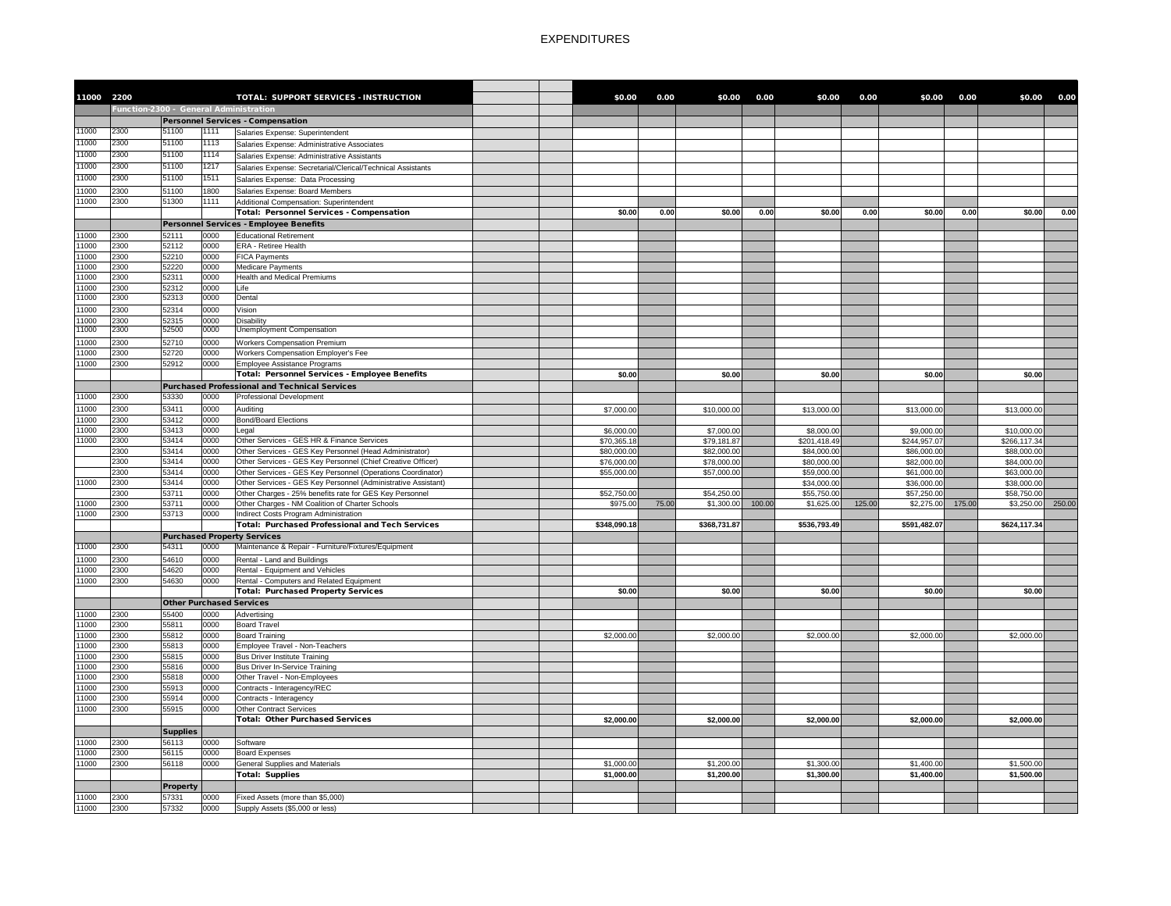| 11000 2200     |                                        |                 |              | <b>TOTAL: SUPPORT SERVICES - INSTRUCTION</b>                                                                           | \$0.00                     | 0.00  | \$0.00                     | 0.00   | \$0.00                     | 0.00   | \$0.00                     | 0.00   | \$0.00                     | 0.00   |
|----------------|----------------------------------------|-----------------|--------------|------------------------------------------------------------------------------------------------------------------------|----------------------------|-------|----------------------------|--------|----------------------------|--------|----------------------------|--------|----------------------------|--------|
|                | Function-2300 - General Administration |                 |              |                                                                                                                        |                            |       |                            |        |                            |        |                            |        |                            |        |
|                |                                        |                 |              | <b>Personnel Services - Compensation</b>                                                                               |                            |       |                            |        |                            |        |                            |        |                            |        |
| 11000          | 2300                                   | 51100           | 1111         | Salaries Expense: Superintendent                                                                                       |                            |       |                            |        |                            |        |                            |        |                            |        |
| 11000          | 2300                                   | 51100           | 1113         | Salaries Expense: Administrative Associates                                                                            |                            |       |                            |        |                            |        |                            |        |                            |        |
| 11000          | 2300                                   | 51100           | 1114         | Salaries Expense: Administrative Assistants                                                                            |                            |       |                            |        |                            |        |                            |        |                            |        |
| 11000          | 2300                                   | 51100           | 1217         | Salaries Expense: Secretarial/Clerical/Technical Assistants                                                            |                            |       |                            |        |                            |        |                            |        |                            |        |
| 11000          | 2300                                   | 51100           | 1511         | Salaries Expense: Data Processing                                                                                      |                            |       |                            |        |                            |        |                            |        |                            |        |
| 11000          | 2300                                   | 51100           | 1800         | Salaries Expense: Board Members                                                                                        |                            |       |                            |        |                            |        |                            |        |                            |        |
| 11000          | 2300                                   | 51300           | 1111         | Additional Compensation: Superintendent                                                                                |                            |       |                            |        |                            |        |                            |        |                            |        |
|                |                                        |                 |              | <b>Total: Personnel Services - Compensation</b>                                                                        | \$0.00                     | 0.00  | \$0.00                     | 0.00   | \$0.00                     | 0.00   | \$0.00                     | 0.00   | \$0.00                     | 0.00   |
|                |                                        |                 |              | Personnel Services - Employee Benefits                                                                                 |                            |       |                            |        |                            |        |                            |        |                            |        |
| 11000          | 2300                                   | 52111           | 0000         | <b>Educational Retirement</b>                                                                                          |                            |       |                            |        |                            |        |                            |        |                            |        |
| 11000          | 2300                                   | 52112           | 0000         | <b>ERA - Retiree Health</b>                                                                                            |                            |       |                            |        |                            |        |                            |        |                            |        |
| 11000<br>11000 | 2300<br>2300                           | 52210<br>52220  | 0000<br>0000 | <b>FICA Payments</b><br><b>Medicare Payments</b>                                                                       |                            |       |                            |        |                            |        |                            |        |                            |        |
| 11000          | 2300                                   | 52311           | 0000         | <b>Health and Medical Premiums</b>                                                                                     |                            |       |                            |        |                            |        |                            |        |                            |        |
| 11000          | 2300                                   | 52312           | 0000         | Life                                                                                                                   |                            |       |                            |        |                            |        |                            |        |                            |        |
| 11000          | 2300                                   | 52313           | 0000         | Dental                                                                                                                 |                            |       |                            |        |                            |        |                            |        |                            |        |
| 11000          | 2300                                   | 52314           | 0000         | Vision                                                                                                                 |                            |       |                            |        |                            |        |                            |        |                            |        |
| 11000          | 2300                                   | 52315           | 0000         | Disability                                                                                                             |                            |       |                            |        |                            |        |                            |        |                            |        |
| 11000          | 2300                                   | 52500           | 0000         | <b>Unemployment Compensation</b>                                                                                       |                            |       |                            |        |                            |        |                            |        |                            |        |
| 11000          | 2300                                   | 52710           | 0000         | <b>Workers Compensation Premium</b>                                                                                    |                            |       |                            |        |                            |        |                            |        |                            |        |
| 11000          | 2300                                   | 52720           | 0000         | <b>Workers Compensation Employer's Fee</b>                                                                             |                            |       |                            |        |                            |        |                            |        |                            |        |
| 11000          | 2300                                   | 52912           | 0000         | Employee Assistance Programs                                                                                           |                            |       |                            |        |                            |        |                            |        |                            |        |
|                |                                        |                 |              | Total: Personnel Services - Employee Benefits                                                                          | \$0.00                     |       | \$0.00                     |        | \$0.00                     |        | \$0.00                     |        | \$0.00                     |        |
|                |                                        |                 |              | <b>Purchased Professional and Technical Services</b>                                                                   |                            |       |                            |        |                            |        |                            |        |                            |        |
| 11000          | 2300                                   | 53330           | 0000         | <b>Professional Development</b>                                                                                        |                            |       |                            |        |                            |        |                            |        |                            |        |
| 11000          | 2300                                   | 53411           | 0000         | Auditing                                                                                                               | \$7,000.00                 |       | \$10,000.00                |        | \$13,000.00                |        | \$13,000.00                |        | \$13,000.00                |        |
| 11000          | 2300                                   | 53412           | 0000         | <b>Bond/Board Elections</b>                                                                                            |                            |       |                            |        |                            |        |                            |        |                            |        |
| 11000          | 2300                                   | 53413           | 0000         | Legal                                                                                                                  | \$6,000.00                 |       | \$7,000.00                 |        | \$8,000.00                 |        | \$9,000.00                 |        | \$10,000.00                |        |
| 11000          | 2300                                   | 53414<br>53414  | 0000<br>0000 | Other Services - GES HR & Finance Services                                                                             | \$70,365.18                |       | \$79,181.87                |        | \$201,418.49               |        | \$244,957.07               |        | \$266,117.34               |        |
|                | 2300<br>2300                           | 53414           | 0000         | Other Services - GES Key Personnel (Head Administrator)<br>Other Services - GES Key Personnel (Chief Creative Officer) | \$80,000.00<br>\$76,000.00 |       | \$82,000.00<br>\$78,000.00 |        | \$84,000.00<br>\$80,000.00 |        | \$86,000.00<br>\$82,000.00 |        | \$88,000.00<br>\$84,000.00 |        |
|                | 2300                                   | 53414           | 0000         | Other Services - GES Key Personnel (Operations Coordinator)                                                            | \$55,000.00                |       | \$57,000.00                |        | \$59,000.00                |        | \$61,000.00                |        | \$63,000.00                |        |
| 11000          | 2300                                   | 53414           | 0000         | Other Services - GES Key Personnel (Administrative Assistant)                                                          |                            |       |                            |        | \$34,000.00                |        | \$36,000.00                |        | \$38,000.00                |        |
|                | 2300                                   | 53711           | 0000         | Other Charges - 25% benefits rate for GES Key Personnel                                                                | \$52,750.00                |       | \$54,250.00                |        | \$55,750.00                |        | \$57,250.00                |        | \$58,750.00                |        |
| 11000          | 2300                                   | 53711           | 0000         | Other Charges - NM Coalition of Charter Schools                                                                        | \$975.00                   | 75.00 | \$1,300.00                 | 100.00 | \$1,625.00                 | 125.00 | \$2,275.00                 | 175.00 | \$3,250.00                 | 250.00 |
| 11000          | 2300                                   | 53713           | 0000         | Indirect Costs Program Administration                                                                                  |                            |       |                            |        |                            |        |                            |        |                            |        |
|                |                                        |                 |              | <b>Total: Purchased Professional and Tech Services</b>                                                                 | \$348,090.18               |       | \$368,731.87               |        | \$536,793.49               |        | \$591,482.07               |        | \$624,117.34               |        |
|                |                                        |                 |              | <b>Purchased Property Services</b>                                                                                     |                            |       |                            |        |                            |        |                            |        |                            |        |
| 11000          | 2300                                   | 54311           | 0000         | Maintenance & Repair - Furniture/Fixtures/Equipment                                                                    |                            |       |                            |        |                            |        |                            |        |                            |        |
| 11000          | 2300                                   | 54610           | 0000         | Rental - Land and Buildings                                                                                            |                            |       |                            |        |                            |        |                            |        |                            |        |
| 11000          | 2300                                   | 54620           | 0000         | Rental - Equipment and Vehicles                                                                                        |                            |       |                            |        |                            |        |                            |        |                            |        |
| 11000          | 2300                                   | 54630           | 0000         | Rental - Computers and Related Equipment                                                                               |                            |       |                            |        |                            |        |                            |        |                            |        |
|                |                                        |                 |              | <b>Total: Purchased Property Services</b>                                                                              | \$0.00                     |       | \$0.00                     |        | \$0.00                     |        | \$0.00                     |        | \$0.00                     |        |
|                |                                        |                 |              | <b>Other Purchased Services</b>                                                                                        |                            |       |                            |        |                            |        |                            |        |                            |        |
| 11000          | 2300                                   | 55400           | 0000         | Advertising                                                                                                            |                            |       |                            |        |                            |        |                            |        |                            |        |
| 11000          | 2300                                   | 55811           | 0000         | <b>Board Travel</b>                                                                                                    |                            |       |                            |        |                            |        |                            |        |                            |        |
| 11000          | 2300<br>2300                           | 55812<br>55813  | 0000<br>0000 | <b>Board Training</b>                                                                                                  | \$2,000.00                 |       | \$2,000.00                 |        | \$2,000.00                 |        | \$2,000.00                 |        | \$2,000.00                 |        |
| 11000<br>11000 | 2300                                   | 55815           | 0000         | Employee Travel - Non-Teachers<br><b>Bus Driver Institute Training</b>                                                 |                            |       |                            |        |                            |        |                            |        |                            |        |
| 11000          | 2300                                   | 55816           | 0000         | <b>Bus Driver In-Service Training</b>                                                                                  |                            |       |                            |        |                            |        |                            |        |                            |        |
| 11000          | 2300                                   | 55818           | 0000         | Other Travel - Non-Employees                                                                                           |                            |       |                            |        |                            |        |                            |        |                            |        |
| 11000          | 2300                                   | 55913           | 0000         | Contracts - Interagency/REC                                                                                            |                            |       |                            |        |                            |        |                            |        |                            |        |
| 11000          | 2300                                   | 55914           | 0000         | Contracts - Interagency                                                                                                |                            |       |                            |        |                            |        |                            |        |                            |        |
| 11000          | 2300                                   | 55915           | 0000         | <b>Other Contract Services</b>                                                                                         |                            |       |                            |        |                            |        |                            |        |                            |        |
|                |                                        |                 |              | <b>Total: Other Purchased Services</b>                                                                                 | \$2,000.00                 |       | \$2,000.00                 |        | \$2,000.00                 |        | \$2,000.00                 |        | \$2,000.00                 |        |
|                |                                        | <b>Supplies</b> |              |                                                                                                                        |                            |       |                            |        |                            |        |                            |        |                            |        |
| 11000          | 2300                                   | 56113           | 0000         | Software                                                                                                               |                            |       |                            |        |                            |        |                            |        |                            |        |
| 11000          | 2300                                   | 56115           | 0000         | <b>Board Expenses</b>                                                                                                  |                            |       |                            |        |                            |        |                            |        |                            |        |
| 11000          | 2300                                   | 56118           | 0000         | <b>General Supplies and Materials</b>                                                                                  | \$1,000.00                 |       | \$1,200.00                 |        | \$1,300.00                 |        | \$1,400.00                 |        | \$1,500.00                 |        |
|                |                                        |                 |              | Total: Supplies                                                                                                        | \$1,000.00                 |       | \$1,200.00                 |        | \$1,300.00                 |        | \$1,400.00                 |        | \$1,500.00                 |        |
|                |                                        | <b>Property</b> |              |                                                                                                                        |                            |       |                            |        |                            |        |                            |        |                            |        |
| 11000          | 2300                                   | 57331           | 0000         | Fixed Assets (more than \$5,000)                                                                                       |                            |       |                            |        |                            |        |                            |        |                            |        |
| 11000          | 2300                                   | 57332           | 0000         | Supply Assets (\$5,000 or less)                                                                                        |                            |       |                            |        |                            |        |                            |        |                            |        |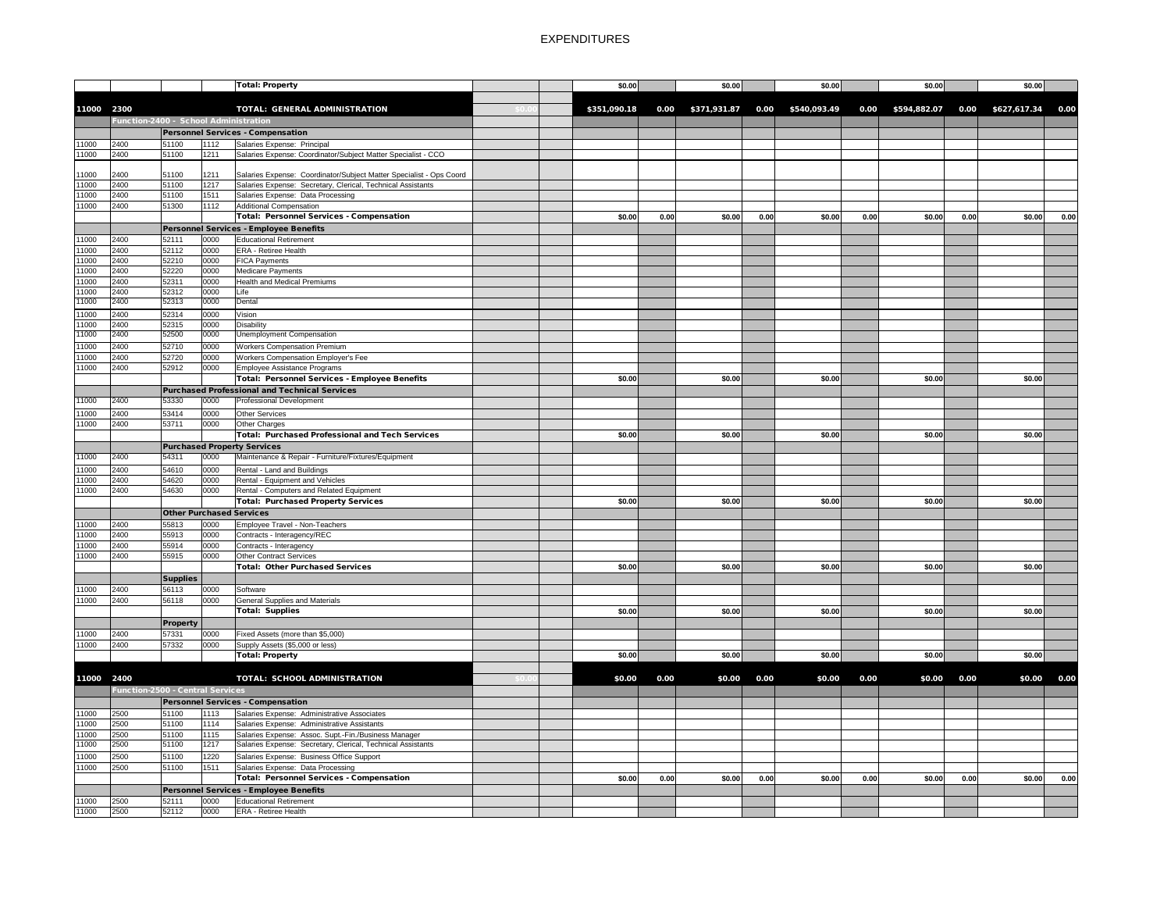|            |                                         |                          |              | Total: Property                                                     |  | \$0.00       |      | \$0.00            |      | \$0.00            |      | \$0.00            |      | \$0.00            |      |
|------------|-----------------------------------------|--------------------------|--------------|---------------------------------------------------------------------|--|--------------|------|-------------------|------|-------------------|------|-------------------|------|-------------------|------|
|            |                                         |                          |              |                                                                     |  |              |      |                   |      |                   |      |                   |      |                   |      |
| 11000 2300 |                                         |                          |              | <b>TOTAL: GENERAL ADMINISTRATION</b>                                |  |              |      |                   |      |                   |      |                   |      |                   |      |
|            |                                         |                          |              |                                                                     |  | \$351,090.18 |      | 0.00 \$371,931.87 |      | 0.00 \$540,093.49 |      | 0.00 \$594,882.07 |      | 0.00 \$627,617.34 | 0.00 |
|            | Function-2400 - School Administration   |                          |              |                                                                     |  |              |      |                   |      |                   |      |                   |      |                   |      |
|            |                                         |                          |              | <b>Personnel Services - Compensation</b>                            |  |              |      |                   |      |                   |      |                   |      |                   |      |
| 11000      | 2400                                    | 51100                    | 1112         | Salaries Expense: Principal                                         |  |              |      |                   |      |                   |      |                   |      |                   |      |
| 11000      | 2400                                    | 51100                    | 1211         | Salaries Expense: Coordinator/Subject Matter Specialist - CCO       |  |              |      |                   |      |                   |      |                   |      |                   |      |
| 11000      | 2400                                    | 51100                    | 1211         | Salaries Expense: Coordinator/Subject Matter Specialist - Ops Coord |  |              |      |                   |      |                   |      |                   |      |                   |      |
| 11000      | 2400                                    | 51100                    | 1217         | Salaries Expense: Secretary, Clerical, Technical Assistants         |  |              |      |                   |      |                   |      |                   |      |                   |      |
| 11000      | 2400                                    | 51100                    | 1511         | Salaries Expense: Data Processing                                   |  |              |      |                   |      |                   |      |                   |      |                   |      |
| 11000      | 2400                                    | 51300                    | 1112         | Additional Compensation                                             |  |              |      |                   |      |                   |      |                   |      |                   |      |
|            |                                         |                          |              | Total: Personnel Services - Compensation                            |  | \$0.00       | 0.00 | \$0.00            | 0.00 | \$0.00            | 0.00 | \$0.00            | 0.00 | \$0.00            | 0.00 |
|            |                                         |                          |              | Personnel Services - Employee Benefits                              |  |              |      |                   |      |                   |      |                   |      |                   |      |
| 11000      | 2400                                    | 52111                    | 0000         | <b>Educational Retirement</b>                                       |  |              |      |                   |      |                   |      |                   |      |                   |      |
| 11000      | 2400                                    | 52112                    | 0000         | <b>ERA - Retiree Health</b>                                         |  |              |      |                   |      |                   |      |                   |      |                   |      |
| 11000      | 2400                                    | 52210                    | 0000         | <b>FICA Payments</b>                                                |  |              |      |                   |      |                   |      |                   |      |                   |      |
| 11000      | 2400                                    | 52220                    | 0000         | Medicare Payments                                                   |  |              |      |                   |      |                   |      |                   |      |                   |      |
| 11000      | 2400                                    | 52311                    | 0000         | <b>Health and Medical Premiums</b>                                  |  |              |      |                   |      |                   |      |                   |      |                   |      |
| 11000      | 2400                                    | 52312                    | 0000         | Life                                                                |  |              |      |                   |      |                   |      |                   |      |                   |      |
| 11000      | 2400                                    | 52313                    | 0000         | Dental                                                              |  |              |      |                   |      |                   |      |                   |      |                   |      |
| 11000      | 2400                                    | 52314                    | 0000         | Vision                                                              |  |              |      |                   |      |                   |      |                   |      |                   |      |
| 11000      | 2400                                    | 52315                    | 0000         | <b>Disability</b>                                                   |  |              |      |                   |      |                   |      |                   |      |                   |      |
| 11000      | 2400                                    | 52500                    | 0000         | <b>Unemployment Compensation</b>                                    |  |              |      |                   |      |                   |      |                   |      |                   |      |
|            |                                         | 52710                    |              |                                                                     |  |              |      |                   |      |                   |      |                   |      |                   |      |
| 11000      | 2400<br>2400                            | 52720                    | 0000<br>0000 | <b>Workers Compensation Premium</b>                                 |  |              |      |                   |      |                   |      |                   |      |                   |      |
| 11000      | 2400                                    | 52912                    | 0000         | Workers Compensation Employer's Fee<br>Employee Assistance Programs |  |              |      |                   |      |                   |      |                   |      |                   |      |
| 11000      |                                         |                          |              | Total: Personnel Services - Employee Benefits                       |  |              |      |                   |      |                   |      |                   |      |                   |      |
|            |                                         |                          |              |                                                                     |  | \$0.00       |      | \$0.00            |      | \$0.00            |      | \$0.00            |      | \$0.00            |      |
|            |                                         |                          |              | <b>Purchased Professional and Technical Services</b>                |  |              |      |                   |      |                   |      |                   |      |                   |      |
| 11000      | 2400                                    | 53330                    | 0000         | <b>Professional Development</b>                                     |  |              |      |                   |      |                   |      |                   |      |                   |      |
| 11000      | 2400                                    | 53414                    | 0000         | <b>Other Services</b>                                               |  |              |      |                   |      |                   |      |                   |      |                   |      |
| 11000      | 2400                                    | 53711                    | 0000         | Other Charges                                                       |  |              |      |                   |      |                   |      |                   |      |                   |      |
|            |                                         |                          |              | Total: Purchased Professional and Tech Services                     |  | \$0.00       |      | \$0.00            |      | \$0.00            |      | \$0.00            |      | \$0.00            |      |
|            |                                         |                          |              | <b>Purchased Property Services</b>                                  |  |              |      |                   |      |                   |      |                   |      |                   |      |
| 11000      | 2400                                    | 54311                    | 0000         | Maintenance & Repair - Furniture/Fixtures/Equipment                 |  |              |      |                   |      |                   |      |                   |      |                   |      |
| 11000      | 2400                                    | 54610                    | 0000         | Rental - Land and Buildings                                         |  |              |      |                   |      |                   |      |                   |      |                   |      |
| 11000      | 2400                                    | 54620                    | 0000         | Rental - Equipment and Vehicles                                     |  |              |      |                   |      |                   |      |                   |      |                   |      |
| 11000      | 2400                                    | 54630                    | 0000         | Rental - Computers and Related Equipment                            |  |              |      |                   |      |                   |      |                   |      |                   |      |
|            |                                         |                          |              | <b>Total: Purchased Property Services</b>                           |  | \$0.00       |      | \$0.00            |      | \$0.00            |      | \$0.00            |      | \$0.00            |      |
|            |                                         |                          |              | <b>Other Purchased Services</b>                                     |  |              |      |                   |      |                   |      |                   |      |                   |      |
| 11000      | 2400                                    | 55813                    | 0000         | Employee Travel - Non-Teachers                                      |  |              |      |                   |      |                   |      |                   |      |                   |      |
| 11000      | 2400                                    | 55913                    | 0000         | Contracts - Interagency/REC                                         |  |              |      |                   |      |                   |      |                   |      |                   |      |
| 11000      | 2400                                    | 55914                    | 0000         | Contracts - Interagency                                             |  |              |      |                   |      |                   |      |                   |      |                   |      |
| 11000      | 2400                                    | 55915                    | 0000         | <b>Other Contract Services</b>                                      |  |              |      |                   |      |                   |      |                   |      |                   |      |
|            |                                         |                          |              | <b>Total: Other Purchased Services</b>                              |  | \$0.00       |      | \$0.00            |      | \$0.00            |      | \$0.00            |      | \$0.00            |      |
|            |                                         | <b>Supplies</b>          |              |                                                                     |  |              |      |                   |      |                   |      |                   |      |                   |      |
| 11000      | 2400                                    | 56113                    | 0000         | Software                                                            |  |              |      |                   |      |                   |      |                   |      |                   |      |
| 11000      | 2400                                    | 56118                    | 0000         | <b>General Supplies and Materials</b>                               |  |              |      |                   |      |                   |      |                   |      |                   |      |
|            |                                         |                          |              | Total: Supplies                                                     |  | \$0.00       |      | \$0.00            |      | \$0.00            |      | \$0.00            |      | \$0.00            |      |
|            |                                         |                          |              |                                                                     |  |              |      |                   |      |                   |      |                   |      |                   |      |
| 11000      | 2400                                    | <b>Property</b><br>57331 | 0000         | Fixed Assets (more than \$5,000)                                    |  |              |      |                   |      |                   |      |                   |      |                   |      |
|            | 2400                                    | 57332                    | 0000         |                                                                     |  |              |      |                   |      |                   |      |                   |      |                   |      |
| 11000      |                                         |                          |              | Supply Assets (\$5,000 or less)<br>Total: Property                  |  |              |      |                   |      |                   |      | \$0.00            |      |                   |      |
|            |                                         |                          |              |                                                                     |  | \$0.00       |      | \$0.00            |      | \$0.00            |      |                   |      | \$0.00            |      |
|            |                                         |                          |              |                                                                     |  |              |      |                   |      |                   |      |                   |      |                   |      |
| 11000 2400 |                                         |                          |              | <b>TOTAL: SCHOOL ADMINISTRATION</b>                                 |  | \$0.00       | 0.00 | \$0.00            | 0.00 | \$0.00            | 0.00 | \$0.00            | 0.00 | \$0.00            | 0.00 |
|            | <b>Function-2500 - Central Services</b> |                          |              |                                                                     |  |              |      |                   |      |                   |      |                   |      |                   |      |
|            |                                         |                          |              | <b>Personnel Services - Compensation</b>                            |  |              |      |                   |      |                   |      |                   |      |                   |      |
| 11000      | 2500                                    | 51100                    | 1113         | Salaries Expense: Administrative Associates                         |  |              |      |                   |      |                   |      |                   |      |                   |      |
| 11000      | 2500                                    | 51100                    | 1114         | Salaries Expense: Administrative Assistants                         |  |              |      |                   |      |                   |      |                   |      |                   |      |
| 11000      | 2500                                    | 51100                    | 1115         | Salaries Expense: Assoc. Supt.-Fin./Business Manager                |  |              |      |                   |      |                   |      |                   |      |                   |      |
| 11000      | 2500                                    | 51100                    | 1217         | Salaries Expense: Secretary, Clerical, Technical Assistants         |  |              |      |                   |      |                   |      |                   |      |                   |      |
| 11000      | 2500                                    | 51100                    | 1220         | Salaries Expense: Business Office Support                           |  |              |      |                   |      |                   |      |                   |      |                   |      |
| 11000      | 2500                                    | 51100                    | 1511         | Salaries Expense: Data Processing                                   |  |              |      |                   |      |                   |      |                   |      |                   |      |
|            |                                         |                          |              | <b>Total: Personnel Services - Compensation</b>                     |  | \$0.00       | 0.00 | \$0.00            | 0.00 | \$0.00            | 0.00 | \$0.00            | 0.00 | \$0.00            | 0.00 |
|            |                                         |                          |              | Personnel Services - Employee Benefits                              |  |              |      |                   |      |                   |      |                   |      |                   |      |
| 11000      | 2500                                    | 52111                    | 0000         | <b>Educational Retirement</b>                                       |  |              |      |                   |      |                   |      |                   |      |                   |      |
| 11000      | 2500                                    | 52112                    | 0000         | <b>ERA - Retiree Health</b>                                         |  |              |      |                   |      |                   |      |                   |      |                   |      |
|            |                                         |                          |              |                                                                     |  |              |      |                   |      |                   |      |                   |      |                   |      |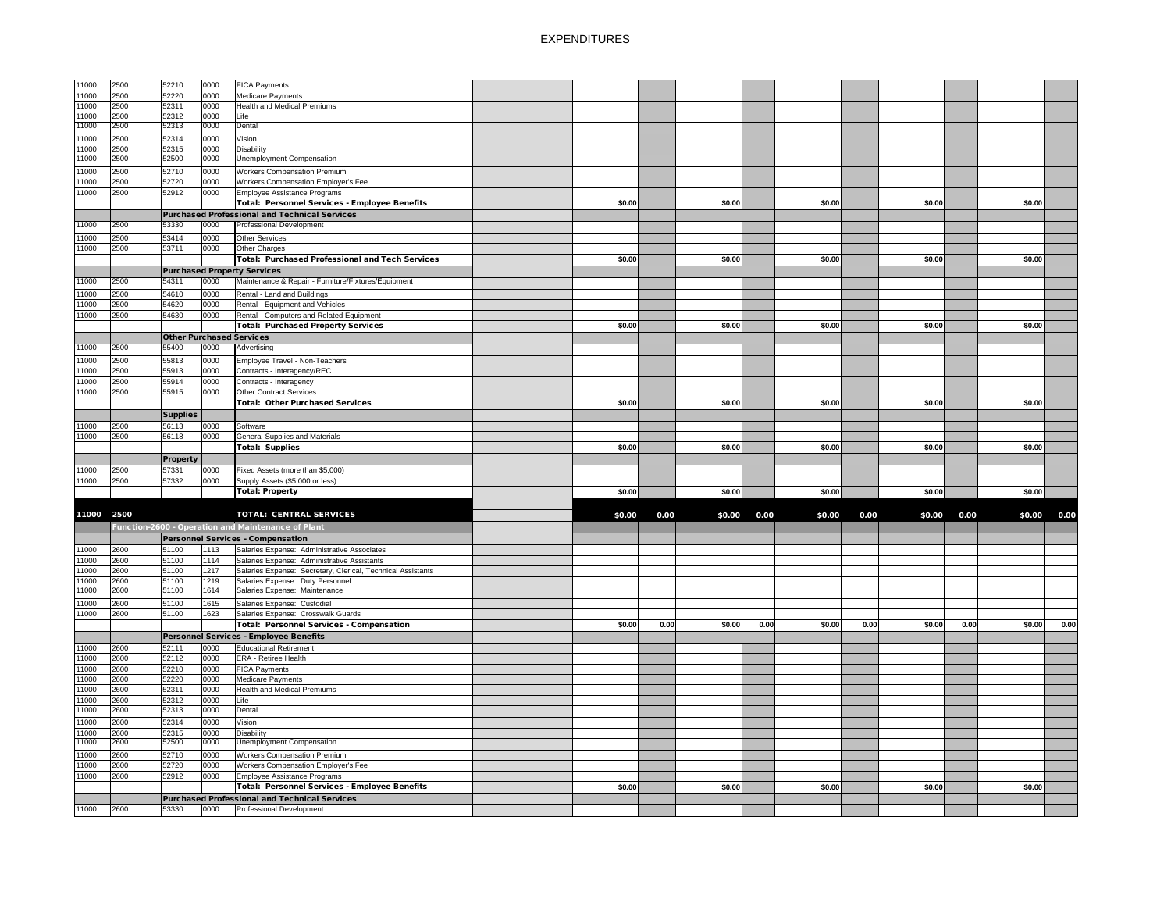| 11000      | 2500 | 52210           | 0000 | <b>FICA Payments</b>                                        |  |        |      |        |      |        |      |        |      |        |      |
|------------|------|-----------------|------|-------------------------------------------------------------|--|--------|------|--------|------|--------|------|--------|------|--------|------|
| 11000      | 2500 | 52220           | 0000 | <b>Medicare Payments</b>                                    |  |        |      |        |      |        |      |        |      |        |      |
| 11000      | 2500 | 52311           | 0000 | <b>Health and Medical Premiums</b>                          |  |        |      |        |      |        |      |        |      |        |      |
| 11000      | 2500 | 52312           | 0000 | Life                                                        |  |        |      |        |      |        |      |        |      |        |      |
| 11000      | 2500 | 52313           | 0000 | Dental                                                      |  |        |      |        |      |        |      |        |      |        |      |
|            |      |                 |      |                                                             |  |        |      |        |      |        |      |        |      |        |      |
| 11000      | 2500 | 52314           | 0000 | Vision                                                      |  |        |      |        |      |        |      |        |      |        |      |
| 11000      | 2500 | 52315           | 0000 | <b>Disability</b>                                           |  |        |      |        |      |        |      |        |      |        |      |
| 11000      | 2500 | 52500           | 0000 | <b>Unemployment Compensation</b>                            |  |        |      |        |      |        |      |        |      |        |      |
| 11000      | 2500 | 52710           | 0000 | <b>Workers Compensation Premium</b>                         |  |        |      |        |      |        |      |        |      |        |      |
| 11000      | 2500 | 52720           | 0000 | Workers Compensation Employer's Fee                         |  |        |      |        |      |        |      |        |      |        |      |
| 11000      | 2500 | 52912           | 0000 | Employee Assistance Programs                                |  |        |      |        |      |        |      |        |      |        |      |
|            |      |                 |      | <b>Total: Personnel Services - Employee Benefits</b>        |  | \$0.00 |      | \$0.00 |      | \$0.00 |      | \$0.00 |      | \$0.00 |      |
|            |      |                 |      | <b>Purchased Professional and Technical Services</b>        |  |        |      |        |      |        |      |        |      |        |      |
| 11000      | 2500 | 53330           | 0000 | Professional Development                                    |  |        |      |        |      |        |      |        |      |        |      |
|            |      |                 |      |                                                             |  |        |      |        |      |        |      |        |      |        |      |
| 11000      | 2500 | 53414           | 0000 | Other Services                                              |  |        |      |        |      |        |      |        |      |        |      |
| 11000      | 2500 | 53711           | 0000 | Other Charges                                               |  |        |      |        |      |        |      |        |      |        |      |
|            |      |                 |      | <b>Total: Purchased Professional and Tech Services</b>      |  | \$0.00 |      | \$0.00 |      | \$0.00 |      | \$0.00 |      | \$0.00 |      |
|            |      |                 |      | <b>Purchased Property Services</b>                          |  |        |      |        |      |        |      |        |      |        |      |
| 11000      | 2500 | 54311           | 0000 | Maintenance & Repair - Furniture/Fixtures/Equipment         |  |        |      |        |      |        |      |        |      |        |      |
| 11000      | 2500 | 54610           | 0000 | Rental - Land and Buildings                                 |  |        |      |        |      |        |      |        |      |        |      |
| 11000      | 2500 | 54620           | 0000 | Rental - Equipment and Vehicles                             |  |        |      |        |      |        |      |        |      |        |      |
| 11000      | 2500 | 54630           | 0000 | Rental - Computers and Related Equipment                    |  |        |      |        |      |        |      |        |      |        |      |
|            |      |                 |      |                                                             |  |        |      |        |      |        |      |        |      |        |      |
|            |      |                 |      | <b>Total: Purchased Property Services</b>                   |  | \$0.00 |      | \$0.00 |      | \$0.00 |      | \$0.00 |      | \$0.00 |      |
|            |      |                 |      | <b>Other Purchased Services</b>                             |  |        |      |        |      |        |      |        |      |        |      |
| 11000      | 2500 | 55400           | 0000 | Advertising                                                 |  |        |      |        |      |        |      |        |      |        |      |
| 11000      | 2500 | 55813           | 0000 | Employee Travel - Non-Teachers                              |  |        |      |        |      |        |      |        |      |        |      |
| 11000      | 2500 | 55913           | 0000 | Contracts - Interagency/REC                                 |  |        |      |        |      |        |      |        |      |        |      |
| 11000      | 2500 | 55914           | 0000 | Contracts - Interagency                                     |  |        |      |        |      |        |      |        |      |        |      |
| 11000      | 2500 | 55915           | 0000 | Other Contract Services                                     |  |        |      |        |      |        |      |        |      |        |      |
|            |      |                 |      | <b>Total: Other Purchased Services</b>                      |  | \$0.00 |      | \$0.00 |      | \$0.00 |      | \$0.00 |      | \$0.00 |      |
|            |      |                 |      |                                                             |  |        |      |        |      |        |      |        |      |        |      |
|            |      | <b>Supplies</b> |      |                                                             |  |        |      |        |      |        |      |        |      |        |      |
| 11000      | 2500 | 56113           | 0000 | Software                                                    |  |        |      |        |      |        |      |        |      |        |      |
| 11000      | 2500 | 56118           | 0000 | <b>General Supplies and Materials</b>                       |  |        |      |        |      |        |      |        |      |        |      |
|            |      |                 |      | Total: Supplies                                             |  | \$0.00 |      | \$0.00 |      | \$0.00 |      | \$0.00 |      | \$0.00 |      |
|            |      | <b>Property</b> |      |                                                             |  |        |      |        |      |        |      |        |      |        |      |
| 11000      | 2500 | 57331           | 0000 | Fixed Assets (more than \$5,000)                            |  |        |      |        |      |        |      |        |      |        |      |
| 11000      | 2500 | 57332           | 0000 | Supply Assets (\$5,000 or less)                             |  |        |      |        |      |        |      |        |      |        |      |
|            |      |                 |      | Total: Property                                             |  | \$0.00 |      | \$0.00 |      | \$0.00 |      | \$0.00 |      | \$0.00 |      |
|            |      |                 |      |                                                             |  |        |      |        |      |        |      |        |      |        |      |
|            |      |                 |      |                                                             |  |        |      |        |      |        |      |        |      |        |      |
| 11000 2500 |      |                 |      | <b>TOTAL: CENTRAL SERVICES</b>                              |  | \$0.00 | 0.00 | \$0.00 | 0.00 | \$0.00 | 0.00 | \$0.00 | 0.00 | \$0.00 | 0.00 |
|            |      |                 |      | Function-2600 - Operation and Maintenance of Plant          |  |        |      |        |      |        |      |        |      |        |      |
|            |      |                 |      | <b>Personnel Services - Compensation</b>                    |  |        |      |        |      |        |      |        |      |        |      |
| 11000      | 2600 | 51100           | 1113 | Salaries Expense: Administrative Associates                 |  |        |      |        |      |        |      |        |      |        |      |
| 11000      | 2600 | 51100           | 1114 | Salaries Expense: Administrative Assistants                 |  |        |      |        |      |        |      |        |      |        |      |
| 11000      | 2600 | 51100           | 1217 | Salaries Expense: Secretary, Clerical, Technical Assistants |  |        |      |        |      |        |      |        |      |        |      |
| 11000      | 2600 | 51100           | 1219 | Salaries Expense: Duty Personnel                            |  |        |      |        |      |        |      |        |      |        |      |
| 11000      | 2600 | 51100           | 1614 | Salaries Expense: Maintenance                               |  |        |      |        |      |        |      |        |      |        |      |
|            |      |                 |      |                                                             |  |        |      |        |      |        |      |        |      |        |      |
| 11000      | 2600 | 51100           | 1615 | Salaries Expense: Custodial                                 |  |        |      |        |      |        |      |        |      |        |      |
| 11000      | 2600 | 51100           | 1623 | Salaries Expense: Crosswalk Guards                          |  |        |      |        |      |        |      |        |      |        |      |
|            |      |                 |      | <b>Total: Personnel Services - Compensation</b>             |  | \$0.00 | 0.00 | \$0.00 | 0.00 | \$0.00 | 0.00 | \$0.00 | 0.00 | \$0.00 | 0.00 |
|            |      |                 |      | Personnel Services - Employee Benefits                      |  |        |      |        |      |        |      |        |      |        |      |
| 11000      | 2600 | 52111           | 0000 | <b>Educational Retirement</b>                               |  |        |      |        |      |        |      |        |      |        |      |
| 11000      | 2600 | 52112           | 0000 | <b>ERA - Retiree Health</b>                                 |  |        |      |        |      |        |      |        |      |        |      |
| 11000      | 2600 | 52210           | 0000 | <b>FICA Payments</b>                                        |  |        |      |        |      |        |      |        |      |        |      |
| 11000      | 2600 | 52220           | 0000 | <b>Medicare Payments</b>                                    |  |        |      |        |      |        |      |        |      |        |      |
| 11000      | 2600 | 52311           | 0000 | <b>Health and Medical Premiums</b>                          |  |        |      |        |      |        |      |        |      |        |      |
| 11000      | 2600 | 52312           | 0000 | Life                                                        |  |        |      |        |      |        |      |        |      |        |      |
| 11000      | 2600 | 52313           | 0000 | Dental                                                      |  |        |      |        |      |        |      |        |      |        |      |
|            |      |                 |      |                                                             |  |        |      |        |      |        |      |        |      |        |      |
| 11000      | 2600 | 52314           | 0000 | Vision                                                      |  |        |      |        |      |        |      |        |      |        |      |
| 11000      | 2600 | 52315           | 0000 | Disability                                                  |  |        |      |        |      |        |      |        |      |        |      |
| 11000      | 2600 | 52500           | 0000 | <b>Unemployment Compensation</b>                            |  |        |      |        |      |        |      |        |      |        |      |
| 11000      | 2600 | 52710           | 0000 | <b>Workers Compensation Premium</b>                         |  |        |      |        |      |        |      |        |      |        |      |
| 11000      | 2600 | 52720           | 0000 | <b>Workers Compensation Employer's Fee</b>                  |  |        |      |        |      |        |      |        |      |        |      |
| 11000      | 2600 | 52912           | 0000 | Employee Assistance Programs                                |  |        |      |        |      |        |      |        |      |        |      |
|            |      |                 |      | <b>Total: Personnel Services - Employee Benefits</b>        |  | \$0.00 |      | \$0.00 |      | \$0.00 |      | \$0.00 |      | \$0.00 |      |
|            |      |                 |      | Purchased Professional and Technical Services               |  |        |      |        |      |        |      |        |      |        |      |
| 11000      | 2600 | 53330           | 0000 | <b>Professional Development</b>                             |  |        |      |        |      |        |      |        |      |        |      |
|            |      |                 |      |                                                             |  |        |      |        |      |        |      |        |      |        |      |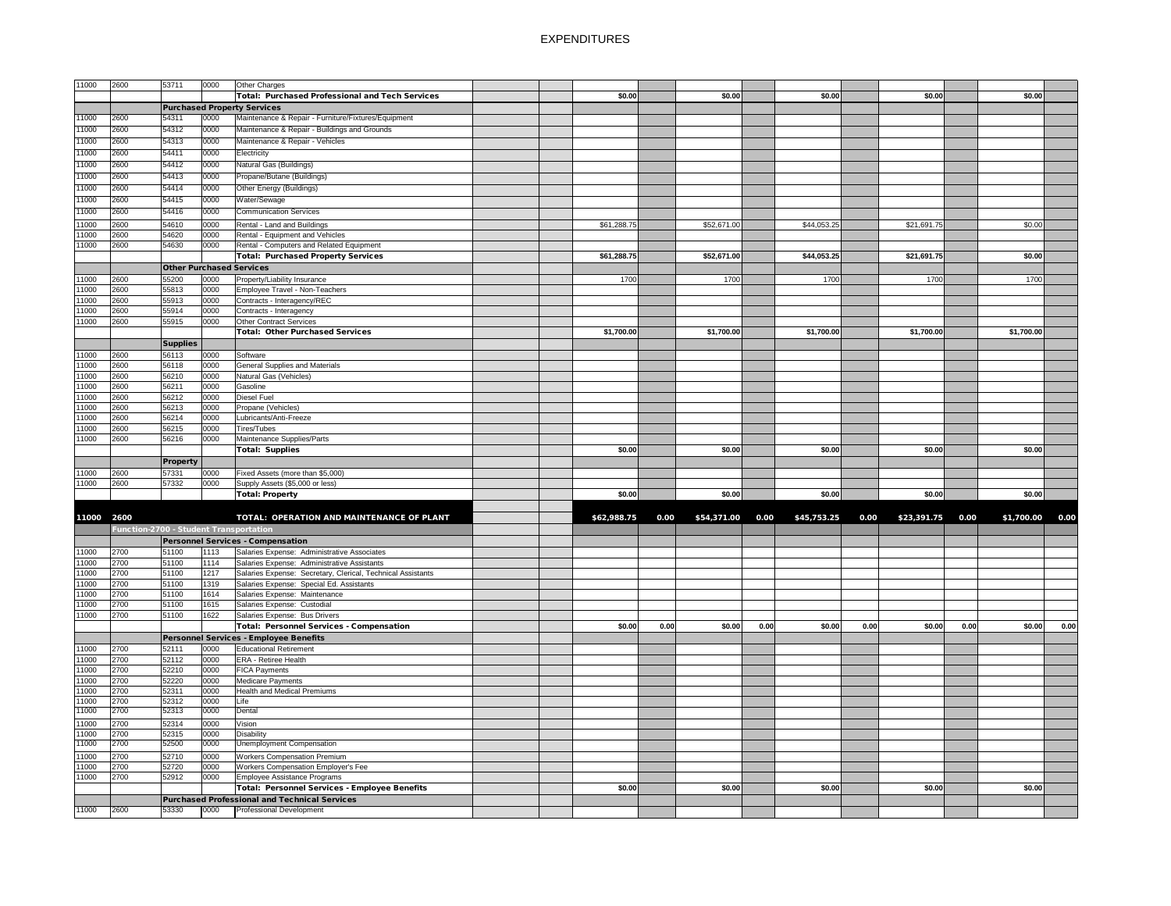| 11000      | 2600                                   | 53711                           | 0000 | Other Charges                                               |  |             |      |             |      |             |      |                   |      |                 |      |
|------------|----------------------------------------|---------------------------------|------|-------------------------------------------------------------|--|-------------|------|-------------|------|-------------|------|-------------------|------|-----------------|------|
|            |                                        |                                 |      | <b>Total: Purchased Professional and Tech Services</b>      |  | \$0.00      |      | \$0.00      |      | \$0.00      |      | \$0.00            |      | \$0.00          |      |
|            |                                        |                                 |      | <b>Purchased Property Services</b>                          |  |             |      |             |      |             |      |                   |      |                 |      |
| 11000      | 2600                                   | 54311                           | 0000 | Maintenance & Repair - Furniture/Fixtures/Equipment         |  |             |      |             |      |             |      |                   |      |                 |      |
| 11000      | 2600                                   | 54312                           | 0000 | Maintenance & Repair - Buildings and Grounds                |  |             |      |             |      |             |      |                   |      |                 |      |
| 11000      | 2600                                   | 54313                           | 0000 | Maintenance & Repair - Vehicles                             |  |             |      |             |      |             |      |                   |      |                 |      |
| 11000      | 2600                                   | 54411                           | 0000 | Electricity                                                 |  |             |      |             |      |             |      |                   |      |                 |      |
| 11000      | 2600                                   | 54412                           | 0000 | Natural Gas (Buildings)                                     |  |             |      |             |      |             |      |                   |      |                 |      |
| 11000      | 2600                                   | 54413                           | 0000 | Propane/Butane (Buildings)                                  |  |             |      |             |      |             |      |                   |      |                 |      |
| 11000      | 2600                                   | 54414                           | 0000 | Other Energy (Buildings)                                    |  |             |      |             |      |             |      |                   |      |                 |      |
|            |                                        |                                 |      |                                                             |  |             |      |             |      |             |      |                   |      |                 |      |
| 11000      | 2600                                   | 54415                           | 0000 | Water/Sewage                                                |  |             |      |             |      |             |      |                   |      |                 |      |
| 11000      | 2600                                   | 54416                           | 0000 | <b>Communication Services</b>                               |  |             |      |             |      |             |      |                   |      |                 |      |
| 11000      | 2600                                   | 54610                           | 0000 | Rental - Land and Buildings                                 |  | \$61,288.75 |      | \$52,671.00 |      | \$44,053.25 |      | \$21,691.75       |      | \$0.00          |      |
| 11000      | 2600                                   | 54620                           | 0000 | Rental - Equipment and Vehicles                             |  |             |      |             |      |             |      |                   |      |                 |      |
| 11000      | 2600                                   | 54630                           | 0000 | Rental - Computers and Related Equipment                    |  |             |      |             |      |             |      |                   |      |                 |      |
|            |                                        |                                 |      | <b>Total: Purchased Property Services</b>                   |  | \$61,288.75 |      | \$52,671.00 |      | \$44,053.25 |      | \$21,691.75       |      | \$0.00          |      |
|            |                                        | <b>Other Purchased Services</b> |      |                                                             |  |             |      |             |      |             |      |                   |      |                 |      |
| 11000      | 2600                                   | 55200                           | 0000 | Property/Liability Insurance                                |  | 1700        |      | 1700        |      | 1700        |      | 1700              |      | 1700            |      |
| 11000      | 2600                                   | 55813                           | 0000 | Employee Travel - Non-Teachers                              |  |             |      |             |      |             |      |                   |      |                 |      |
| 11000      | 2600                                   | 55913                           | 0000 | Contracts - Interagency/REC                                 |  |             |      |             |      |             |      |                   |      |                 |      |
| 11000      | 2600                                   | 55914                           | 0000 | Contracts - Interagency                                     |  |             |      |             |      |             |      |                   |      |                 |      |
| 11000      | 2600                                   | 55915                           | 0000 | Other Contract Services                                     |  |             |      |             |      |             |      |                   |      |                 |      |
|            |                                        |                                 |      | <b>Total: Other Purchased Services</b>                      |  | \$1,700.00  |      | \$1,700.00  |      | \$1,700.00  |      | \$1,700.00        |      | \$1,700.00      |      |
|            |                                        | <b>Supplies</b>                 |      |                                                             |  |             |      |             |      |             |      |                   |      |                 |      |
| 11000      | 2600                                   | 56113                           | 0000 | Software                                                    |  |             |      |             |      |             |      |                   |      |                 |      |
| 11000      | 2600                                   | 56118                           | 0000 | <b>General Supplies and Materials</b>                       |  |             |      |             |      |             |      |                   |      |                 |      |
| 11000      | 2600                                   | 56210                           | 0000 | Natural Gas (Vehicles)                                      |  |             |      |             |      |             |      |                   |      |                 |      |
| 11000      | 2600                                   | 56211                           | 0000 | Gasoline                                                    |  |             |      |             |      |             |      |                   |      |                 |      |
| 11000      | 2600                                   | 56212                           | 0000 | Diesel Fuel                                                 |  |             |      |             |      |             |      |                   |      |                 |      |
| 11000      | 2600                                   | 56213                           | 0000 | Propane (Vehicles)                                          |  |             |      |             |      |             |      |                   |      |                 |      |
| 11000      | 2600                                   | 56214                           | 0000 | Lubricants/Anti-Freeze                                      |  |             |      |             |      |             |      |                   |      |                 |      |
| 11000      | 2600                                   | 56215                           | 0000 | Tires/Tubes                                                 |  |             |      |             |      |             |      |                   |      |                 |      |
| 11000      | 2600                                   | 56216                           | 0000 | Maintenance Supplies/Parts                                  |  |             |      |             |      |             |      |                   |      |                 |      |
|            |                                        |                                 |      | <b>Total: Supplies</b>                                      |  | \$0.00      |      | \$0.00      |      | \$0.00      |      | \$0.00            |      | \$0.00          |      |
|            |                                        | <b>Property</b>                 |      |                                                             |  |             |      |             |      |             |      |                   |      |                 |      |
| 11000      | 2600                                   | 57331                           | 0000 | Fixed Assets (more than \$5,000)                            |  |             |      |             |      |             |      |                   |      |                 |      |
| 11000      | 2600                                   | 57332                           | 0000 | Supply Assets (\$5,000 or less)                             |  |             |      |             |      |             |      |                   |      |                 |      |
|            |                                        |                                 |      | <b>Total: Property</b>                                      |  | \$0.00      |      | \$0.00      |      | \$0.00      |      | \$0.00            |      | \$0.00          |      |
|            |                                        |                                 |      |                                                             |  |             |      |             |      |             |      |                   |      |                 |      |
| 11000 2600 |                                        |                                 |      | TOTAL: OPERATION AND MAINTENANCE OF PLANT                   |  | \$62,988.75 | 0.00 | \$54,371.00 | 0.00 | \$45,753.25 | 0.00 | $$23,391.75$ 0.00 |      | \$1,700.00 0.00 |      |
|            | Function-2700 - Student Transportation |                                 |      |                                                             |  |             |      |             |      |             |      |                   |      |                 |      |
|            |                                        |                                 |      | <b>Personnel Services - Compensation</b>                    |  |             |      |             |      |             |      |                   |      |                 |      |
| 11000      | 2700                                   | 51100                           | 1113 | Salaries Expense: Administrative Associates                 |  |             |      |             |      |             |      |                   |      |                 |      |
| 11000      | 2700                                   | 51100                           | 1114 | Salaries Expense: Administrative Assistants                 |  |             |      |             |      |             |      |                   |      |                 |      |
| 11000      | 2700                                   | 51100                           | 1217 | Salaries Expense: Secretary, Clerical, Technical Assistants |  |             |      |             |      |             |      |                   |      |                 |      |
| 11000      | 2700                                   | 51100                           | 1319 | Salaries Expense: Special Ed. Assistants                    |  |             |      |             |      |             |      |                   |      |                 |      |
| 11000      | 2700                                   | 51100                           | 1614 | Salaries Expense: Maintenance                               |  |             |      |             |      |             |      |                   |      |                 |      |
| 11000      | 2700                                   | 51100                           | 1615 | Salaries Expense: Custodial                                 |  |             |      |             |      |             |      |                   |      |                 |      |
| 11000      | 2700                                   | 51100                           | 1622 | Salaries Expense: Bus Drivers                               |  |             |      |             |      |             |      |                   |      |                 |      |
|            |                                        |                                 |      | <b>Total: Personnel Services - Compensation</b>             |  | \$0.00      | 0.00 | \$0.00      | 0.00 | \$0.00      | 0.00 | \$0.00            | 0.00 | \$0.00          | 0.00 |
|            |                                        |                                 |      | Personnel Services - Employee Benefits                      |  |             |      |             |      |             |      |                   |      |                 |      |
| 11000      | 2700                                   | 52111                           | 0000 | <b>Educational Retirement</b>                               |  |             |      |             |      |             |      |                   |      |                 |      |
| 11000      | 2700                                   | 52112                           | 0000 | <b>ERA - Retiree Health</b>                                 |  |             |      |             |      |             |      |                   |      |                 |      |
| 11000      | 2700                                   | 52210                           | 0000 | <b>FICA Payments</b>                                        |  |             |      |             |      |             |      |                   |      |                 |      |
| 11000      | 2700                                   | 52220                           | 0000 | Medicare Payments                                           |  |             |      |             |      |             |      |                   |      |                 |      |
| 11000      | 2700                                   | 52311                           | 0000 | Health and Medical Premiums                                 |  |             |      |             |      |             |      |                   |      |                 |      |
| 11000      | 2700                                   | 52312                           | 0000 | Life                                                        |  |             |      |             |      |             |      |                   |      |                 |      |
| 11000      | 2700                                   | 52313                           | 0000 | Dental                                                      |  |             |      |             |      |             |      |                   |      |                 |      |
| 11000      | 2700                                   | 52314                           | 0000 | Vision                                                      |  |             |      |             |      |             |      |                   |      |                 |      |
| 11000      | 2700                                   | 52315                           | 0000 | Disability                                                  |  |             |      |             |      |             |      |                   |      |                 |      |
| 11000      | 2700                                   | 52500                           | 0000 | <b>Unemployment Compensation</b>                            |  |             |      |             |      |             |      |                   |      |                 |      |
| 11000      | 2700                                   | 52710                           | 0000 | <b>Workers Compensation Premium</b>                         |  |             |      |             |      |             |      |                   |      |                 |      |
| 11000      | 2700                                   | 52720                           | 0000 | Workers Compensation Employer's Fee                         |  |             |      |             |      |             |      |                   |      |                 |      |
| 11000      | 2700                                   | 52912                           | 0000 | <b>Employee Assistance Programs</b>                         |  |             |      |             |      |             |      |                   |      |                 |      |
|            |                                        |                                 |      | <b>Total: Personnel Services - Employee Benefits</b>        |  | \$0.00      |      | \$0.00      |      | \$0.00      |      | \$0.00            |      | \$0.00          |      |
|            |                                        |                                 |      | <b>Purchased Professional and Technical Services</b>        |  |             |      |             |      |             |      |                   |      |                 |      |
|            |                                        |                                 |      | <b>Professional Development</b>                             |  |             |      |             |      |             |      |                   |      |                 |      |
| 11000      | 2600                                   | 53330                           | 0000 |                                                             |  |             |      |             |      |             |      |                   |      |                 |      |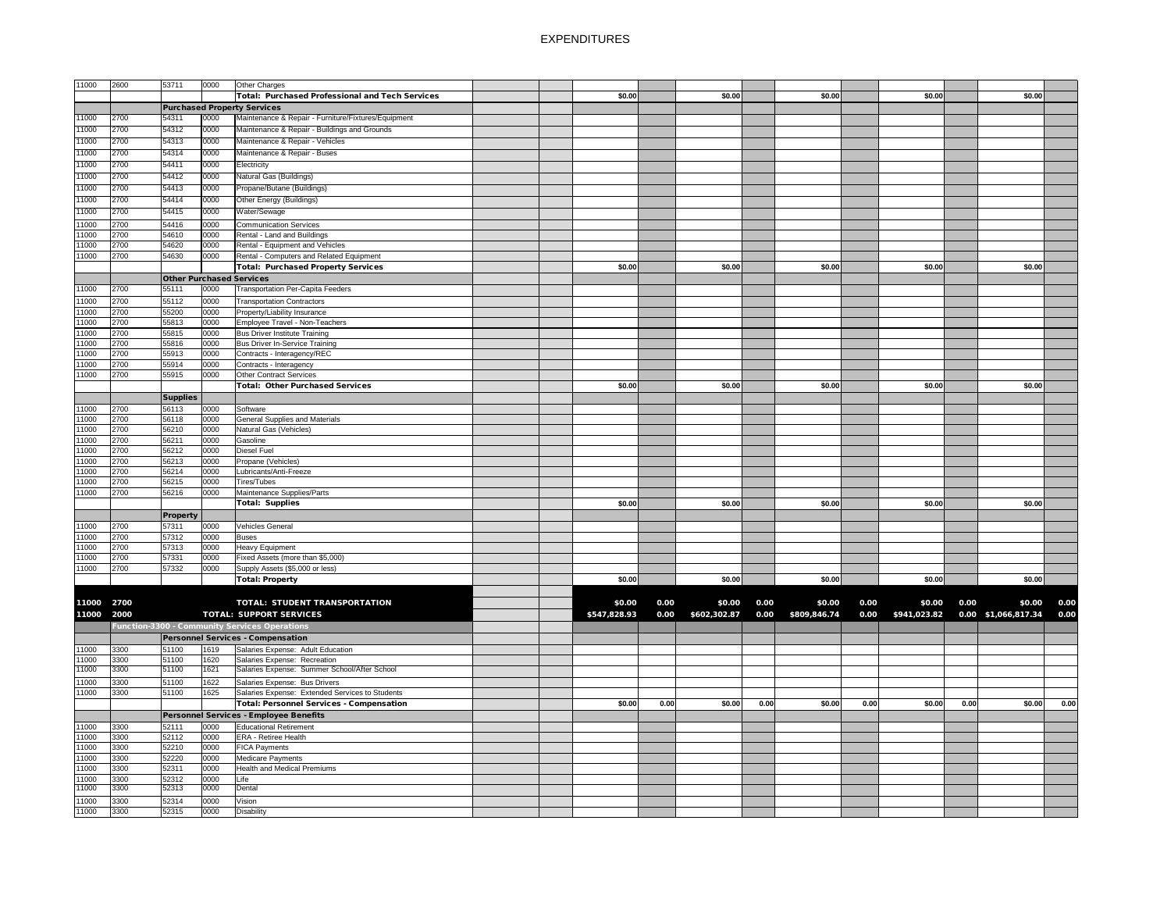| 11000      | 2600 | 53711           | 0000                            | Other Charges                                        |              |      |              |      |              |      |              |      |                     |      |
|------------|------|-----------------|---------------------------------|------------------------------------------------------|--------------|------|--------------|------|--------------|------|--------------|------|---------------------|------|
|            |      |                 |                                 |                                                      |              |      |              |      |              |      |              |      |                     |      |
|            |      |                 |                                 | Total: Purchased Professional and Tech Services      | \$0.00       |      | \$0.00       |      | \$0.00       |      | \$0.00       |      | \$0.00              |      |
|            |      |                 |                                 | <b>Purchased Property Services</b>                   |              |      |              |      |              |      |              |      |                     |      |
| 11000      | 2700 | 54311           | 0000                            | Maintenance & Repair - Furniture/Fixtures/Equipment  |              |      |              |      |              |      |              |      |                     |      |
| 11000      | 2700 | 54312           | 0000                            | Maintenance & Repair - Buildings and Grounds         |              |      |              |      |              |      |              |      |                     |      |
|            |      |                 |                                 |                                                      |              |      |              |      |              |      |              |      |                     |      |
| 11000      | 2700 | 54313           | 0000                            | Maintenance & Repair - Vehicles                      |              |      |              |      |              |      |              |      |                     |      |
| 11000      | 2700 | 54314           | 0000                            | Maintenance & Repair - Buses                         |              |      |              |      |              |      |              |      |                     |      |
| 11000      | 2700 | 54411           | 0000                            | Electricity                                          |              |      |              |      |              |      |              |      |                     |      |
|            |      |                 |                                 | Natural Gas (Buildings)                              |              |      |              |      |              |      |              |      |                     |      |
| 11000      | 2700 | 54412           | 0000                            |                                                      |              |      |              |      |              |      |              |      |                     |      |
| 11000      | 2700 | 54413           | 0000                            | Propane/Butane (Buildings)                           |              |      |              |      |              |      |              |      |                     |      |
| 11000      | 2700 | 54414           | 0000                            | Other Energy (Buildings)                             |              |      |              |      |              |      |              |      |                     |      |
| 11000      | 2700 | 54415           | 0000                            | Water/Sewage                                         |              |      |              |      |              |      |              |      |                     |      |
|            |      |                 |                                 |                                                      |              |      |              |      |              |      |              |      |                     |      |
| 11000      | 2700 | 54416           | 0000                            | <b>Communication Services</b>                        |              |      |              |      |              |      |              |      |                     |      |
| 11000      | 2700 | 54610           | 0000                            | Rental - Land and Buildings                          |              |      |              |      |              |      |              |      |                     |      |
| 11000      | 2700 | 54620           | 0000                            | Rental - Equipment and Vehicles                      |              |      |              |      |              |      |              |      |                     |      |
| 11000      | 2700 | 54630           | 0000                            | Rental - Computers and Related Equipment             |              |      |              |      |              |      |              |      |                     |      |
|            |      |                 |                                 | <b>Total: Purchased Property Services</b>            | \$0.00       |      | \$0.00       |      | \$0.00       |      | \$0.00       |      | \$0.00              |      |
|            |      |                 |                                 |                                                      |              |      |              |      |              |      |              |      |                     |      |
|            |      |                 | <b>Other Purchased Services</b> |                                                      |              |      |              |      |              |      |              |      |                     |      |
| 11000      | 2700 | 55111           | 0000                            | <b>Transportation Per-Capita Feeders</b>             |              |      |              |      |              |      |              |      |                     |      |
| 11000      | 2700 | 55112           | 0000                            | <b>Transportation Contractors</b>                    |              |      |              |      |              |      |              |      |                     |      |
|            | 2700 | 55200           |                                 |                                                      |              |      |              |      |              |      |              |      |                     |      |
| 11000      |      |                 | 0000                            | Property/Liability Insurance                         |              |      |              |      |              |      |              |      |                     |      |
| 11000      | 2700 | 55813           | 0000                            | Employee Travel - Non-Teachers                       |              |      |              |      |              |      |              |      |                     |      |
| 11000      | 2700 | 55815           | 0000                            | <b>Bus Driver Institute Training</b>                 |              |      |              |      |              |      |              |      |                     |      |
| 11000      | 2700 | 55816           | 0000                            | Bus Driver In-Service Training                       |              |      |              |      |              |      |              |      |                     |      |
| 11000      | 2700 | 55913           | 0000                            | Contracts - Interagency/REC                          |              |      |              |      |              |      |              |      |                     |      |
| 11000      | 2700 | 55914           | 0000                            | Contracts - Interagency                              |              |      |              |      |              |      |              |      |                     |      |
|            | 2700 |                 |                                 |                                                      |              |      |              |      |              |      |              |      |                     |      |
| 11000      |      | 55915           | 0000                            | <b>Other Contract Services</b>                       |              |      |              |      |              |      |              |      |                     |      |
|            |      |                 |                                 | <b>Total: Other Purchased Services</b>               | \$0.00       |      | \$0.00       |      | \$0.00       |      | \$0.00       |      | \$0.00              |      |
|            |      | <b>Supplies</b> |                                 |                                                      |              |      |              |      |              |      |              |      |                     |      |
| 11000      | 2700 | 56113           | 0000                            | Software                                             |              |      |              |      |              |      |              |      |                     |      |
| 11000      | 2700 | 56118           | 0000                            | <b>General Supplies and Materials</b>                |              |      |              |      |              |      |              |      |                     |      |
|            |      |                 |                                 |                                                      |              |      |              |      |              |      |              |      |                     |      |
| 11000      | 2700 | 56210           | 0000                            | Natural Gas (Vehicles)                               |              |      |              |      |              |      |              |      |                     |      |
| 11000      | 2700 | 56211           | 0000                            | Gasoline                                             |              |      |              |      |              |      |              |      |                     |      |
| 11000      | 2700 | 56212           | 0000                            | <b>Diesel Fuel</b>                                   |              |      |              |      |              |      |              |      |                     |      |
| 11000      | 2700 | 56213           | 0000                            | Propane (Vehicles)                                   |              |      |              |      |              |      |              |      |                     |      |
| 11000      | 2700 | 56214           | 0000                            | Lubricants/Anti-Freeze                               |              |      |              |      |              |      |              |      |                     |      |
| 11000      | 2700 | 56215           | 0000                            | Tires/Tubes                                          |              |      |              |      |              |      |              |      |                     |      |
|            |      |                 |                                 |                                                      |              |      |              |      |              |      |              |      |                     |      |
| 11000      | 2700 | 56216           | 0000                            | Maintenance Supplies/Parts                           |              |      |              |      |              |      |              |      |                     |      |
|            |      |                 |                                 | Total: Supplies                                      | \$0.00       |      | \$0.00       |      | \$0.00       |      | \$0.00       |      | \$0.00              |      |
|            |      | <b>Property</b> |                                 |                                                      |              |      |              |      |              |      |              |      |                     |      |
| 11000      | 2700 | 57311           | 0000                            | Vehicles General                                     |              |      |              |      |              |      |              |      |                     |      |
| 11000      | 2700 | 57312           | 0000                            | <b>Buses</b>                                         |              |      |              |      |              |      |              |      |                     |      |
|            |      |                 |                                 |                                                      |              |      |              |      |              |      |              |      |                     |      |
| 11000      | 2700 | 57313           | 0000                            | Heavy Equipment                                      |              |      |              |      |              |      |              |      |                     |      |
| 11000      | 2700 | 57331           | 0000                            | Fixed Assets (more than \$5,000)                     |              |      |              |      |              |      |              |      |                     |      |
| 11000      | 2700 | 57332           | 0000                            | Supply Assets (\$5,000 or less)                      |              |      |              |      |              |      |              |      |                     |      |
|            |      |                 |                                 | <b>Total: Property</b>                               | \$0.00       |      | \$0.00       |      | \$0.00       |      | \$0.00       |      | \$0.00              |      |
|            |      |                 |                                 |                                                      |              |      |              |      |              |      |              |      |                     |      |
|            |      |                 |                                 |                                                      |              |      |              |      |              |      |              |      |                     |      |
| 11000      | 2700 |                 |                                 | <b>TOTAL: STUDENT TRANSPORTATION</b>                 | \$0.00       | 0.00 | \$0.00       | 0.00 | \$0.00       | 0.00 | \$0.00       | 0.00 | \$0.00              | 0.00 |
| 11000 2000 |      |                 |                                 | <b>TOTAL: SUPPORT SERVICES</b>                       | \$547,828.93 | 0.00 | \$602,302.87 | 0.00 | \$809,846.74 | 0.00 | \$941,023.82 |      | 0.00 \$1,066,817.34 | 0.00 |
|            |      |                 |                                 | <b>Function-3300 - Community Services Operations</b> |              |      |              |      |              |      |              |      |                     |      |
|            |      |                 |                                 |                                                      |              |      |              |      |              |      |              |      |                     |      |
|            |      |                 |                                 | <b>Personnel Services - Compensation</b>             |              |      |              |      |              |      |              |      |                     |      |
| 11000      | 3300 | 51100           | 1619                            | Salaries Expense: Adult Education                    |              |      |              |      |              |      |              |      |                     |      |
| 11000      | 3300 | 51100           | 1620                            | Salaries Expense: Recreation                         |              |      |              |      |              |      |              |      |                     |      |
| 11000      | 3300 | 51100           | 1621                            | Salaries Expense: Summer School/After School         |              |      |              |      |              |      |              |      |                     |      |
|            |      |                 |                                 |                                                      |              |      |              |      |              |      |              |      |                     |      |
| 11000      | 3300 | 51100           | 1622                            | Salaries Expense: Bus Drivers                        |              |      |              |      |              |      |              |      |                     |      |
| 11000      | 3300 | 51100           | 1625                            | Salaries Expense: Extended Services to Students      |              |      |              |      |              |      |              |      |                     |      |
|            |      |                 |                                 | Total: Personnel Services - Compensation             | \$0.00       | 0.00 | \$0.00       | 0.00 | \$0.00       | 0.00 | \$0.00       | 0.00 | \$0.00              | 0.00 |
|            |      |                 |                                 | Personnel Services - Employee Benefits               |              |      |              |      |              |      |              |      |                     |      |
|            |      |                 |                                 | <b>Educational Retirement</b>                        |              |      |              |      |              |      |              |      |                     |      |
| 11000      | 3300 | 52111           | 0000                            |                                                      |              |      |              |      |              |      |              |      |                     |      |
| 11000      | 3300 | 52112           | 0000                            | <b>ERA - Retiree Health</b>                          |              |      |              |      |              |      |              |      |                     |      |
| 11000      | 3300 | 52210           | 0000                            | <b>FICA Payments</b>                                 |              |      |              |      |              |      |              |      |                     |      |
| 11000      | 3300 | 52220           | 0000                            | Medicare Payments                                    |              |      |              |      |              |      |              |      |                     |      |
| 11000      | 3300 | 52311           | 0000                            | <b>Health and Medical Premiums</b>                   |              |      |              |      |              |      |              |      |                     |      |
|            | 3300 | 52312           | 0000                            | Life                                                 |              |      |              |      |              |      |              |      |                     |      |
| 11000      | 3300 | 52313           | 0000                            | Dental                                               |              |      |              |      |              |      |              |      |                     |      |
| 11000      |      |                 |                                 |                                                      |              |      |              |      |              |      |              |      |                     |      |
| 11000      | 3300 | 52314           | 0000                            | Vision                                               |              |      |              |      |              |      |              |      |                     |      |
| 11000      | 3300 | 52315           | 0000                            | Disability                                           |              |      |              |      |              |      |              |      |                     |      |
|            |      |                 |                                 |                                                      |              |      |              |      |              |      |              |      |                     |      |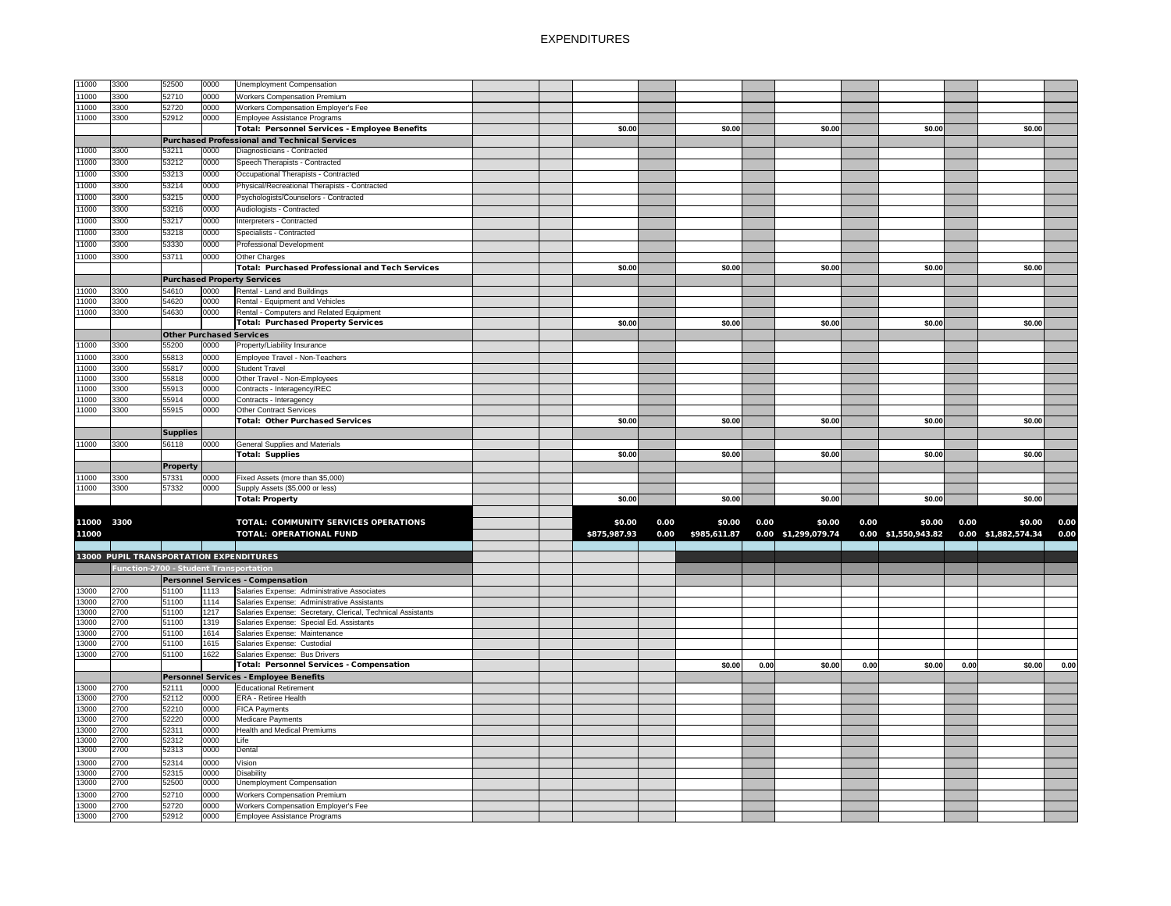| 11000          | 3300                                           | 52500                                  | 0000         | <b>Unemployment Compensation</b>                                           |  |              |      |              |      |                     |      |                     |      |                     |              |
|----------------|------------------------------------------------|----------------------------------------|--------------|----------------------------------------------------------------------------|--|--------------|------|--------------|------|---------------------|------|---------------------|------|---------------------|--------------|
| 11000          | 3300                                           | 52710                                  | 0000         | <b>Workers Compensation Premium</b>                                        |  |              |      |              |      |                     |      |                     |      |                     |              |
| 11000          | 3300                                           | 52720                                  | 0000         | <b>Workers Compensation Employer's Fee</b>                                 |  |              |      |              |      |                     |      |                     |      |                     |              |
| 11000          | 3300                                           | 52912                                  | 0000         | Employee Assistance Programs                                               |  |              |      |              |      |                     |      |                     |      |                     |              |
|                |                                                |                                        |              | Total: Personnel Services - Employee Benefits                              |  | \$0.00       |      | \$0.00       |      | \$0.00              |      | \$0.00              |      | \$0.00              |              |
|                |                                                |                                        |              | Purchased Professional and Technical Services                              |  |              |      |              |      |                     |      |                     |      |                     |              |
| 11000          | 3300                                           | 53211                                  | 0000         | Diagnosticians - Contracted                                                |  |              |      |              |      |                     |      |                     |      |                     |              |
| 11000          | 3300                                           | 53212                                  | 0000         | Speech Therapists - Contracted                                             |  |              |      |              |      |                     |      |                     |      |                     |              |
| 11000          | 3300                                           | 53213                                  | 0000         | Occupational Therapists - Contracted                                       |  |              |      |              |      |                     |      |                     |      |                     |              |
| 11000          | 3300                                           | 53214                                  | 0000         | Physical/Recreational Therapists - Contracted                              |  |              |      |              |      |                     |      |                     |      |                     |              |
| 11000          | 3300                                           | 53215                                  | 0000         | Psychologists/Counselors - Contracted                                      |  |              |      |              |      |                     |      |                     |      |                     |              |
| 11000          | 3300                                           | 53216                                  | 0000         | Audiologists - Contracted                                                  |  |              |      |              |      |                     |      |                     |      |                     |              |
|                |                                                |                                        |              |                                                                            |  |              |      |              |      |                     |      |                     |      |                     |              |
| 11000          | 3300                                           | 53217                                  | 0000         | Interpreters - Contracted                                                  |  |              |      |              |      |                     |      |                     |      |                     |              |
| 11000          | 3300                                           | 53218                                  | 0000         | Specialists - Contracted                                                   |  |              |      |              |      |                     |      |                     |      |                     |              |
| 11000          | 3300                                           | 53330                                  | 0000         | <b>Professional Development</b>                                            |  |              |      |              |      |                     |      |                     |      |                     |              |
| 11000          | 3300                                           | 53711                                  | 0000         | <b>Other Charges</b>                                                       |  |              |      |              |      |                     |      |                     |      |                     |              |
|                |                                                |                                        |              | <b>Total: Purchased Professional and Tech Services</b>                     |  | \$0.00       |      | \$0.00       |      | \$0.00              |      | \$0.00              |      | \$0.00              |              |
|                |                                                |                                        |              | <b>Purchased Property Services</b>                                         |  |              |      |              |      |                     |      |                     |      |                     |              |
| 11000          | 3300                                           | 54610                                  | 0000         | Rental - Land and Buildings                                                |  |              |      |              |      |                     |      |                     |      |                     |              |
| 11000          | 3300                                           | 54620                                  | 0000         | Rental - Equipment and Vehicles                                            |  |              |      |              |      |                     |      |                     |      |                     |              |
| 11000          | 3300                                           | 54630                                  | 0000         | Rental - Computers and Related Equipment                                   |  |              |      |              |      |                     |      |                     |      |                     |              |
|                |                                                |                                        |              | <b>Total: Purchased Property Services</b>                                  |  | \$0.00       |      | \$0.00       |      | \$0.00              |      | \$0.00              |      | \$0.00              |              |
|                |                                                | <b>Other Purchased Services</b>        |              |                                                                            |  |              |      |              |      |                     |      |                     |      |                     |              |
| 11000          | 3300                                           | 55200                                  | 0000         | Property/Liability Insurance                                               |  |              |      |              |      |                     |      |                     |      |                     |              |
| 11000          | 3300                                           | 55813                                  | 0000         | Employee Travel - Non-Teachers                                             |  |              |      |              |      |                     |      |                     |      |                     |              |
| 11000          | 3300                                           | 55817                                  | 0000         | <b>Student Travel</b>                                                      |  |              |      |              |      |                     |      |                     |      |                     |              |
| 11000          | 3300                                           | 55818                                  | 0000         | Other Travel - Non-Employees                                               |  |              |      |              |      |                     |      |                     |      |                     |              |
| 11000          | 3300                                           | 55913                                  | 0000         | Contracts - Interagency/REC                                                |  |              |      |              |      |                     |      |                     |      |                     |              |
| 11000          | 3300                                           | 55914                                  | 0000         | Contracts - Interagency                                                    |  |              |      |              |      |                     |      |                     |      |                     |              |
| 11000          | 3300                                           | 55915                                  | 0000         | <b>Other Contract Services</b>                                             |  |              |      |              |      |                     |      |                     |      |                     |              |
|                |                                                |                                        |              | <b>Total: Other Purchased Services</b>                                     |  | \$0.00       |      | \$0.00       |      | \$0.00              |      | \$0.00              |      | \$0.00              |              |
|                |                                                | <b>Supplies</b>                        |              |                                                                            |  |              |      |              |      |                     |      |                     |      |                     |              |
| 11000          | 3300                                           | 56118                                  | 0000         | <b>General Supplies and Materials</b>                                      |  |              |      |              |      |                     |      |                     |      |                     |              |
|                |                                                |                                        |              | <b>Total: Supplies</b>                                                     |  | \$0.00       |      | \$0.00       |      | \$0.00              |      | \$0.00              |      | \$0.00              |              |
|                |                                                | <b>Property</b>                        |              |                                                                            |  |              |      |              |      |                     |      |                     |      |                     |              |
| 11000          | 3300                                           | 57331                                  | 0000         | Fixed Assets (more than \$5,000)                                           |  |              |      |              |      |                     |      |                     |      |                     |              |
| 11000          | 3300                                           | 57332                                  | 0000         | Supply Assets (\$5,000 or less)                                            |  |              |      |              |      |                     |      |                     |      |                     |              |
|                |                                                |                                        |              | <b>Total: Property</b>                                                     |  | \$0.00       |      | \$0.00       |      | \$0.00              |      | \$0.00              |      | \$0.00              |              |
|                |                                                |                                        |              |                                                                            |  |              |      |              |      |                     |      |                     |      |                     |              |
| 11000          | 3300                                           |                                        |              | <b>TOTAL: COMMUNITY SERVICES OPERATIONS</b>                                |  | \$0.00       | 0.00 |              |      |                     |      |                     |      |                     |              |
| 11000          |                                                |                                        |              | <b>TOTAL: OPERATIONAL FUND</b>                                             |  |              |      | \$0.00       | 0.00 | \$0.00              | 0.00 | \$0.00              | 0.00 | \$0.00              |              |
|                |                                                |                                        |              |                                                                            |  |              |      |              |      |                     |      |                     |      |                     |              |
|                | <b>13000 PUPIL TRANSPORTATION EXPENDITURES</b> |                                        |              |                                                                            |  | \$875,987.93 | 0.00 | \$985,611.87 |      | 0.00 \$1,299,079.74 |      | 0.00 \$1,550,943.82 |      | 0.00 \$1,882,574.34 | 0.00<br>0.00 |
|                |                                                |                                        |              |                                                                            |  |              |      |              |      |                     |      |                     |      |                     |              |
|                |                                                |                                        |              |                                                                            |  |              |      |              |      |                     |      |                     |      |                     |              |
| 13000          |                                                | Function-2700 - Student Transportation |              |                                                                            |  |              |      |              |      |                     |      |                     |      |                     |              |
|                |                                                |                                        |              | <b>Personnel Services - Compensation</b>                                   |  |              |      |              |      |                     |      |                     |      |                     |              |
|                | 2700                                           | 51100                                  | 1113         | Salaries Expense: Administrative Associates                                |  |              |      |              |      |                     |      |                     |      |                     |              |
| 13000          | 2700                                           | 51100                                  | 1114         | Salaries Expense: Administrative Assistants                                |  |              |      |              |      |                     |      |                     |      |                     |              |
| 13000          | 2700                                           | 51100                                  | 1217         | Salaries Expense: Secretary, Clerical, Technical Assistants                |  |              |      |              |      |                     |      |                     |      |                     |              |
| 13000          | 2700                                           | 51100                                  | 1319         | Salaries Expense: Special Ed. Assistants                                   |  |              |      |              |      |                     |      |                     |      |                     |              |
| 13000          | 2700                                           | 51100                                  | 1614         | Salaries Expense: Maintenance                                              |  |              |      |              |      |                     |      |                     |      |                     |              |
| 13000          | 2700                                           | 51100                                  | 1615<br>1622 | Salaries Expense: Custodial                                                |  |              |      |              |      |                     |      |                     |      |                     |              |
| 13000          | 2700                                           | 51100                                  |              | Salaries Expense: Bus Drivers                                              |  |              |      | \$0.00       | 0.00 | \$0.00              | 0.00 | \$0.00              | 0.00 | \$0.00              | 0.00         |
|                |                                                |                                        |              | <b>Total: Personnel Services - Compensation</b>                            |  |              |      |              |      |                     |      |                     |      |                     |              |
|                |                                                |                                        |              | Personnel Services - Employee Benefits                                     |  |              |      |              |      |                     |      |                     |      |                     |              |
| 13000          | 2700                                           | 52111                                  | 0000         | <b>Educational Retirement</b>                                              |  |              |      |              |      |                     |      |                     |      |                     |              |
| 13000          | 2700                                           | 52112                                  | 0000         | <b>ERA - Retiree Health</b>                                                |  |              |      |              |      |                     |      |                     |      |                     |              |
| 13000          | 2700                                           | 52210                                  | 0000         | <b>FICA Payments</b>                                                       |  |              |      |              |      |                     |      |                     |      |                     |              |
| 13000          | 2700                                           | 52220                                  | 0000         | Medicare Payments                                                          |  |              |      |              |      |                     |      |                     |      |                     |              |
| 13000          | 2700                                           | 52311                                  | 0000         | <b>Health and Medical Premiums</b>                                         |  |              |      |              |      |                     |      |                     |      |                     |              |
| 13000<br>13000 | 2700<br>2700                                   | 52312<br>52313                         | 0000<br>0000 | Life<br>Dental                                                             |  |              |      |              |      |                     |      |                     |      |                     |              |
|                |                                                |                                        |              |                                                                            |  |              |      |              |      |                     |      |                     |      |                     |              |
| 13000          | 2700                                           | 52314                                  | 0000         | Vision                                                                     |  |              |      |              |      |                     |      |                     |      |                     |              |
| 13000<br>13000 | 2700<br>2700                                   | 52315<br>52500                         | 0000<br>0000 | <b>Disability</b><br><b>Unemployment Compensation</b>                      |  |              |      |              |      |                     |      |                     |      |                     |              |
|                |                                                |                                        |              |                                                                            |  |              |      |              |      |                     |      |                     |      |                     |              |
| 13000          | 2700                                           | 52710                                  | 0000         | <b>Workers Compensation Premium</b>                                        |  |              |      |              |      |                     |      |                     |      |                     |              |
| 13000<br>13000 | 2700<br>2700                                   | 52720<br>52912                         | 0000<br>0000 | Workers Compensation Employer's Fee<br><b>Employee Assistance Programs</b> |  |              |      |              |      |                     |      |                     |      |                     |              |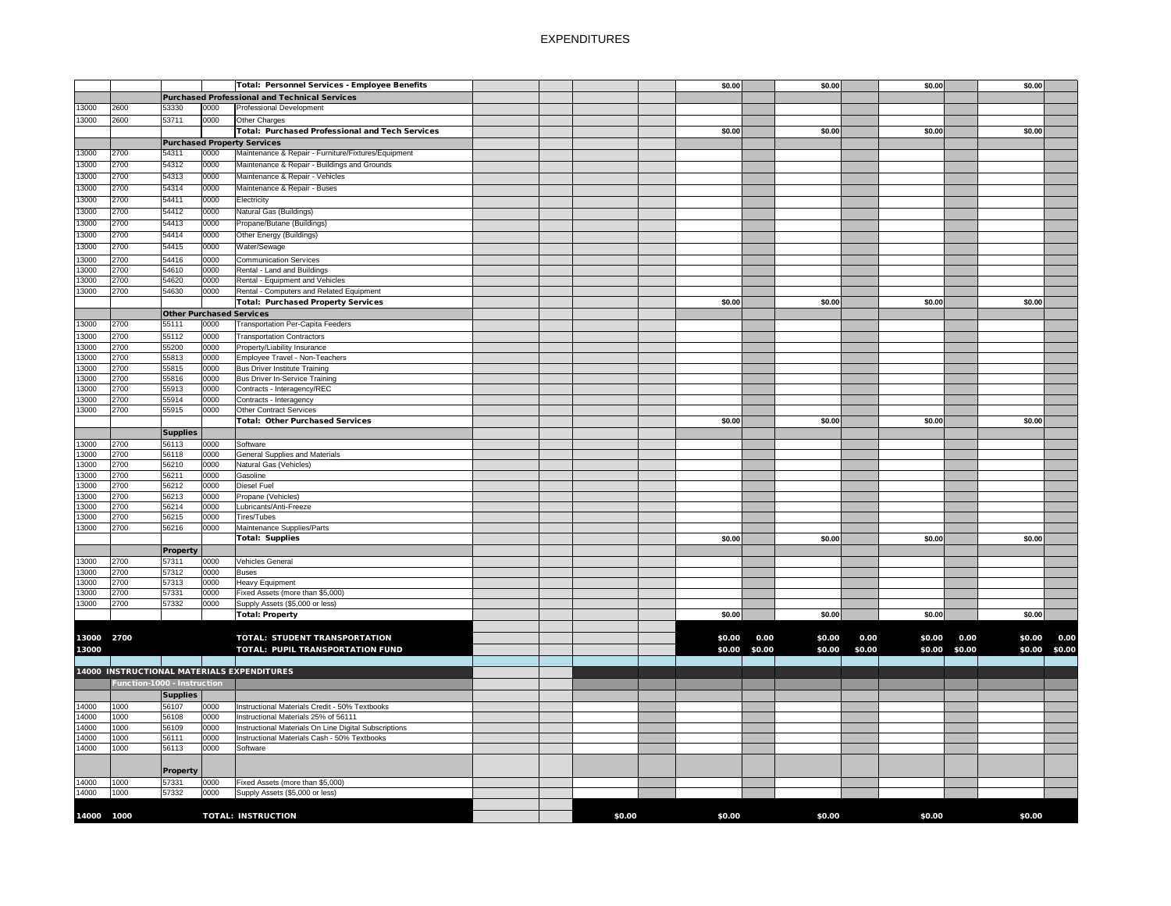|            |                             |                                 |      | <b>Total: Personnel Services - Employee Benefits</b>   |        | \$0.00 |               | \$0.00 |        | \$0.00 |               | \$0.00 |               |
|------------|-----------------------------|---------------------------------|------|--------------------------------------------------------|--------|--------|---------------|--------|--------|--------|---------------|--------|---------------|
|            |                             |                                 |      |                                                        |        |        |               |        |        |        |               |        |               |
|            |                             |                                 |      | <b>Purchased Professional and Technical Services</b>   |        |        |               |        |        |        |               |        |               |
| 13000      | 2600                        | 53330                           | 0000 | Professional Development                               |        |        |               |        |        |        |               |        |               |
| 13000      | 2600                        | 53711                           | 0000 | Other Charges                                          |        |        |               |        |        |        |               |        |               |
|            |                             |                                 |      | <b>Total: Purchased Professional and Tech Services</b> |        | \$0.00 |               | \$0.00 |        | \$0.00 |               | \$0.00 |               |
|            |                             |                                 |      | <b>Purchased Property Services</b>                     |        |        |               |        |        |        |               |        |               |
|            |                             |                                 |      | Maintenance & Repair - Furniture/Fixtures/Equipment    |        |        |               |        |        |        |               |        |               |
| 13000      | 2700                        | 54311                           | 0000 |                                                        |        |        |               |        |        |        |               |        |               |
| 13000      | 2700                        | 54312                           | 0000 | Maintenance & Repair - Buildings and Grounds           |        |        |               |        |        |        |               |        |               |
| 13000      | 2700                        | 54313                           | 0000 | Maintenance & Repair - Vehicles                        |        |        |               |        |        |        |               |        |               |
| 13000      | 2700                        | 54314                           | 0000 | Maintenance & Repair - Buses                           |        |        |               |        |        |        |               |        |               |
| 13000      | 2700                        | 54411                           | 0000 | Electricity                                            |        |        |               |        |        |        |               |        |               |
|            |                             |                                 |      |                                                        |        |        |               |        |        |        |               |        |               |
| 13000      | 2700                        | 54412                           | 0000 | Natural Gas (Buildings)                                |        |        |               |        |        |        |               |        |               |
| 13000      | 2700                        | 54413                           | 0000 | Propane/Butane (Buildings)                             |        |        |               |        |        |        |               |        |               |
| 13000      | 2700                        | 54414                           | 0000 | Other Energy (Buildings)                               |        |        |               |        |        |        |               |        |               |
| 13000      | 2700                        | 54415                           | 0000 | Water/Sewage                                           |        |        |               |        |        |        |               |        |               |
|            |                             |                                 |      |                                                        |        |        |               |        |        |        |               |        |               |
| 13000      | 2700                        | 54416                           | 0000 | <b>Communication Services</b>                          |        |        |               |        |        |        |               |        |               |
| 13000      | 2700                        | 54610                           | 0000 | Rental - Land and Buildings                            |        |        |               |        |        |        |               |        |               |
| 13000      | 2700                        | 54620                           | 0000 | Rental - Equipment and Vehicles                        |        |        |               |        |        |        |               |        |               |
| 13000      | 2700                        | 54630                           | 0000 | Rental - Computers and Related Equipment               |        |        |               |        |        |        |               |        |               |
|            |                             |                                 |      | <b>Total: Purchased Property Services</b>              |        | \$0.00 |               | \$0.00 |        | \$0.00 |               | \$0.00 |               |
|            |                             | <b>Other Purchased Services</b> |      |                                                        |        |        |               |        |        |        |               |        |               |
|            |                             |                                 |      |                                                        |        |        |               |        |        |        |               |        |               |
| 13000      | 2700                        | 55111                           | 0000 | <b>Transportation Per-Capita Feeders</b>               |        |        |               |        |        |        |               |        |               |
| 13000      | 2700                        | 55112                           | 0000 | <b>Transportation Contractors</b>                      |        |        |               |        |        |        |               |        |               |
| 13000      | 2700                        | 55200                           | 0000 | Property/Liability Insurance                           |        |        |               |        |        |        |               |        |               |
| 13000      | 2700                        | 55813                           | 0000 | Employee Travel - Non-Teachers                         |        |        |               |        |        |        |               |        |               |
| 13000      | 2700                        | 55815                           | 0000 | <b>Bus Driver Institute Training</b>                   |        |        |               |        |        |        |               |        |               |
| 13000      | 2700                        | 55816                           | 0000 | <b>Bus Driver In-Service Training</b>                  |        |        |               |        |        |        |               |        |               |
|            | 2700                        | 55913                           | 0000 |                                                        |        |        |               |        |        |        |               |        |               |
| 13000      |                             |                                 |      | Contracts - Interagency/REC                            |        |        |               |        |        |        |               |        |               |
| 13000      | 2700                        | 55914                           | 0000 | Contracts - Interagency                                |        |        |               |        |        |        |               |        |               |
| 13000      | 2700                        | 55915                           | 0000 | <b>Other Contract Services</b>                         |        |        |               |        |        |        |               |        |               |
|            |                             |                                 |      | <b>Total: Other Purchased Services</b>                 |        | \$0.00 |               | \$0.00 |        | \$0.00 |               | \$0.00 |               |
|            |                             | <b>Supplies</b>                 |      |                                                        |        |        |               |        |        |        |               |        |               |
| 13000      | 2700                        | 56113                           | 0000 | Software                                               |        |        |               |        |        |        |               |        |               |
| 13000      | 2700                        | 56118                           | 0000 | <b>General Supplies and Materials</b>                  |        |        |               |        |        |        |               |        |               |
|            |                             |                                 |      |                                                        |        |        |               |        |        |        |               |        |               |
| 13000      | 2700                        | 56210                           | 0000 | Natural Gas (Vehicles)                                 |        |        |               |        |        |        |               |        |               |
| 13000      | 2700                        | 56211                           | 0000 | Gasoline                                               |        |        |               |        |        |        |               |        |               |
| 13000      | 2700                        | 56212                           | 0000 | <b>Diesel Fuel</b>                                     |        |        |               |        |        |        |               |        |               |
| 13000      | 2700                        | 56213                           | 0000 | Propane (Vehicles)                                     |        |        |               |        |        |        |               |        |               |
| 13000      | 2700                        | 56214                           | 0000 | Lubricants/Anti-Freeze                                 |        |        |               |        |        |        |               |        |               |
| 13000      | 2700                        | 56215                           | 0000 | Tires/Tubes                                            |        |        |               |        |        |        |               |        |               |
| 13000      | 2700                        | 56216                           | 0000 | Maintenance Supplies/Parts                             |        |        |               |        |        |        |               |        |               |
|            |                             |                                 |      |                                                        |        | \$0.00 |               | \$0.00 |        | \$0.00 |               | \$0.00 |               |
|            |                             |                                 |      | <b>Total: Supplies</b>                                 |        |        |               |        |        |        |               |        |               |
|            |                             | <b>Property</b>                 |      |                                                        |        |        |               |        |        |        |               |        |               |
| 13000      | 2700                        | 57311                           | 0000 | Vehicles General                                       |        |        |               |        |        |        |               |        |               |
| 13000      | 2700                        | 57312                           | 0000 | <b>Buses</b>                                           |        |        |               |        |        |        |               |        |               |
| 13000      | 2700                        | 57313                           | 0000 | <b>Heavy Equipment</b>                                 |        |        |               |        |        |        |               |        |               |
| 13000      | 2700                        | 57331                           | 0000 | Fixed Assets (more than \$5,000)                       |        |        |               |        |        |        |               |        |               |
| 13000      | 2700                        | 57332                           | 0000 | Supply Assets (\$5,000 or less)                        |        |        |               |        |        |        |               |        |               |
|            |                             |                                 |      |                                                        |        |        |               |        |        |        |               |        |               |
|            |                             |                                 |      | <b>Total: Property</b>                                 |        | \$0.00 |               | \$0.00 |        | \$0.00 |               | \$0.00 |               |
|            |                             |                                 |      |                                                        |        |        |               |        |        |        |               |        |               |
| 13000 2700 |                             |                                 |      | <b>TOTAL: STUDENT TRANSPORTATION</b>                   |        | \$0.00 | 0.00          | \$0.00 | 0.00   | \$0.00 | 0.00          | \$0.00 | 0.00          |
| 13000      |                             |                                 |      | TOTAL: PUPIL TRANSPORTATION FUND                       |        |        | \$0.00 \$0.00 | \$0.00 | \$0.00 |        | \$0.00 \$0.00 |        | \$0.00 \$0.00 |
|            |                             |                                 |      |                                                        |        |        |               |        |        |        |               |        |               |
|            |                             |                                 |      |                                                        |        |        |               |        |        |        |               |        |               |
|            |                             |                                 |      | <b>14000 INSTRUCTIONAL MATERIALS EXPENDITURES</b>      |        |        |               |        |        |        |               |        |               |
|            | Function-1000 - Instruction |                                 |      |                                                        |        |        |               |        |        |        |               |        |               |
|            |                             | <b>Supplies</b>                 |      |                                                        |        |        |               |        |        |        |               |        |               |
|            |                             |                                 |      | Instructional Materials Credit - 50% Textbooks         |        |        |               |        |        |        |               |        |               |
| 14000      | 1000                        | 56107                           | 0000 |                                                        |        |        |               |        |        |        |               |        |               |
| 14000      | 1000                        | 56108                           | 0000 | Instructional Materials 25% of 56111                   |        |        |               |        |        |        |               |        |               |
| 14000      | 1000                        | 56109                           | 0000 | Instructional Materials On Line Digital Subscriptions  |        |        |               |        |        |        |               |        |               |
| 14000      | 1000                        | 56111                           | 0000 | Instructional Materials Cash - 50% Textbooks           |        |        |               |        |        |        |               |        |               |
| 14000      | 1000                        | 56113                           | 0000 | Software                                               |        |        |               |        |        |        |               |        |               |
|            |                             |                                 |      |                                                        |        |        |               |        |        |        |               |        |               |
|            |                             |                                 |      |                                                        |        |        |               |        |        |        |               |        |               |
|            |                             | <b>Property</b>                 |      |                                                        |        |        |               |        |        |        |               |        |               |
| 14000      | 1000                        | 57331                           | 0000 | Fixed Assets (more than \$5,000)                       |        |        |               |        |        |        |               |        |               |
| 14000      | 1000                        | 57332                           | 0000 | Supply Assets (\$5,000 or less)                        |        |        |               |        |        |        |               |        |               |
|            |                             |                                 |      |                                                        |        |        |               |        |        |        |               |        |               |
| 14000 1000 |                             |                                 |      | <b>TOTAL: INSTRUCTION</b>                              | \$0.00 | \$0.00 |               | \$0.00 |        | \$0.00 |               | \$0.00 |               |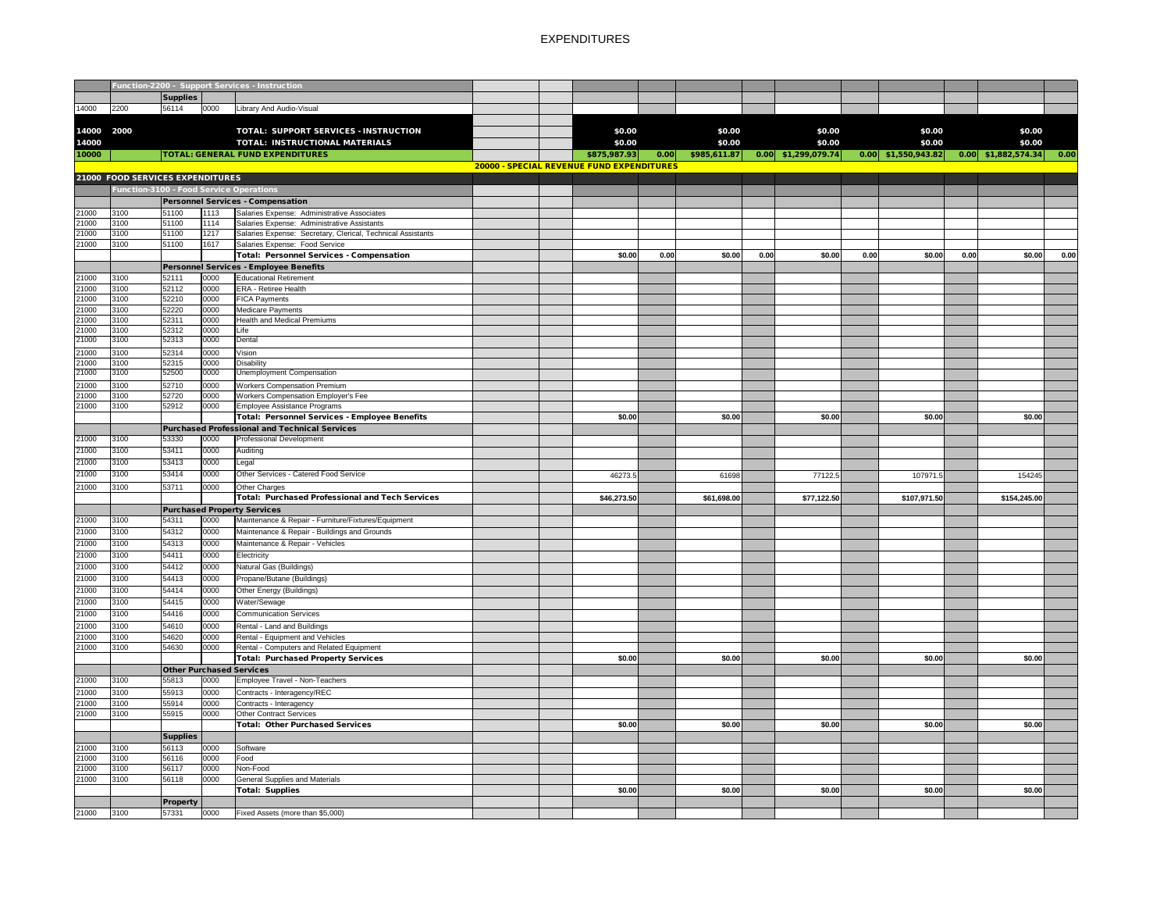|                |              |                                          |              | Function-2200 - Support Services - Instruction              |  |                                           |      |              |      |             |      |              |      |                                                                                     |      |
|----------------|--------------|------------------------------------------|--------------|-------------------------------------------------------------|--|-------------------------------------------|------|--------------|------|-------------|------|--------------|------|-------------------------------------------------------------------------------------|------|
|                |              | Supplies                                 |              |                                                             |  |                                           |      |              |      |             |      |              |      |                                                                                     |      |
| 14000          | 2200         | 56114                                    | 0000         | Library And Audio-Visual                                    |  |                                           |      |              |      |             |      |              |      |                                                                                     |      |
|                |              |                                          |              |                                                             |  |                                           |      |              |      |             |      |              |      |                                                                                     |      |
| 14000 2000     |              |                                          |              | TOTAL: SUPPORT SERVICES - INSTRUCTION                       |  | \$0.00                                    |      | \$0.00       |      | \$0.00      |      | \$0.00       |      | \$0.00                                                                              |      |
| 14000          |              |                                          |              | <b>TOTAL: INSTRUCTIONAL MATERIALS</b>                       |  | \$0.00                                    |      | \$0.00       |      | \$0.00      |      | \$0.00       |      | \$0.00                                                                              |      |
| 10000          |              |                                          |              | <b>TOTAL: GENERAL FUND EXPENDITURES</b>                     |  | \$875,987.93                              | 0.00 | \$985,611.87 |      |             |      |              |      | $\begin{array}{ c c c c c c c c c } \hline 0.00 & $1,882,574.34 \hline \end{array}$ | 0.00 |
|                |              |                                          |              |                                                             |  | 20000 - SPECIAL REVENUE FUND EXPENDITURES |      |              |      |             |      |              |      |                                                                                     |      |
|                |              | 21000 FOOD SERVICES EXPENDITURES         |              |                                                             |  |                                           |      |              |      |             |      |              |      |                                                                                     |      |
|                |              |                                          |              | <b>Function-3100 - Food Service Operations</b>              |  |                                           |      |              |      |             |      |              |      |                                                                                     |      |
|                |              |                                          |              | <b>Personnel Services - Compensation</b>                    |  |                                           |      |              |      |             |      |              |      |                                                                                     |      |
| 21000          | 3100         | 51100                                    | 1113         | Salaries Expense: Administrative Associates                 |  |                                           |      |              |      |             |      |              |      |                                                                                     |      |
| 21000          | 3100         | 51100                                    | 1114         | Salaries Expense: Administrative Assistants                 |  |                                           |      |              |      |             |      |              |      |                                                                                     |      |
| 21000          | 3100         | 51100                                    | 1217         | Salaries Expense: Secretary, Clerical, Technical Assistants |  |                                           |      |              |      |             |      |              |      |                                                                                     |      |
| 21000          | 3100         | 51100                                    | 1617         | Salaries Expense: Food Service                              |  |                                           |      |              |      |             |      |              |      |                                                                                     |      |
|                |              |                                          |              | Total: Personnel Services - Compensation                    |  | \$0.00                                    | 0.00 | \$0.00       | 0.00 | \$0.00      | 0.00 | \$0.00       | 0.00 | \$0.00                                                                              | 0.00 |
|                |              |                                          |              | <b>Personnel Services - Employee Benefits</b>               |  |                                           |      |              |      |             |      |              |      |                                                                                     |      |
| 21000          | 3100         | 52111                                    | 0000         | Educational Retirement                                      |  |                                           |      |              |      |             |      |              |      |                                                                                     |      |
| 21000          | 3100         | 52112                                    | 0000         | <b>ERA</b> - Retiree Health                                 |  |                                           |      |              |      |             |      |              |      |                                                                                     |      |
| 21000          | 3100         | 52210                                    | 0000         | <b>FICA Payments</b>                                        |  |                                           |      |              |      |             |      |              |      |                                                                                     |      |
| 21000<br>21000 | 3100<br>3100 | 52220<br>52311                           | 0000<br>0000 | Medicare Payments<br><b>Health and Medical Premiums</b>     |  |                                           |      |              |      |             |      |              |      |                                                                                     |      |
| 21000          | 3100         | 52312                                    | 0000         | Life                                                        |  |                                           |      |              |      |             |      |              |      |                                                                                     |      |
| 21000          | 3100         | 52313                                    | 0000         | Dental                                                      |  |                                           |      |              |      |             |      |              |      |                                                                                     |      |
| 21000          | 3100         | 52314                                    | 0000         | Vision                                                      |  |                                           |      |              |      |             |      |              |      |                                                                                     |      |
| 21000          | 3100         | 52315                                    | 0000         | Disability                                                  |  |                                           |      |              |      |             |      |              |      |                                                                                     |      |
| 21000          | 3100         | 52500                                    | 0000         | <b>Unemployment Compensation</b>                            |  |                                           |      |              |      |             |      |              |      |                                                                                     |      |
| 21000          | 3100         | 52710                                    | 0000         | <b>Workers Compensation Premium</b>                         |  |                                           |      |              |      |             |      |              |      |                                                                                     |      |
| 21000          | 3100         | 52720                                    | 0000         | <b>Workers Compensation Employer's Fee</b>                  |  |                                           |      |              |      |             |      |              |      |                                                                                     |      |
| 21000          | 3100         | 52912                                    | 0000         | Employee Assistance Programs                                |  |                                           |      |              |      |             |      |              |      |                                                                                     |      |
|                |              |                                          |              | Total: Personnel Services - Employee Benefits               |  | \$0.00                                    |      | \$0.00       |      | \$0.00      |      | \$0.00       |      | \$0.00                                                                              |      |
|                |              |                                          |              | Purchased Professional and Technical Services               |  |                                           |      |              |      |             |      |              |      |                                                                                     |      |
| 21000          | 3100         | 53330                                    | 0000         | <b>Professional Development</b>                             |  |                                           |      |              |      |             |      |              |      |                                                                                     |      |
| 21000          | 3100         | 53411                                    | 0000         | Auditing                                                    |  |                                           |      |              |      |             |      |              |      |                                                                                     |      |
| 21000          | 3100         | 53413                                    | 0000         | Legal                                                       |  |                                           |      |              |      |             |      |              |      |                                                                                     |      |
| 21000          | 3100         | 53414                                    | 0000         | Other Services - Catered Food Service                       |  | 46273.5                                   |      | 61698        |      | 77122.5     |      | 107971.5     |      | 154245                                                                              |      |
| 21000          | 3100         | 53711                                    | 0000         | Other Charges                                               |  |                                           |      |              |      |             |      |              |      |                                                                                     |      |
|                |              |                                          |              | Total: Purchased Professional and Tech Services             |  | \$46,273.50                               |      | \$61,698.00  |      | \$77,122.50 |      | \$107,971.50 |      | \$154,245.00                                                                        |      |
|                |              |                                          |              | <b>Purchased Property Services</b>                          |  |                                           |      |              |      |             |      |              |      |                                                                                     |      |
| 21000          | 3100         | 54311                                    | 0000         | Maintenance & Repair - Furniture/Fixtures/Equipment         |  |                                           |      |              |      |             |      |              |      |                                                                                     |      |
| 21000          | 3100         | 54312                                    | 0000         | Maintenance & Repair - Buildings and Grounds                |  |                                           |      |              |      |             |      |              |      |                                                                                     |      |
| 21000          | 3100         | 54313                                    | 0000         | Maintenance & Repair - Vehicles                             |  |                                           |      |              |      |             |      |              |      |                                                                                     |      |
| 21000          | 3100         | 54411                                    | 0000         | Electricity                                                 |  |                                           |      |              |      |             |      |              |      |                                                                                     |      |
| 21000          | 3100         | 54412                                    | 0000         | Natural Gas (Buildings)                                     |  |                                           |      |              |      |             |      |              |      |                                                                                     |      |
| 21000          | 3100         | 54413                                    | 0000         | Propane/Butane (Buildings)                                  |  |                                           |      |              |      |             |      |              |      |                                                                                     |      |
| 21000          | 3100         | 54414                                    | 0000         | Other Energy (Buildings)                                    |  |                                           |      |              |      |             |      |              |      |                                                                                     |      |
| 21000          | 3100         | 54415                                    | 0000         | Water/Sewage                                                |  |                                           |      |              |      |             |      |              |      |                                                                                     |      |
| 21000          | 3100         | 54416                                    | 0000         | <b>Communication Services</b>                               |  |                                           |      |              |      |             |      |              |      |                                                                                     |      |
| 21000          | 3100         | 54610                                    | 0000         | Rental - Land and Buildings                                 |  |                                           |      |              |      |             |      |              |      |                                                                                     |      |
| 21000          | 3100         | 54620                                    | 0000         | Rental - Equipment and Vehicles                             |  |                                           |      |              |      |             |      |              |      |                                                                                     |      |
| 21000          | 3100         | 54630                                    | 0000         | Rental - Computers and Related Equipment                    |  | \$0.00                                    |      | \$0.00       |      | \$0.00      |      |              |      |                                                                                     |      |
|                |              |                                          |              | <b>Total: Purchased Property Services</b>                   |  |                                           |      |              |      |             |      | \$0.00       |      | \$0.00                                                                              |      |
| 21000          | 3100         | <b>Other Purchased Services</b><br>55813 | 0000         | Employee Travel - Non-Teachers                              |  |                                           |      |              |      |             |      |              |      |                                                                                     |      |
|                |              | 55913                                    | 0000         |                                                             |  |                                           |      |              |      |             |      |              |      |                                                                                     |      |
| 21000<br>21000 | 3100<br>3100 | 55914                                    | 0000         | Contracts - Interagency/REC<br>Contracts - Interagency      |  |                                           |      |              |      |             |      |              |      |                                                                                     |      |
| 21000          | 3100         | 55915                                    | 0000         | Other Contract Services                                     |  |                                           |      |              |      |             |      |              |      |                                                                                     |      |
|                |              |                                          |              | Total: Other Purchased Services                             |  | \$0.00                                    |      | \$0.00       |      | \$0.00      |      | \$0.00       |      | \$0.00                                                                              |      |
|                |              | <b>Supplies</b>                          |              |                                                             |  |                                           |      |              |      |             |      |              |      |                                                                                     |      |
| 21000          | 3100         | 56113                                    | 0000         | Software                                                    |  |                                           |      |              |      |             |      |              |      |                                                                                     |      |
| 21000          | 3100         | 56116                                    | 0000         | Food                                                        |  |                                           |      |              |      |             |      |              |      |                                                                                     |      |
| 21000          | 3100         | 56117                                    | 0000         | Non-Food                                                    |  |                                           |      |              |      |             |      |              |      |                                                                                     |      |
| 21000          | 3100         | 56118                                    | 0000         | <b>General Supplies and Materials</b>                       |  |                                           |      |              |      |             |      |              |      |                                                                                     |      |
|                |              |                                          |              | Total: Supplies                                             |  | \$0.00                                    |      | \$0.00       |      | \$0.00      |      | \$0.00       |      | \$0.00                                                                              |      |
|                |              | <b>Property</b>                          |              |                                                             |  |                                           |      |              |      |             |      |              |      |                                                                                     |      |
| 21000          | 3100         | 57331                                    | 0000         | Fixed Assets (more than \$5,000)                            |  |                                           |      |              |      |             |      |              |      |                                                                                     |      |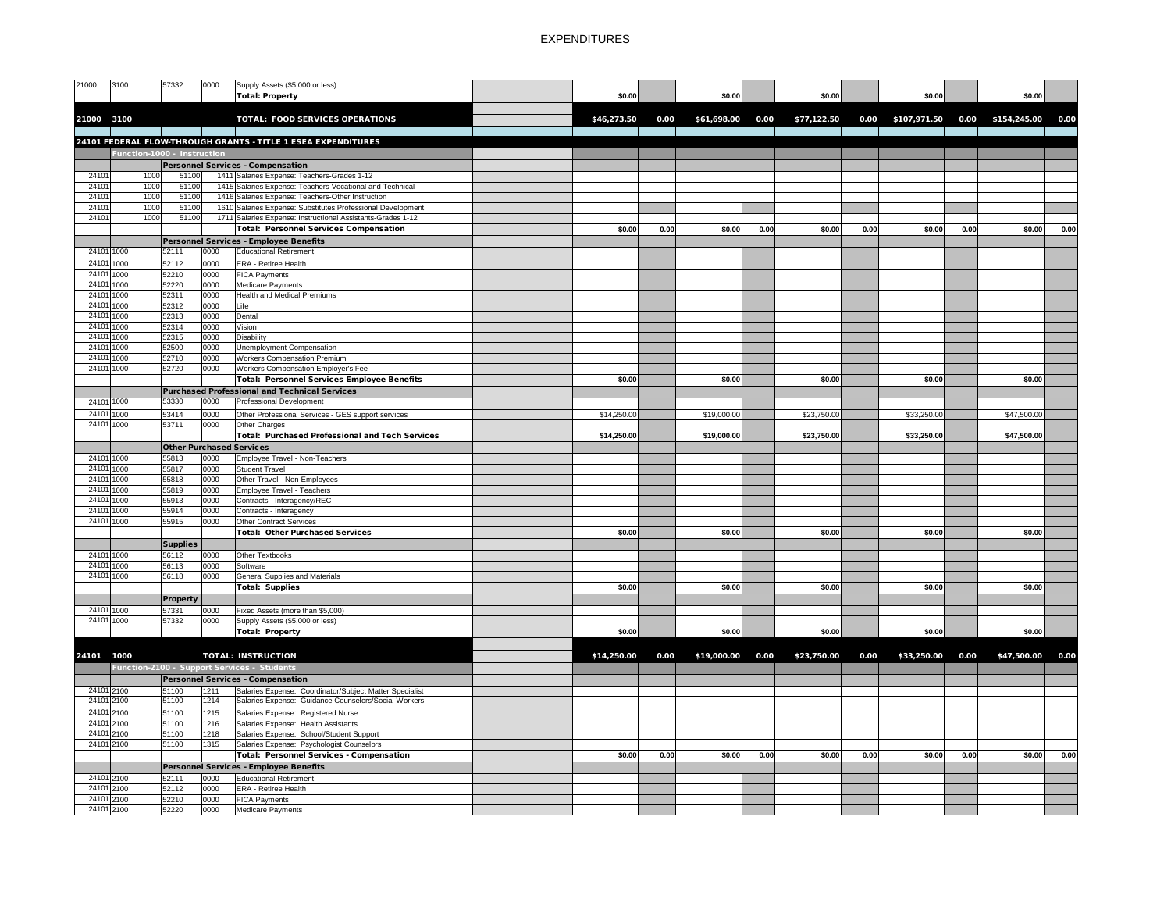| 3100<br>21000           |      | 57332                       | 0000 | Supply Assets (\$5,000 or less)                               |  |             |      |             |      |             |      |              |      |                   |      |
|-------------------------|------|-----------------------------|------|---------------------------------------------------------------|--|-------------|------|-------------|------|-------------|------|--------------|------|-------------------|------|
|                         |      |                             |      |                                                               |  |             |      |             |      |             |      |              |      |                   |      |
|                         |      |                             |      | Total: Property                                               |  | \$0.00      |      | \$0.00      |      | \$0.00      |      | \$0.00       |      | \$0.00            |      |
|                         |      |                             |      |                                                               |  |             |      |             |      |             |      |              |      |                   |      |
| 21000 3100              |      |                             |      | <b>TOTAL: FOOD SERVICES OPERATIONS</b>                        |  | \$46,273.50 | 0.00 | \$61,698.00 | 0.00 | \$77,122.50 | 0.00 | \$107,971.50 |      | 0.00 \$154,245.00 | 0.00 |
|                         |      |                             |      |                                                               |  |             |      |             |      |             |      |              |      |                   |      |
|                         |      |                             |      | 24101 FEDERAL FLOW-THROUGH GRANTS - TITLE 1 ESEA EXPENDITURES |  |             |      |             |      |             |      |              |      |                   |      |
|                         |      |                             |      |                                                               |  |             |      |             |      |             |      |              |      |                   |      |
|                         |      | Function-1000 - Instruction |      |                                                               |  |             |      |             |      |             |      |              |      |                   |      |
|                         |      |                             |      | <b>Personnel Services - Compensation</b>                      |  |             |      |             |      |             |      |              |      |                   |      |
| 24101                   | 1000 | 51100                       |      | 1411 Salaries Expense: Teachers-Grades 1-12                   |  |             |      |             |      |             |      |              |      |                   |      |
| 2410'                   | 1000 | 51100                       |      | 1415 Salaries Expense: Teachers-Vocational and Technical      |  |             |      |             |      |             |      |              |      |                   |      |
| 24101                   | 1000 | 51100                       |      | 1416 Salaries Expense: Teachers-Other Instruction             |  |             |      |             |      |             |      |              |      |                   |      |
| 24101                   | 1000 | 51100                       |      | 1610 Salaries Expense: Substitutes Professional Development   |  |             |      |             |      |             |      |              |      |                   |      |
| 24101                   | 1000 | 51100                       |      | 1711 Salaries Expense: Instructional Assistants-Grades 1-12   |  |             |      |             |      |             |      |              |      |                   |      |
|                         |      |                             |      |                                                               |  |             |      |             |      |             |      |              |      |                   |      |
|                         |      |                             |      | <b>Total: Personnel Services Compensation</b>                 |  | \$0.00      | 0.00 | \$0.00      | 0.00 | \$0.00      | 0.00 | \$0.00       | 0.00 | \$0.00            | 0.00 |
|                         |      |                             |      | <b>Personnel Services - Employee Benefits</b>                 |  |             |      |             |      |             |      |              |      |                   |      |
| 24101 1000              |      | 52111                       | 0000 | <b>Educational Retirement</b>                                 |  |             |      |             |      |             |      |              |      |                   |      |
| $\overline{24}101$ 1000 |      | 52112                       | 0000 | ERA - Retiree Health                                          |  |             |      |             |      |             |      |              |      |                   |      |
| 24101 1000              |      | 52210                       | 0000 | <b>FICA Payments</b>                                          |  |             |      |             |      |             |      |              |      |                   |      |
| 24101 1000              |      | 52220                       | 0000 | Medicare Payments                                             |  |             |      |             |      |             |      |              |      |                   |      |
|                         |      |                             |      |                                                               |  |             |      |             |      |             |      |              |      |                   |      |
| 24101 1000              |      | 52311                       | 0000 | <b>Health and Medical Premiums</b>                            |  |             |      |             |      |             |      |              |      |                   |      |
| 24101 1000              |      | 52312                       | 0000 | Life                                                          |  |             |      |             |      |             |      |              |      |                   |      |
| 24101 1000              |      | 52313                       | 0000 | Dental                                                        |  |             |      |             |      |             |      |              |      |                   |      |
| 24101 1000              |      | 52314                       | 0000 | Vision                                                        |  |             |      |             |      |             |      |              |      |                   |      |
| 24101 1000              |      | 52315                       | 0000 | Disability                                                    |  |             |      |             |      |             |      |              |      |                   |      |
| 24101 1000              |      | 52500                       | 0000 | Unemployment Compensation                                     |  |             |      |             |      |             |      |              |      |                   |      |
| 24101 1000              |      | 52710                       | 0000 | <b>Workers Compensation Premium</b>                           |  |             |      |             |      |             |      |              |      |                   |      |
| 24101 1000              |      | 52720                       | 0000 | Workers Compensation Employer's Fee                           |  |             |      |             |      |             |      |              |      |                   |      |
|                         |      |                             |      |                                                               |  |             |      |             |      |             |      |              |      |                   |      |
|                         |      |                             |      | Total: Personnel Services Employee Benefits                   |  | \$0.00      |      | \$0.00      |      | \$0.00      |      | \$0.00       |      | \$0.00            |      |
|                         |      |                             |      | Purchased Professional and Technical Services                 |  |             |      |             |      |             |      |              |      |                   |      |
| 24101 1000              |      | 53330                       | 0000 | <b>Professional Development</b>                               |  |             |      |             |      |             |      |              |      |                   |      |
| 24101 1000              |      | 53414                       | 0000 | Other Professional Services - GES support services            |  | \$14,250.00 |      | \$19,000.00 |      | \$23,750.00 |      | \$33,250.00  |      | \$47,500.00       |      |
| 24101 1000              |      | 53711                       | 0000 | <b>Other Charges</b>                                          |  |             |      |             |      |             |      |              |      |                   |      |
|                         |      |                             |      | <b>Total: Purchased Professional and Tech Services</b>        |  |             |      | \$19,000.00 |      |             |      |              |      | \$47,500.00       |      |
|                         |      |                             |      |                                                               |  | \$14,250.00 |      |             |      | \$23,750.00 |      | \$33,250.00  |      |                   |      |
|                         |      |                             |      | <b>Other Purchased Services</b>                               |  |             |      |             |      |             |      |              |      |                   |      |
| 24101 1000              |      | 55813                       | 0000 | Employee Travel - Non-Teachers                                |  |             |      |             |      |             |      |              |      |                   |      |
| 24101 1000              |      | 55817                       | 0000 | <b>Student Travel</b>                                         |  |             |      |             |      |             |      |              |      |                   |      |
| 24101 1000              |      | 55818                       | 0000 | Other Travel - Non-Employees                                  |  |             |      |             |      |             |      |              |      |                   |      |
| 24101 1000              |      | 55819                       | 0000 | Employee Travel - Teachers                                    |  |             |      |             |      |             |      |              |      |                   |      |
| 24101 1000              |      | 55913                       | 0000 | Contracts - Interagency/REC                                   |  |             |      |             |      |             |      |              |      |                   |      |
| 24101 1000              |      | 55914                       | 0000 | Contracts - Interagency                                       |  |             |      |             |      |             |      |              |      |                   |      |
| 24101 1000              |      |                             |      |                                                               |  |             |      |             |      |             |      |              |      |                   |      |
|                         |      | 55915                       | 0000 | <b>Other Contract Services</b>                                |  |             |      |             |      |             |      |              |      |                   |      |
|                         |      |                             |      | <b>Total: Other Purchased Services</b>                        |  | \$0.00      |      | \$0.00      |      | \$0.00      |      | \$0.00       |      | \$0.00            |      |
|                         |      | <b>Supplies</b>             |      |                                                               |  |             |      |             |      |             |      |              |      |                   |      |
| 24101 1000              |      | 56112                       | 0000 | Other Textbooks                                               |  |             |      |             |      |             |      |              |      |                   |      |
| 24101 1000              |      | 56113                       | 0000 | Software                                                      |  |             |      |             |      |             |      |              |      |                   |      |
| 24101 1000              |      | 56118                       | 0000 | <b>General Supplies and Materials</b>                         |  |             |      |             |      |             |      |              |      |                   |      |
|                         |      |                             |      |                                                               |  |             |      |             |      |             |      |              |      |                   |      |
|                         |      |                             |      | <b>Total: Supplies</b>                                        |  | \$0.00      |      | \$0.00      |      | \$0.00      |      | \$0.00       |      | \$0.00            |      |
|                         |      | <b>Property</b>             |      |                                                               |  |             |      |             |      |             |      |              |      |                   |      |
| 24101 1000              |      | 57331                       | 0000 | Fixed Assets (more than \$5,000)                              |  |             |      |             |      |             |      |              |      |                   |      |
| 24101 1000              |      | 57332                       | 0000 | Supply Assets (\$5,000 or less)                               |  |             |      |             |      |             |      |              |      |                   |      |
|                         |      |                             |      | Total: Property                                               |  | \$0.00      |      | \$0.00      |      | \$0.00      |      | \$0.00       |      | \$0.00            |      |
|                         |      |                             |      |                                                               |  |             |      |             |      |             |      |              |      |                   |      |
|                         |      |                             |      |                                                               |  |             |      |             |      |             |      |              |      |                   |      |
| 24101 1000              |      |                             |      | <b>TOTAL: INSTRUCTION</b>                                     |  | \$14,250.00 | 0.00 | \$19,000.00 | 0.00 | \$23,750.00 | 0.00 | \$33,250.00  | 0.00 | \$47,500.00       | 0.00 |
|                         |      |                             |      | Function-2100 - Support Services - Students                   |  |             |      |             |      |             |      |              |      |                   |      |
|                         |      |                             |      | <b>Personnel Services - Compensation</b>                      |  |             |      |             |      |             |      |              |      |                   |      |
|                         |      |                             |      |                                                               |  |             |      |             |      |             |      |              |      |                   |      |
| 24101 2100              |      | 51100                       | 1211 | Salaries Expense: Coordinator/Subject Matter Specialist       |  |             |      |             |      |             |      |              |      |                   |      |
| 24101 2100              |      | 51100                       | 1214 | Salaries Expense: Guidance Counselors/Social Workers          |  |             |      |             |      |             |      |              |      |                   |      |
| 24101 2100              |      | 51100                       | 1215 | Salaries Expense: Registered Nurse                            |  |             |      |             |      |             |      |              |      |                   |      |
| 24101 2100              |      | 51100                       | 1216 | Salaries Expense: Health Assistants                           |  |             |      |             |      |             |      |              |      |                   |      |
| 24101 2100              |      | 51100                       | 1218 | Salaries Expense: School/Student Support                      |  |             |      |             |      |             |      |              |      |                   |      |
| 24101 2100              |      | 51100                       | 1315 | Salaries Expense: Psychologist Counselors                     |  |             |      |             |      |             |      |              |      |                   |      |
|                         |      |                             |      | Total: Personnel Services - Compensation                      |  | \$0.00      | 0.00 | \$0.00      |      | \$0.00      | 0.00 | \$0.00       |      | \$0.00            | 0.00 |
|                         |      |                             |      |                                                               |  |             |      |             | 0.00 |             |      |              | 0.00 |                   |      |
|                         |      |                             |      | Personnel Services - Employee Benefits                        |  |             |      |             |      |             |      |              |      |                   |      |
| 24101 2100              |      | 52111                       | 0000 | <b>Educational Retirement</b>                                 |  |             |      |             |      |             |      |              |      |                   |      |
| 24101 2100              |      | 52112                       | 0000 | <b>ERA - Retiree Health</b>                                   |  |             |      |             |      |             |      |              |      |                   |      |
| 24101 2100              |      | 52210                       | 0000 | <b>FICA Payments</b>                                          |  |             |      |             |      |             |      |              |      |                   |      |
| 24101 2100              |      | 52220                       | 0000 | Medicare Payments                                             |  |             |      |             |      |             |      |              |      |                   |      |
|                         |      |                             |      |                                                               |  |             |      |             |      |             |      |              |      |                   |      |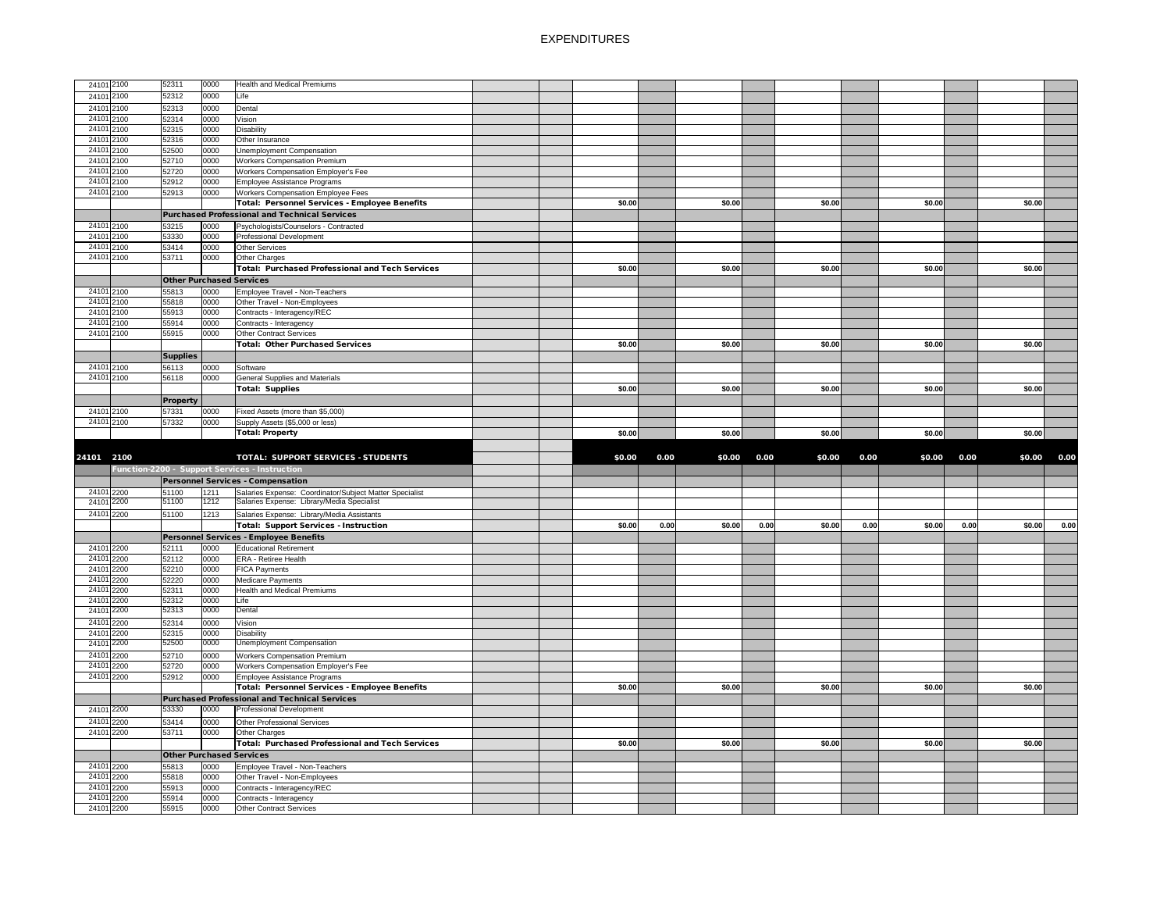| 24101 2100 | 52311                           | 0000 | <b>Health and Medical Premiums</b>                      |  |        |      |        |      |        |      |        |      |        |      |
|------------|---------------------------------|------|---------------------------------------------------------|--|--------|------|--------|------|--------|------|--------|------|--------|------|
| 24101 2100 | 52312                           | 0000 | Life                                                    |  |        |      |        |      |        |      |        |      |        |      |
| 24101 2100 | 52313                           | 0000 | Dental                                                  |  |        |      |        |      |        |      |        |      |        |      |
| 24101 2100 |                                 |      |                                                         |  |        |      |        |      |        |      |        |      |        |      |
|            | 52314                           | 0000 | Vision                                                  |  |        |      |        |      |        |      |        |      |        |      |
| 24101 2100 | 52315                           | 0000 | Disability                                              |  |        |      |        |      |        |      |        |      |        |      |
| 24101 2100 | 52316                           | 0000 | Other Insurance                                         |  |        |      |        |      |        |      |        |      |        |      |
| 24101 2100 | 52500                           | 0000 | Unemployment Compensation                               |  |        |      |        |      |        |      |        |      |        |      |
| 24101 2100 | 52710                           | 0000 | <b>Workers Compensation Premium</b>                     |  |        |      |        |      |        |      |        |      |        |      |
| 24101 2100 | 52720                           | 0000 | <b>Workers Compensation Employer's Fee</b>              |  |        |      |        |      |        |      |        |      |        |      |
| 24101 2100 | 52912                           | 0000 | Employee Assistance Programs                            |  |        |      |        |      |        |      |        |      |        |      |
| 24101 2100 | 52913                           | 0000 | <b>Workers Compensation Employee Fees</b>               |  |        |      |        |      |        |      |        |      |        |      |
|            |                                 |      | Total: Personnel Services - Employee Benefits           |  | \$0.00 |      | \$0.00 |      | \$0.00 |      | \$0.00 |      | \$0.00 |      |
|            |                                 |      | <b>Purchased Professional and Technical Services</b>    |  |        |      |        |      |        |      |        |      |        |      |
| 24101 2100 | 53215                           | 0000 |                                                         |  |        |      |        |      |        |      |        |      |        |      |
|            |                                 |      | Psychologists/Counselors - Contracted                   |  |        |      |        |      |        |      |        |      |        |      |
| 24101 2100 | 53330                           | 0000 | Professional Development                                |  |        |      |        |      |        |      |        |      |        |      |
| 24101 2100 | 53414                           | 0000 | Other Services                                          |  |        |      |        |      |        |      |        |      |        |      |
| 24101 2100 | 53711                           | 0000 | Other Charges                                           |  |        |      |        |      |        |      |        |      |        |      |
|            |                                 |      | Total: Purchased Professional and Tech Services         |  | \$0.00 |      | \$0.00 |      | \$0.00 |      | \$0.00 |      | \$0.00 |      |
|            | <b>Other Purchased Services</b> |      |                                                         |  |        |      |        |      |        |      |        |      |        |      |
| 24101 2100 | 55813                           | 0000 | Employee Travel - Non-Teachers                          |  |        |      |        |      |        |      |        |      |        |      |
| 24101 2100 | 55818                           | 0000 | Other Travel - Non-Employees                            |  |        |      |        |      |        |      |        |      |        |      |
| 24101 2100 | 55913                           | 0000 | Contracts - Interagency/REC                             |  |        |      |        |      |        |      |        |      |        |      |
| 24101 2100 | 55914                           | 0000 | Contracts - Interagency                                 |  |        |      |        |      |        |      |        |      |        |      |
| 24101 2100 | 55915                           | 0000 | <b>Other Contract Services</b>                          |  |        |      |        |      |        |      |        |      |        |      |
|            |                                 |      |                                                         |  |        |      |        |      |        |      |        |      |        |      |
|            |                                 |      | <b>Total: Other Purchased Services</b>                  |  | \$0.00 |      | \$0.00 |      | \$0.00 |      | \$0.00 |      | \$0.00 |      |
|            | <b>Supplies</b>                 |      |                                                         |  |        |      |        |      |        |      |        |      |        |      |
| 24101 2100 | 56113                           | 0000 | Software                                                |  |        |      |        |      |        |      |        |      |        |      |
| 24101 2100 | 56118                           | 0000 | <b>General Supplies and Materials</b>                   |  |        |      |        |      |        |      |        |      |        |      |
|            |                                 |      | Total: Supplies                                         |  | \$0.00 |      | \$0.00 |      | \$0.00 |      | \$0.00 |      | \$0.00 |      |
|            | <b>Property</b>                 |      |                                                         |  |        |      |        |      |        |      |        |      |        |      |
| 24101 2100 | 57331                           | 0000 | Fixed Assets (more than \$5,000)                        |  |        |      |        |      |        |      |        |      |        |      |
| 24101 2100 | 57332                           |      |                                                         |  |        |      |        |      |        |      |        |      |        |      |
|            |                                 | 0000 | Supply Assets (\$5,000 or less)                         |  |        |      |        |      |        |      |        |      |        |      |
|            |                                 |      | <b>Total: Property</b>                                  |  | \$0.00 |      | \$0.00 |      | \$0.00 |      | \$0.00 |      | \$0.00 |      |
|            |                                 |      |                                                         |  |        |      |        |      |        |      |        |      |        |      |
|            |                                 |      |                                                         |  |        |      |        |      |        |      |        |      |        |      |
| 24101 2100 |                                 |      |                                                         |  | \$0.00 |      | \$0.00 |      | \$0.00 | 0.00 | \$0.00 |      | \$0.00 |      |
|            |                                 |      | TOTAL: SUPPORT SERVICES - STUDENTS                      |  |        | 0.00 |        | 0.00 |        |      |        | 0.00 |        | 0.00 |
|            |                                 |      | Function-2200 - Support Services - Instruction          |  |        |      |        |      |        |      |        |      |        |      |
|            |                                 |      | Personnel Services - Compensation                       |  |        |      |        |      |        |      |        |      |        |      |
| 24101 2200 | 51100                           | 1211 | Salaries Expense: Coordinator/Subject Matter Specialist |  |        |      |        |      |        |      |        |      |        |      |
| 24101 2200 | 51100                           | 1212 | Salaries Expense: Library/Media Specialist              |  |        |      |        |      |        |      |        |      |        |      |
| 24101 2200 | 51100                           | 1213 | Salaries Expense: Library/Media Assistants              |  |        |      |        |      |        |      |        |      |        |      |
|            |                                 |      | Total: Support Services - Instruction                   |  | \$0.00 | 0.00 | \$0.00 | 0.00 | \$0.00 | 0.00 | \$0.00 | 0.00 | \$0.00 | 0.00 |
|            |                                 |      |                                                         |  |        |      |        |      |        |      |        |      |        |      |
|            |                                 |      | Personnel Services - Employee Benefits                  |  |        |      |        |      |        |      |        |      |        |      |
| 24101 2200 | 52111                           | 0000 | <b>Educational Retirement</b>                           |  |        |      |        |      |        |      |        |      |        |      |
| 24101 2200 | 52112                           | 0000 | <b>ERA - Retiree Health</b>                             |  |        |      |        |      |        |      |        |      |        |      |
| 24101 2200 | 52210                           | 0000 | <b>FICA Payments</b>                                    |  |        |      |        |      |        |      |        |      |        |      |
| 24101 2200 | 52220                           | 0000 | Medicare Payments                                       |  |        |      |        |      |        |      |        |      |        |      |
| 24101 2200 | 52311                           | 0000 | <b>Health and Medical Premiums</b>                      |  |        |      |        |      |        |      |        |      |        |      |
| 24101 2200 | 52312                           | 0000 | Life                                                    |  |        |      |        |      |        |      |        |      |        |      |
| 24101 2200 | 52313                           | 0000 | Dental                                                  |  |        |      |        |      |        |      |        |      |        |      |
| 24101 2200 | 52314                           | 0000 | Vision                                                  |  |        |      |        |      |        |      |        |      |        |      |
| 24101 2200 | 52315                           | 0000 | <b>Disability</b>                                       |  |        |      |        |      |        |      |        |      |        |      |
| 24101 2200 | 52500                           | 0000 | <b>Unemployment Compensation</b>                        |  |        |      |        |      |        |      |        |      |        |      |
|            |                                 |      |                                                         |  |        |      |        |      |        |      |        |      |        |      |
| 24101 2200 | 52710                           | 0000 | <b>Workers Compensation Premium</b>                     |  |        |      |        |      |        |      |        |      |        |      |
| 24101 2200 | 52720                           | 0000 | <b>Workers Compensation Employer's Fee</b>              |  |        |      |        |      |        |      |        |      |        |      |
| 24101 2200 | 52912                           | 0000 | Employee Assistance Programs                            |  |        |      |        |      |        |      |        |      |        |      |
|            |                                 |      | Total: Personnel Services - Employee Benefits           |  | \$0.00 |      | \$0.00 |      | \$0.00 |      | \$0.00 |      | \$0.00 |      |
|            |                                 |      | Purchased Professional and Technical Services           |  |        |      |        |      |        |      |        |      |        |      |
| 24101 2200 | 53330                           | 0000 | <b>Professional Development</b>                         |  |        |      |        |      |        |      |        |      |        |      |
|            |                                 |      |                                                         |  |        |      |        |      |        |      |        |      |        |      |
| 24101 2200 | 53414                           | 0000 | Other Professional Services                             |  |        |      |        |      |        |      |        |      |        |      |
| 24101 2200 | 53711                           | 0000 | <b>Other Charges</b>                                    |  |        |      |        |      |        |      |        |      |        |      |
|            |                                 |      | Total: Purchased Professional and Tech Services         |  | \$0.00 |      | \$0.00 |      | \$0.00 |      | \$0.00 |      | \$0.00 |      |
|            | <b>Other Purchased Services</b> |      |                                                         |  |        |      |        |      |        |      |        |      |        |      |
| 24101 2200 | 55813                           | 0000 | Employee Travel - Non-Teachers                          |  |        |      |        |      |        |      |        |      |        |      |
| 24101 2200 | 55818                           | 0000 | Other Travel - Non-Employees                            |  |        |      |        |      |        |      |        |      |        |      |
| 24101 2200 | 55913                           | 0000 | Contracts - Interagency/REC                             |  |        |      |        |      |        |      |        |      |        |      |
| 24101 2200 | 55914                           | 0000 | Contracts - Interagency                                 |  |        |      |        |      |        |      |        |      |        |      |
| 24101 2200 | 55915                           | 0000 | <b>Other Contract Services</b>                          |  |        |      |        |      |        |      |        |      |        |      |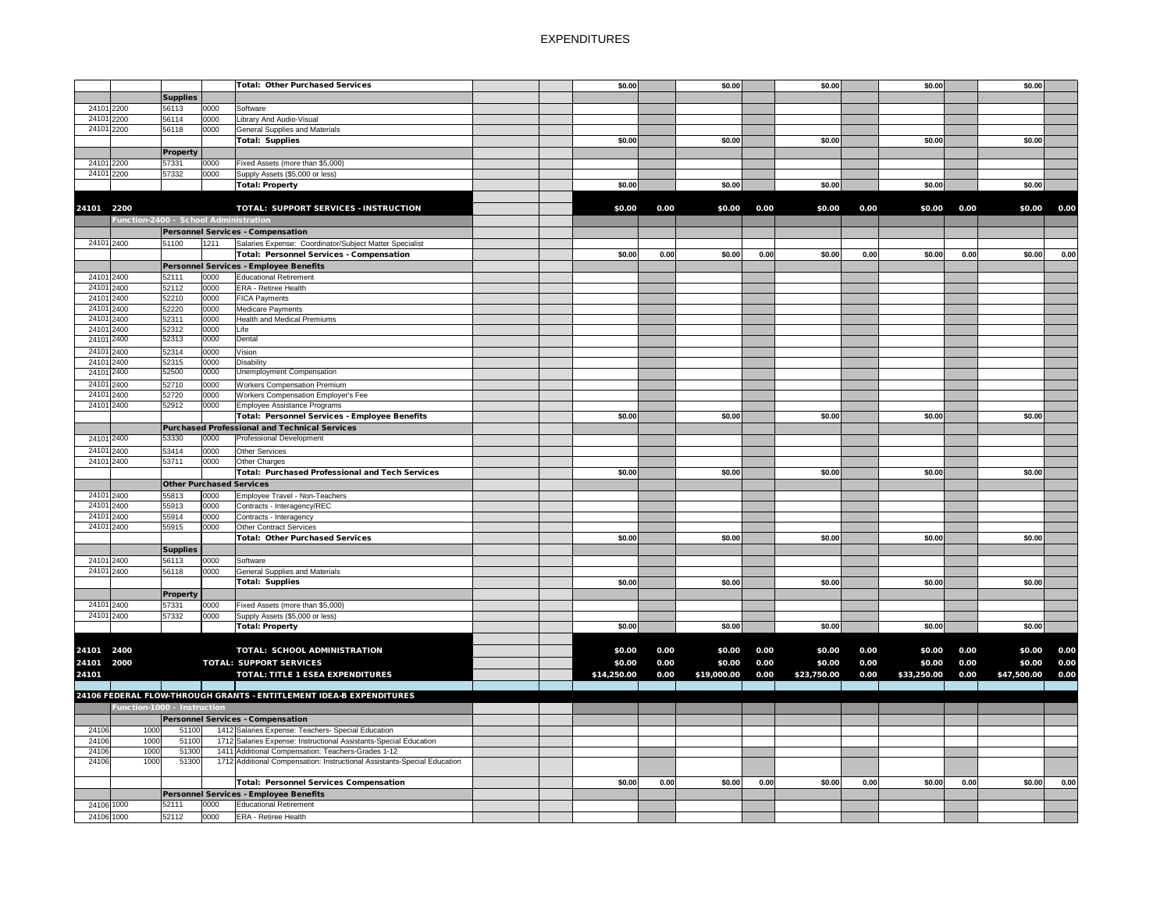|            |                                       |                                 |      | Total: Other Purchased Services                                          | \$0.00      |      | \$0.00      |      | \$0.00      |      | \$0.00      |      | \$0.00      |      |
|------------|---------------------------------------|---------------------------------|------|--------------------------------------------------------------------------|-------------|------|-------------|------|-------------|------|-------------|------|-------------|------|
|            |                                       | <b>Supplies</b>                 |      |                                                                          |             |      |             |      |             |      |             |      |             |      |
| 24101 2200 |                                       | 56113                           | 0000 | Software                                                                 |             |      |             |      |             |      |             |      |             |      |
| 24101 2200 |                                       | 56114                           | 0000 | Library And Audio-Visual                                                 |             |      |             |      |             |      |             |      |             |      |
| 24101 2200 |                                       | 56118                           | 0000 | <b>General Supplies and Materials</b>                                    |             |      |             |      |             |      |             |      |             |      |
|            |                                       |                                 |      | Total: Supplies                                                          | \$0.00      |      | \$0.00      |      | \$0.00      |      | \$0.00      |      | \$0.00      |      |
|            |                                       | <b>Property</b>                 |      |                                                                          |             |      |             |      |             |      |             |      |             |      |
| 24101 2200 |                                       | 57331                           | 0000 | Fixed Assets (more than \$5,000)                                         |             |      |             |      |             |      |             |      |             |      |
| 24101 2200 |                                       | 57332                           | 0000 | Supply Assets (\$5,000 or less)                                          |             |      |             |      |             |      |             |      |             |      |
|            |                                       |                                 |      | Total: Property                                                          | \$0.00      |      | \$0.00      |      | \$0.00      |      | \$0.00      |      | \$0.00      |      |
|            |                                       |                                 |      |                                                                          |             |      |             |      |             |      |             |      |             |      |
|            |                                       |                                 |      | TOTAL: SUPPORT SERVICES - INSTRUCTION                                    |             |      |             |      |             |      |             |      |             |      |
| 24101 2200 |                                       |                                 |      |                                                                          | \$0.00      | 0.00 | \$0.00      | 0.00 | \$0.00      | 0.00 | \$0.00      | 0.00 | \$0.00      | 0.00 |
|            | Function-2400 - School Administration |                                 |      |                                                                          |             |      |             |      |             |      |             |      |             |      |
|            |                                       |                                 |      | <b>Personnel Services - Compensation</b>                                 |             |      |             |      |             |      |             |      |             |      |
| 24101 2400 |                                       | 51100                           | 1211 | Salaries Expense: Coordinator/Subject Matter Specialist                  |             |      |             |      |             |      |             |      |             |      |
|            |                                       |                                 |      | Total: Personnel Services - Compensation                                 | \$0.00      | 0.00 | \$0.00      | 0.00 | \$0.00      | 0.00 | \$0.00      | 0.00 | \$0.00      | 0.00 |
|            |                                       |                                 |      | Personnel Services - Employee Benefits                                   |             |      |             |      |             |      |             |      |             |      |
| 24101 2400 |                                       | 52111                           | 0000 | <b>Educational Retirement</b>                                            |             |      |             |      |             |      |             |      |             |      |
| 24101 2400 |                                       | 52112                           | 0000 | <b>ERA - Retiree Health</b>                                              |             |      |             |      |             |      |             |      |             |      |
| 24101 2400 |                                       | 52210                           | 0000 | <b>FICA Payments</b>                                                     |             |      |             |      |             |      |             |      |             |      |
| 24101 2400 |                                       | 52220                           | 0000 | Medicare Payments                                                        |             |      |             |      |             |      |             |      |             |      |
| 24101 2400 |                                       | 52311                           | 0000 | <b>Health and Medical Premiums</b>                                       |             |      |             |      |             |      |             |      |             |      |
| 24101 2400 |                                       | 52312                           | 0000 | Life                                                                     |             |      |             |      |             |      |             |      |             |      |
| 24101 2400 |                                       | 52313                           | 0000 | Dental                                                                   |             |      |             |      |             |      |             |      |             |      |
| 24101 2400 |                                       | 52314                           | 0000 | Vision                                                                   |             |      |             |      |             |      |             |      |             |      |
| 24101 2400 |                                       | 52315                           | 0000 | <b>Disability</b>                                                        |             |      |             |      |             |      |             |      |             |      |
| 24101 2400 |                                       | 52500                           | 0000 | <b>Unemployment Compensation</b>                                         |             |      |             |      |             |      |             |      |             |      |
| 24101 2400 |                                       | 52710                           | 0000 | <b>Workers Compensation Premium</b>                                      |             |      |             |      |             |      |             |      |             |      |
| 24101 2400 |                                       | 52720                           | 0000 | <b>Workers Compensation Employer's Fee</b>                               |             |      |             |      |             |      |             |      |             |      |
| 24101 2400 |                                       | 52912                           | 0000 | Employee Assistance Programs                                             |             |      |             |      |             |      |             |      |             |      |
|            |                                       |                                 |      | Total: Personnel Services - Employee Benefits                            | \$0.00      |      | \$0.00      |      | \$0.00      |      | \$0.00      |      | \$0.00      |      |
|            |                                       |                                 |      | Purchased Professional and Technical Services                            |             |      |             |      |             |      |             |      |             |      |
| 24101 2400 |                                       | 53330                           | 0000 | <b>Professional Development</b>                                          |             |      |             |      |             |      |             |      |             |      |
| 24101 2400 |                                       | 53414                           | 0000 | <b>Other Services</b>                                                    |             |      |             |      |             |      |             |      |             |      |
| 24101 2400 |                                       | 53711                           | 0000 | Other Charges                                                            |             |      |             |      |             |      |             |      |             |      |
|            |                                       |                                 |      | Total: Purchased Professional and Tech Services                          | \$0.00      |      | \$0.00      |      | \$0.00      |      | \$0.00      |      | \$0.00      |      |
|            |                                       | <b>Other Purchased Services</b> |      |                                                                          |             |      |             |      |             |      |             |      |             |      |
| 24101 2400 |                                       | 55813                           | 0000 | Employee Travel - Non-Teachers                                           |             |      |             |      |             |      |             |      |             |      |
| 24101 2400 |                                       | 55913                           | 0000 | Contracts - Interagency/REC                                              |             |      |             |      |             |      |             |      |             |      |
| 24101 2400 |                                       | 55914                           | 0000 | Contracts - Interagency                                                  |             |      |             |      |             |      |             |      |             |      |
| 24101 2400 |                                       | 55915                           | 0000 | <b>Other Contract Services</b>                                           |             |      |             |      |             |      |             |      |             |      |
|            |                                       |                                 |      | Total: Other Purchased Services                                          | \$0.00      |      | \$0.00      |      | \$0.00      |      | \$0.00      |      | \$0.00      |      |
|            |                                       | <b>Supplies</b>                 |      |                                                                          |             |      |             |      |             |      |             |      |             |      |
| 24101 2400 |                                       | 56113                           | 0000 | Software                                                                 |             |      |             |      |             |      |             |      |             |      |
| 24101 2400 |                                       | 56118                           | 0000 | <b>General Supplies and Materials</b>                                    |             |      |             |      |             |      |             |      |             |      |
|            |                                       |                                 |      | Total: Supplies                                                          | \$0.00      |      | \$0.00      |      | \$0.00      |      | \$0.00      |      | \$0.00      |      |
|            |                                       | <b>Property</b>                 |      |                                                                          |             |      |             |      |             |      |             |      |             |      |
| 24101 2400 |                                       | 57331                           | 0000 | Fixed Assets (more than \$5,000)                                         |             |      |             |      |             |      |             |      |             |      |
| 24101 2400 |                                       | 57332                           | 0000 | Supply Assets (\$5,000 or less)                                          |             |      |             |      |             |      |             |      |             |      |
|            |                                       |                                 |      | Total: Property                                                          | \$0.00      |      | \$0.00      |      | \$0.00      |      | \$0.00      |      | \$0.00      |      |
|            |                                       |                                 |      |                                                                          |             |      |             |      |             |      |             |      |             |      |
| 24101 2400 |                                       |                                 |      | <b>TOTAL: SCHOOL ADMINISTRATION</b>                                      | \$0.00      | 0.00 | \$0.00      | 0.00 | \$0.00      | 0.00 | \$0.00      | 0.00 | \$0.00      | 0.00 |
|            |                                       |                                 |      |                                                                          |             |      |             |      |             |      |             |      |             |      |
| 24101      | 2000                                  |                                 |      | <b>TOTAL: SUPPORT SERVICES</b>                                           | \$0.00      | 0.00 | \$0.00      | 0.00 | \$0.00      | 0.00 | \$0.00      | 0.00 | \$0.00      | 0.00 |
| 24101      |                                       |                                 |      | <b>TOTAL: TITLE 1 ESEA EXPENDITURES</b>                                  | \$14,250.00 | 0.00 | \$19,000.00 | 0.00 | \$23,750.00 | 0.00 | \$33,250.00 | 0.00 | \$47,500.00 | 0.00 |
|            |                                       |                                 |      |                                                                          |             |      |             |      |             |      |             |      |             |      |
|            |                                       |                                 |      | 24106 FEDERAL FLOW-THROUGH GRANTS - ENTITLEMENT IDEA-B EXPENDITURES      |             |      |             |      |             |      |             |      |             |      |
|            | Function-1000 - Instruction           |                                 |      |                                                                          |             |      |             |      |             |      |             |      |             |      |
|            |                                       |                                 |      | <b>Personnel Services - Compensation</b>                                 |             |      |             |      |             |      |             |      |             |      |
| 24106      | 1000                                  | 51100                           |      | 1412 Salaries Expense: Teachers- Special Education                       |             |      |             |      |             |      |             |      |             |      |
| 24106      | 1000                                  | 51100                           |      | 1712 Salaries Expense: Instructional Assistants-Special Education        |             |      |             |      |             |      |             |      |             |      |
| 24106      | 1000                                  | 51300                           |      | 1411 Additional Compensation: Teachers-Grades 1-12                       |             |      |             |      |             |      |             |      |             |      |
| 24106      | 1000                                  | 51300                           |      | 1712 Additional Compensation: Instructional Assistants-Special Education |             |      |             |      |             |      |             |      |             |      |
|            |                                       |                                 |      |                                                                          |             |      |             |      |             |      |             |      |             |      |
|            |                                       |                                 |      | <b>Total: Personnel Services Compensation</b>                            | \$0.00      | 0.00 | \$0.00      | 0.00 | \$0.00      | 0.00 | \$0.00      | 0.00 | \$0.00      | 0.00 |
|            |                                       |                                 |      | Personnel Services - Employee Benefits                                   |             |      |             |      |             |      |             |      |             |      |
| 24106 1000 |                                       | 52111                           | 0000 | <b>Educational Retirement</b>                                            |             |      |             |      |             |      |             |      |             |      |
| 24106 1000 |                                       | 52112                           | 0000 | <b>ERA - Retiree Health</b>                                              |             |      |             |      |             |      |             |      |             |      |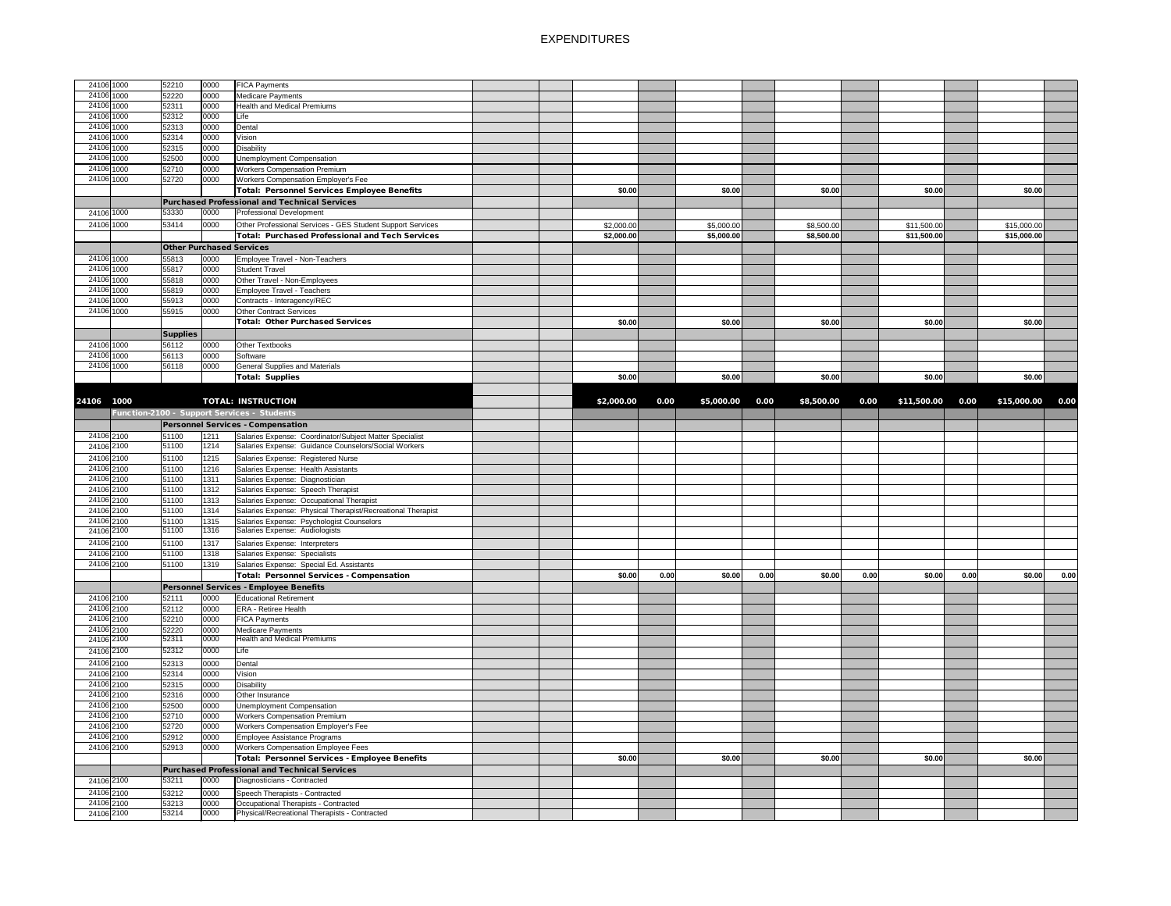| 24106 1000 | 52210           | 0000 | <b>FICA Payments</b>                                        |  |            |      |            |      |            |      |             |      |             |      |
|------------|-----------------|------|-------------------------------------------------------------|--|------------|------|------------|------|------------|------|-------------|------|-------------|------|
|            |                 |      |                                                             |  |            |      |            |      |            |      |             |      |             |      |
| 24106 1000 | 52220           | 0000 | Medicare Payments                                           |  |            |      |            |      |            |      |             |      |             |      |
| 24106 1000 | 52311           | 0000 | <b>Health and Medical Premiums</b>                          |  |            |      |            |      |            |      |             |      |             |      |
| 24106 1000 | 52312           | 0000 | Life                                                        |  |            |      |            |      |            |      |             |      |             |      |
| 24106 1000 | 52313           | 0000 | Dental                                                      |  |            |      |            |      |            |      |             |      |             |      |
| 24106 1000 | 52314           | 0000 | Vision                                                      |  |            |      |            |      |            |      |             |      |             |      |
| 24106 1000 | 52315           | 0000 | <b>Disability</b>                                           |  |            |      |            |      |            |      |             |      |             |      |
| 24106 1000 | 52500           | 0000 | <b>Unemployment Compensation</b>                            |  |            |      |            |      |            |      |             |      |             |      |
| 24106 1000 | 52710           | 0000 | <b>Workers Compensation Premium</b>                         |  |            |      |            |      |            |      |             |      |             |      |
| 24106 1000 |                 |      |                                                             |  |            |      |            |      |            |      |             |      |             |      |
|            | 52720           | 0000 | Workers Compensation Employer's Fee                         |  |            |      |            |      |            |      |             |      |             |      |
|            |                 |      | <b>Total: Personnel Services Employee Benefits</b>          |  | \$0.00     |      | \$0.00     |      | \$0.00     |      | \$0.00      |      | \$0.00      |      |
|            |                 |      | <b>Purchased Professional and Technical Services</b>        |  |            |      |            |      |            |      |             |      |             |      |
| 24106 1000 | 53330           | 0000 | <b>Professional Development</b>                             |  |            |      |            |      |            |      |             |      |             |      |
| 24106 1000 | 53414           | 0000 | Other Professional Services - GES Student Support Services  |  | \$2,000.00 |      | \$5,000.00 |      | \$8,500.00 |      | \$11,500.00 |      | \$15,000.00 |      |
|            |                 |      | <b>Total: Purchased Professional and Tech Services</b>      |  |            |      |            |      |            |      |             |      |             |      |
|            |                 |      |                                                             |  | \$2,000.00 |      | \$5,000.00 |      | \$8,500.00 |      | \$11,500.00 |      | \$15,000.00 |      |
|            |                 |      | <b>Other Purchased Services</b>                             |  |            |      |            |      |            |      |             |      |             |      |
| 24106 1000 | 55813           | 0000 | Employee Travel - Non-Teachers                              |  |            |      |            |      |            |      |             |      |             |      |
| 24106 1000 | 55817           | 0000 | <b>Student Travel</b>                                       |  |            |      |            |      |            |      |             |      |             |      |
| 24106 1000 | 55818           | 0000 | Other Travel - Non-Employees                                |  |            |      |            |      |            |      |             |      |             |      |
| 24106 1000 | 55819           | 0000 | Employee Travel - Teachers                                  |  |            |      |            |      |            |      |             |      |             |      |
| 24106 1000 | 55913           | 0000 | Contracts - Interagency/REC                                 |  |            |      |            |      |            |      |             |      |             |      |
| 24106 1000 | 55915           | 0000 | <b>Other Contract Services</b>                              |  |            |      |            |      |            |      |             |      |             |      |
|            |                 |      |                                                             |  |            |      |            |      |            |      |             |      |             |      |
|            |                 |      | <b>Total: Other Purchased Services</b>                      |  | \$0.00     |      | \$0.00     |      | \$0.00     |      | \$0.00      |      | \$0.00      |      |
|            | <b>Supplies</b> |      |                                                             |  |            |      |            |      |            |      |             |      |             |      |
| 24106 1000 | 56112           | 0000 | <b>Other Textbooks</b>                                      |  |            |      |            |      |            |      |             |      |             |      |
| 24106 1000 | 56113           | 0000 | Software                                                    |  |            |      |            |      |            |      |             |      |             |      |
| 24106 1000 | 56118           | 0000 | <b>General Supplies and Materials</b>                       |  |            |      |            |      |            |      |             |      |             |      |
|            |                 |      | <b>Total: Supplies</b>                                      |  | \$0.00]    |      | \$0.00     |      | \$0.00     |      | \$0.00      |      | \$0.00      |      |
|            |                 |      |                                                             |  |            |      |            |      |            |      |             |      |             |      |
|            |                 |      |                                                             |  |            |      |            |      |            |      |             |      |             |      |
| 24106 1000 |                 |      | <b>TOTAL: INSTRUCTION</b>                                   |  | \$2,000.00 | 0.00 | \$5,000.00 | 0.00 | \$8,500.00 | 0.00 | \$11,500.00 | 0.00 | \$15,000.00 | 0.00 |
|            |                 |      | Function-2100 - Support Services - Students                 |  |            |      |            |      |            |      |             |      |             |      |
|            |                 |      | <b>Personnel Services - Compensation</b>                    |  |            |      |            |      |            |      |             |      |             |      |
| 24106 2100 | 51100           | 1211 | Salaries Expense: Coordinator/Subject Matter Specialist     |  |            |      |            |      |            |      |             |      |             |      |
| 24106 2100 | 51100           |      | 1214 Salaries Expense: Guidance Counselors/Social Workers   |  |            |      |            |      |            |      |             |      |             |      |
|            |                 |      |                                                             |  |            |      |            |      |            |      |             |      |             |      |
| 24106 2100 | 51100           | 1215 | Salaries Expense: Registered Nurse                          |  |            |      |            |      |            |      |             |      |             |      |
| 24106 2100 | 51100           | 1216 | Salaries Expense: Health Assistants                         |  |            |      |            |      |            |      |             |      |             |      |
| 24106 2100 | 51100           | 1311 | Salaries Expense: Diagnostician                             |  |            |      |            |      |            |      |             |      |             |      |
| 24106 2100 | 51100           | 1312 | Salaries Expense: Speech Therapist                          |  |            |      |            |      |            |      |             |      |             |      |
| 24106 2100 | 51100           | 1313 | Salaries Expense: Occupational Therapist                    |  |            |      |            |      |            |      |             |      |             |      |
| 24106 2100 | 51100           | 1314 | Salaries Expense: Physical Therapist/Recreational Therapist |  |            |      |            |      |            |      |             |      |             |      |
| 24106 2100 | 51100           | 1315 | Salaries Expense: Psychologist Counselors                   |  |            |      |            |      |            |      |             |      |             |      |
| 24106 2100 | 51100           | 1316 | Salaries Expense: Audiologists                              |  |            |      |            |      |            |      |             |      |             |      |
|            |                 |      |                                                             |  |            |      |            |      |            |      |             |      |             |      |
| 24106 2100 | 51100           | 1317 | Salaries Expense: Interpreters                              |  |            |      |            |      |            |      |             |      |             |      |
| 24106 2100 | 51100           | 1318 | Salaries Expense: Specialists                               |  |            |      |            |      |            |      |             |      |             |      |
| 24106 2100 | 51100           | 1319 | Salaries Expense: Special Ed. Assistants                    |  |            |      |            |      |            |      |             |      |             |      |
|            |                 |      | <b>Total: Personnel Services - Compensation</b>             |  | \$0.00     | 0.00 | \$0.00     | 0.00 | \$0.00     | 0.00 | \$0.00      | 0.00 | \$0.00      | 0.00 |
|            |                 |      | Personnel Services - Employee Benefits                      |  |            |      |            |      |            |      |             |      |             |      |
| 24106 2100 | 52111           | 0000 | <b>Educational Retirement</b>                               |  |            |      |            |      |            |      |             |      |             |      |
| 24106 2100 | 52112           | 0000 | <b>ERA - Retiree Health</b>                                 |  |            |      |            |      |            |      |             |      |             |      |
| 24106 2100 |                 |      |                                                             |  |            |      |            |      |            |      |             |      |             |      |
|            | 52210           | 0000 | <b>FICA Payments</b>                                        |  |            |      |            |      |            |      |             |      |             |      |
| 24106 2100 | 52220           | 0000 | <b>Medicare Payments</b>                                    |  |            |      |            |      |            |      |             |      |             |      |
| 24106 2100 | 52311           | 0000 | <b>Health and Medical Premiums</b>                          |  |            |      |            |      |            |      |             |      |             |      |
| 24106 2100 | 52312           | 0000 | Life                                                        |  |            |      |            |      |            |      |             |      |             |      |
| 24106 2100 | 52313           | 0000 | Dental                                                      |  |            |      |            |      |            |      |             |      |             |      |
| 24106 2100 | 52314           | 0000 | Vision                                                      |  |            |      |            |      |            |      |             |      |             |      |
| 24106 2100 | 52315           | 0000 | <b>Disability</b>                                           |  |            |      |            |      |            |      |             |      |             |      |
| 24106 2100 | 52316           | 0000 | Other Insurance                                             |  |            |      |            |      |            |      |             |      |             |      |
|            |                 |      |                                                             |  |            |      |            |      |            |      |             |      |             |      |
| 24106 2100 | 52500           | 0000 | Unemployment Compensation                                   |  |            |      |            |      |            |      |             |      |             |      |
| 24106 2100 | 52710           | 0000 | <b>Workers Compensation Premium</b>                         |  |            |      |            |      |            |      |             |      |             |      |
| 24106 2100 | 52720           | 0000 | <b>Workers Compensation Employer's Fee</b>                  |  |            |      |            |      |            |      |             |      |             |      |
| 24106 2100 | 52912           | 0000 | Employee Assistance Programs                                |  |            |      |            |      |            |      |             |      |             |      |
| 24106 2100 | 52913           | 0000 | <b>Workers Compensation Employee Fees</b>                   |  |            |      |            |      |            |      |             |      |             |      |
|            |                 |      | <b>Total: Personnel Services - Employee Benefits</b>        |  | \$0.00     |      | \$0.00     |      | \$0.00     |      | \$0.00      |      | \$0.00      |      |
|            |                 |      | Purchased Professional and Technical Services               |  |            |      |            |      |            |      |             |      |             |      |
| 24106 2100 | 53211           | 0000 | Diagnosticians - Contracted                                 |  |            |      |            |      |            |      |             |      |             |      |
| 24106 2100 |                 |      |                                                             |  |            |      |            |      |            |      |             |      |             |      |
|            | 53212           | 0000 | Speech Therapists - Contracted                              |  |            |      |            |      |            |      |             |      |             |      |
| 24106 2100 | 53213           | 0000 | Occupational Therapists - Contracted                        |  |            |      |            |      |            |      |             |      |             |      |
| 24106 2100 | 53214           | 0000 | Physical/Recreational Therapists - Contracted               |  |            |      |            |      |            |      |             |      |             |      |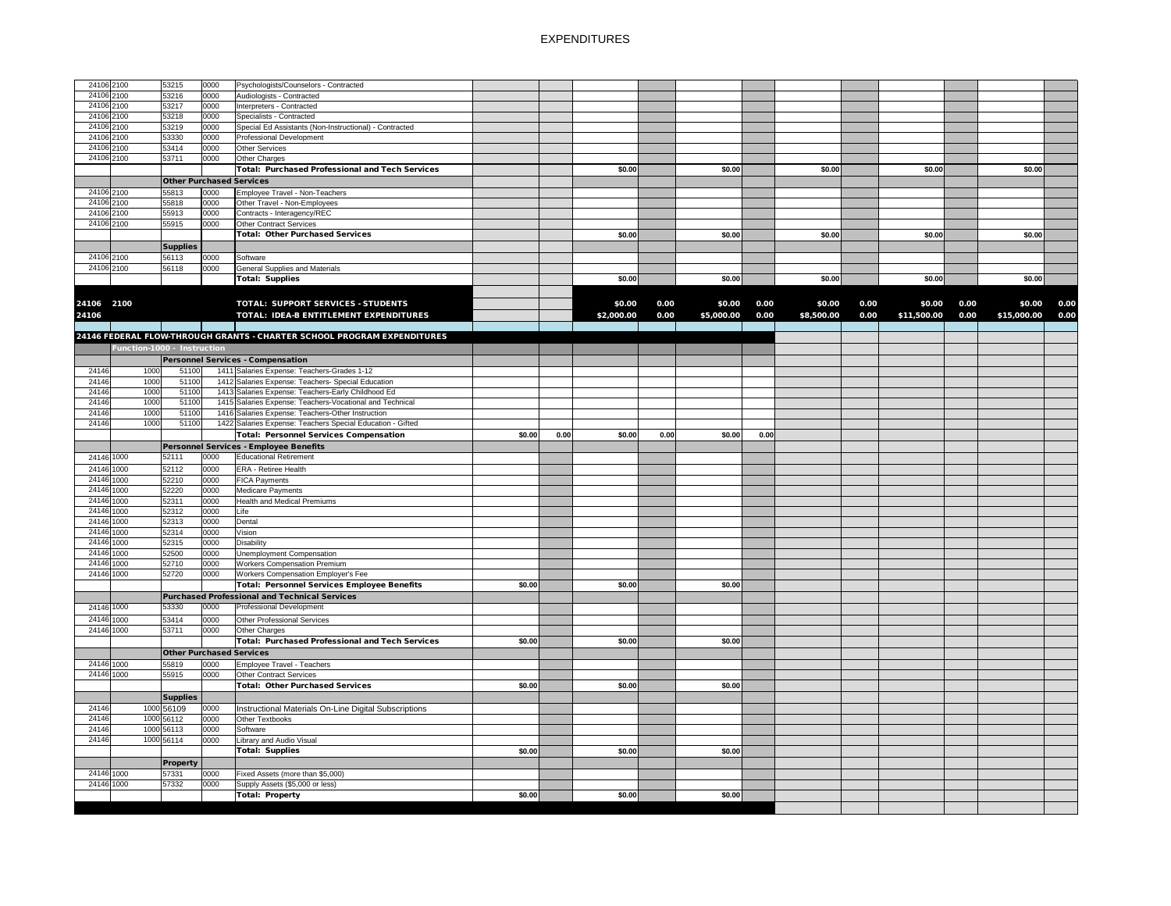| 24106 2100 |      | 53215                           | 0000 | Psychologists/Counselors - Contracted                                   |        |      |            |      |            |      |            |      |             |      |             |      |
|------------|------|---------------------------------|------|-------------------------------------------------------------------------|--------|------|------------|------|------------|------|------------|------|-------------|------|-------------|------|
| 24106 2100 |      | 53216                           | 0000 | Audiologists - Contracted                                               |        |      |            |      |            |      |            |      |             |      |             |      |
| 24106 2100 |      | 53217                           | 0000 | Interpreters - Contracted                                               |        |      |            |      |            |      |            |      |             |      |             |      |
| 24106 2100 |      | 53218                           | 0000 | Specialists - Contracted                                                |        |      |            |      |            |      |            |      |             |      |             |      |
| 24106 2100 |      | 53219                           | 0000 | Special Ed Assistants (Non-Instructional) - Contracted                  |        |      |            |      |            |      |            |      |             |      |             |      |
| 24106 2100 |      | 53330                           | 0000 | Professional Development                                                |        |      |            |      |            |      |            |      |             |      |             |      |
| 24106 2100 |      | 53414                           | 0000 | Other Services                                                          |        |      |            |      |            |      |            |      |             |      |             |      |
| 24106 2100 |      | 53711                           | 0000 | Other Charges                                                           |        |      |            |      |            |      |            |      |             |      |             |      |
|            |      |                                 |      | Total: Purchased Professional and Tech Services                         |        |      | \$0.00     |      | \$0.00     |      | \$0.00     |      | \$0.00      |      | \$0.00      |      |
|            |      |                                 |      |                                                                         |        |      |            |      |            |      |            |      |             |      |             |      |
|            |      | <b>Other Purchased Services</b> |      |                                                                         |        |      |            |      |            |      |            |      |             |      |             |      |
| 24106 2100 |      | 55813                           | 0000 | Employee Travel - Non-Teachers                                          |        |      |            |      |            |      |            |      |             |      |             |      |
| 24106 2100 |      | 55818                           | 0000 | Other Travel - Non-Employees                                            |        |      |            |      |            |      |            |      |             |      |             |      |
| 24106 2100 |      | 55913                           | 0000 | Contracts - Interagency/REC                                             |        |      |            |      |            |      |            |      |             |      |             |      |
| 24106 2100 |      | 55915                           | 0000 | <b>Other Contract Services</b>                                          |        |      |            |      |            |      |            |      |             |      |             |      |
|            |      |                                 |      | <b>Total: Other Purchased Services</b>                                  |        |      | \$0.00     |      | \$0.00     |      | \$0.00     |      | \$0.00      |      | \$0.00      |      |
|            |      | <b>Supplies</b>                 |      |                                                                         |        |      |            |      |            |      |            |      |             |      |             |      |
| 24106 2100 |      | 56113                           | 0000 | Software                                                                |        |      |            |      |            |      |            |      |             |      |             |      |
| 24106 2100 |      | 56118                           | 0000 | <b>General Supplies and Materials</b>                                   |        |      |            |      |            |      |            |      |             |      |             |      |
|            |      |                                 |      | <b>Total: Supplies</b>                                                  |        |      | \$0.00     |      | \$0.00     |      | \$0.00     |      | \$0.00      |      | \$0.00      |      |
|            |      |                                 |      |                                                                         |        |      |            |      |            |      |            |      |             |      |             |      |
|            |      |                                 |      |                                                                         |        |      |            |      |            |      |            |      |             |      |             |      |
| 24106 2100 |      |                                 |      | <b>TOTAL: SUPPORT SERVICES - STUDENTS</b>                               |        |      | \$0.00     | 0.00 | \$0.00     | 0.00 | \$0.00     | 0.00 | \$0.00      | 0.00 | \$0.00      | 0.00 |
| 24106      |      |                                 |      | TOTAL: IDEA-B ENTITLEMENT EXPENDITURES                                  |        |      | \$2,000.00 | 0.00 | \$5,000.00 | 0.00 | \$8,500.00 | 0.00 | \$11,500.00 | 0.00 | \$15,000.00 | 0.00 |
|            |      |                                 |      |                                                                         |        |      |            |      |            |      |            |      |             |      |             |      |
|            |      |                                 |      | 24146 FEDERAL FLOW-THROUGH GRANTS - CHARTER SCHOOL PROGRAM EXPENDITURES |        |      |            |      |            |      |            |      |             |      |             |      |
|            |      | Function-1000 - Instruction     |      |                                                                         |        |      |            |      |            |      |            |      |             |      |             |      |
|            |      |                                 |      | <b>Personnel Services - Compensation</b>                                |        |      |            |      |            |      |            |      |             |      |             |      |
| 24146      | 1000 | 51100                           |      | 1411 Salaries Expense: Teachers-Grades 1-12                             |        |      |            |      |            |      |            |      |             |      |             |      |
| 24146      | 1000 | 51100                           |      | 1412 Salaries Expense: Teachers- Special Education                      |        |      |            |      |            |      |            |      |             |      |             |      |
|            |      |                                 |      |                                                                         |        |      |            |      |            |      |            |      |             |      |             |      |
| 24146      | 1000 | 51100                           |      | 1413 Salaries Expense: Teachers-Early Childhood Ed                      |        |      |            |      |            |      |            |      |             |      |             |      |
| 24146      | 1000 | 51100                           |      | 1415 Salaries Expense: Teachers-Vocational and Technical                |        |      |            |      |            |      |            |      |             |      |             |      |
| 24146      | 1000 | 51100                           |      | 1416 Salaries Expense: Teachers-Other Instruction                       |        |      |            |      |            |      |            |      |             |      |             |      |
| 24146      | 1000 | 51100                           |      | 1422 Salaries Expense: Teachers Special Education - Gifted              |        |      |            |      |            |      |            |      |             |      |             |      |
|            |      |                                 |      | Total: Personnel Services Compensation                                  | \$0.00 | 0.00 | \$0.00     | 0.00 | \$0.00     | 0.00 |            |      |             |      |             |      |
|            |      |                                 |      | Personnel Services - Employee Benefits                                  |        |      |            |      |            |      |            |      |             |      |             |      |
| 24146 1000 |      | 52111                           | 0000 | <b>Educational Retirement</b>                                           |        |      |            |      |            |      |            |      |             |      |             |      |
| 24146 1000 |      | 52112                           | 0000 | <b>ERA - Retiree Health</b>                                             |        |      |            |      |            |      |            |      |             |      |             |      |
| 24146 1000 |      | 52210                           | 0000 | <b>FICA Payments</b>                                                    |        |      |            |      |            |      |            |      |             |      |             |      |
| 24146 1000 |      | 52220                           | 0000 | Medicare Payments                                                       |        |      |            |      |            |      |            |      |             |      |             |      |
| 24146 1000 |      | 52311                           | 0000 | <b>Health and Medical Premiums</b>                                      |        |      |            |      |            |      |            |      |             |      |             |      |
| 24146 1000 |      | 52312                           | 0000 | Life                                                                    |        |      |            |      |            |      |            |      |             |      |             |      |
| 24146 1000 |      | 52313                           | 0000 | Dental                                                                  |        |      |            |      |            |      |            |      |             |      |             |      |
| 24146 1000 |      | 52314                           | 0000 | Vision                                                                  |        |      |            |      |            |      |            |      |             |      |             |      |
| 24146 1000 |      | 52315                           | 0000 | <b>Disability</b>                                                       |        |      |            |      |            |      |            |      |             |      |             |      |
| 24146 1000 |      | 52500                           | 0000 | Unemployment Compensation                                               |        |      |            |      |            |      |            |      |             |      |             |      |
|            |      | 52710                           | 0000 |                                                                         |        |      |            |      |            |      |            |      |             |      |             |      |
| 24146 1000 |      |                                 |      | <b>Workers Compensation Premium</b>                                     |        |      |            |      |            |      |            |      |             |      |             |      |
| 24146 1000 |      | 52720                           | 0000 | <b>Workers Compensation Employer's Fee</b>                              |        |      |            |      |            |      |            |      |             |      |             |      |
|            |      |                                 |      | <b>Total: Personnel Services Employee Benefits</b>                      | \$0.00 |      | \$0.00     |      | \$0.00     |      |            |      |             |      |             |      |
|            |      |                                 |      | Purchased Professional and Technical Services                           |        |      |            |      |            |      |            |      |             |      |             |      |
| 24146 1000 |      | 53330                           | 0000 | <b>Professional Development</b>                                         |        |      |            |      |            |      |            |      |             |      |             |      |
| 24146 1000 |      | 53414                           | 0000 | Other Professional Services                                             |        |      |            |      |            |      |            |      |             |      |             |      |
| 24146 1000 |      | 53711                           | 0000 | Other Charges                                                           |        |      |            |      |            |      |            |      |             |      |             |      |
|            |      |                                 |      | <b>Total: Purchased Professional and Tech Services</b>                  | \$0.00 |      | \$0.00     |      | \$0.00     |      |            |      |             |      |             |      |
|            |      | <b>Other Purchased Services</b> |      |                                                                         |        |      |            |      |            |      |            |      |             |      |             |      |
| 24146 1000 |      |                                 |      |                                                                         |        |      |            |      |            |      |            |      |             |      |             |      |
|            |      | 55819                           | 0000 | Employee Travel - Teachers                                              |        |      |            |      |            |      |            |      |             |      |             |      |
| 24146 1000 |      | 55915                           | 0000 | Other Contract Services                                                 |        |      |            |      |            |      |            |      |             |      |             |      |
|            |      |                                 |      | <b>Total: Other Purchased Services</b>                                  | \$0.00 |      | \$0.00     |      | \$0.00     |      |            |      |             |      |             |      |
|            |      | <b>Supplies</b>                 |      |                                                                         |        |      |            |      |            |      |            |      |             |      |             |      |
| 24146      |      | 1000 56109                      | 0000 | Instructional Materials On-Line Digital Subscriptions                   |        |      |            |      |            |      |            |      |             |      |             |      |
|            |      | 1000 56112                      | 0000 | Other Textbooks                                                         |        |      |            |      |            |      |            |      |             |      |             |      |
| 24146      |      |                                 |      |                                                                         |        |      |            |      |            |      |            |      |             |      |             |      |
| 24146      |      | 1000 56113                      | 0000 | Software                                                                |        |      |            |      |            |      |            |      |             |      |             |      |
| 24146      |      | 1000 56114                      | 0000 | Library and Audio Visual                                                |        |      |            |      |            |      |            |      |             |      |             |      |
|            |      |                                 |      |                                                                         |        |      | \$0.00     |      | \$0.00     |      |            |      |             |      |             |      |
|            |      |                                 |      | <b>Total: Supplies</b>                                                  | \$0.00 |      |            |      |            |      |            |      |             |      |             |      |
|            |      | <b>Property</b>                 |      |                                                                         |        |      |            |      |            |      |            |      |             |      |             |      |
| 24146 1000 |      | 57331                           | 0000 | Fixed Assets (more than \$5,000)                                        |        |      |            |      |            |      |            |      |             |      |             |      |
| 24146 1000 |      | 57332                           | 0000 | Supply Assets (\$5,000 or less)                                         |        |      |            |      |            |      |            |      |             |      |             |      |
|            |      |                                 |      | Total: Property                                                         | \$0.00 |      | \$0.00     |      | \$0.00     |      |            |      |             |      |             |      |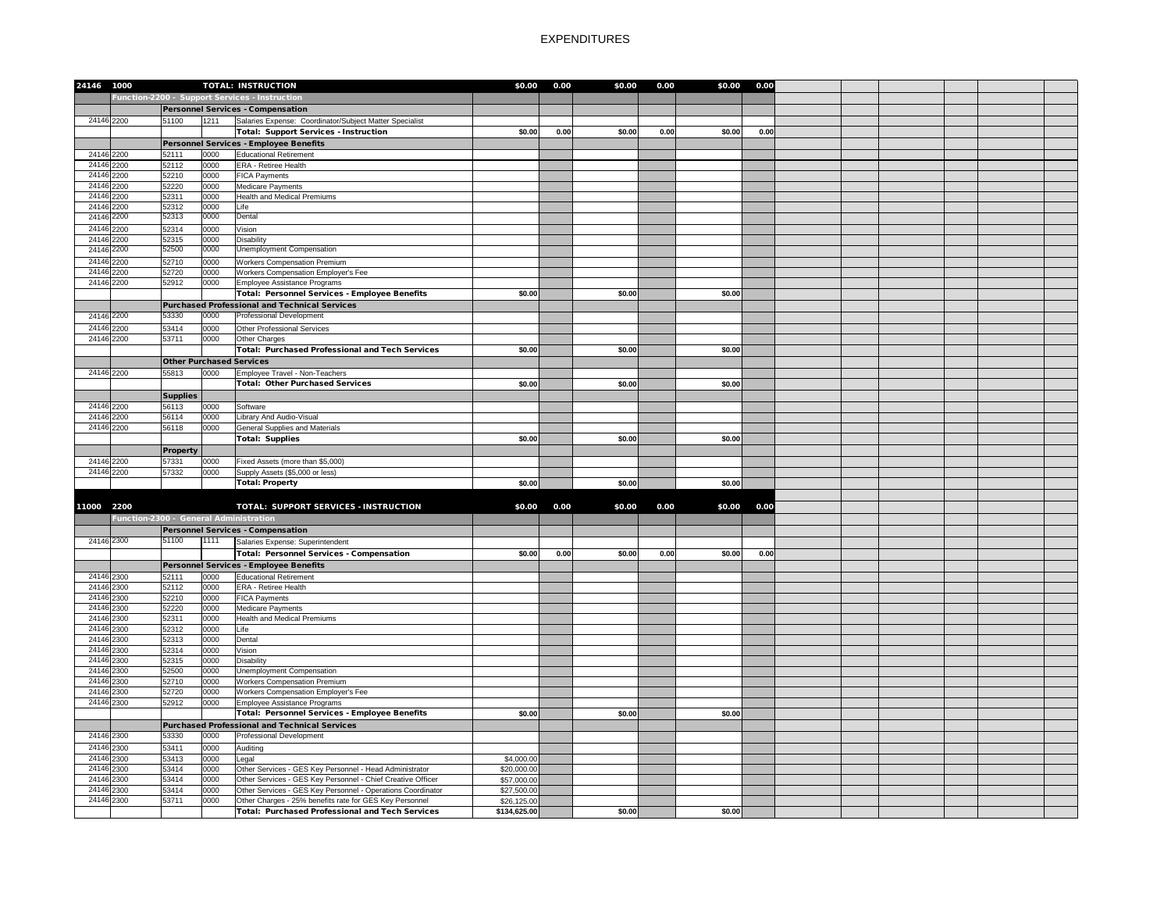| 24146 1000               |                                        |                          |              | <b>TOTAL: INSTRUCTION</b>                                   | \$0.00       | 0.00 | \$0.00 | 0.00 | \$0.00 | 0.00 |  |  |  |
|--------------------------|----------------------------------------|--------------------------|--------------|-------------------------------------------------------------|--------------|------|--------|------|--------|------|--|--|--|
|                          |                                        |                          |              | Function-2200 - Support Services - Instruction              |              |      |        |      |        |      |  |  |  |
|                          |                                        |                          |              | Personnel Services - Compensation                           |              |      |        |      |        |      |  |  |  |
|                          |                                        |                          | 1211         |                                                             |              |      |        |      |        |      |  |  |  |
| 24146 2200               |                                        | 51100                    |              | Salaries Expense: Coordinator/Subject Matter Specialist     |              |      |        |      |        |      |  |  |  |
|                          |                                        |                          |              | Total: Support Services - Instruction                       | \$0.00       | 0.00 | \$0.00 | 0.00 | \$0.00 | 0.00 |  |  |  |
|                          |                                        |                          |              | Personnel Services - Employee Benefits                      |              |      |        |      |        |      |  |  |  |
| 24146 2200               |                                        | 52111                    | 0000         | <b>Educational Retirement</b>                               |              |      |        |      |        |      |  |  |  |
| 24146 2200               |                                        | 52112                    | 0000         | <b>ERA</b> - Retiree Health                                 |              |      |        |      |        |      |  |  |  |
| 24146 2200               |                                        | 52210                    | 0000         | <b>FICA Payments</b>                                        |              |      |        |      |        |      |  |  |  |
| 24146 2200<br>24146 2200 |                                        | 52220<br>52311           | 0000<br>0000 | Medicare Payments<br><b>Health and Medical Premiums</b>     |              |      |        |      |        |      |  |  |  |
| 24146 2200               |                                        | 52312                    | 0000         | Life                                                        |              |      |        |      |        |      |  |  |  |
| 24146 2200               |                                        | 52313                    | 0000         | Dental                                                      |              |      |        |      |        |      |  |  |  |
| 24146 2200               |                                        | 52314                    | 0000         |                                                             |              |      |        |      |        |      |  |  |  |
| 24146 2200               |                                        | 52315                    | 0000         | Vision<br><b>Disability</b>                                 |              |      |        |      |        |      |  |  |  |
| 24146 2200               |                                        | 52500                    | 0000         | <b>Unemployment Compensation</b>                            |              |      |        |      |        |      |  |  |  |
| 24146 2200               |                                        | 52710                    | 0000         | <b>Workers Compensation Premium</b>                         |              |      |        |      |        |      |  |  |  |
| 24146 2200               |                                        | 52720                    | 0000         | Workers Compensation Employer's Fee                         |              |      |        |      |        |      |  |  |  |
| 24146 2200               |                                        | 52912                    | 0000         | Employee Assistance Programs                                |              |      |        |      |        |      |  |  |  |
|                          |                                        |                          |              | Total: Personnel Services - Employee Benefits               | \$0.00       |      | \$0.00 |      | \$0.00 |      |  |  |  |
|                          |                                        |                          |              | Purchased Professional and Technical Services               |              |      |        |      |        |      |  |  |  |
| 24146 2200               |                                        | 53330                    | 0000         | <b>Professional Development</b>                             |              |      |        |      |        |      |  |  |  |
| 24146 2200               |                                        | 53414                    | 0000         | Other Professional Services                                 |              |      |        |      |        |      |  |  |  |
| 24146 2200               |                                        | 53711                    | 0000         | Other Charges                                               |              |      |        |      |        |      |  |  |  |
|                          |                                        |                          |              | Total: Purchased Professional and Tech Services             | \$0.00       |      | \$0.00 |      | \$0.00 |      |  |  |  |
|                          |                                        |                          |              | <b>Other Purchased Services</b>                             |              |      |        |      |        |      |  |  |  |
| 24146 2200               |                                        | 55813                    | 0000         | Employee Travel - Non-Teachers                              |              |      |        |      |        |      |  |  |  |
|                          |                                        |                          |              | <b>Total: Other Purchased Services</b>                      | \$0.00       |      | \$0.00 |      | \$0.00 |      |  |  |  |
|                          |                                        |                          |              |                                                             |              |      |        |      |        |      |  |  |  |
| 24146 2200               |                                        | <b>Supplies</b><br>56113 | 0000         | Software                                                    |              |      |        |      |        |      |  |  |  |
| 24146 2200               |                                        | 56114                    | 0000         | Library And Audio-Visual                                    |              |      |        |      |        |      |  |  |  |
| 24146 2200               |                                        | 56118                    | 0000         | <b>General Supplies and Materials</b>                       |              |      |        |      |        |      |  |  |  |
|                          |                                        |                          |              | <b>Total: Supplies</b>                                      | \$0.00       |      | \$0.00 |      | \$0.00 |      |  |  |  |
|                          |                                        | <b>Property</b>          |              |                                                             |              |      |        |      |        |      |  |  |  |
| 24146 2200               |                                        | 57331                    | 0000         | Fixed Assets (more than \$5,000)                            |              |      |        |      |        |      |  |  |  |
| 24146 2200               |                                        | 57332                    | 0000         | Supply Assets (\$5,000 or less)                             |              |      |        |      |        |      |  |  |  |
|                          |                                        |                          |              | <b>Total: Property</b>                                      | \$0.00       |      | \$0.00 |      | \$0.00 |      |  |  |  |
|                          |                                        |                          |              |                                                             |              |      |        |      |        |      |  |  |  |
| 11000 2200               |                                        |                          |              | TOTAL: SUPPORT SERVICES - INSTRUCTION                       | \$0.00       | 0.00 | \$0.00 | 0.00 | \$0.00 | 0.00 |  |  |  |
|                          | Function-2300 - General Administration |                          |              |                                                             |              |      |        |      |        |      |  |  |  |
|                          |                                        |                          |              |                                                             |              |      |        |      |        |      |  |  |  |
| 24146 2300               |                                        | 51100                    | 1111         | <b>Personnel Services - Compensation</b>                    |              |      |        |      |        |      |  |  |  |
|                          |                                        |                          |              | Salaries Expense: Superintendent                            |              |      |        |      |        |      |  |  |  |
|                          |                                        |                          |              | Total: Personnel Services - Compensation                    | \$0.00       | 0.00 | \$0.00 | 0.00 | \$0.00 | 0.00 |  |  |  |
|                          |                                        |                          |              | Personnel Services - Employee Benefits                      |              |      |        |      |        |      |  |  |  |
| 24146 2300               |                                        | 52111                    | 0000         | <b>Educational Retirement</b>                               |              |      |        |      |        |      |  |  |  |
| 24146 2300               |                                        | 52112                    | 0000         | <b>ERA - Retiree Health</b>                                 |              |      |        |      |        |      |  |  |  |
| 24146 2300               |                                        | 52210                    | 0000         | <b>FICA Payments</b>                                        |              |      |        |      |        |      |  |  |  |
| 24146 2300<br>24146 2300 |                                        | 52220                    | 0000         | Medicare Payments                                           |              |      |        |      |        |      |  |  |  |
| 24146 2300               |                                        | 52311<br>52312           | 0000<br>0000 | <b>Health and Medical Premiums</b><br>Life                  |              |      |        |      |        |      |  |  |  |
| 24146 2300               |                                        | 52313                    | 0000         | Dental                                                      |              |      |        |      |        |      |  |  |  |
| 24146 2300               |                                        | 52314                    | 0000         | Vision                                                      |              |      |        |      |        |      |  |  |  |
| 24146 2300               |                                        | 52315                    | 0000         | <b>Disability</b>                                           |              |      |        |      |        |      |  |  |  |
| 24146 2300               |                                        | 52500                    | 0000         | Unemployment Compensation                                   |              |      |        |      |        |      |  |  |  |
| 24146 2300               |                                        | 52710                    | 0000         | <b>Workers Compensation Premium</b>                         |              |      |        |      |        |      |  |  |  |
| 24146 2300               |                                        | 52720                    | 0000         | Workers Compensation Employer's Fee                         |              |      |        |      |        |      |  |  |  |
| 24146 2300               |                                        | 52912                    | 0000         | Employee Assistance Programs                                |              |      |        |      |        |      |  |  |  |
|                          |                                        |                          |              | Total: Personnel Services - Employee Benefits               | \$0.00       |      | \$0.00 |      | \$0.00 |      |  |  |  |
|                          |                                        |                          |              | <b>Purchased Professional and Technical Services</b>        |              |      |        |      |        |      |  |  |  |
| 24146 2300               |                                        | 53330                    | 0000         | <b>Professional Development</b>                             |              |      |        |      |        |      |  |  |  |
| 24146 2300               |                                        | 53411                    | 0000         | Auditing                                                    |              |      |        |      |        |      |  |  |  |
| 24146 2300               |                                        | 53413                    | 0000         | Legal                                                       | \$4,000.00   |      |        |      |        |      |  |  |  |
| 24146 2300               |                                        | 53414                    | 0000         | Other Services - GES Key Personnel - Head Administrator     | \$20,000.00  |      |        |      |        |      |  |  |  |
| 24146 2300               |                                        | 53414                    | 0000         | Other Services - GES Key Personnel - Chief Creative Officer | \$57,000.00  |      |        |      |        |      |  |  |  |
| 24146 2300               |                                        | 53414                    | 0000         | Other Services - GES Key Personnel - Operations Coordinator | \$27,500.00  |      |        |      |        |      |  |  |  |
| 24146 2300               |                                        | 53711                    | 0000         | Other Charges - 25% benefits rate for GES Key Personnel     | \$26,125.00  |      |        |      |        |      |  |  |  |
|                          |                                        |                          |              | <b>Total: Purchased Professional and Tech Services</b>      | \$134,625.00 |      | \$0.00 |      | \$0.00 |      |  |  |  |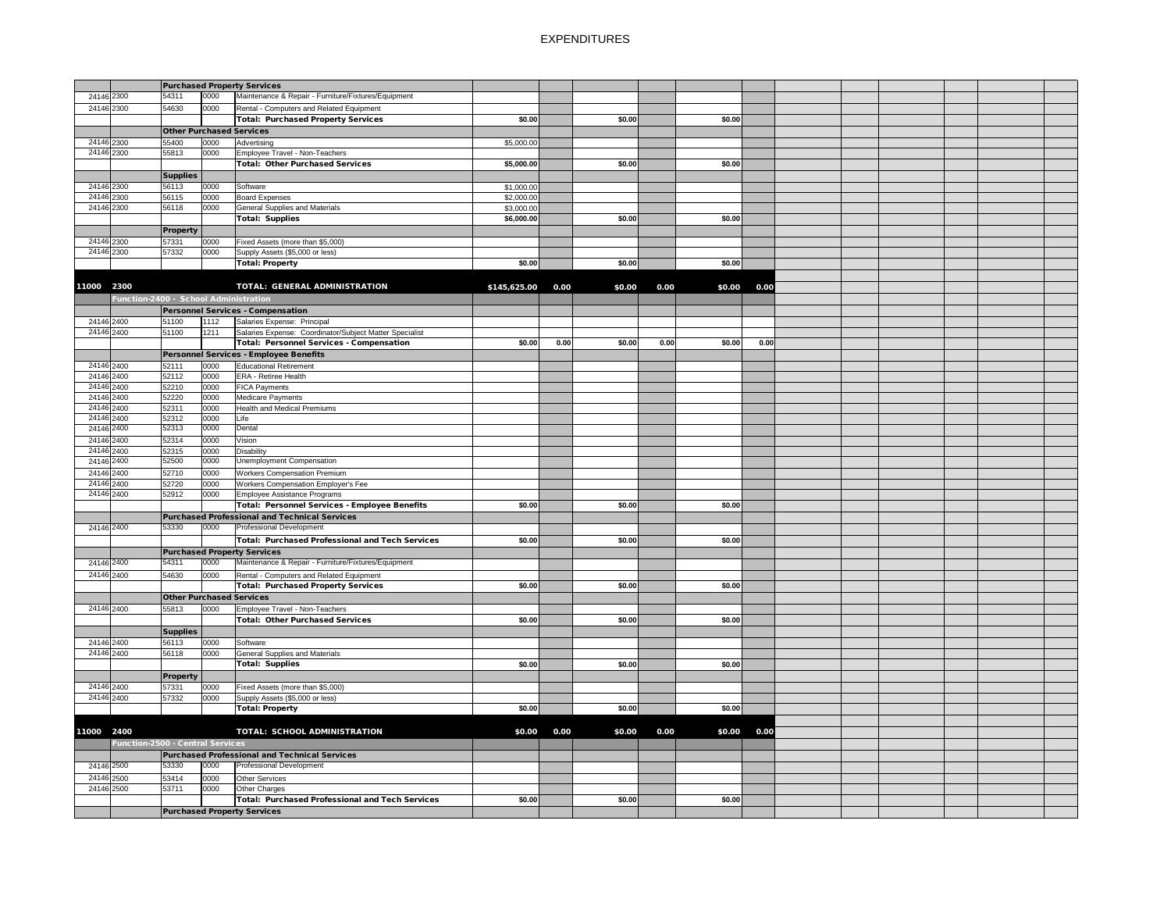|                                         |                                 |      | <b>Purchased Property Services</b>                      |              |      |        |      |        |      |  |  |  |
|-----------------------------------------|---------------------------------|------|---------------------------------------------------------|--------------|------|--------|------|--------|------|--|--|--|
| 24146 2300                              | 54311                           | 0000 | Maintenance & Repair - Furniture/Fixtures/Equipment     |              |      |        |      |        |      |  |  |  |
| 24146 2300                              | 54630                           | 0000 | Rental - Computers and Related Equipment                |              |      |        |      |        |      |  |  |  |
|                                         |                                 |      | Total: Purchased Property Services                      | \$0.00       |      | \$0.00 |      | \$0.00 |      |  |  |  |
|                                         | <b>Other Purchased Services</b> |      |                                                         |              |      |        |      |        |      |  |  |  |
|                                         |                                 |      |                                                         |              |      |        |      |        |      |  |  |  |
| 24146 2300                              | 55400                           | 0000 | Advertising                                             | \$5,000.00   |      |        |      |        |      |  |  |  |
| 24146 2300                              | 55813                           | 0000 | Employee Travel - Non-Teachers                          |              |      |        |      |        |      |  |  |  |
|                                         |                                 |      | Total: Other Purchased Services                         | \$5,000.00   |      | \$0.00 |      | \$0.00 |      |  |  |  |
|                                         | <b>Supplies</b>                 |      |                                                         |              |      |        |      |        |      |  |  |  |
| 24146 2300                              | 56113                           | 0000 | Software                                                | \$1,000.00   |      |        |      |        |      |  |  |  |
| 24146 2300                              | 56115                           | 0000 | <b>Board Expenses</b>                                   | \$2,000.00   |      |        |      |        |      |  |  |  |
| 24146 2300                              | 56118                           | 0000 | <b>General Supplies and Materials</b>                   | \$3,000.00   |      |        |      |        |      |  |  |  |
|                                         |                                 |      | Total: Supplies                                         | \$6,000.00   |      | \$0.00 |      | \$0.00 |      |  |  |  |
|                                         |                                 |      |                                                         |              |      |        |      |        |      |  |  |  |
|                                         | <b>Property</b>                 |      |                                                         |              |      |        |      |        |      |  |  |  |
| 24146 2300                              | 57331                           | 0000 | Fixed Assets (more than \$5,000)                        |              |      |        |      |        |      |  |  |  |
| 24146 2300                              | 57332                           | 0000 | Supply Assets (\$5,000 or less)                         |              |      |        |      |        |      |  |  |  |
|                                         |                                 |      | Total: Property                                         | \$0.00       |      | \$0.00 |      | \$0.00 |      |  |  |  |
|                                         |                                 |      |                                                         |              |      |        |      |        |      |  |  |  |
|                                         |                                 |      |                                                         |              |      |        |      |        |      |  |  |  |
| 11000 2300                              |                                 |      | <b>TOTAL: GENERAL ADMINISTRATION</b>                    | \$145,625.00 | 0.00 | \$0.00 | 0.00 | \$0.00 | 0.00 |  |  |  |
| Function-2400 - School Administration   |                                 |      |                                                         |              |      |        |      |        |      |  |  |  |
|                                         |                                 |      | Personnel Services - Compensation                       |              |      |        |      |        |      |  |  |  |
| 24146 2400                              | 51100                           | 1112 | Salaries Expense: Principal                             |              |      |        |      |        |      |  |  |  |
| 24146 2400                              | 51100                           | 1211 | Salaries Expense: Coordinator/Subject Matter Specialist |              |      |        |      |        |      |  |  |  |
|                                         |                                 |      | Total: Personnel Services - Compensation                | \$0.00       | 0.00 | \$0.00 | 0.00 | \$0.00 | 0.00 |  |  |  |
|                                         |                                 |      |                                                         |              |      |        |      |        |      |  |  |  |
|                                         |                                 |      | Personnel Services - Employee Benefits                  |              |      |        |      |        |      |  |  |  |
| 24146 2400                              | 52111                           | 0000 | <b>Educational Retirement</b>                           |              |      |        |      |        |      |  |  |  |
| 24146 2400                              | 52112                           | 0000 | <b>ERA - Retiree Health</b>                             |              |      |        |      |        |      |  |  |  |
| 24146 2400                              | 52210                           | 0000 | <b>FICA Payments</b>                                    |              |      |        |      |        |      |  |  |  |
| 24146 2400                              | 52220                           | 0000 | Medicare Payments                                       |              |      |        |      |        |      |  |  |  |
| 24146 2400                              | 52311                           | 0000 | <b>Health and Medical Premiums</b>                      |              |      |        |      |        |      |  |  |  |
| 24146 2400                              | 52312                           | 0000 | Life                                                    |              |      |        |      |        |      |  |  |  |
| 24146 2400                              | 52313                           | 0000 | Dental                                                  |              |      |        |      |        |      |  |  |  |
| 24146 2400                              | 52314                           | 0000 |                                                         |              |      |        |      |        |      |  |  |  |
|                                         |                                 |      | Vision                                                  |              |      |        |      |        |      |  |  |  |
| 24146 2400                              | 52315                           | 0000 | <b>Disability</b>                                       |              |      |        |      |        |      |  |  |  |
| 24146 2400                              | 52500                           | 0000 | <b>Unemployment Compensation</b>                        |              |      |        |      |        |      |  |  |  |
| 24146 2400                              | 52710                           | 0000 | <b>Workers Compensation Premium</b>                     |              |      |        |      |        |      |  |  |  |
| 24146 2400                              | 52720                           | 0000 | Workers Compensation Employer's Fee                     |              |      |        |      |        |      |  |  |  |
| 24146 2400                              | 52912                           | 0000 | Employee Assistance Programs                            |              |      |        |      |        |      |  |  |  |
|                                         |                                 |      | Total: Personnel Services - Employee Benefits           | \$0.00       |      | \$0.00 |      | \$0.00 |      |  |  |  |
|                                         |                                 |      |                                                         |              |      |        |      |        |      |  |  |  |
|                                         |                                 |      | Purchased Professional and Technical Services           |              |      |        |      |        |      |  |  |  |
| 24146 2400                              | 53330                           | 0000 | <b>Professional Development</b>                         |              |      |        |      |        |      |  |  |  |
|                                         |                                 |      | Total: Purchased Professional and Tech Services         | \$0.00       |      | \$0.00 |      | \$0.00 |      |  |  |  |
|                                         |                                 |      | <b>Purchased Property Services</b>                      |              |      |        |      |        |      |  |  |  |
| 24146 2400                              | 54311                           | 0000 | Maintenance & Repair - Furniture/Fixtures/Equipment     |              |      |        |      |        |      |  |  |  |
|                                         |                                 |      |                                                         |              |      |        |      |        |      |  |  |  |
| 24146 2400                              | 54630                           | 0000 | Rental - Computers and Related Equipment                |              |      |        |      |        |      |  |  |  |
|                                         |                                 |      | <b>Total: Purchased Property Services</b>               | \$0.00       |      | \$0.00 |      | \$0.00 |      |  |  |  |
|                                         | <b>Other Purchased Services</b> |      |                                                         |              |      |        |      |        |      |  |  |  |
| 24146 2400                              | 55813                           | 0000 | Employee Travel - Non-Teachers                          |              |      |        |      |        |      |  |  |  |
|                                         |                                 |      | Total: Other Purchased Services                         | \$0.00       |      | \$0.00 |      | \$0.00 |      |  |  |  |
|                                         | <b>Supplies</b>                 |      |                                                         |              |      |        |      |        |      |  |  |  |
|                                         |                                 |      |                                                         |              |      |        |      |        |      |  |  |  |
| 24146 2400                              | 56113                           | 0000 | Software                                                |              |      |        |      |        |      |  |  |  |
| 24146 2400                              | 56118                           | 0000 | <b>General Supplies and Materials</b>                   |              |      |        |      |        |      |  |  |  |
|                                         |                                 |      | <b>Total: Supplies</b>                                  | \$0.00       |      | \$0.00 |      | \$0.00 |      |  |  |  |
|                                         | <b>Property</b>                 |      |                                                         |              |      |        |      |        |      |  |  |  |
| 24146 2400                              | 57331                           | 0000 | Fixed Assets (more than \$5,000)                        |              |      |        |      |        |      |  |  |  |
| 24146 2400                              | 57332                           | 0000 | Supply Assets (\$5,000 or less)                         |              |      |        |      |        |      |  |  |  |
|                                         |                                 |      | Total: Property                                         | \$0.00       |      | \$0.00 |      | \$0.00 |      |  |  |  |
|                                         |                                 |      |                                                         |              |      |        |      |        |      |  |  |  |
|                                         |                                 |      |                                                         |              |      |        |      |        |      |  |  |  |
| 11000 2400                              |                                 |      | <b>TOTAL: SCHOOL ADMINISTRATION</b>                     | \$0.00       | 0.00 | \$0.00 | 0.00 | \$0.00 | 0.00 |  |  |  |
| <b>Function-2500 - Central Services</b> |                                 |      |                                                         |              |      |        |      |        |      |  |  |  |
|                                         |                                 |      | Purchased Professional and Technical Services           |              |      |        |      |        |      |  |  |  |
| 24146 2500                              | 53330                           | 0000 | <b>Professional Development</b>                         |              |      |        |      |        |      |  |  |  |
|                                         |                                 |      |                                                         |              |      |        |      |        |      |  |  |  |
| 24146 2500                              | 53414                           | 0000 | Other Services                                          |              |      |        |      |        |      |  |  |  |
| 24146 2500                              | 53711                           | 0000 | Other Charges                                           |              |      |        |      |        |      |  |  |  |
|                                         |                                 |      | Total: Purchased Professional and Tech Services         | \$0.00       |      | \$0.00 |      | \$0.00 |      |  |  |  |
|                                         |                                 |      | <b>Purchased Property Services</b>                      |              |      |        |      |        |      |  |  |  |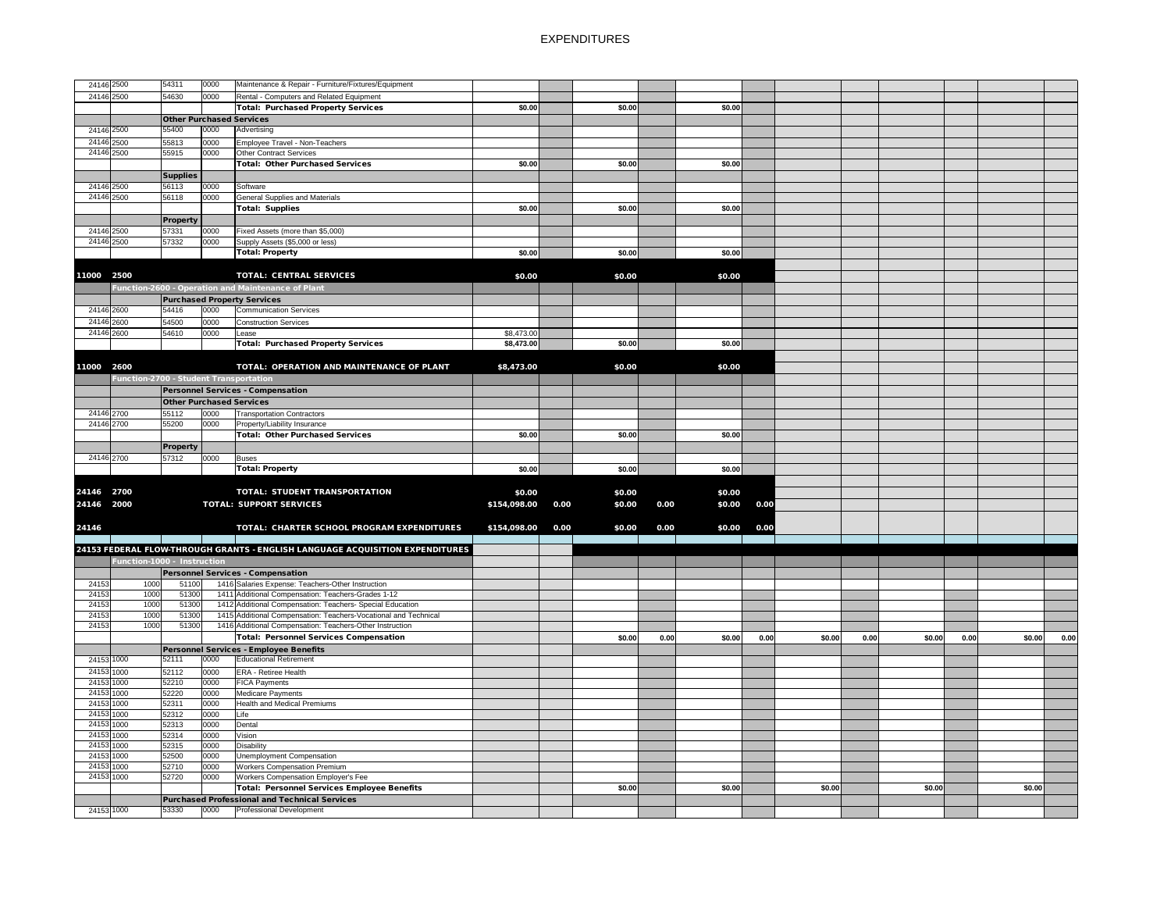| 24146 2500 |                                        | 54311                           | 0000 | Maintenance & Repair - Furniture/Fixtures/Equipment                           |              |      |        |      |        |      |        |      |        |      |        |      |
|------------|----------------------------------------|---------------------------------|------|-------------------------------------------------------------------------------|--------------|------|--------|------|--------|------|--------|------|--------|------|--------|------|
|            |                                        |                                 |      |                                                                               |              |      |        |      |        |      |        |      |        |      |        |      |
| 24146 2500 |                                        | 54630                           | 0000 | Rental - Computers and Related Equipment                                      |              |      |        |      |        |      |        |      |        |      |        |      |
|            |                                        |                                 |      | <b>Total: Purchased Property Services</b>                                     | \$0.00       |      | \$0.00 |      | \$0.00 |      |        |      |        |      |        |      |
|            |                                        | <b>Other Purchased Services</b> |      |                                                                               |              |      |        |      |        |      |        |      |        |      |        |      |
| 24146 2500 |                                        | 55400                           | 0000 | Advertising                                                                   |              |      |        |      |        |      |        |      |        |      |        |      |
| 24146 2500 |                                        | 55813                           | 0000 | Employee Travel - Non-Teachers                                                |              |      |        |      |        |      |        |      |        |      |        |      |
| 24146 2500 |                                        | 55915                           | 0000 | Other Contract Services                                                       |              |      |        |      |        |      |        |      |        |      |        |      |
|            |                                        |                                 |      | <b>Total: Other Purchased Services</b>                                        | \$0.00       |      | \$0.00 |      | \$0.00 |      |        |      |        |      |        |      |
|            |                                        | <b>Supplies</b>                 |      |                                                                               |              |      |        |      |        |      |        |      |        |      |        |      |
| 24146 2500 |                                        | 56113                           | 0000 | Software                                                                      |              |      |        |      |        |      |        |      |        |      |        |      |
| 24146 2500 |                                        | 56118                           | 0000 | <b>General Supplies and Materials</b>                                         |              |      |        |      |        |      |        |      |        |      |        |      |
|            |                                        |                                 |      | Total: Supplies                                                               | \$0.00       |      | \$0.00 |      | \$0.00 |      |        |      |        |      |        |      |
|            |                                        | <b>Property</b>                 |      |                                                                               |              |      |        |      |        |      |        |      |        |      |        |      |
| 24146 2500 |                                        | 57331                           | 0000 | Fixed Assets (more than \$5,000)                                              |              |      |        |      |        |      |        |      |        |      |        |      |
| 24146 2500 |                                        | 57332                           | 0000 | Supply Assets (\$5,000 or less)                                               |              |      |        |      |        |      |        |      |        |      |        |      |
|            |                                        |                                 |      | <b>Total: Property</b>                                                        | \$0.00       |      | \$0.00 |      | \$0.00 |      |        |      |        |      |        |      |
|            |                                        |                                 |      |                                                                               |              |      |        |      |        |      |        |      |        |      |        |      |
|            |                                        |                                 |      |                                                                               |              |      |        |      |        |      |        |      |        |      |        |      |
| 11000 2500 |                                        |                                 |      | <b>TOTAL: CENTRAL SERVICES</b>                                                | \$0.00       |      | \$0.00 |      | \$0.00 |      |        |      |        |      |        |      |
|            |                                        |                                 |      | Function-2600 - Operation and Maintenance of Plant                            |              |      |        |      |        |      |        |      |        |      |        |      |
|            |                                        |                                 |      | <b>Purchased Property Services</b>                                            |              |      |        |      |        |      |        |      |        |      |        |      |
| 24146 2600 |                                        | 54416                           | 0000 | <b>Communication Services</b>                                                 |              |      |        |      |        |      |        |      |        |      |        |      |
| 24146 2600 |                                        | 54500                           | 0000 | <b>Construction Services</b>                                                  |              |      |        |      |        |      |        |      |        |      |        |      |
| 24146 2600 |                                        | 54610                           | 0000 | Lease                                                                         | \$8,473.00   |      |        |      |        |      |        |      |        |      |        |      |
|            |                                        |                                 |      | <b>Total: Purchased Property Services</b>                                     | \$8,473.00   |      | \$0.00 |      | \$0.00 |      |        |      |        |      |        |      |
|            |                                        |                                 |      |                                                                               |              |      |        |      |        |      |        |      |        |      |        |      |
| 11000 2600 |                                        |                                 |      | TOTAL: OPERATION AND MAINTENANCE OF PLANT                                     | \$8,473.00   |      | \$0.00 |      | \$0.00 |      |        |      |        |      |        |      |
|            | Function-2700 - Student Transportation |                                 |      |                                                                               |              |      |        |      |        |      |        |      |        |      |        |      |
|            |                                        |                                 |      | <b>Personnel Services - Compensation</b>                                      |              |      |        |      |        |      |        |      |        |      |        |      |
|            |                                        |                                 |      |                                                                               |              |      |        |      |        |      |        |      |        |      |        |      |
|            |                                        | <b>Other Purchased Services</b> |      |                                                                               |              |      |        |      |        |      |        |      |        |      |        |      |
| 24146 2700 |                                        | 55112                           | 0000 | <b>Transportation Contractors</b>                                             |              |      |        |      |        |      |        |      |        |      |        |      |
| 24146 2700 |                                        | 55200                           | 0000 | Property/Liability Insurance                                                  |              |      |        |      |        |      |        |      |        |      |        |      |
|            |                                        |                                 |      | <b>Total: Other Purchased Services</b>                                        | \$0.00       |      | \$0.00 |      | \$0.00 |      |        |      |        |      |        |      |
|            |                                        | <b>Property</b>                 |      |                                                                               |              |      |        |      |        |      |        |      |        |      |        |      |
| 24146 2700 |                                        | 57312                           | 0000 | <b>Buses</b>                                                                  |              |      |        |      |        |      |        |      |        |      |        |      |
|            |                                        |                                 |      | <b>Total: Property</b>                                                        | \$0.00       |      | \$0.00 |      | \$0.00 |      |        |      |        |      |        |      |
|            |                                        |                                 |      |                                                                               |              |      |        |      |        |      |        |      |        |      |        |      |
| 24146 2700 |                                        |                                 |      | <b>TOTAL: STUDENT TRANSPORTATION</b>                                          | \$0.00       |      | \$0.00 |      | \$0.00 |      |        |      |        |      |        |      |
| 24146 2000 |                                        |                                 |      | <b>TOTAL: SUPPORT SERVICES</b>                                                | \$154,098.00 | 0.00 | \$0.00 | 0.00 | \$0.00 | 0.00 |        |      |        |      |        |      |
|            |                                        |                                 |      |                                                                               |              |      |        |      |        |      |        |      |        |      |        |      |
| 24146      |                                        |                                 |      | TOTAL: CHARTER SCHOOL PROGRAM EXPENDITURES                                    | \$154,098.00 | 0.00 | \$0.00 | 0.00 | \$0.00 | 0.00 |        |      |        |      |        |      |
|            |                                        |                                 |      |                                                                               |              |      |        |      |        |      |        |      |        |      |        |      |
|            |                                        |                                 |      | 24153 FEDERAL FLOW-THROUGH GRANTS - ENGLISH LANGUAGE ACQUISITION EXPENDITURES |              |      |        |      |        |      |        |      |        |      |        |      |
|            | Function-1000 - Instruction            |                                 |      |                                                                               |              |      |        |      |        |      |        |      |        |      |        |      |
|            |                                        |                                 |      | <b>Personnel Services - Compensation</b>                                      |              |      |        |      |        |      |        |      |        |      |        |      |
| 24153      | 1000                                   | 51100                           |      | 1416 Salaries Expense: Teachers-Other Instruction                             |              |      |        |      |        |      |        |      |        |      |        |      |
| 24153      | 1000                                   | 51300                           |      | 1411 Additional Compensation: Teachers-Grades 1-12                            |              |      |        |      |        |      |        |      |        |      |        |      |
| 24153      | 1000                                   | 51300                           |      | 1412 Additional Compensation: Teachers- Special Education                     |              |      |        |      |        |      |        |      |        |      |        |      |
| 24153      | 1000                                   | 51300                           |      | 1415 Additional Compensation: Teachers-Vocational and Technical               |              |      |        |      |        |      |        |      |        |      |        |      |
| 24153      | 1000                                   | 51300                           |      | 1416 Additional Compensation: Teachers-Other Instruction                      |              |      |        |      |        |      |        |      |        |      |        |      |
|            |                                        |                                 |      |                                                                               |              |      |        |      |        |      |        |      |        |      |        |      |
|            |                                        |                                 |      | <b>Total: Personnel Services Compensation</b>                                 |              |      | \$0.00 | 0.00 | \$0.00 | 0.00 | \$0.00 | 0.00 | \$0.00 | 0.00 | \$0.00 | 0.00 |
|            |                                        |                                 |      | Personnel Services - Employee Benefits                                        |              |      |        |      |        |      |        |      |        |      |        |      |
| 24153 1000 |                                        | 52111                           | 0000 | <b>Educational Retirement</b>                                                 |              |      |        |      |        |      |        |      |        |      |        |      |
| 24153 1000 |                                        | 52112                           | 0000 | <b>ERA - Retiree Health</b>                                                   |              |      |        |      |        |      |        |      |        |      |        |      |
| 24153 1000 |                                        | 52210                           | 0000 | <b>FICA Payments</b>                                                          |              |      |        |      |        |      |        |      |        |      |        |      |
| 24153 1000 |                                        | 52220                           | 0000 | <b>Medicare Payments</b>                                                      |              |      |        |      |        |      |        |      |        |      |        |      |
| 24153 1000 |                                        | 52311                           | 0000 | <b>Health and Medical Premiums</b>                                            |              |      |        |      |        |      |        |      |        |      |        |      |
| 24153 1000 |                                        | 52312                           | 0000 | Life                                                                          |              |      |        |      |        |      |        |      |        |      |        |      |
| 24153 1000 |                                        | 52313                           | 0000 | Dental                                                                        |              |      |        |      |        |      |        |      |        |      |        |      |
| 24153 1000 |                                        | 52314                           | 0000 | Vision                                                                        |              |      |        |      |        |      |        |      |        |      |        |      |
| 24153 1000 |                                        | 52315                           | 0000 | <b>Disability</b>                                                             |              |      |        |      |        |      |        |      |        |      |        |      |
| 24153 1000 |                                        | 52500                           | 0000 | Unemployment Compensation                                                     |              |      |        |      |        |      |        |      |        |      |        |      |
| 24153 1000 |                                        | 52710                           | 0000 | <b>Workers Compensation Premium</b>                                           |              |      |        |      |        |      |        |      |        |      |        |      |
| 24153 1000 |                                        | 52720                           | 0000 | Workers Compensation Employer's Fee                                           |              |      |        |      |        |      |        |      |        |      |        |      |
|            |                                        |                                 |      | <b>Total: Personnel Services Employee Benefits</b>                            |              |      | \$0.00 |      | \$0.00 |      | \$0.00 |      | \$0.00 |      | \$0.00 |      |
|            |                                        |                                 |      | Purchased Professional and Technical Services                                 |              |      |        |      |        |      |        |      |        |      |        |      |
| 24153 1000 |                                        | 53330                           | 0000 | <b>Professional Development</b>                                               |              |      |        |      |        |      |        |      |        |      |        |      |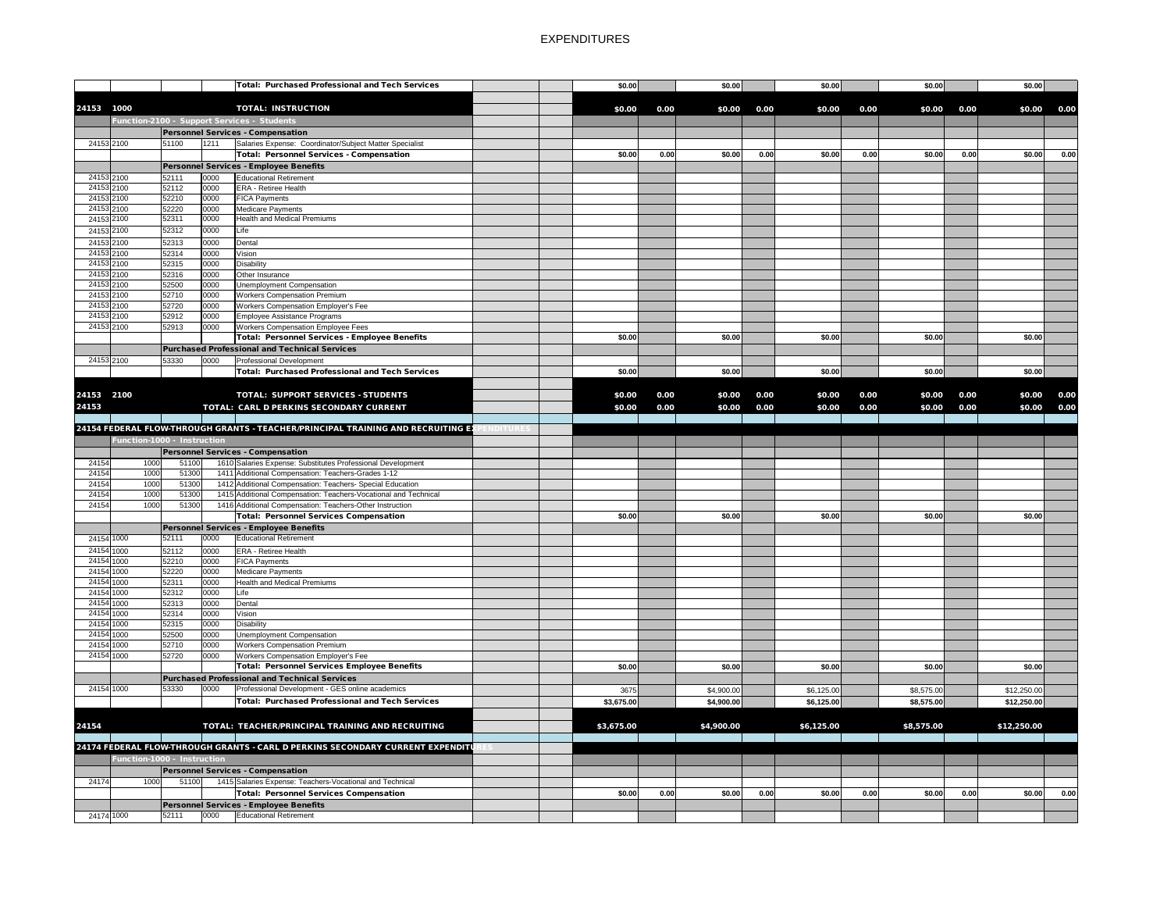|                          |              |                             |              | <b>Total: Purchased Professional and Tech Services</b>                                                            |                | \$0.00     |      | \$0.00     |      | \$0.00     |      | \$0.00     |      | \$0.00      |      |
|--------------------------|--------------|-----------------------------|--------------|-------------------------------------------------------------------------------------------------------------------|----------------|------------|------|------------|------|------------|------|------------|------|-------------|------|
|                          |              |                             |              |                                                                                                                   |                |            |      |            |      |            |      |            |      |             |      |
| 24153 1000               |              |                             |              | <b>TOTAL: INSTRUCTION</b>                                                                                         |                | \$0.00     | 0.00 | \$0.00     | 0.00 | \$0.00     | 0.00 | \$0.00     | 0.00 | \$0.00      | 0.00 |
|                          |              |                             |              | Function-2100 - Support Services - Students                                                                       |                |            |      |            |      |            |      |            |      |             |      |
|                          |              |                             |              | <b>Personnel Services - Compensation</b>                                                                          |                |            |      |            |      |            |      |            |      |             |      |
| 24153 2100               |              | 51100                       | 1211         | Salaries Expense: Coordinator/Subject Matter Specialist<br>Total: Personnel Services - Compensation               |                |            |      |            |      |            |      |            |      |             |      |
|                          |              |                             |              |                                                                                                                   |                | \$0.00     | 0.00 | \$0.00     | 0.00 | \$0.00     | 0.00 | \$0.00     | 0.00 | \$0.00      | 0.00 |
| 24153 2100               |              | 52111                       | 0000         | Personnel Services - Employee Benefits<br>Educational Retirement                                                  |                |            |      |            |      |            |      |            |      |             |      |
| 24153 2100               |              | 52112                       | 0000         | <b>ERA - Retiree Health</b>                                                                                       |                |            |      |            |      |            |      |            |      |             |      |
| 24153 2100               |              | 52210                       | 0000         | <b>FICA Payments</b>                                                                                              |                |            |      |            |      |            |      |            |      |             |      |
| 24153 2100               |              | 52220                       | 0000         | Medicare Payments                                                                                                 |                |            |      |            |      |            |      |            |      |             |      |
| 24153 2100               |              | 52311                       | 0000         | <b>Health and Medical Premiums</b>                                                                                |                |            |      |            |      |            |      |            |      |             |      |
| 24153 2100               |              | 52312                       | 0000         | Life <sup>1</sup>                                                                                                 |                |            |      |            |      |            |      |            |      |             |      |
| 24153 2100               |              | 52313                       | 0000         | Dental                                                                                                            |                |            |      |            |      |            |      |            |      |             |      |
| 24153 2100               |              | 52314                       | 0000         | Vision                                                                                                            |                |            |      |            |      |            |      |            |      |             |      |
| 24153 2100               |              | 52315                       | 0000         | Disability                                                                                                        |                |            |      |            |      |            |      |            |      |             |      |
| 24153 2100               |              | 52316                       | 0000         | Other Insurance                                                                                                   |                |            |      |            |      |            |      |            |      |             |      |
| 24153 2100               |              | 52500                       | 0000         | Unemployment Compensation                                                                                         |                |            |      |            |      |            |      |            |      |             |      |
| 24153 2100               |              | 52710                       | 0000         | <b>Workers Compensation Premium</b>                                                                               |                |            |      |            |      |            |      |            |      |             |      |
| 24153 2100<br>24153 2100 |              | 52720<br>52912              | 0000<br>0000 | <b>Workers Compensation Employer's Fee</b><br>Employee Assistance Programs                                        |                |            |      |            |      |            |      |            |      |             |      |
| 24153 2100               |              | 52913                       | 0000         | <b>Workers Compensation Employee Fees</b>                                                                         |                |            |      |            |      |            |      |            |      |             |      |
|                          |              |                             |              | Total: Personnel Services - Employee Benefits                                                                     |                | \$0.00     |      | \$0.00     |      | \$0.00     |      | \$0.00     |      | \$0.00      |      |
|                          |              |                             |              | <b>Purchased Professional and Technical Services</b>                                                              |                |            |      |            |      |            |      |            |      |             |      |
| 24153 2100               |              | 53330                       | 0000         | <b>Professional Development</b>                                                                                   |                |            |      |            |      |            |      |            |      |             |      |
|                          |              |                             |              | Total: Purchased Professional and Tech Services                                                                   |                | \$0.00     |      | \$0.00     |      | \$0.00     |      | \$0.00     |      | \$0.00      |      |
|                          |              |                             |              |                                                                                                                   |                |            |      |            |      |            |      |            |      |             |      |
| 24153 2100               |              |                             |              | <b>TOTAL: SUPPORT SERVICES - STUDENTS</b>                                                                         |                | \$0.00     | 0.00 | \$0.00     | 0.00 | \$0.00     | 0.00 | \$0.00     | 0.00 | \$0.00      | 0.00 |
| 24153                    |              |                             |              | TOTAL: CARL D PERKINS SECONDARY CURRENT                                                                           |                | \$0.00     | 0.00 | \$0.00     | 0.00 | \$0.00     | 0.00 | \$0.00     | 0.00 | \$0.00      | 0.00 |
|                          |              |                             |              |                                                                                                                   |                |            |      |            |      |            |      |            |      |             |      |
|                          |              |                             |              | 24154 FEDERAL FLOW-THROUGH GRANTS - TEACHER/PRINCIPAL TRAINING AND RECRUITING EX                                  | <b>NDITURE</b> |            |      |            |      |            |      |            |      |             |      |
|                          |              | Function-1000 - Instruction |              |                                                                                                                   |                |            |      |            |      |            |      |            |      |             |      |
|                          |              |                             |              |                                                                                                                   |                |            |      |            |      |            |      |            |      |             |      |
|                          |              |                             |              |                                                                                                                   |                |            |      |            |      |            |      |            |      |             |      |
|                          |              |                             |              | <b>Personnel Services - Compensation</b>                                                                          |                |            |      |            |      |            |      |            |      |             |      |
| 24154<br>24154           | 1000<br>1000 | 51100<br>51300              |              | 1610 Salaries Expense: Substitutes Professional Development<br>1411 Additional Compensation: Teachers-Grades 1-12 |                |            |      |            |      |            |      |            |      |             |      |
| 24154                    | 1000         | 51300                       |              | 1412 Additional Compensation: Teachers- Special Education                                                         |                |            |      |            |      |            |      |            |      |             |      |
| 24154                    | 1000         | 51300                       |              | 1415 Additional Compensation: Teachers-Vocational and Technical                                                   |                |            |      |            |      |            |      |            |      |             |      |
| 24154                    | 1000         | 51300                       |              | 1416 Additional Compensation: Teachers-Other Instruction                                                          |                |            |      |            |      |            |      |            |      |             |      |
|                          |              |                             |              | <b>Total: Personnel Services Compensation</b>                                                                     |                | \$0.00     |      | \$0.00     |      | \$0.00     |      | \$0.00     |      | \$0.00      |      |
|                          |              |                             |              | Personnel Services - Employee Benefits                                                                            |                |            |      |            |      |            |      |            |      |             |      |
| 24154 1000               |              | 52111                       | 0000         | <b>Educational Retirement</b>                                                                                     |                |            |      |            |      |            |      |            |      |             |      |
| 24154 1000               |              | 52112                       | 0000         | <b>ERA - Retiree Health</b>                                                                                       |                |            |      |            |      |            |      |            |      |             |      |
| 24154 1000               |              | 52210                       | 0000         | <b>FICA Payments</b>                                                                                              |                |            |      |            |      |            |      |            |      |             |      |
| 24154 1000               |              | 52220                       | 0000         | Medicare Payments                                                                                                 |                |            |      |            |      |            |      |            |      |             |      |
| 24154 1000               |              | 52311                       | 0000         | <b>Health and Medical Premiums</b>                                                                                |                |            |      |            |      |            |      |            |      |             |      |
| 24154 1000               |              | 52312                       | 0000         | Life                                                                                                              |                |            |      |            |      |            |      |            |      |             |      |
| 24154 1000               |              | 52313                       | 0000         | Dental                                                                                                            |                |            |      |            |      |            |      |            |      |             |      |
| 24154 1000<br>24154 1000 |              | 52314<br>52315              | 0000<br>0000 | Vision<br><b>Disability</b>                                                                                       |                |            |      |            |      |            |      |            |      |             |      |
| 24154 1000               |              | 52500                       | 0000         | Unemployment Compensation                                                                                         |                |            |      |            |      |            |      |            |      |             |      |
| 24154 1000               |              | 52710                       | 0000         | <b>Workers Compensation Premium</b>                                                                               |                |            |      |            |      |            |      |            |      |             |      |
| 24154 1000               |              | 52720                       | 0000         | Workers Compensation Employer's Fee                                                                               |                |            |      |            |      |            |      |            |      |             |      |
|                          |              |                             |              | Total: Personnel Services Employee Benefits                                                                       |                | \$0.00     |      | \$0.00     |      | \$0.00     |      | \$0.00     |      | \$0.00      |      |
|                          |              |                             |              | <b>Purchased Professional and Technical Services</b>                                                              |                |            |      |            |      |            |      |            |      |             |      |
| 24154 1000               |              | 53330                       | 0000         | Professional Development - GES online academics                                                                   |                | 3675       |      | \$4,900.00 |      | \$6,125.00 |      | \$8,575.00 |      | \$12,250.00 |      |
|                          |              |                             |              | <b>Total: Purchased Professional and Tech Services</b>                                                            |                | \$3,675.00 |      | \$4,900.00 |      | \$6,125.00 |      | \$8,575.00 |      | \$12,250.00 |      |
|                          |              |                             |              |                                                                                                                   |                |            |      |            |      |            |      |            |      |             |      |
| 24154                    |              |                             |              | TOTAL: TEACHER/PRINCIPAL TRAINING AND RECRUITING                                                                  |                | \$3,675.00 |      | \$4,900.00 |      | \$6,125.00 |      | \$8,575.00 |      | \$12,250.00 |      |
|                          |              |                             |              |                                                                                                                   |                |            |      |            |      |            |      |            |      |             |      |
|                          |              |                             |              | 24174 FEDERAL FLOW-THROUGH GRANTS - CARL D PERKINS SECONDARY CURRENT EXPENDITI                                    |                |            |      |            |      |            |      |            |      |             |      |
|                          |              | Function-1000 - Instruction |              |                                                                                                                   |                |            |      |            |      |            |      |            |      |             |      |
|                          |              |                             |              | Personnel Services - Compensation                                                                                 |                |            |      |            |      |            |      |            |      |             |      |
| 24174                    | 1000         | 51100                       |              | 1415 Salaries Expense: Teachers-Vocational and Technical                                                          |                |            |      |            |      |            |      |            |      |             |      |
|                          |              |                             |              | <b>Total: Personnel Services Compensation</b>                                                                     |                | \$0.00     | 0.00 | \$0.00     | 0.00 | \$0.00     | 0.00 | \$0.00     | 0.00 | \$0.00      | 0.00 |
| 24174 1000               |              | 52111                       | 0000         | Personnel Services - Employee Benefits<br><b>Educational Retirement</b>                                           |                |            |      |            |      |            |      |            |      |             |      |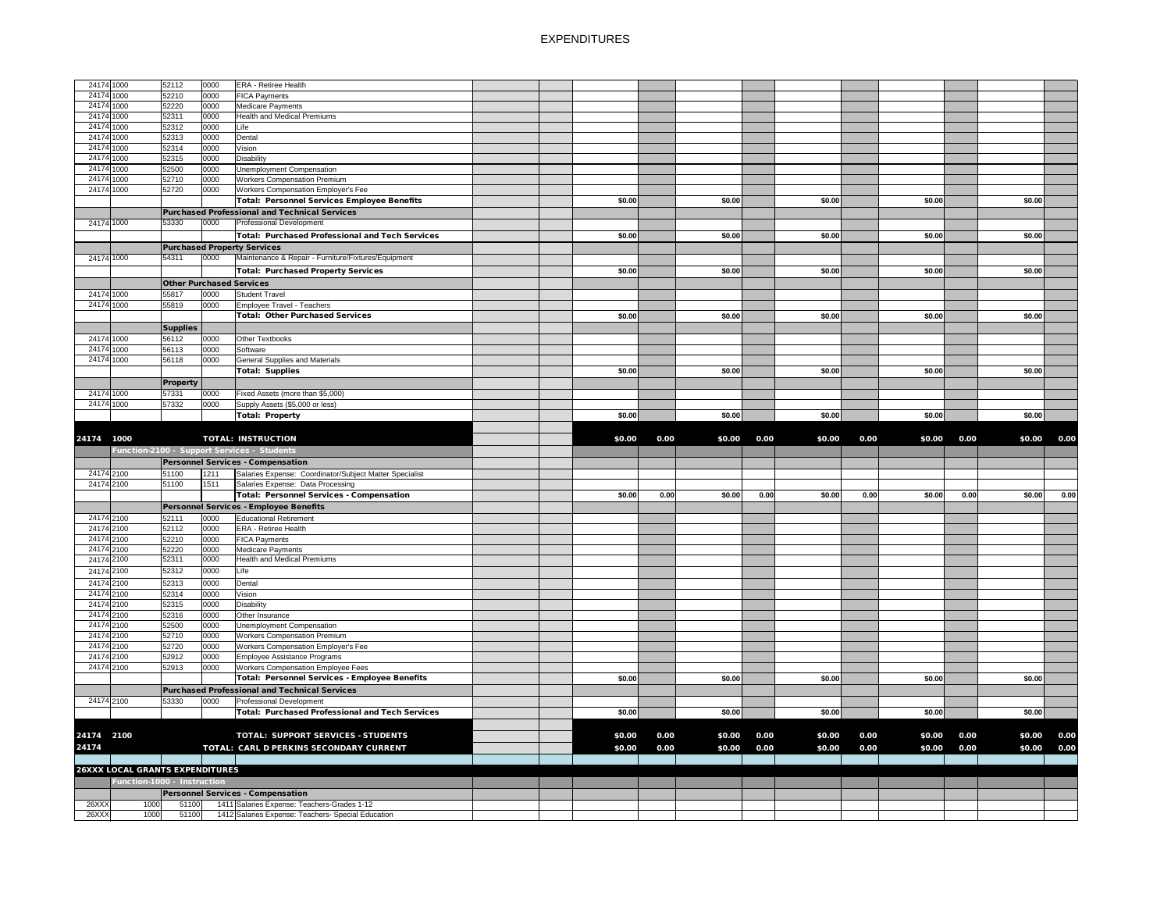| 24174 1000               |              | 52112                                  | 0000         | <b>ERA - Retiree Health</b>                                                                       |        |      |        |      |        |      |        |      |        |                     |
|--------------------------|--------------|----------------------------------------|--------------|---------------------------------------------------------------------------------------------------|--------|------|--------|------|--------|------|--------|------|--------|---------------------|
| 24174 1000               |              | 52210                                  | 0000         | <b>FICA Payments</b>                                                                              |        |      |        |      |        |      |        |      |        |                     |
| 24174 1000               |              | 52220                                  | 0000         | <b>Medicare Payments</b>                                                                          |        |      |        |      |        |      |        |      |        |                     |
| 24174 1000               |              | 52311                                  | 0000         | <b>Health and Medical Premiums</b>                                                                |        |      |        |      |        |      |        |      |        |                     |
| 24174 1000               |              | 52312                                  | 0000         | Life                                                                                              |        |      |        |      |        |      |        |      |        |                     |
| 24174 1000               |              | 52313                                  | 0000         | Dental                                                                                            |        |      |        |      |        |      |        |      |        |                     |
| 24174 1000               |              | 52314                                  | 0000         | Vision                                                                                            |        |      |        |      |        |      |        |      |        |                     |
| 24174 1000               |              | 52315                                  | 0000         | <b>Disability</b>                                                                                 |        |      |        |      |        |      |        |      |        |                     |
| 24174 1000               |              | 52500                                  | 0000         | Unemployment Compensation                                                                         |        |      |        |      |        |      |        |      |        |                     |
| 24174 1000               |              | 52710                                  | 0000         | <b>Workers Compensation Premium</b>                                                               |        |      |        |      |        |      |        |      |        |                     |
| 24174 1000               |              | 52720                                  | 0000         | Workers Compensation Employer's Fee                                                               |        |      |        |      |        |      |        |      |        |                     |
|                          |              |                                        |              | <b>Total: Personnel Services Employee Benefits</b>                                                | \$0.00 |      | \$0.00 |      | \$0.00 |      | \$0.00 |      | \$0.00 |                     |
|                          |              |                                        |              | Purchased Professional and Technical Services                                                     |        |      |        |      |        |      |        |      |        |                     |
| 24174 1000               |              | 53330                                  | 0000         | <b>Professional Development</b>                                                                   |        |      |        |      |        |      |        |      |        |                     |
|                          |              |                                        |              | <b>Total: Purchased Professional and Tech Services</b>                                            | \$0.00 |      | \$0.00 |      | \$0.00 |      | \$0.00 |      | \$0.00 |                     |
|                          |              |                                        |              | <b>Purchased Property Services</b>                                                                |        |      |        |      |        |      |        |      |        |                     |
| 24174 1000               |              | 54311                                  | 0000         | Maintenance & Repair - Furniture/Fixtures/Equipment                                               |        |      |        |      |        |      |        |      |        |                     |
|                          |              |                                        |              | <b>Total: Purchased Property Services</b>                                                         | \$0.00 |      | \$0.00 |      | \$0.00 |      | \$0.00 |      | \$0.00 |                     |
|                          |              | <b>Other Purchased Services</b>        |              |                                                                                                   |        |      |        |      |        |      |        |      |        |                     |
| 24174 1000               |              | 55817                                  | 0000         | <b>Student Travel</b>                                                                             |        |      |        |      |        |      |        |      |        |                     |
| 24174 1000               |              | 55819                                  | 0000         | Employee Travel - Teachers                                                                        |        |      |        |      |        |      |        |      |        |                     |
|                          |              |                                        |              | <b>Total: Other Purchased Services</b>                                                            | \$0.00 |      | \$0.00 |      | \$0.00 |      | \$0.00 |      | \$0.00 |                     |
|                          |              | <b>Supplies</b>                        |              |                                                                                                   |        |      |        |      |        |      |        |      |        |                     |
| 24174 1000               |              | 56112                                  | 0000         | Other Textbooks                                                                                   |        |      |        |      |        |      |        |      |        |                     |
| 24174 1000               |              | 56113                                  | 0000         | Software                                                                                          |        |      |        |      |        |      |        |      |        |                     |
| 24174 1000               |              | 56118                                  | 0000         | <b>General Supplies and Materials</b>                                                             |        |      |        |      |        |      |        |      |        |                     |
|                          |              |                                        |              | <b>Total: Supplies</b>                                                                            | \$0.00 |      | \$0.00 |      | \$0.00 |      | \$0.00 |      | \$0.00 |                     |
|                          |              | <b>Property</b>                        |              |                                                                                                   |        |      |        |      |        |      |        |      |        |                     |
| 24174 1000               |              | 57331                                  | 0000         | Fixed Assets (more than \$5,000)                                                                  |        |      |        |      |        |      |        |      |        |                     |
| 24174 1000               |              | 57332                                  | 0000         | Supply Assets (\$5,000 or less)                                                                   |        |      |        |      |        |      |        |      |        |                     |
|                          |              |                                        |              | <b>Total: Property</b>                                                                            | \$0.00 |      | \$0.00 |      | \$0.00 |      | \$0.00 |      | \$0.00 |                     |
|                          |              |                                        |              |                                                                                                   |        |      |        |      |        |      |        |      |        |                     |
| 24174 1000               |              |                                        |              | <b>TOTAL: INSTRUCTION</b>                                                                         | \$0.00 | 0.00 | \$0.00 | 0.00 | \$0.00 | 0.00 | \$0.00 | 0.00 | \$0.00 | 0.00                |
|                          |              |                                        |              |                                                                                                   |        |      |        |      |        |      |        |      |        |                     |
|                          |              |                                        |              | Function-2100 - Support Services - Students                                                       |        |      |        |      |        |      |        |      |        |                     |
|                          |              |                                        |              | <b>Personnel Services - Compensation</b>                                                          |        |      |        |      |        |      |        |      |        |                     |
| 24174 2100               |              | 51100                                  | 1211         | Salaries Expense: Coordinator/Subject Matter Specialist                                           |        |      |        |      |        |      |        |      |        |                     |
| 24174 2100               |              | 51100                                  | 1511         | Salaries Expense: Data Processing                                                                 |        |      |        |      |        |      |        |      |        |                     |
|                          |              |                                        |              | <b>Total: Personnel Services - Compensation</b>                                                   | \$0.00 | 0.00 | \$0.00 | 0.00 | \$0.00 | 0.00 | \$0.00 | 0.00 | \$0.00 | 0.00                |
|                          |              |                                        |              | Personnel Services - Employee Benefits                                                            |        |      |        |      |        |      |        |      |        |                     |
| 24174 2100               |              | 52111                                  | 0000         | <b>Educational Retirement</b>                                                                     |        |      |        |      |        |      |        |      |        |                     |
| 24174 2100               |              | 52112                                  | 0000         | <b>ERA - Retiree Health</b>                                                                       |        |      |        |      |        |      |        |      |        |                     |
| 24174 2100               |              | 52210                                  | 0000         | <b>FICA Payments</b>                                                                              |        |      |        |      |        |      |        |      |        |                     |
| 24174 2100               |              | 52220                                  | 0000         | <b>Medicare Payments</b>                                                                          |        |      |        |      |        |      |        |      |        |                     |
| 24174 2100               |              | 52311                                  | 0000         | <b>Health and Medical Premiums</b>                                                                |        |      |        |      |        |      |        |      |        |                     |
| 24174 2100               |              | 52312                                  | 0000         | Life                                                                                              |        |      |        |      |        |      |        |      |        |                     |
| 24174 2100               |              | 52313                                  | 0000         | Dental                                                                                            |        |      |        |      |        |      |        |      |        |                     |
| 24174 2100               |              | 52314                                  | 0000         | Vision                                                                                            |        |      |        |      |        |      |        |      |        |                     |
| 24174 2100               |              | 52315                                  | 0000         | <b>Disability</b>                                                                                 |        |      |        |      |        |      |        |      |        |                     |
| 24174 2100<br>24174 2100 |              | 52316<br>52500                         | 0000<br>0000 | Other Insurance<br>Unemployment Compensation                                                      |        |      |        |      |        |      |        |      |        |                     |
| 24174 2100               |              | 52710                                  | 0000         | <b>Workers Compensation Premium</b>                                                               |        |      |        |      |        |      |        |      |        |                     |
| 24174 2100               |              | 52720                                  | 0000         | Workers Compensation Employer's Fee                                                               |        |      |        |      |        |      |        |      |        |                     |
| 24174 2100               |              | 52912                                  | 0000         | Employee Assistance Programs                                                                      |        |      |        |      |        |      |        |      |        |                     |
| 24174 2100               |              | 52913                                  | 0000         | <b>Workers Compensation Employee Fees</b>                                                         |        |      |        |      |        |      |        |      |        |                     |
|                          |              |                                        |              | Total: Personnel Services - Employee Benefits                                                     | \$0.00 |      | \$0.00 |      | \$0.00 |      | \$0.00 |      | \$0.00 |                     |
|                          |              |                                        |              | <b>Purchased Professional and Technical Services</b>                                              |        |      |        |      |        |      |        |      |        |                     |
| 24174 2100               |              | 53330                                  | 0000         | Professional Development                                                                          |        |      |        |      |        |      |        |      |        |                     |
|                          |              |                                        |              | <b>Total: Purchased Professional and Tech Services</b>                                            | \$0.00 |      | \$0.00 |      | \$0.00 |      | \$0.00 |      | \$0.00 |                     |
|                          |              |                                        |              |                                                                                                   |        |      |        |      |        |      |        |      |        |                     |
| 24174 2100               |              |                                        |              | <b>TOTAL: SUPPORT SERVICES - STUDENTS</b>                                                         | \$0.00 | 0.00 | \$0.00 | 0.00 | \$0.00 | 0.00 | \$0.00 | 0.00 | \$0.00 |                     |
| 24174                    |              |                                        |              | TOTAL: CARL D PERKINS SECONDARY CURRENT                                                           | \$0.00 | 0.00 | \$0.00 | 0.00 | \$0.00 | 0.00 | \$0.00 | 0.00 |        | 0.00<br>\$0.00 0.00 |
|                          |              |                                        |              |                                                                                                   |        |      |        |      |        |      |        |      |        |                     |
|                          |              | <b>26XXX LOCAL GRANTS EXPENDITURES</b> |              |                                                                                                   |        |      |        |      |        |      |        |      |        |                     |
|                          |              | Function-1000 - Instruction            |              |                                                                                                   |        |      |        |      |        |      |        |      |        |                     |
|                          |              |                                        |              | <b>Personnel Services - Compensation</b>                                                          |        |      |        |      |        |      |        |      |        |                     |
| 26XXX<br>26XXX           | 1000<br>1000 | 51100<br>51100                         |              | 1411 Salaries Expense: Teachers-Grades 1-12<br>1412 Salaries Expense: Teachers- Special Education |        |      |        |      |        |      |        |      |        |                     |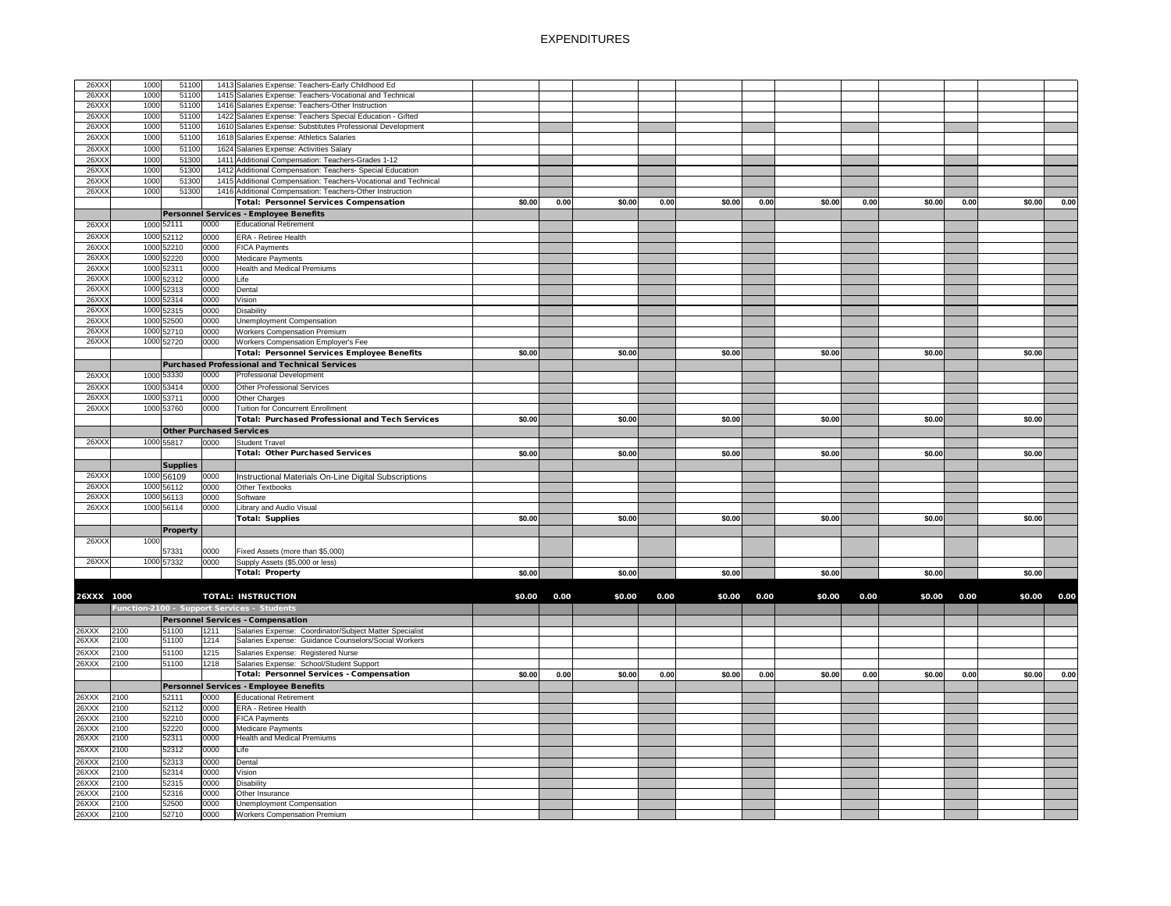| 26XXX      | 1000 | 51100           |      | 1413 Salaries Expense: Teachers-Early Childhood Ed              |        |      |        |      |        |      |        |      |        |      |        |      |
|------------|------|-----------------|------|-----------------------------------------------------------------|--------|------|--------|------|--------|------|--------|------|--------|------|--------|------|
| 26XXX      | 1000 | 51100           |      | 1415 Salaries Expense: Teachers-Vocational and Technical        |        |      |        |      |        |      |        |      |        |      |        |      |
| 26XXX      | 1000 | 51100           |      | 1416 Salaries Expense: Teachers-Other Instruction               |        |      |        |      |        |      |        |      |        |      |        |      |
| 26XXX      | 1000 | 51100           |      | 1422 Salaries Expense: Teachers Special Education - Gifted      |        |      |        |      |        |      |        |      |        |      |        |      |
| 26XXX      | 1000 | 51100           |      | 1610 Salaries Expense: Substitutes Professional Development     |        |      |        |      |        |      |        |      |        |      |        |      |
| 26XXX      | 1000 | 51100           |      | 1618 Salaries Expense: Athletics Salaries                       |        |      |        |      |        |      |        |      |        |      |        |      |
| 26XXX      | 1000 | 51100           |      | 1624 Salaries Expense: Activities Salary                        |        |      |        |      |        |      |        |      |        |      |        |      |
| 26XXX      | 1000 | 51300           |      | 1411 Additional Compensation: Teachers-Grades 1-12              |        |      |        |      |        |      |        |      |        |      |        |      |
| 26XXX      | 1000 | 51300           |      | 1412 Additional Compensation: Teachers- Special Education       |        |      |        |      |        |      |        |      |        |      |        |      |
| 26XXX      | 1000 | 51300           |      | 1415 Additional Compensation: Teachers-Vocational and Technical |        |      |        |      |        |      |        |      |        |      |        |      |
| 26XXX      | 1000 | 51300           |      | 1416 Additional Compensation: Teachers-Other Instruction        |        |      |        |      |        |      |        |      |        |      |        |      |
|            |      |                 |      | <b>Total: Personnel Services Compensation</b>                   | \$0.00 | 0.00 | \$0.00 | 0.00 | \$0.00 | 0.00 | \$0.00 | 0.00 | \$0.00 | 0.00 | \$0.00 | 0.00 |
|            |      |                 |      | Personnel Services - Employee Benefits                          |        |      |        |      |        |      |        |      |        |      |        |      |
| 26XXX      |      | 1000 52111      | 0000 | <b>Educational Retirement</b>                                   |        |      |        |      |        |      |        |      |        |      |        |      |
| 26XXX      |      | 1000 52112      | 0000 | <b>ERA - Retiree Health</b>                                     |        |      |        |      |        |      |        |      |        |      |        |      |
| 26XXX      | 1000 | 52210           | 0000 | <b>FICA Payments</b>                                            |        |      |        |      |        |      |        |      |        |      |        |      |
| 26XXX      | 1000 | 52220           | 0000 | <b>Medicare Payments</b>                                        |        |      |        |      |        |      |        |      |        |      |        |      |
| 26XXX      | 1000 | 52311           | 0000 | <b>Health and Medical Premiums</b>                              |        |      |        |      |        |      |        |      |        |      |        |      |
| 26XXX      |      | 1000 52312      | 0000 | Life                                                            |        |      |        |      |        |      |        |      |        |      |        |      |
| 26XXX      | 1000 | 52313           | 0000 | Dental                                                          |        |      |        |      |        |      |        |      |        |      |        |      |
| 26XXX      | 1000 | 52314           | 0000 | Vision                                                          |        |      |        |      |        |      |        |      |        |      |        |      |
| 26XXX      | 1000 | 52315           | 0000 | <b>Disability</b>                                               |        |      |        |      |        |      |        |      |        |      |        |      |
| 26XXX      | 1000 | 52500           | 0000 | <b>Unemployment Compensation</b>                                |        |      |        |      |        |      |        |      |        |      |        |      |
| 26XXX      |      | 1000 52710      | 0000 | <b>Workers Compensation Premium</b>                             |        |      |        |      |        |      |        |      |        |      |        |      |
| 26XXX      | 1000 | 52720           | 0000 | Workers Compensation Employer's Fee                             |        |      |        |      |        |      |        |      |        |      |        |      |
|            |      |                 |      | <b>Total: Personnel Services Employee Benefits</b>              | \$0.00 |      | \$0.00 |      | \$0.00 |      | \$0.00 |      | \$0.00 |      | \$0.00 |      |
|            |      |                 |      | <b>Purchased Professional and Technical Services</b>            |        |      |        |      |        |      |        |      |        |      |        |      |
| 26XXX      | 1000 | 53330           | 0000 | <b>Professional Development</b>                                 |        |      |        |      |        |      |        |      |        |      |        |      |
| 26XXX      |      | 1000 53414      | 0000 | Other Professional Services                                     |        |      |        |      |        |      |        |      |        |      |        |      |
| 26XXX      |      | 1000 53711      | 0000 | <b>Other Charges</b>                                            |        |      |        |      |        |      |        |      |        |      |        |      |
| 26XXX      |      | 1000 53760      | 0000 | Tuition for Concurrent Enrollment                               |        |      |        |      |        |      |        |      |        |      |        |      |
|            |      |                 |      | <b>Total: Purchased Professional and Tech Services</b>          | \$0.00 |      | \$0.00 |      | \$0.00 |      | \$0.00 |      | \$0.00 |      | \$0.00 |      |
|            |      |                 |      | <b>Other Purchased Services</b>                                 |        |      |        |      |        |      |        |      |        |      |        |      |
| 26XXX      |      | 1000 55817      | 0000 | <b>Student Travel</b>                                           |        |      |        |      |        |      |        |      |        |      |        |      |
|            |      |                 |      | <b>Total: Other Purchased Services</b>                          | \$0.00 |      | \$0.00 |      | \$0.00 |      | \$0.00 |      | \$0.00 |      | \$0.00 |      |
|            |      | <b>Supplies</b> |      |                                                                 |        |      |        |      |        |      |        |      |        |      |        |      |
| 26XXX      |      | 1000 56109      | 0000 | Instructional Materials On-Line Digital Subscriptions           |        |      |        |      |        |      |        |      |        |      |        |      |
| 26XXX      |      | 1000 56112      | 0000 | Other Textbooks                                                 |        |      |        |      |        |      |        |      |        |      |        |      |
| 26XXX      |      | 1000 56113      | 0000 | Software                                                        |        |      |        |      |        |      |        |      |        |      |        |      |
| 26XXX      |      | 1000 56114      | 0000 | Library and Audio Visual                                        |        |      |        |      |        |      |        |      |        |      |        |      |
|            |      |                 |      | <b>Total: Supplies</b>                                          | \$0.00 |      | \$0.00 |      | \$0.00 |      | \$0.00 |      | \$0.00 |      | \$0.00 |      |
|            |      | <b>Property</b> |      |                                                                 |        |      |        |      |        |      |        |      |        |      |        |      |
| 26XXX      | 1000 |                 |      |                                                                 |        |      |        |      |        |      |        |      |        |      |        |      |
|            |      | 57331           | 0000 | Fixed Assets (more than \$5,000)                                |        |      |        |      |        |      |        |      |        |      |        |      |
| 26XXX      |      | 1000 57332      | 0000 | Supply Assets (\$5,000 or less)                                 |        |      |        |      |        |      |        |      |        |      |        |      |
|            |      |                 |      | <b>Total: Property</b>                                          | \$0.00 |      | \$0.00 |      | \$0.00 |      | \$0.00 |      | \$0.00 |      | \$0.00 |      |
|            |      |                 |      |                                                                 |        |      |        |      |        |      |        |      |        |      |        |      |
| 26XXX 1000 |      |                 |      | <b>TOTAL: INSTRUCTION</b>                                       | \$0.00 | 0.00 | \$0.00 | 0.00 | \$0.00 | 0.00 | \$0.00 | 0.00 | \$0.00 | 0.00 | \$0.00 | 0.00 |
|            |      |                 |      | Function-2100 - Support Services - Students                     |        |      |        |      |        |      |        |      |        |      |        |      |
|            |      |                 |      | Personnel Services - Compensation                               |        |      |        |      |        |      |        |      |        |      |        |      |
| 26XXX      | 2100 | 51100           | 1211 | Salaries Expense: Coordinator/Subject Matter Specialist         |        |      |        |      |        |      |        |      |        |      |        |      |
| 26XXX      | 2100 | 51100           | 1214 | Salaries Expense: Guidance Counselors/Social Workers            |        |      |        |      |        |      |        |      |        |      |        |      |
| 26XXX      | 2100 | 51100           | 1215 | Salaries Expense: Registered Nurse                              |        |      |        |      |        |      |        |      |        |      |        |      |
| 26XXX      | 2100 | 51100           | 1218 | Salaries Expense: School/Student Support                        |        |      |        |      |        |      |        |      |        |      |        |      |
|            |      |                 |      | <b>Total: Personnel Services - Compensation</b>                 | \$0.00 | 0.00 | \$0.00 | 0.00 | \$0.00 | 0.00 | \$0.00 | 0.00 | \$0.00 | 0.00 | \$0.00 | 0.00 |
|            |      |                 |      | Personnel Services - Employee Benefits                          |        |      |        |      |        |      |        |      |        |      |        |      |
| 26XXX      | 2100 | 52111           | 0000 | Educational Retirement                                          |        |      |        |      |        |      |        |      |        |      |        |      |
| 26XXX      | 2100 | 52112           | 0000 | <b>ERA - Retiree Health</b>                                     |        |      |        |      |        |      |        |      |        |      |        |      |
| 26XXX      | 2100 | 52210           | 0000 | <b>FICA Payments</b>                                            |        |      |        |      |        |      |        |      |        |      |        |      |
| 26XXX      | 2100 | 52220           | 0000 | Medicare Payments                                               |        |      |        |      |        |      |        |      |        |      |        |      |
| 26XXX      | 2100 | 52311           | 0000 | <b>Health and Medical Premiums</b>                              |        |      |        |      |        |      |        |      |        |      |        |      |
| 26XXX      | 2100 | 52312           | 0000 | Life                                                            |        |      |        |      |        |      |        |      |        |      |        |      |
| 26XXX      | 2100 | 52313           | 0000 | Dental                                                          |        |      |        |      |        |      |        |      |        |      |        |      |
| 26XXX      | 2100 | 52314           | 0000 | Vision                                                          |        |      |        |      |        |      |        |      |        |      |        |      |
| 26XXX      | 2100 | 52315           | 0000 | <b>Disability</b>                                               |        |      |        |      |        |      |        |      |        |      |        |      |
| 26XXX      | 2100 | 52316           | 0000 | Other Insurance                                                 |        |      |        |      |        |      |        |      |        |      |        |      |
| 26XXX      | 2100 | 52500           | 0000 | <b>Unemployment Compensation</b>                                |        |      |        |      |        |      |        |      |        |      |        |      |
| 26XXX      | 2100 | 52710           | 0000 | <b>Workers Compensation Premium</b>                             |        |      |        |      |        |      |        |      |        |      |        |      |
|            |      |                 |      |                                                                 |        |      |        |      |        |      |        |      |        |      |        |      |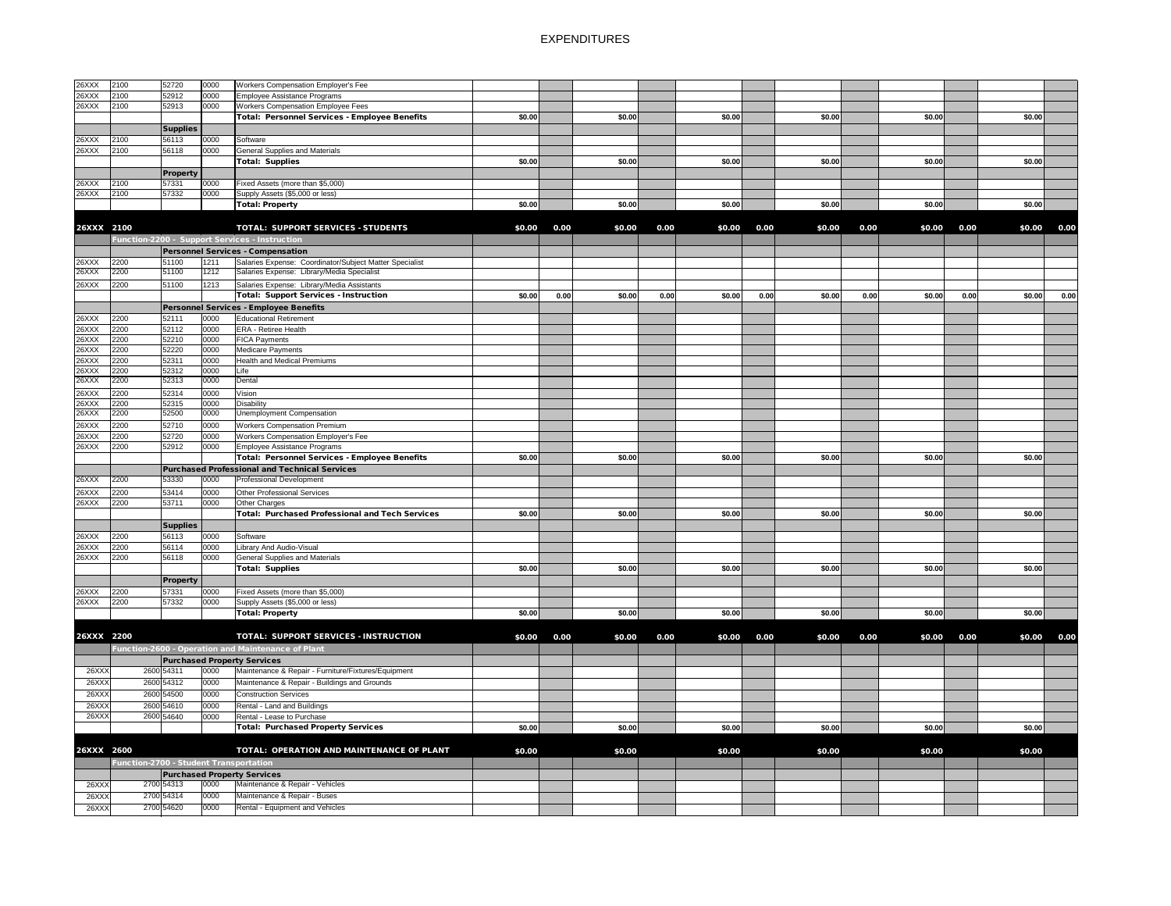| 26XXX      | 2100                                   | 52720           | 0000 | <b>Workers Compensation Employer's Fee</b>              |        |      |        |      |        |      |        |      |        |      |        |      |
|------------|----------------------------------------|-----------------|------|---------------------------------------------------------|--------|------|--------|------|--------|------|--------|------|--------|------|--------|------|
| 26XXX      | 2100                                   | 52912           | 0000 | Employee Assistance Programs                            |        |      |        |      |        |      |        |      |        |      |        |      |
| 26XXX      | 2100                                   | 52913           | 0000 | <b>Workers Compensation Employee Fees</b>               |        |      |        |      |        |      |        |      |        |      |        |      |
|            |                                        |                 |      | Total: Personnel Services - Employee Benefits           | \$0.00 |      | \$0.00 |      | \$0.00 |      | \$0.00 |      | \$0.00 |      | \$0.00 |      |
|            |                                        |                 |      |                                                         |        |      |        |      |        |      |        |      |        |      |        |      |
|            |                                        | <b>Supplies</b> |      |                                                         |        |      |        |      |        |      |        |      |        |      |        |      |
| 26XXX      | 2100                                   | 56113           | 0000 | Software                                                |        |      |        |      |        |      |        |      |        |      |        |      |
| 26XXX      | 2100                                   | 56118           | 0000 | <b>General Supplies and Materials</b>                   |        |      |        |      |        |      |        |      |        |      |        |      |
|            |                                        |                 |      | Total: Supplies                                         | \$0.00 |      | \$0.00 |      | \$0.00 |      | \$0.00 |      | \$0.00 |      | \$0.00 |      |
|            |                                        | <b>Property</b> |      |                                                         |        |      |        |      |        |      |        |      |        |      |        |      |
| 26XXX      | 2100                                   | 57331           | 0000 | Fixed Assets (more than \$5,000)                        |        |      |        |      |        |      |        |      |        |      |        |      |
| 26XXX      | 2100                                   | 57332           | 0000 | Supply Assets (\$5,000 or less)                         |        |      |        |      |        |      |        |      |        |      |        |      |
|            |                                        |                 |      |                                                         |        |      |        |      |        |      |        |      |        |      |        |      |
|            |                                        |                 |      | Total: Property                                         | \$0.00 |      | \$0.00 |      | \$0.00 |      | \$0.00 |      | \$0.00 |      | \$0.00 |      |
|            |                                        |                 |      |                                                         |        |      |        |      |        |      |        |      |        |      |        |      |
| 26XXX 2100 |                                        |                 |      | <b>TOTAL: SUPPORT SERVICES - STUDENTS</b>               | \$0.00 | 0.00 | \$0.00 | 0.00 | \$0.00 | 0.00 | \$0.00 | 0.00 | \$0.00 | 0.00 | \$0.00 | 0.00 |
|            |                                        |                 |      | Function-2200 - Support Services - Instruction          |        |      |        |      |        |      |        |      |        |      |        |      |
|            |                                        |                 |      |                                                         |        |      |        |      |        |      |        |      |        |      |        |      |
|            |                                        |                 |      | <b>Personnel Services - Compensation</b>                |        |      |        |      |        |      |        |      |        |      |        |      |
| 26XXX      | 2200                                   | 51100           | 1211 | Salaries Expense: Coordinator/Subject Matter Specialist |        |      |        |      |        |      |        |      |        |      |        |      |
| 26XXX      | 2200                                   | 51100           | 1212 | Salaries Expense: Library/Media Specialist              |        |      |        |      |        |      |        |      |        |      |        |      |
| 26XXX      | 2200                                   | 51100           | 1213 | Salaries Expense: Library/Media Assistants              |        |      |        |      |        |      |        |      |        |      |        |      |
|            |                                        |                 |      |                                                         |        |      |        |      |        |      |        |      |        |      |        |      |
|            |                                        |                 |      | Total: Support Services - Instruction                   | \$0.00 | 0.00 | \$0.00 | 0.00 | \$0.00 | 0.00 | \$0.00 | 0.00 | \$0.00 | 0.00 | \$0.00 | 0.00 |
|            |                                        |                 |      | Personnel Services - Employee Benefits                  |        |      |        |      |        |      |        |      |        |      |        |      |
| 26XXX      | 2200                                   | 52111           | 0000 | <b>Educational Retirement</b>                           |        |      |        |      |        |      |        |      |        |      |        |      |
| 26XXX      | 2200                                   | 52112           | 0000 | <b>ERA - Retiree Health</b>                             |        |      |        |      |        |      |        |      |        |      |        |      |
| 26XXX      | 2200                                   | 52210           | 0000 | <b>FICA Payments</b>                                    |        |      |        |      |        |      |        |      |        |      |        |      |
| 26XXX      | 2200                                   | 52220           | 0000 | Medicare Payments                                       |        |      |        |      |        |      |        |      |        |      |        |      |
|            |                                        |                 |      |                                                         |        |      |        |      |        |      |        |      |        |      |        |      |
| 26XXX      | 2200                                   | 52311           | 0000 | <b>Health and Medical Premiums</b>                      |        |      |        |      |        |      |        |      |        |      |        |      |
| 26XXX      | 2200                                   | 52312           | 0000 | Life                                                    |        |      |        |      |        |      |        |      |        |      |        |      |
| 26XXX      | 2200                                   | 52313           | 0000 | Dental                                                  |        |      |        |      |        |      |        |      |        |      |        |      |
| 26XXX      | 2200                                   | 52314           | 0000 | Vision                                                  |        |      |        |      |        |      |        |      |        |      |        |      |
| 26XXX      | 2200                                   | 52315           | 0000 | Disability                                              |        |      |        |      |        |      |        |      |        |      |        |      |
| 26XXX      | 2200                                   | 52500           | 0000 | <b>Unemployment Compensation</b>                        |        |      |        |      |        |      |        |      |        |      |        |      |
|            |                                        |                 |      |                                                         |        |      |        |      |        |      |        |      |        |      |        |      |
| 26XXX      | 2200                                   | 52710           | 0000 | <b>Workers Compensation Premium</b>                     |        |      |        |      |        |      |        |      |        |      |        |      |
| 26XXX      | 2200                                   | 52720           | 0000 | Workers Compensation Employer's Fee                     |        |      |        |      |        |      |        |      |        |      |        |      |
| 26XXX      | 2200                                   | 52912           | 0000 | Employee Assistance Programs                            |        |      |        |      |        |      |        |      |        |      |        |      |
|            |                                        |                 |      | Total: Personnel Services - Employee Benefits           | \$0.00 |      | \$0.00 |      | \$0.00 |      | \$0.00 |      | \$0.00 |      | \$0.00 |      |
|            |                                        |                 |      | <b>Purchased Professional and Technical Services</b>    |        |      |        |      |        |      |        |      |        |      |        |      |
|            |                                        |                 |      |                                                         |        |      |        |      |        |      |        |      |        |      |        |      |
| 26XXX      | 2200                                   | 53330           | 0000 | <b>Professional Development</b>                         |        |      |        |      |        |      |        |      |        |      |        |      |
| 26XXX      | 2200                                   | 53414           | 0000 | Other Professional Services                             |        |      |        |      |        |      |        |      |        |      |        |      |
| 26XXX      | 2200                                   | 53711           | 0000 | Other Charges                                           |        |      |        |      |        |      |        |      |        |      |        |      |
|            |                                        |                 |      | <b>Total: Purchased Professional and Tech Services</b>  | \$0.00 |      | \$0.00 |      | \$0.00 |      | \$0.00 |      | \$0.00 |      | \$0.00 |      |
|            |                                        |                 |      |                                                         |        |      |        |      |        |      |        |      |        |      |        |      |
|            |                                        | <b>Supplies</b> |      |                                                         |        |      |        |      |        |      |        |      |        |      |        |      |
| 26XXX      | 2200                                   | 56113           | 0000 | Software                                                |        |      |        |      |        |      |        |      |        |      |        |      |
| 26XXX      | 2200                                   | 56114           | 0000 | Library And Audio-Visual                                |        |      |        |      |        |      |        |      |        |      |        |      |
| 26XXX      | 2200                                   | 56118           | 0000 | <b>General Supplies and Materials</b>                   |        |      |        |      |        |      |        |      |        |      |        |      |
|            |                                        |                 |      | <b>Total: Supplies</b>                                  | \$0.00 |      | \$0.00 |      | \$0.00 |      | \$0.00 |      | \$0.00 |      | \$0.00 |      |
|            |                                        |                 |      |                                                         |        |      |        |      |        |      |        |      |        |      |        |      |
|            |                                        | <b>Property</b> |      |                                                         |        |      |        |      |        |      |        |      |        |      |        |      |
| 26XXX      | 2200                                   | 57331           | 0000 | Fixed Assets (more than \$5,000)                        |        |      |        |      |        |      |        |      |        |      |        |      |
| 26XXX      | 2200                                   | 57332           | 0000 | Supply Assets (\$5,000 or less)                         |        |      |        |      |        |      |        |      |        |      |        |      |
|            |                                        |                 |      | Total: Property                                         | \$0.00 |      | \$0.00 |      | \$0.00 |      | \$0.00 |      | \$0.00 |      | \$0.00 |      |
|            |                                        |                 |      |                                                         |        |      |        |      |        |      |        |      |        |      |        |      |
| 26XXX 2200 |                                        |                 |      | TOTAL: SUPPORT SERVICES - INSTRUCTION                   |        |      |        |      |        |      |        | 0.00 | \$0.00 |      |        |      |
|            |                                        |                 |      |                                                         | \$0.00 | 0.00 | \$0.00 | 0.00 | \$0.00 | 0.00 | \$0.00 |      |        | 0.00 | \$0.00 | 0.00 |
|            |                                        |                 |      | Function-2600 - Operation and Maintenance of Plant      |        |      |        |      |        |      |        |      |        |      |        |      |
|            |                                        |                 |      | <b>Purchased Property Services</b>                      |        |      |        |      |        |      |        |      |        |      |        |      |
| 26XXX      |                                        | 2600 54311      | 0000 | Maintenance & Repair - Furniture/Fixtures/Equipment     |        |      |        |      |        |      |        |      |        |      |        |      |
| 26XXX      |                                        | 2600 54312      | 0000 | Maintenance & Repair - Buildings and Grounds            |        |      |        |      |        |      |        |      |        |      |        |      |
|            |                                        |                 |      |                                                         |        |      |        |      |        |      |        |      |        |      |        |      |
| 26XXX      |                                        | 2600 54500      | 0000 | <b>Construction Services</b>                            |        |      |        |      |        |      |        |      |        |      |        |      |
| 26XXX      |                                        | 2600 54610      | 0000 | Rental - Land and Buildings                             |        |      |        |      |        |      |        |      |        |      |        |      |
| 26XXX      |                                        | 2600 54640      | 0000 | Rental - Lease to Purchase                              |        |      |        |      |        |      |        |      |        |      |        |      |
|            |                                        |                 |      | <b>Total: Purchased Property Services</b>               | \$0.00 |      | \$0.00 |      | \$0.00 |      | \$0.00 |      | \$0.00 |      | \$0.00 |      |
|            |                                        |                 |      |                                                         |        |      |        |      |        |      |        |      |        |      |        |      |
|            |                                        |                 |      |                                                         |        |      |        |      |        |      |        |      |        |      |        |      |
| 26XXX 2600 |                                        |                 |      | TOTAL: OPERATION AND MAINTENANCE OF PLANT               | \$0.00 |      | \$0.00 |      | \$0.00 |      | \$0.00 |      | \$0.00 |      | \$0.00 |      |
|            | Function-2700 - Student Transportation |                 |      |                                                         |        |      |        |      |        |      |        |      |        |      |        |      |
|            |                                        |                 |      | <b>Purchased Property Services</b>                      |        |      |        |      |        |      |        |      |        |      |        |      |
|            |                                        |                 |      |                                                         |        |      |        |      |        |      |        |      |        |      |        |      |
| 26XXX      |                                        | 2700 54313      | 0000 | Maintenance & Repair - Vehicles                         |        |      |        |      |        |      |        |      |        |      |        |      |
| 26XXX      |                                        | 2700 54314      | 0000 | Maintenance & Repair - Buses                            |        |      |        |      |        |      |        |      |        |      |        |      |
| 26XXX      |                                        | 2700 54620      | 0000 | Rental - Equipment and Vehicles                         |        |      |        |      |        |      |        |      |        |      |        |      |
|            |                                        |                 |      |                                                         |        |      |        |      |        |      |        |      |        |      |        |      |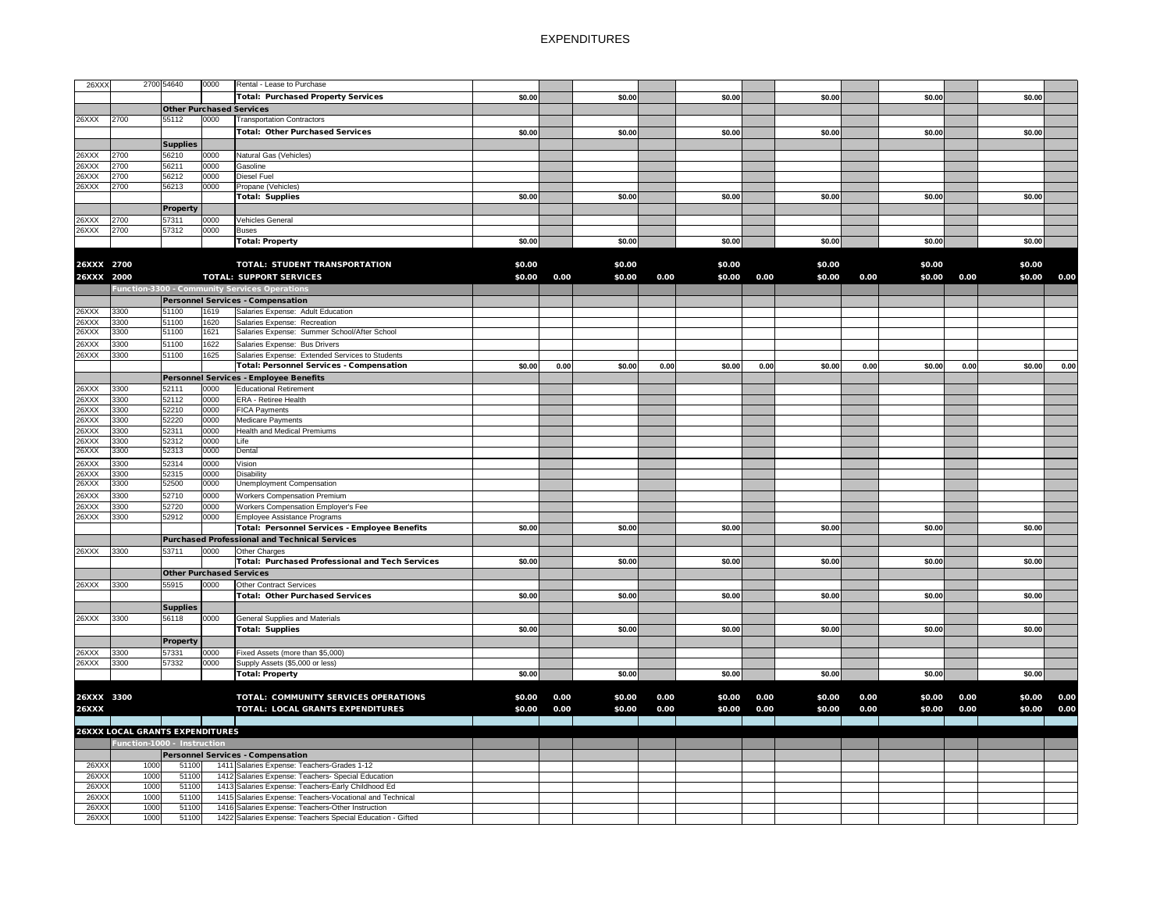| 26XXX          |                                                                       | 2700 54640                      | 0000         | Rental - Lease to Purchase                                                              |        |      |        |      |        |      |        |      |        |      |        |      |
|----------------|-----------------------------------------------------------------------|---------------------------------|--------------|-----------------------------------------------------------------------------------------|--------|------|--------|------|--------|------|--------|------|--------|------|--------|------|
|                |                                                                       |                                 |              | Total: Purchased Property Services                                                      | \$0.00 |      | \$0.00 |      | \$0.00 |      | \$0.00 |      | \$0.00 |      | \$0.00 |      |
|                |                                                                       | <b>Other Purchased Services</b> |              |                                                                                         |        |      |        |      |        |      |        |      |        |      |        |      |
| 26XXX          | 2700                                                                  | 55112                           | 0000         | <b>Transportation Contractors</b>                                                       |        |      |        |      |        |      |        |      |        |      |        |      |
|                |                                                                       |                                 |              | <b>Total: Other Purchased Services</b>                                                  | \$0.00 |      | \$0.00 |      | \$0.00 |      | \$0.00 |      | \$0.00 |      | \$0.00 |      |
|                |                                                                       | <b>Supplies</b>                 |              |                                                                                         |        |      |        |      |        |      |        |      |        |      |        |      |
| 26XXX          | 2700                                                                  | 56210                           | 0000         | Natural Gas (Vehicles)                                                                  |        |      |        |      |        |      |        |      |        |      |        |      |
| 26XXX          | 2700                                                                  | 56211                           | 0000         | Gasoline                                                                                |        |      |        |      |        |      |        |      |        |      |        |      |
| 26XXX          | 2700                                                                  | 56212                           | 0000         | Diesel Fuel                                                                             |        |      |        |      |        |      |        |      |        |      |        |      |
| 26XXX          | 2700                                                                  | 56213                           | 0000         | Propane (Vehicles)                                                                      |        |      |        |      |        |      |        |      |        |      |        |      |
|                |                                                                       |                                 |              | <b>Total: Supplies</b>                                                                  | \$0.00 |      | \$0.00 |      | \$0.00 |      | \$0.00 |      | \$0.00 |      | \$0.00 |      |
|                |                                                                       | <b>Property</b>                 |              |                                                                                         |        |      |        |      |        |      |        |      |        |      |        |      |
| 26XXX          | 2700                                                                  | 57311                           | 0000         | Vehicles General                                                                        |        |      |        |      |        |      |        |      |        |      |        |      |
| 26XXX          | 2700                                                                  | 57312                           | 0000         | Buses                                                                                   |        |      |        |      |        |      |        |      |        |      |        |      |
|                |                                                                       |                                 |              | Total: Property                                                                         | \$0.00 |      | \$0.00 |      | \$0.00 |      | \$0.00 |      | \$0.00 |      | \$0.00 |      |
|                |                                                                       |                                 |              |                                                                                         |        |      |        |      |        |      |        |      |        |      |        |      |
| 26XXX 2700     |                                                                       |                                 |              | <b>TOTAL: STUDENT TRANSPORTATION</b>                                                    | \$0.00 |      | \$0.00 |      | \$0.00 |      | \$0.00 |      | \$0.00 |      | \$0.00 |      |
| 26XXX 2000     |                                                                       |                                 |              | <b>TOTAL: SUPPORT SERVICES</b>                                                          | \$0.00 | 0.00 | \$0.00 | 0.00 | \$0.00 | 0.00 | \$0.00 | 0.00 | \$0.00 | 0.00 | \$0.00 | 0.00 |
|                |                                                                       |                                 |              | Function-3300 - Community Services Operations                                           |        |      |        |      |        |      |        |      |        |      |        |      |
|                |                                                                       |                                 |              | <b>Personnel Services - Compensation</b>                                                |        |      |        |      |        |      |        |      |        |      |        |      |
| 26XXX          | 3300                                                                  | 51100                           | 1619         | Salaries Expense: Adult Education                                                       |        |      |        |      |        |      |        |      |        |      |        |      |
| 26XXX          | 3300                                                                  | 51100                           | 1620         | Salaries Expense: Recreation                                                            |        |      |        |      |        |      |        |      |        |      |        |      |
| 26XXX          | 3300                                                                  | 51100                           | 1621         | Salaries Expense: Summer School/After School                                            |        |      |        |      |        |      |        |      |        |      |        |      |
| 26XXX          | 3300                                                                  | 51100                           | 1622         | Salaries Expense: Bus Drivers                                                           |        |      |        |      |        |      |        |      |        |      |        |      |
| 26XXX          | 3300                                                                  | 51100                           | 1625         | Salaries Expense: Extended Services to Students                                         |        |      |        |      |        |      |        |      |        |      |        |      |
|                |                                                                       |                                 |              | <b>Total: Personnel Services - Compensation</b>                                         | \$0.00 | 0.00 | \$0.00 | 0.00 | \$0.00 | 0.00 | \$0.00 | 0.00 | \$0.00 | 0.00 | \$0.00 | 0.00 |
|                |                                                                       |                                 |              | Personnel Services - Employee Benefits                                                  |        |      |        |      |        |      |        |      |        |      |        |      |
| 26XXX          | 3300                                                                  | 52111                           | 0000         | <b>Educational Retirement</b>                                                           |        |      |        |      |        |      |        |      |        |      |        |      |
| 26XXX          | 3300                                                                  | 52112<br>52210                  | 0000<br>0000 | <b>ERA - Retiree Health</b>                                                             |        |      |        |      |        |      |        |      |        |      |        |      |
| 26XXX<br>26XXX | 3300<br>3300                                                          | 52220                           | 0000         | <b>FICA Payments</b><br>Medicare Payments                                               |        |      |        |      |        |      |        |      |        |      |        |      |
| 26XXX          | 3300                                                                  | 52311                           | 0000         | <b>Health and Medical Premiums</b>                                                      |        |      |        |      |        |      |        |      |        |      |        |      |
| 26XXX          | 3300                                                                  | 52312                           | 0000         | Life                                                                                    |        |      |        |      |        |      |        |      |        |      |        |      |
| 26XXX          | 3300                                                                  | 52313                           | 0000         | Dental                                                                                  |        |      |        |      |        |      |        |      |        |      |        |      |
| 26XXX          | 3300                                                                  | 52314                           | 0000         | Vision                                                                                  |        |      |        |      |        |      |        |      |        |      |        |      |
| 26XXX          | 3300                                                                  | 52315                           | 0000         | <b>Disability</b>                                                                       |        |      |        |      |        |      |        |      |        |      |        |      |
| 26XXX          | 3300                                                                  | 52500                           | 0000         | <b>Unemployment Compensation</b>                                                        |        |      |        |      |        |      |        |      |        |      |        |      |
| 26XXX          | 3300                                                                  | 52710                           | 0000         | <b>Workers Compensation Premium</b>                                                     |        |      |        |      |        |      |        |      |        |      |        |      |
| 26XXX          | 3300                                                                  | 52720                           | 0000         | <b>Workers Compensation Employer's Fee</b>                                              |        |      |        |      |        |      |        |      |        |      |        |      |
| 26XXX          | 3300                                                                  | 52912                           | 0000         | Employee Assistance Programs                                                            |        |      |        |      |        |      |        |      |        |      |        |      |
|                |                                                                       |                                 |              | Total: Personnel Services - Employee Benefits                                           | \$0.00 |      | \$0.00 |      | \$0.00 |      | \$0.00 |      | \$0.00 |      | \$0.00 |      |
|                |                                                                       |                                 |              | <b>Purchased Professional and Technical Services</b>                                    |        |      |        |      |        |      |        |      |        |      |        |      |
| 26XXX          | 3300                                                                  | 53711                           | 0000         | <b>Other Charges</b>                                                                    |        |      |        |      |        |      |        |      |        |      |        |      |
|                |                                                                       |                                 |              | Total: Purchased Professional and Tech Services                                         | \$0.00 |      | \$0.00 |      | \$0.00 |      | \$0.00 |      | \$0.00 |      | \$0.00 |      |
|                |                                                                       | <b>Other Purchased Services</b> |              |                                                                                         |        |      |        |      |        |      |        |      |        |      |        |      |
| 26XXX          | 3300                                                                  | 55915                           | 0000         | <b>Other Contract Services</b>                                                          |        |      |        |      |        |      |        |      |        |      |        |      |
|                |                                                                       |                                 |              | <b>Total: Other Purchased Services</b>                                                  | \$0.00 |      | \$0.00 |      | \$0.00 |      | \$0.00 |      | \$0.00 |      | \$0.00 |      |
|                |                                                                       | <b>Supplies</b>                 |              |                                                                                         |        |      |        |      |        |      |        |      |        |      |        |      |
| 26XXX          | 3300                                                                  | 56118                           | 0000         | <b>General Supplies and Materials</b>                                                   |        |      |        |      |        |      |        |      |        |      |        |      |
|                |                                                                       |                                 |              | <b>Total: Supplies</b>                                                                  | \$0.00 |      | \$0.00 |      | \$0.00 |      | \$0.00 |      | \$0.00 |      | \$0.00 |      |
|                |                                                                       | <b>Property</b>                 |              |                                                                                         |        |      |        |      |        |      |        |      |        |      |        |      |
| 26XXX          | 3300                                                                  | 57331                           | 0000         | Fixed Assets (more than \$5,000)                                                        |        |      |        |      |        |      |        |      |        |      |        |      |
| 26XXX          | 3300                                                                  | 57332                           | 0000         | Supply Assets (\$5,000 or less)<br><b>Total: Property</b>                               | \$0.00 |      | \$0.00 |      | \$0.00 |      | \$0.00 |      | \$0.00 |      | \$0.00 |      |
|                |                                                                       |                                 |              |                                                                                         |        |      |        |      |        |      |        |      |        |      |        |      |
| 26XXX 3300     |                                                                       |                                 |              | TOTAL: COMMUNITY SERVICES OPERATIONS                                                    | \$0.00 | 0.00 | \$0.00 | 0.00 | \$0.00 | 0.00 | \$0.00 | 0.00 | \$0.00 | 0.00 | \$0.00 | 0.00 |
|                |                                                                       |                                 |              |                                                                                         |        |      |        |      |        |      |        |      |        |      |        |      |
| <b>26XXX</b>   |                                                                       |                                 |              | TOTAL: LOCAL GRANTS EXPENDITURES                                                        | \$0.00 | 0.00 | \$0.00 | 0.00 | \$0.00 | 0.00 | \$0.00 | 0.00 | \$0.00 | 0.00 | \$0.00 | 0.00 |
|                |                                                                       |                                 |              |                                                                                         |        |      |        |      |        |      |        |      |        |      |        |      |
|                | <b>26XXX LOCAL GRANTS EXPENDITURES</b><br>Function-1000 - Instruction |                                 |              |                                                                                         |        |      |        |      |        |      |        |      |        |      |        |      |
|                |                                                                       |                                 |              |                                                                                         |        |      |        |      |        |      |        |      |        |      |        |      |
| 26XXX          | 1000                                                                  | 51100                           |              | <b>Personnel Services - Compensation</b><br>1411 Salaries Expense: Teachers-Grades 1-12 |        |      |        |      |        |      |        |      |        |      |        |      |
| 26XXX          | 1000                                                                  | 51100                           |              | 1412 Salaries Expense: Teachers- Special Education                                      |        |      |        |      |        |      |        |      |        |      |        |      |
| 26XXX          | 1000                                                                  | 51100                           |              | 1413 Salaries Expense: Teachers-Early Childhood Ed                                      |        |      |        |      |        |      |        |      |        |      |        |      |
| 26XXX          | 1000                                                                  | 51100                           |              | 1415 Salaries Expense: Teachers-Vocational and Technical                                |        |      |        |      |        |      |        |      |        |      |        |      |
| 26XXX          | 1000                                                                  | 51100                           |              | 1416 Salaries Expense: Teachers-Other Instruction                                       |        |      |        |      |        |      |        |      |        |      |        |      |
| 26XXX          | 1000                                                                  | 51100                           |              | 1422 Salaries Expense: Teachers Special Education - Gifted                              |        |      |        |      |        |      |        |      |        |      |        |      |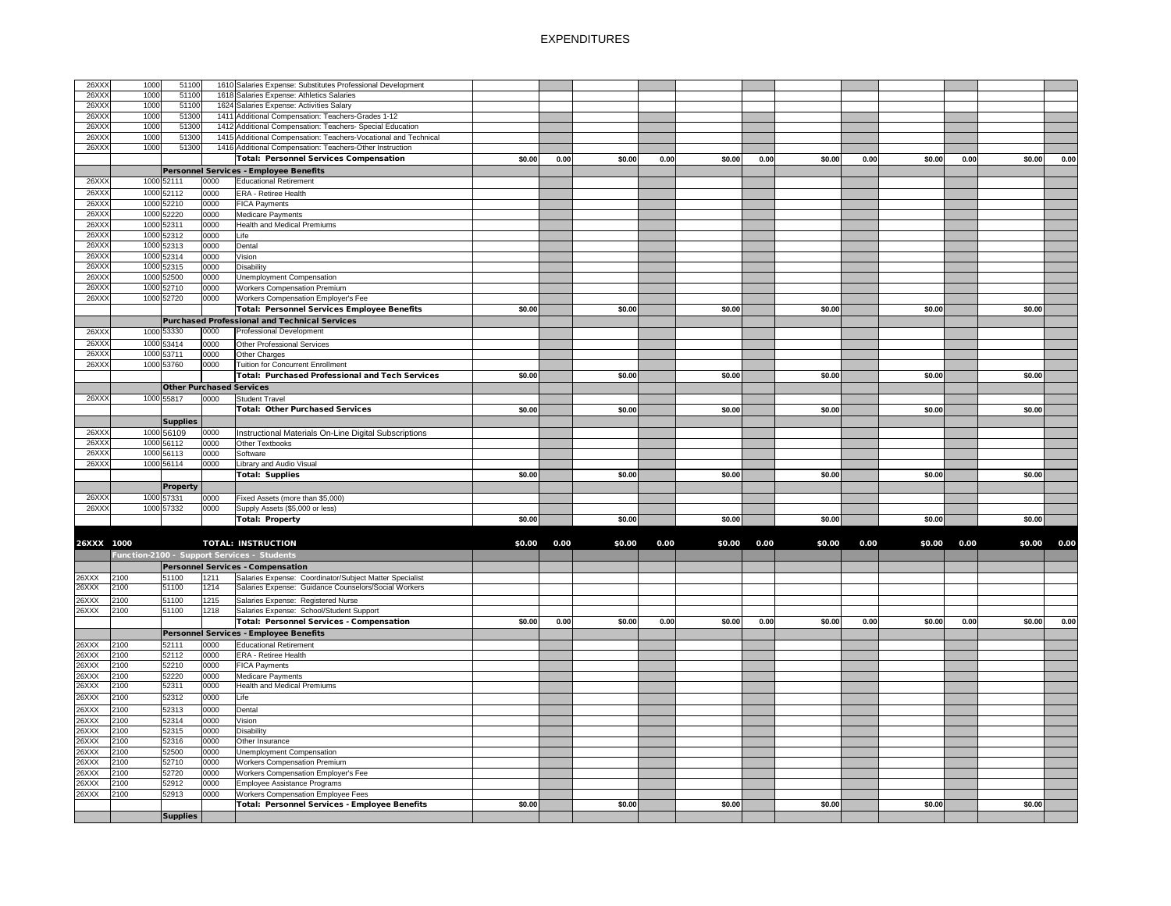| 26XXX          | 1000         | 51100           |                                 | 1610 Salaries Expense: Substitutes Professional Development                                                     |        |      |        |      |        |      |        |      |        |      |        |             |
|----------------|--------------|-----------------|---------------------------------|-----------------------------------------------------------------------------------------------------------------|--------|------|--------|------|--------|------|--------|------|--------|------|--------|-------------|
| 26XXX          | 1000         | 51100           |                                 | 1618 Salaries Expense: Athletics Salaries                                                                       |        |      |        |      |        |      |        |      |        |      |        |             |
| 26XXX          | 1000         | 51100           |                                 | 1624 Salaries Expense: Activities Salary                                                                        |        |      |        |      |        |      |        |      |        |      |        |             |
| 26XXX          | 1000         | 51300           |                                 | 1411 Additional Compensation: Teachers-Grades 1-12                                                              |        |      |        |      |        |      |        |      |        |      |        |             |
| 26XXX          | 1000         | 51300           |                                 | 1412 Additional Compensation: Teachers- Special Education                                                       |        |      |        |      |        |      |        |      |        |      |        |             |
| 26XXX          | 1000         | 51300           |                                 | 1415 Additional Compensation: Teachers-Vocational and Technical                                                 |        |      |        |      |        |      |        |      |        |      |        |             |
| 26XXX          | 1000         | 51300           |                                 | 1416 Additional Compensation: Teachers-Other Instruction                                                        |        |      |        |      |        |      |        |      |        |      |        |             |
|                |              |                 |                                 | <b>Total: Personnel Services Compensation</b>                                                                   | \$0.00 | 0.00 | \$0.00 | 0.00 | \$0.00 | 0.00 | \$0.00 | 0.00 | \$0.00 | 0.00 | \$0.00 | 0.00        |
|                |              |                 |                                 | Personnel Services - Employee Benefits                                                                          |        |      |        |      |        |      |        |      |        |      |        |             |
|                |              |                 |                                 | <b>Educational Retirement</b>                                                                                   |        |      |        |      |        |      |        |      |        |      |        |             |
| 26XXX          |              | 1000 52111      | 0000                            |                                                                                                                 |        |      |        |      |        |      |        |      |        |      |        |             |
| 26XXX          |              | 1000 52112      | 0000                            | <b>ERA - Retiree Health</b>                                                                                     |        |      |        |      |        |      |        |      |        |      |        |             |
| 26XXX          |              | 1000 52210      | 0000                            | <b>FICA Payments</b>                                                                                            |        |      |        |      |        |      |        |      |        |      |        |             |
| 26XXX          |              | 1000 52220      | 0000                            | Medicare Payments                                                                                               |        |      |        |      |        |      |        |      |        |      |        |             |
| 26XXX          |              | 1000 52311      | 0000                            | <b>Health and Medical Premiums</b>                                                                              |        |      |        |      |        |      |        |      |        |      |        |             |
| 26XXX          |              | 1000 52312      | 0000                            | Life                                                                                                            |        |      |        |      |        |      |        |      |        |      |        |             |
| 26XXX          |              | 1000 52313      | 0000                            | Dental                                                                                                          |        |      |        |      |        |      |        |      |        |      |        |             |
| 26XXX          |              | 1000 52314      | 0000                            | Vision                                                                                                          |        |      |        |      |        |      |        |      |        |      |        |             |
| 26XXX          |              | 1000 52315      | 0000                            | <b>Disability</b>                                                                                               |        |      |        |      |        |      |        |      |        |      |        |             |
| 26XXX          |              | 1000 52500      | 0000                            | <b>Unemployment Compensation</b>                                                                                |        |      |        |      |        |      |        |      |        |      |        |             |
|                |              |                 |                                 |                                                                                                                 |        |      |        |      |        |      |        |      |        |      |        |             |
| 26XXX          |              | 1000 52710      | 0000                            | <b>Workers Compensation Premium</b>                                                                             |        |      |        |      |        |      |        |      |        |      |        |             |
| 26XXX          |              | 1000 52720      | 0000                            | Workers Compensation Employer's Fee                                                                             |        |      |        |      |        |      |        |      |        |      |        |             |
|                |              |                 |                                 | <b>Total: Personnel Services Employee Benefits</b>                                                              | \$0.00 |      | \$0.00 |      | \$0.00 |      | \$0.00 |      | \$0.00 |      | \$0.00 |             |
|                |              |                 |                                 | Purchased Professional and Technical Services                                                                   |        |      |        |      |        |      |        |      |        |      |        |             |
| 26XXX          |              | 1000 53330      | 0000                            | Professional Development                                                                                        |        |      |        |      |        |      |        |      |        |      |        |             |
| 26XXX          |              | 1000 53414      | 0000                            | Other Professional Services                                                                                     |        |      |        |      |        |      |        |      |        |      |        |             |
| 26XXX          |              | 1000 53711      | 0000                            | Other Charges                                                                                                   |        |      |        |      |        |      |        |      |        |      |        |             |
| 26XXX          |              | 1000 53760      | 0000                            | <b>Tuition for Concurrent Enrollment</b>                                                                        |        |      |        |      |        |      |        |      |        |      |        |             |
|                |              |                 |                                 |                                                                                                                 |        |      |        |      |        |      |        |      |        |      |        |             |
|                |              |                 |                                 | Total: Purchased Professional and Tech Services                                                                 | \$0.00 |      | \$0.00 |      | \$0.00 |      | \$0.00 |      | \$0.00 |      | \$0.00 |             |
|                |              |                 | <b>Other Purchased Services</b> |                                                                                                                 |        |      |        |      |        |      |        |      |        |      |        |             |
| 26XXX          |              | 1000 55817      | 0000                            | <b>Student Travel</b>                                                                                           |        |      |        |      |        |      |        |      |        |      |        |             |
|                |              |                 |                                 | Total: Other Purchased Services                                                                                 | \$0.00 |      | \$0.00 |      | \$0.00 |      | \$0.00 |      | \$0.00 |      | \$0.00 |             |
|                |              | <b>Supplies</b> |                                 |                                                                                                                 |        |      |        |      |        |      |        |      |        |      |        |             |
| 26XXX          |              |                 |                                 |                                                                                                                 |        |      |        |      |        |      |        |      |        |      |        |             |
|                |              | 1000 56109      | 0000                            | Instructional Materials On-Line Digital Subscriptions                                                           |        |      |        |      |        |      |        |      |        |      |        |             |
| 26XXX          |              | 1000 56112      | 0000                            | Other Textbooks                                                                                                 |        |      |        |      |        |      |        |      |        |      |        |             |
| 26XXX          |              | 1000 56113      | 0000                            | Software                                                                                                        |        |      |        |      |        |      |        |      |        |      |        |             |
| 26XXX          |              | 1000 56114      | 0000                            | Library and Audio Visual                                                                                        |        |      |        |      |        |      |        |      |        |      |        |             |
|                |              |                 |                                 | Total: Supplies                                                                                                 | \$0.00 |      | \$0.00 |      | \$0.00 |      | \$0.00 |      | \$0.00 |      | \$0.00 |             |
|                |              | <b>Property</b> |                                 |                                                                                                                 |        |      |        |      |        |      |        |      |        |      |        |             |
| 26XXX          |              | 1000 57331      | 0000                            | Fixed Assets (more than \$5,000)                                                                                |        |      |        |      |        |      |        |      |        |      |        |             |
| 26XXX          |              | 1000 57332      | 0000                            | Supply Assets (\$5,000 or less)                                                                                 |        |      |        |      |        |      |        |      |        |      |        |             |
|                |              |                 |                                 |                                                                                                                 |        |      | \$0.00 |      | \$0.00 |      |        |      | \$0.00 |      |        |             |
|                |              |                 |                                 | <b>Total: Property</b>                                                                                          | \$0.00 |      |        |      |        |      | \$0.00 |      |        |      | \$0.00 |             |
|                |              |                 |                                 |                                                                                                                 |        |      |        |      |        |      |        |      |        |      |        |             |
| 26XXX 1000     |              |                 |                                 | <b>TOTAL: INSTRUCTION</b>                                                                                       | \$0.00 | 0.00 | \$0.00 | 0.00 | \$0.00 | 0.00 | \$0.00 | 0.00 | \$0.00 | 0.00 |        | \$0.00 0.00 |
|                |              |                 |                                 | Function-2100 - Support Services - Students                                                                     |        |      |        |      |        |      |        |      |        |      |        |             |
|                |              |                 |                                 | Personnel Services - Compensation                                                                               |        |      |        |      |        |      |        |      |        |      |        |             |
|                |              |                 |                                 |                                                                                                                 |        |      |        |      |        |      |        |      |        |      |        |             |
| 26XXX<br>26XXX | 2100<br>2100 | 51100<br>51100  | 1211<br>1214                    | Salaries Expense: Coordinator/Subject Matter Specialist<br>Salaries Expense: Guidance Counselors/Social Workers |        |      |        |      |        |      |        |      |        |      |        |             |
|                |              |                 |                                 |                                                                                                                 |        |      |        |      |        |      |        |      |        |      |        |             |
| 26XXX          | 2100         | 51100           | 1215                            | Salaries Expense: Registered Nurse                                                                              |        |      |        |      |        |      |        |      |        |      |        |             |
| 26XXX          | 2100         | 51100           | 1218                            | Salaries Expense: School/Student Support                                                                        |        |      |        |      |        |      |        |      |        |      |        |             |
|                |              |                 |                                 | <b>Total: Personnel Services - Compensation</b>                                                                 | \$0.00 | 0.00 | \$0.00 | 0.00 | \$0.00 | 0.00 | \$0.00 | 0.00 | \$0.00 | 0.00 | \$0.00 | 0.00        |
|                |              |                 |                                 | Personnel Services - Employee Benefits                                                                          |        |      |        |      |        |      |        |      |        |      |        |             |
| 26XXX          | 2100         | 52111           | 0000                            | <b>Educational Retirement</b>                                                                                   |        |      |        |      |        |      |        |      |        |      |        |             |
| 26XXX          | 2100         | 52112           | 0000                            | <b>ERA - Retiree Health</b>                                                                                     |        |      |        |      |        |      |        |      |        |      |        |             |
| 26XXX          | 2100         | 52210           | 0000                            | <b>FICA Payments</b>                                                                                            |        |      |        |      |        |      |        |      |        |      |        |             |
|                | 2100         | 52220           | 0000                            |                                                                                                                 |        |      |        |      |        |      |        |      |        |      |        |             |
| 26XXX          | 2100         | 52311           | 0000                            | <b>Medicare Payments</b><br><b>Health and Medical Premiums</b>                                                  |        |      |        |      |        |      |        |      |        |      |        |             |
| 26XXX          |              |                 |                                 |                                                                                                                 |        |      |        |      |        |      |        |      |        |      |        |             |
| 26XXX          | 2100         | 52312           | 0000                            | Life                                                                                                            |        |      |        |      |        |      |        |      |        |      |        |             |
| 26XXX          | 2100         | 52313           | 0000                            | Dental                                                                                                          |        |      |        |      |        |      |        |      |        |      |        |             |
| 26XXX          | 2100         | 52314           | 0000                            | Vision                                                                                                          |        |      |        |      |        |      |        |      |        |      |        |             |
| 26XXX          | 2100         | 52315           | 0000                            | Disability                                                                                                      |        |      |        |      |        |      |        |      |        |      |        |             |
| 26XXX          | 2100         | 52316           | 0000                            | Other Insurance                                                                                                 |        |      |        |      |        |      |        |      |        |      |        |             |
| 26XXX          | 2100         | 52500           | 0000                            | Unemployment Compensation                                                                                       |        |      |        |      |        |      |        |      |        |      |        |             |
|                |              |                 |                                 |                                                                                                                 |        |      |        |      |        |      |        |      |        |      |        |             |
| 26XXX          | 2100         | 52710           | 0000                            | <b>Workers Compensation Premium</b>                                                                             |        |      |        |      |        |      |        |      |        |      |        |             |
| 26XXX          | 2100         | 52720           | 0000                            | Workers Compensation Employer's Fee                                                                             |        |      |        |      |        |      |        |      |        |      |        |             |
| 26XXX          | 2100         | 52912           | 0000                            | Employee Assistance Programs                                                                                    |        |      |        |      |        |      |        |      |        |      |        |             |
| 26XXX          | 2100         | 52913           | 0000                            | <b>Workers Compensation Employee Fees</b>                                                                       |        |      |        |      |        |      |        |      |        |      |        |             |
|                |              |                 |                                 | Total: Personnel Services - Employee Benefits                                                                   | \$0.00 |      | \$0.00 |      | \$0.00 |      | \$0.00 |      | \$0.00 |      | \$0.00 |             |
|                |              | <b>Supplies</b> |                                 |                                                                                                                 |        |      |        |      |        |      |        |      |        |      |        |             |
|                |              |                 |                                 |                                                                                                                 |        |      |        |      |        |      |        |      |        |      |        |             |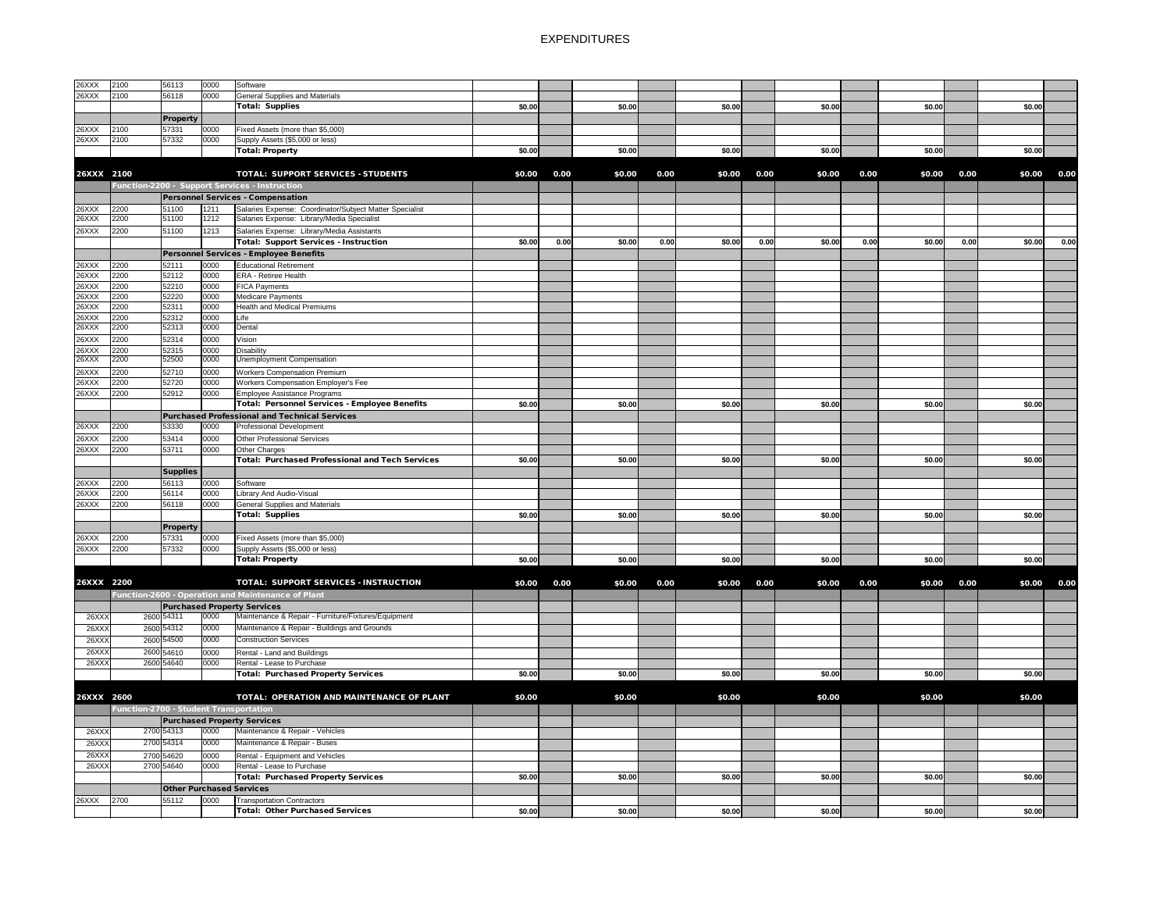| <b>26XXX</b><br>26XXX | 2100<br>2100                           | 56113<br>56118           | 0000<br>0000 | Software<br><b>General Supplies and Materials</b>                                         |        |      |        |      |        |      |        |      |        |      |        |      |
|-----------------------|----------------------------------------|--------------------------|--------------|-------------------------------------------------------------------------------------------|--------|------|--------|------|--------|------|--------|------|--------|------|--------|------|
|                       |                                        |                          |              | <b>Total: Supplies</b>                                                                    | \$0.00 |      | \$0.00 |      | \$0.00 |      | \$0.00 |      | \$0.00 |      | \$0.00 |      |
|                       |                                        |                          |              |                                                                                           |        |      |        |      |        |      |        |      |        |      |        |      |
| <b>26XXX</b>          | 2100                                   | <b>Property</b><br>57331 | 0000         | Fixed Assets (more than \$5,000)                                                          |        |      |        |      |        |      |        |      |        |      |        |      |
| <b>26XXX</b>          | 2100                                   | 57332                    | 0000         | Supply Assets (\$5,000 or less)                                                           |        |      |        |      |        |      |        |      |        |      |        |      |
|                       |                                        |                          |              | <b>Total: Property</b>                                                                    | \$0.00 |      | \$0.00 |      | \$0.00 |      | \$0.00 |      | \$0.00 |      | \$0.00 |      |
|                       |                                        |                          |              |                                                                                           |        |      |        |      |        |      |        |      |        |      |        |      |
| 26XXX 2100            |                                        |                          |              | <b>TOTAL: SUPPORT SERVICES - STUDENTS</b>                                                 | \$0.00 | 0.00 | \$0.00 | 0.00 | \$0.00 | 0.00 | \$0.00 | 0.00 | \$0.00 | 0.00 | \$0.00 | 0.00 |
|                       |                                        |                          |              | Function-2200 - Support Services - Instruction                                            |        |      |        |      |        |      |        |      |        |      |        |      |
|                       |                                        |                          |              | <b>Personnel Services - Compensation</b>                                                  |        |      |        |      |        |      |        |      |        |      |        |      |
| 26XXX                 | 2200                                   | 51100                    | 1211         | Salaries Expense: Coordinator/Subject Matter Specialist                                   |        |      |        |      |        |      |        |      |        |      |        |      |
| 26XXX                 | 2200                                   | 51100                    | 1212         | Salaries Expense: Library/Media Specialist                                                |        |      |        |      |        |      |        |      |        |      |        |      |
| <b>26XXX</b>          | 2200                                   | 51100                    | 1213         | Salaries Expense: Library/Media Assistants                                                |        |      |        |      |        |      |        |      |        |      |        |      |
|                       |                                        |                          |              | <b>Total: Support Services - Instruction</b>                                              | \$0.00 | 0.00 | \$0.00 | 0.00 | \$0.00 | 0.00 | \$0.00 | 0.00 | \$0.00 | 0.00 | \$0.00 | 0.00 |
|                       |                                        |                          |              | Personnel Services - Employee Benefits                                                    |        |      |        |      |        |      |        |      |        |      |        |      |
| 26XXX                 | 2200                                   | 52111                    | 0000         | Educational Retirement                                                                    |        |      |        |      |        |      |        |      |        |      |        |      |
| <b>26XXX</b>          | 2200                                   | 52112                    | 0000         | <b>ERA - Retiree Health</b>                                                               |        |      |        |      |        |      |        |      |        |      |        |      |
| <b>26XXX</b>          | 2200                                   | 52210                    | 0000         | <b>FICA Payments</b>                                                                      |        |      |        |      |        |      |        |      |        |      |        |      |
| <b>26XXX</b>          | 2200                                   | 52220                    | 0000         | Medicare Payments                                                                         |        |      |        |      |        |      |        |      |        |      |        |      |
| <b>26XXX</b>          | 2200                                   | 52311                    | 0000         | <b>Health and Medical Premiums</b>                                                        |        |      |        |      |        |      |        |      |        |      |        |      |
| <b>26XXX</b>          | 2200                                   | 52312                    | 0000         | Life                                                                                      |        |      |        |      |        |      |        |      |        |      |        |      |
| 26XXX                 | 2200                                   | 52313                    | 0000         | Dental                                                                                    |        |      |        |      |        |      |        |      |        |      |        |      |
| <b>26XXX</b>          | 2200                                   | 52314                    | 0000         | Vision                                                                                    |        |      |        |      |        |      |        |      |        |      |        |      |
| <b>26XXX</b>          | 2200                                   | 52315                    | 0000         | <b>Disability</b>                                                                         |        |      |        |      |        |      |        |      |        |      |        |      |
| <b>26XXX</b>          | 2200                                   | 52500                    | 0000         | <b>Unemployment Compensation</b>                                                          |        |      |        |      |        |      |        |      |        |      |        |      |
| <b>26XXX</b>          | 2200                                   | 52710                    | 0000         | <b>Workers Compensation Premium</b>                                                       |        |      |        |      |        |      |        |      |        |      |        |      |
| <b>26XXX</b>          | 2200                                   | 52720                    | 0000         | Workers Compensation Employer's Fee                                                       |        |      |        |      |        |      |        |      |        |      |        |      |
| 26XXX                 | 2200                                   | 52912                    | 0000         | Employee Assistance Programs                                                              |        |      |        |      |        |      |        |      |        |      |        |      |
|                       |                                        |                          |              | Total: Personnel Services - Employee Benefits                                             | \$0.00 |      | \$0.00 |      | \$0.00 |      | \$0.00 |      | \$0.00 |      | \$0.00 |      |
|                       |                                        |                          |              | <b>Purchased Professional and Technical Services</b>                                      |        |      |        |      |        |      |        |      |        |      |        |      |
| <b>26XXX</b>          | 2200                                   | 53330                    | 0000         | <b>Professional Development</b>                                                           |        |      |        |      |        |      |        |      |        |      |        |      |
| 26XXX                 | 2200                                   | 53414                    | 0000         | Other Professional Services                                                               |        |      |        |      |        |      |        |      |        |      |        |      |
| 26XXX                 | 2200                                   | 53711                    | 0000         | Other Charges                                                                             |        |      |        |      |        |      |        |      |        |      |        |      |
|                       |                                        |                          |              | Total: Purchased Professional and Tech Services                                           | \$0.00 |      | \$0.00 |      | \$0.00 |      | \$0.00 |      | \$0.00 |      | \$0.00 |      |
|                       |                                        | <b>Supplies</b>          |              |                                                                                           |        |      |        |      |        |      |        |      |        |      |        |      |
| 26XXX                 | 2200                                   | 56113                    | 0000         | Software                                                                                  |        |      |        |      |        |      |        |      |        |      |        |      |
| 26XXX                 | 2200<br>2200                           | 56114                    | 0000         | Library And Audio-Visual                                                                  |        |      |        |      |        |      |        |      |        |      |        |      |
| <b>26XXX</b>          |                                        | 56118                    | 0000         | <b>General Supplies and Materials</b><br><b>Total: Supplies</b>                           | \$0.00 |      | \$0.00 |      | \$0.00 |      | \$0.00 |      | \$0.00 |      | \$0.00 |      |
|                       |                                        |                          |              |                                                                                           |        |      |        |      |        |      |        |      |        |      |        |      |
|                       |                                        | <b>Property</b><br>57331 |              |                                                                                           |        |      |        |      |        |      |        |      |        |      |        |      |
| 26XXX<br>26XXX        | 2200<br>2200                           | 57332                    | 0000<br>0000 | Fixed Assets (more than \$5,000)<br>Supply Assets (\$5,000 or less)                       |        |      |        |      |        |      |        |      |        |      |        |      |
|                       |                                        |                          |              | Total: Property                                                                           | \$0.00 |      | \$0.00 |      | \$0.00 |      | \$0.00 |      | \$0.00 |      | \$0.00 |      |
|                       |                                        |                          |              |                                                                                           |        |      |        |      |        |      |        |      |        |      |        |      |
| 26XXX 2200            |                                        |                          |              | TOTAL: SUPPORT SERVICES - INSTRUCTION                                                     | \$0.00 | 0.00 | \$0.00 | 0.00 | \$0.00 | 0.00 | \$0.00 | 0.00 | \$0.00 | 0.00 | \$0.00 | 0.00 |
|                       |                                        |                          |              | Function-2600 - Operation and Maintenance of Plant                                        |        |      |        |      |        |      |        |      |        |      |        |      |
|                       |                                        |                          |              |                                                                                           |        |      |        |      |        |      |        |      |        |      |        |      |
| 26XXX                 |                                        | 2600 54311               | 0000         | <b>Purchased Property Services</b><br>Maintenance & Repair - Furniture/Fixtures/Equipment |        |      |        |      |        |      |        |      |        |      |        |      |
| 26XXX                 |                                        | 2600 54312               | 0000         | Maintenance & Repair - Buildings and Grounds                                              |        |      |        |      |        |      |        |      |        |      |        |      |
|                       |                                        | 2600 54500               |              | <b>Construction Services</b>                                                              |        |      |        |      |        |      |        |      |        |      |        |      |
| 26XXX                 |                                        |                          | 0000         |                                                                                           |        |      |        |      |        |      |        |      |        |      |        |      |
| 26XXX<br>26XXX        |                                        | 2600 54610<br>2600 54640 | 0000<br>0000 | Rental - Land and Buildings<br>Rental - Lease to Purchase                                 |        |      |        |      |        |      |        |      |        |      |        |      |
|                       |                                        |                          |              | <b>Total: Purchased Property Services</b>                                                 | \$0.00 |      | \$0.00 |      | \$0.00 |      | \$0.00 |      | \$0.00 |      | \$0.00 |      |
|                       |                                        |                          |              |                                                                                           |        |      |        |      |        |      |        |      |        |      |        |      |
|                       |                                        |                          |              |                                                                                           |        |      |        |      |        |      |        |      |        |      |        |      |
| 26XXX 2600            |                                        |                          |              | TOTAL: OPERATION AND MAINTENANCE OF PLANT                                                 | \$0.00 |      | \$0.00 |      | \$0.00 |      | \$0.00 |      | \$0.00 |      | \$0.00 |      |
|                       | Function-2700 - Student Transportation |                          |              |                                                                                           |        |      |        |      |        |      |        |      |        |      |        |      |
|                       |                                        |                          |              | <b>Purchased Property Services</b>                                                        |        |      |        |      |        |      |        |      |        |      |        |      |
| 26XXX                 |                                        | 2700 54313               | 0000         | Maintenance & Repair - Vehicles                                                           |        |      |        |      |        |      |        |      |        |      |        |      |
| 26XXX                 |                                        | 2700 54314               | 0000         | Maintenance & Repair - Buses                                                              |        |      |        |      |        |      |        |      |        |      |        |      |
| 26XXX                 |                                        | 2700 54620               | 0000         | Rental - Equipment and Vehicles                                                           |        |      |        |      |        |      |        |      |        |      |        |      |
| 26XXX                 |                                        | 2700 54640               | 0000         | Rental - Lease to Purchase                                                                |        |      |        |      |        |      |        |      |        |      |        |      |
|                       |                                        |                          |              | <b>Total: Purchased Property Services</b>                                                 | \$0.00 |      | \$0.00 |      | \$0.00 |      | \$0.00 |      | \$0.00 |      | \$0.00 |      |
|                       |                                        |                          |              | <b>Other Purchased Services</b>                                                           |        |      |        |      |        |      |        |      |        |      |        |      |
| 26XXX                 | 2700                                   | 55112                    | 0000         | <b>Transportation Contractors</b>                                                         |        |      |        |      |        |      |        |      |        |      |        |      |
|                       |                                        |                          |              | <b>Total: Other Purchased Services</b>                                                    | \$0.00 |      | \$0.00 |      | \$0.00 |      | \$0.00 |      | \$0.00 |      | \$0.00 |      |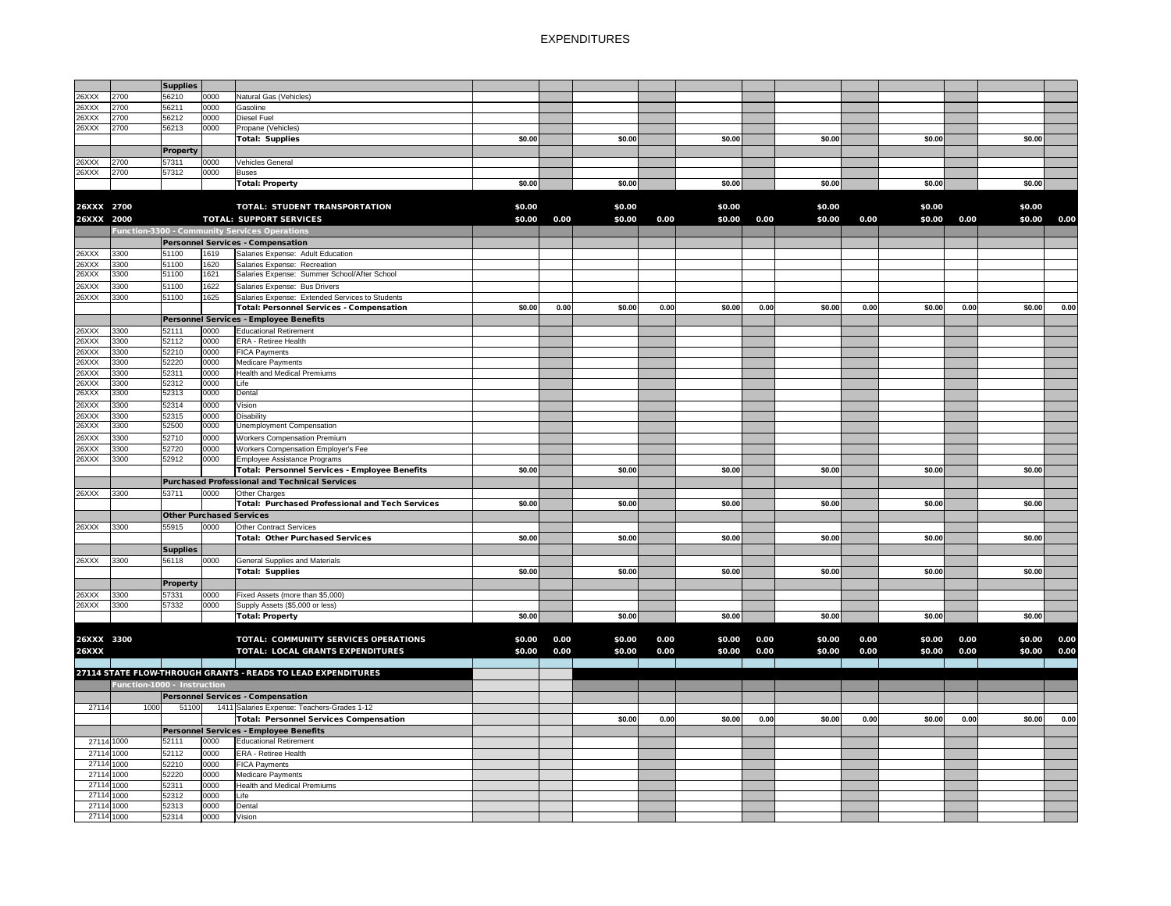|              |            | <b>Supplies</b>              |      |                                                              |        |      |        |      |        |      |        |      |        |      |        |      |
|--------------|------------|------------------------------|------|--------------------------------------------------------------|--------|------|--------|------|--------|------|--------|------|--------|------|--------|------|
| 26XXX        | 2700       | 56210                        | 0000 | Natural Gas (Vehicles)                                       |        |      |        |      |        |      |        |      |        |      |        |      |
| 26XXX        | 2700       | 56211                        | 0000 | Gasoline                                                     |        |      |        |      |        |      |        |      |        |      |        |      |
| 26XXX        | 2700       | 56212                        | 0000 | <b>Diesel Fuel</b>                                           |        |      |        |      |        |      |        |      |        |      |        |      |
| 26XXX        | 2700       | 56213                        | 0000 | Propane (Vehicles)                                           |        |      |        |      |        |      |        |      |        |      |        |      |
|              |            |                              |      | Total: Supplies                                              | \$0.00 |      | \$0.00 |      | \$0.00 |      | \$0.00 |      | \$0.00 |      | \$0.00 |      |
|              |            | Property                     |      |                                                              |        |      |        |      |        |      |        |      |        |      |        |      |
| 26XXX        | 2700       | 57311                        | 0000 | <b>Vehicles General</b>                                      |        |      |        |      |        |      |        |      |        |      |        |      |
| 26XXX        | 2700       | 57312                        | 0000 | <b>Buses</b>                                                 |        |      |        |      |        |      |        |      |        |      |        |      |
|              |            |                              |      | Total: Property                                              | \$0.00 |      | \$0.00 |      | \$0.00 |      | \$0.00 |      | \$0.00 |      | \$0.00 |      |
|              |            |                              |      |                                                              |        |      |        |      |        |      |        |      |        |      |        |      |
| 26XXX 2700   |            |                              |      | <b>TOTAL: STUDENT TRANSPORTATION</b>                         | \$0.00 |      | \$0.00 |      | \$0.00 |      | \$0.00 |      | \$0.00 |      | \$0.00 |      |
| 26XXX 2000   |            |                              |      | <b>TOTAL: SUPPORT SERVICES</b>                               | \$0.00 | 0.00 | \$0.00 | 0.00 | \$0.00 | 0.00 | \$0.00 | 0.00 | \$0.00 | 0.00 | \$0.00 | 0.00 |
|              |            |                              |      | Function-3300 - Community Services Operations                |        |      |        |      |        |      |        |      |        |      |        |      |
|              |            |                              |      | <b>Personnel Services - Compensation</b>                     |        |      |        |      |        |      |        |      |        |      |        |      |
| 26XXX        | 3300       | 51100                        | 1619 | Salaries Expense: Adult Education                            |        |      |        |      |        |      |        |      |        |      |        |      |
| 26XXX        | 3300       | 51100                        | 1620 | Salaries Expense: Recreation                                 |        |      |        |      |        |      |        |      |        |      |        |      |
| 26XXX        | 3300       | 51100                        | 1621 | Salaries Expense: Summer School/After School                 |        |      |        |      |        |      |        |      |        |      |        |      |
| 26XXX        | 3300       | 51100                        | 1622 | Salaries Expense: Bus Drivers                                |        |      |        |      |        |      |        |      |        |      |        |      |
| 26XXX        | 3300       | 51100                        | 1625 | Salaries Expense: Extended Services to Students              |        |      |        |      |        |      |        |      |        |      |        |      |
|              |            |                              |      | Total: Personnel Services - Compensation                     | \$0.00 | 0.00 | \$0.00 | 0.00 | \$0.00 | 0.00 | \$0.00 | 0.00 | \$0.00 | 0.00 | \$0.00 | 0.00 |
|              |            |                              |      | Personnel Services - Employee Benefits                       |        |      |        |      |        |      |        |      |        |      |        |      |
| 26XXX        | 3300       | 52111                        | 0000 | <b>Educational Retirement</b>                                |        |      |        |      |        |      |        |      |        |      |        |      |
| 26XXX        | 3300       | 52112                        | 0000 | ERA - Retiree Health                                         |        |      |        |      |        |      |        |      |        |      |        |      |
| 26XXX        | 3300       | 52210                        | 0000 | <b>FICA Payments</b>                                         |        |      |        |      |        |      |        |      |        |      |        |      |
| 26XXX        | 3300       | 52220                        | 0000 | Medicare Payments                                            |        |      |        |      |        |      |        |      |        |      |        |      |
| 26XXX        | 3300       | 52311                        | 0000 | <b>Health and Medical Premiums</b>                           |        |      |        |      |        |      |        |      |        |      |        |      |
| 26XXX        | 3300       | 52312                        | 0000 | Life                                                         |        |      |        |      |        |      |        |      |        |      |        |      |
| 26XXX        | 3300       | 52313                        | 0000 | Dental                                                       |        |      |        |      |        |      |        |      |        |      |        |      |
| 26XXX        | 3300       | 52314                        | 0000 | Vision                                                       |        |      |        |      |        |      |        |      |        |      |        |      |
| 26XXX        | 3300       | 52315                        | 0000 | <b>Disability</b>                                            |        |      |        |      |        |      |        |      |        |      |        |      |
| 26XXX        | 3300       | 52500                        | 0000 | <b>Unemployment Compensation</b>                             |        |      |        |      |        |      |        |      |        |      |        |      |
| 26XXX        | 3300       | 52710                        | 0000 | <b>Workers Compensation Premium</b>                          |        |      |        |      |        |      |        |      |        |      |        |      |
| 26XXX        | 3300       | 52720                        | 0000 | Workers Compensation Employer's Fee                          |        |      |        |      |        |      |        |      |        |      |        |      |
| 26XXX        | 3300       | 52912                        | 0000 | Employee Assistance Programs                                 |        |      |        |      |        |      |        |      |        |      |        |      |
|              |            |                              |      | Total: Personnel Services - Employee Benefits                | \$0.00 |      | \$0.00 |      | \$0.00 |      | \$0.00 |      | \$0.00 |      | \$0.00 |      |
|              |            |                              |      | <b>Purchased Professional and Technical Services</b>         |        |      |        |      |        |      |        |      |        |      |        |      |
| 26XXX        | 3300       | 53711                        | 0000 | Other Charges                                                |        |      |        |      |        |      |        |      |        |      |        |      |
|              |            |                              |      | Total: Purchased Professional and Tech Services              | \$0.00 |      | \$0.00 |      | \$0.00 |      | \$0.00 |      | \$0.00 |      | \$0.00 |      |
|              |            |                              |      | <b>Other Purchased Services</b>                              |        |      |        |      |        |      |        |      |        |      |        |      |
| 26XXX        | 3300       | 55915                        | 0000 | <b>Other Contract Services</b>                               |        |      |        |      |        |      |        |      |        |      |        |      |
|              |            |                              |      | Total: Other Purchased Services                              | \$0.00 |      | \$0.00 |      | \$0.00 |      | \$0.00 |      | \$0.00 |      | \$0.00 |      |
|              |            | <b>Supplies</b>              |      |                                                              |        |      |        |      |        |      |        |      |        |      |        |      |
| 26XXX        | 3300       | 56118                        | 0000 | <b>General Supplies and Materials</b>                        |        |      |        |      |        |      |        |      |        |      |        |      |
|              |            |                              |      | Total: Supplies                                              | \$0.00 |      | \$0.00 |      | \$0.00 |      | \$0.00 |      | \$0.00 |      | \$0.00 |      |
|              |            | <b>Property</b>              |      |                                                              |        |      |        |      |        |      |        |      |        |      |        |      |
| 26XXX        | 3300       | 57331                        | 0000 | Fixed Assets (more than \$5,000)                             |        |      |        |      |        |      |        |      |        |      |        |      |
| 26XXX        | 3300       | 57332                        | 0000 | Supply Assets (\$5,000 or less)                              |        |      |        |      |        |      |        |      |        |      |        |      |
|              |            |                              |      | Total: Property                                              | \$0.00 |      | \$0.00 |      | \$0.00 |      | \$0.00 |      | \$0.00 |      | \$0.00 |      |
|              |            |                              |      |                                                              |        |      |        |      |        |      |        |      |        |      |        |      |
| 26XXX 3300   |            |                              |      | TOTAL: COMMUNITY SERVICES OPERATIONS                         | \$0.00 | 0.00 | \$0.00 | 0.00 | \$0.00 | 0.00 | \$0.00 | 0.00 | \$0.00 | 0.00 | \$0.00 | 0.00 |
| <b>26XXX</b> |            |                              |      | <b>TOTAL: LOCAL GRANTS EXPENDITURES</b>                      | \$0.00 | 0.00 | \$0.00 | 0.00 | \$0.00 | 0.00 | \$0.00 | 0.00 | \$0.00 | 0.00 | \$0.00 | 0.00 |
|              |            |                              |      |                                                              |        |      |        |      |        |      |        |      |        |      |        |      |
|              |            |                              |      | 27114 STATE FLOW-THROUGH GRANTS - READS TO LEAD EXPENDITURES |        |      |        |      |        |      |        |      |        |      |        |      |
|              |            | Function-1000 - Instruction  |      |                                                              |        |      |        |      |        |      |        |      |        |      |        |      |
|              |            |                              |      | <b>Personnel Services - Compensation</b>                     |        |      |        |      |        |      |        |      |        |      |        |      |
| 27114        | 1000       | 51100                        |      | 1411 Salaries Expense: Teachers-Grades 1-12                  |        |      |        |      |        |      |        |      |        |      |        |      |
|              |            |                              |      | Total: Personnel Services Compensation                       |        |      | \$0.00 | 0.00 | \$0.00 | 0.00 | \$0.00 | 0.00 | \$0.00 | 0.00 | \$0.00 | 0.00 |
|              |            |                              |      | Personnel Services - Employee Benefits                       |        |      |        |      |        |      |        |      |        |      |        |      |
|              | 27114 1000 | 52111                        | 0000 | <b>Educational Retirement</b>                                |        |      |        |      |        |      |        |      |        |      |        |      |
|              | 27114 1000 | 52112                        | 0000 | ERA - Retiree Health                                         |        |      |        |      |        |      |        |      |        |      |        |      |
|              | 27114 1000 | 52210                        | 0000 | <b>FICA Payments</b>                                         |        |      |        |      |        |      |        |      |        |      |        |      |
|              | 27114 1000 | 52220                        | 0000 | Medicare Payments                                            |        |      |        |      |        |      |        |      |        |      |        |      |
|              | 27114 1000 | 52311                        | 0000 | <b>Health and Medical Premiums</b>                           |        |      |        |      |        |      |        |      |        |      |        |      |
|              | 27114 1000 | 52312                        | 0000 | Life                                                         |        |      |        |      |        |      |        |      |        |      |        |      |
|              | 27114 1000 | 52313                        | 0000 | Dental                                                       |        |      |        |      |        |      |        |      |        |      |        |      |
|              |            | 27114 1000 52314 0000 Vision |      |                                                              |        |      |        |      |        |      |        |      |        |      |        |      |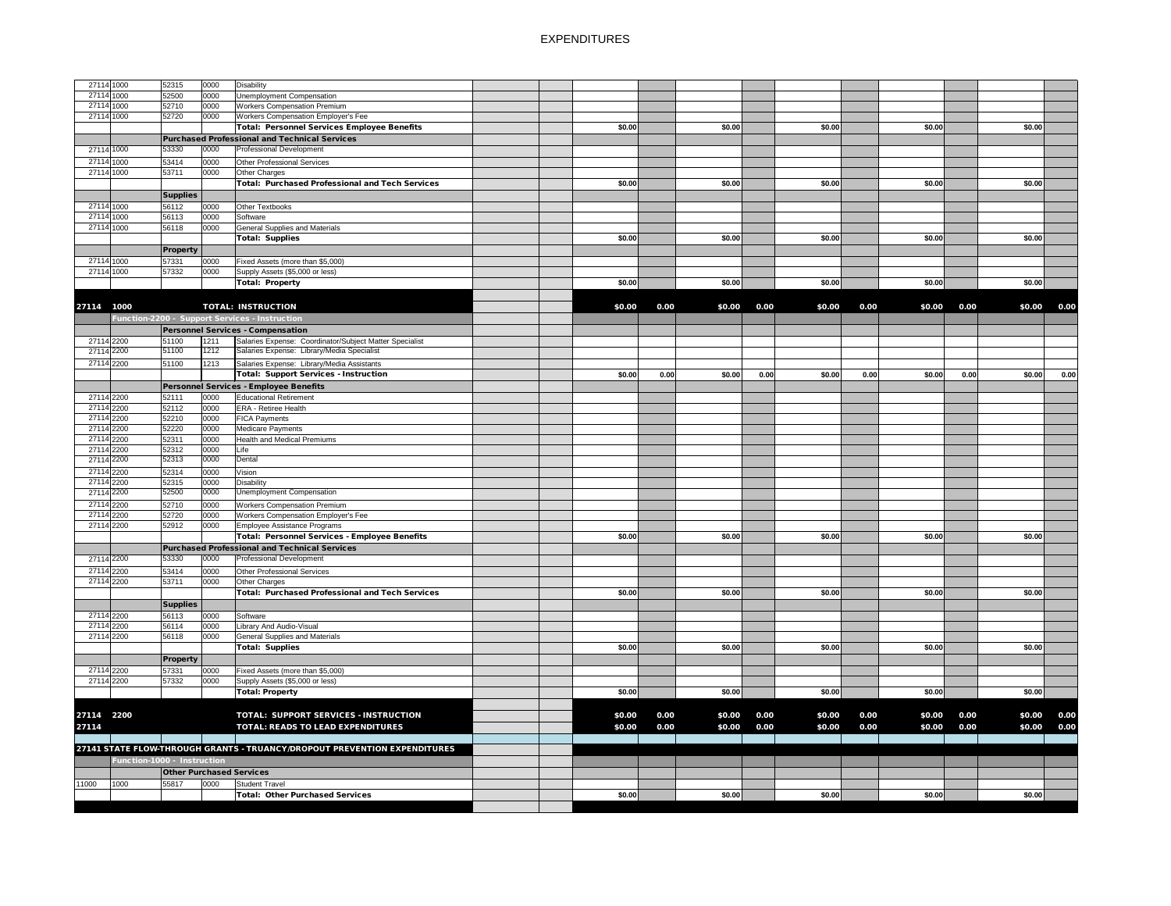| 27114 1000 |                             | 52315           | 0000 | <b>Disability</b>                                                         |  |        |      |        |      |        |      |        |      |        |      |
|------------|-----------------------------|-----------------|------|---------------------------------------------------------------------------|--|--------|------|--------|------|--------|------|--------|------|--------|------|
| 27114 1000 |                             | 52500           | 0000 | Unemployment Compensation                                                 |  |        |      |        |      |        |      |        |      |        |      |
| 27114 1000 |                             | 52710           | 0000 | <b>Workers Compensation Premium</b>                                       |  |        |      |        |      |        |      |        |      |        |      |
| 27114 1000 |                             | 52720           | 0000 | Workers Compensation Employer's Fee                                       |  |        |      |        |      |        |      |        |      |        |      |
|            |                             |                 |      |                                                                           |  |        |      |        |      |        |      |        |      |        |      |
|            |                             |                 |      | <b>Total: Personnel Services Employee Benefits</b>                        |  | \$0.00 |      | \$0.00 |      | \$0.00 |      | \$0.00 |      | \$0.00 |      |
|            |                             |                 |      | <b>Purchased Professional and Technical Services</b>                      |  |        |      |        |      |        |      |        |      |        |      |
| 27114 1000 |                             | 53330           | 0000 | <b>Professional Development</b>                                           |  |        |      |        |      |        |      |        |      |        |      |
| 27114 1000 |                             | 53414           | 0000 | Other Professional Services                                               |  |        |      |        |      |        |      |        |      |        |      |
|            |                             |                 |      |                                                                           |  |        |      |        |      |        |      |        |      |        |      |
| 27114 1000 |                             | 53711           | 0000 | Other Charges                                                             |  |        |      |        |      |        |      |        |      |        |      |
|            |                             |                 |      | <b>Total: Purchased Professional and Tech Services</b>                    |  | \$0.00 |      | \$0.00 |      | \$0.00 |      | \$0.00 |      | \$0.00 |      |
|            |                             | <b>Supplies</b> |      |                                                                           |  |        |      |        |      |        |      |        |      |        |      |
| 27114 1000 |                             | 56112           | 0000 | Other Textbooks                                                           |  |        |      |        |      |        |      |        |      |        |      |
| 27114 1000 |                             | 56113           | 0000 | Software                                                                  |  |        |      |        |      |        |      |        |      |        |      |
|            |                             |                 |      |                                                                           |  |        |      |        |      |        |      |        |      |        |      |
| 27114 1000 |                             | 56118           | 0000 | <b>General Supplies and Materials</b>                                     |  |        |      |        |      |        |      |        |      |        |      |
|            |                             |                 |      | <b>Total: Supplies</b>                                                    |  | \$0.00 |      | \$0.00 |      | \$0.00 |      | \$0.00 |      | \$0.00 |      |
|            |                             | <b>Property</b> |      |                                                                           |  |        |      |        |      |        |      |        |      |        |      |
| 27114 1000 |                             | 57331           | 0000 | Fixed Assets (more than \$5,000)                                          |  |        |      |        |      |        |      |        |      |        |      |
| 27114 1000 |                             |                 |      |                                                                           |  |        |      |        |      |        |      |        |      |        |      |
|            |                             | 57332           | 0000 | Supply Assets (\$5,000 or less)                                           |  |        |      |        |      |        |      |        |      |        |      |
|            |                             |                 |      | Total: Property                                                           |  | \$0.00 |      | \$0.00 |      | \$0.00 |      | \$0.00 |      | \$0.00 |      |
|            |                             |                 |      |                                                                           |  |        |      |        |      |        |      |        |      |        |      |
| 27114 1000 |                             |                 |      | <b>TOTAL: INSTRUCTION</b>                                                 |  | \$0.00 | 0.00 | \$0.00 | 0.00 | \$0.00 | 0.00 | \$0.00 | 0.00 | \$0.00 | 0.00 |
|            |                             |                 |      |                                                                           |  |        |      |        |      |        |      |        |      |        |      |
|            |                             |                 |      | Function-2200 - Support Services - Instruction                            |  |        |      |        |      |        |      |        |      |        |      |
|            |                             |                 |      | <b>Personnel Services - Compensation</b>                                  |  |        |      |        |      |        |      |        |      |        |      |
| 27114 2200 |                             | 51100           | 1211 | Salaries Expense: Coordinator/Subject Matter Specialist                   |  |        |      |        |      |        |      |        |      |        |      |
| 27114 2200 |                             | 51100           | 1212 | Salaries Expense: Library/Media Specialist                                |  |        |      |        |      |        |      |        |      |        |      |
|            |                             |                 |      |                                                                           |  |        |      |        |      |        |      |        |      |        |      |
| 27114 2200 |                             | 51100           | 1213 | Salaries Expense: Library/Media Assistants                                |  |        |      |        |      |        |      |        |      |        |      |
|            |                             |                 |      | <b>Total: Support Services - Instruction</b>                              |  | \$0.00 | 0.00 | \$0.00 | 0.00 | \$0.00 | 0.00 | \$0.00 | 0.00 | \$0.00 | 0.00 |
|            |                             |                 |      | Personnel Services - Employee Benefits                                    |  |        |      |        |      |        |      |        |      |        |      |
| 27114 2200 |                             | 52111           | 0000 | <b>Educational Retirement</b>                                             |  |        |      |        |      |        |      |        |      |        |      |
| 27114 2200 |                             | 52112           | 0000 | <b>ERA - Retiree Health</b>                                               |  |        |      |        |      |        |      |        |      |        |      |
|            |                             |                 |      |                                                                           |  |        |      |        |      |        |      |        |      |        |      |
| 27114 2200 |                             | 52210           | 0000 | <b>FICA Payments</b>                                                      |  |        |      |        |      |        |      |        |      |        |      |
| 27114 2200 |                             | 52220           | 0000 | Medicare Payments                                                         |  |        |      |        |      |        |      |        |      |        |      |
| 27114 2200 |                             | 52311           | 0000 | <b>Health and Medical Premiums</b>                                        |  |        |      |        |      |        |      |        |      |        |      |
| 27114 2200 |                             | 52312           | 0000 | Life                                                                      |  |        |      |        |      |        |      |        |      |        |      |
| 27114 2200 |                             | 52313           | 0000 | Dental                                                                    |  |        |      |        |      |        |      |        |      |        |      |
|            |                             |                 |      |                                                                           |  |        |      |        |      |        |      |        |      |        |      |
| 27114 2200 |                             | 52314           | 0000 | Vision                                                                    |  |        |      |        |      |        |      |        |      |        |      |
| 27114 2200 |                             | 52315           | 0000 | Disability                                                                |  |        |      |        |      |        |      |        |      |        |      |
| 27114 2200 |                             | 52500           | 0000 | <b>Unemployment Compensation</b>                                          |  |        |      |        |      |        |      |        |      |        |      |
| 27114 2200 |                             | 52710           | 0000 | <b>Workers Compensation Premium</b>                                       |  |        |      |        |      |        |      |        |      |        |      |
| 27114 2200 |                             | 52720           | 0000 | Workers Compensation Employer's Fee                                       |  |        |      |        |      |        |      |        |      |        |      |
| 27114 2200 |                             | 52912           | 0000 | Employee Assistance Programs                                              |  |        |      |        |      |        |      |        |      |        |      |
|            |                             |                 |      |                                                                           |  |        |      |        |      |        |      |        |      |        |      |
|            |                             |                 |      | Total: Personnel Services - Employee Benefits                             |  | \$0.00 |      | \$0.00 |      | \$0.00 |      | \$0.00 |      | \$0.00 |      |
|            |                             |                 |      | <b>Purchased Professional and Technical Services</b>                      |  |        |      |        |      |        |      |        |      |        |      |
| 27114 2200 |                             | 53330           | 0000 | <b>Professional Development</b>                                           |  |        |      |        |      |        |      |        |      |        |      |
|            |                             |                 |      |                                                                           |  |        |      |        |      |        |      |        |      |        |      |
| 27114 2200 |                             | 53414           | 0000 | Other Professional Services                                               |  |        |      |        |      |        |      |        |      |        |      |
| 27114 2200 |                             | 53711           | 0000 | Other Charges                                                             |  |        |      |        |      |        |      |        |      |        |      |
|            |                             |                 |      | <b>Total: Purchased Professional and Tech Services</b>                    |  | \$0.00 |      | \$0.00 |      | \$0.00 |      | \$0.00 |      | \$0.00 |      |
|            |                             | <b>Supplies</b> |      |                                                                           |  |        |      |        |      |        |      |        |      |        |      |
| 27114 2200 |                             | 56113           | 0000 | Software                                                                  |  |        |      |        |      |        |      |        |      |        |      |
|            |                             |                 |      |                                                                           |  |        |      |        |      |        |      |        |      |        |      |
| 27114 2200 |                             | 56114           | 0000 | Library And Audio-Visual                                                  |  |        |      |        |      |        |      |        |      |        |      |
| 27114 2200 |                             | 56118           | 0000 | <b>General Supplies and Materials</b>                                     |  |        |      |        |      |        |      |        |      |        |      |
|            |                             |                 |      | <b>Total: Supplies</b>                                                    |  | \$0.00 |      | \$0.00 |      | \$0.00 |      | \$0.00 |      | \$0.00 |      |
|            |                             | <b>Property</b> |      |                                                                           |  |        |      |        |      |        |      |        |      |        |      |
| 27114 2200 |                             | 57331           | 0000 | Fixed Assets (more than \$5,000)                                          |  |        |      |        |      |        |      |        |      |        |      |
|            |                             |                 |      |                                                                           |  |        |      |        |      |        |      |        |      |        |      |
| 27114 2200 |                             | 57332           | 0000 | Supply Assets (\$5,000 or less)                                           |  |        |      |        |      |        |      |        |      |        |      |
|            |                             |                 |      | <b>Total: Property</b>                                                    |  | \$0.00 |      | \$0.00 |      | \$0.00 |      | \$0.00 |      | \$0.00 |      |
|            |                             |                 |      |                                                                           |  |        |      |        |      |        |      |        |      |        |      |
| 27114 2200 |                             |                 |      | TOTAL: SUPPORT SERVICES - INSTRUCTION                                     |  | \$0.00 | 0.00 | \$0.00 | 0.00 | \$0.00 | 0.00 | \$0.00 | 0.00 | \$0.00 | 0.00 |
|            |                             |                 |      |                                                                           |  |        |      |        |      |        |      |        |      |        |      |
| 27114      |                             |                 |      | <b>TOTAL: READS TO LEAD EXPENDITURES</b>                                  |  | \$0.00 | 0.00 | \$0.00 | 0.00 | \$0.00 | 0.00 | \$0.00 | 0.00 | \$0.00 | 0.00 |
|            |                             |                 |      |                                                                           |  |        |      |        |      |        |      |        |      |        |      |
|            |                             |                 |      | 27141 STATE FLOW-THROUGH GRANTS - TRUANCY/DROPOUT PREVENTION EXPENDITURES |  |        |      |        |      |        |      |        |      |        |      |
|            | Function-1000 - Instruction |                 |      |                                                                           |  |        |      |        |      |        |      |        |      |        |      |
|            |                             |                 |      |                                                                           |  |        |      |        |      |        |      |        |      |        |      |
|            |                             |                 |      | <b>Other Purchased Services</b>                                           |  |        |      |        |      |        |      |        |      |        |      |
| 11000      | 1000                        | 55817           | 0000 | <b>Student Travel</b>                                                     |  |        |      |        |      |        |      |        |      |        |      |
|            |                             |                 |      | <b>Total: Other Purchased Services</b>                                    |  | \$0.00 |      | \$0.00 |      | \$0.00 |      | \$0.00 |      | \$0.00 |      |
|            |                             |                 |      |                                                                           |  |        |      |        |      |        |      |        |      |        |      |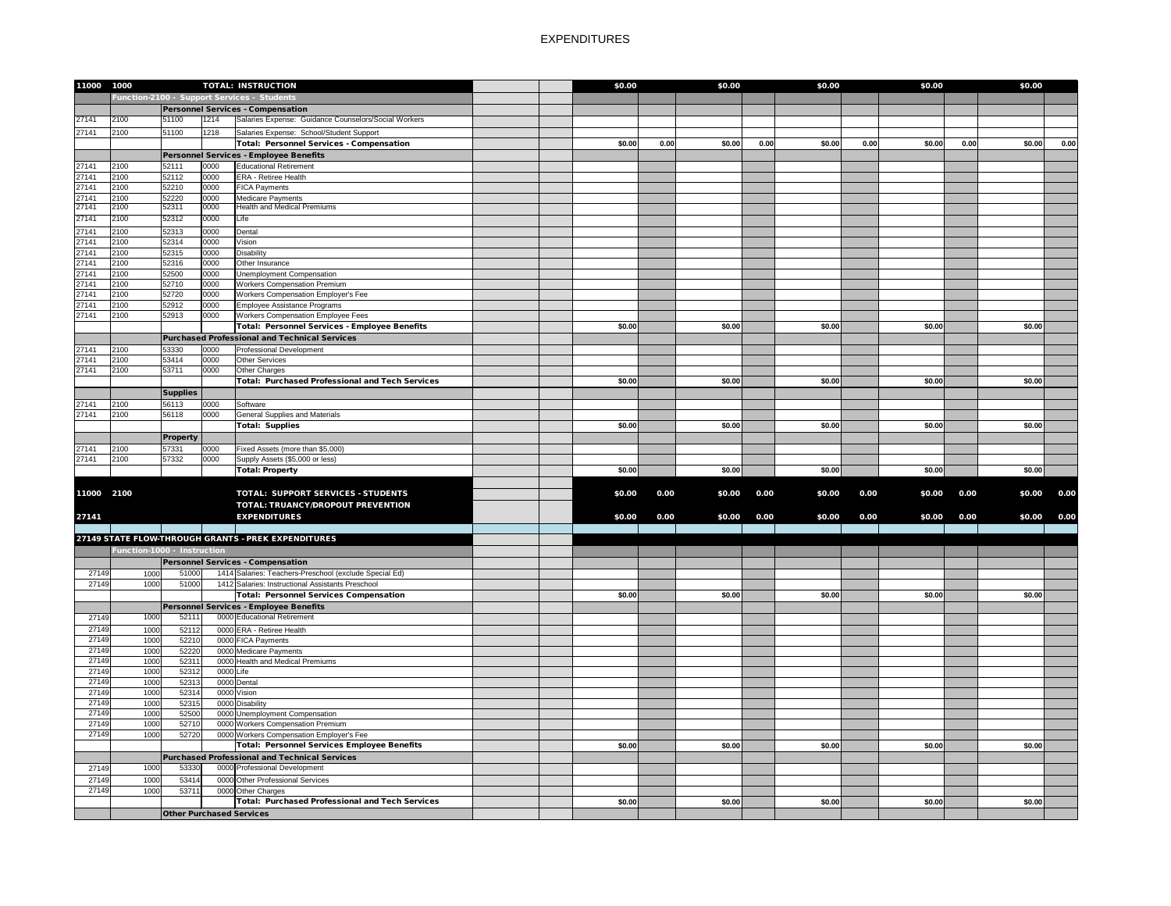| 11000          | 1000                        |                                 |              | <b>TOTAL: INSTRUCTION</b>                                                                          | \$0.00 |      | \$0.00 |      | \$0.00 |      | \$0.00 |      | \$0.00 |      |
|----------------|-----------------------------|---------------------------------|--------------|----------------------------------------------------------------------------------------------------|--------|------|--------|------|--------|------|--------|------|--------|------|
|                |                             |                                 |              | Function-2100 - Support Services - Students                                                        |        |      |        |      |        |      |        |      |        |      |
|                |                             |                                 |              | Personnel Services - Compensation                                                                  |        |      |        |      |        |      |        |      |        |      |
| 27141          | 2100                        | 51100                           | 1214         | Salaries Expense: Guidance Counselors/Social Workers                                               |        |      |        |      |        |      |        |      |        |      |
| 27141          | 2100                        | 51100                           | 1218         | Salaries Expense: School/Student Support                                                           |        |      |        |      |        |      |        |      |        |      |
|                |                             |                                 |              | Total: Personnel Services - Compensation                                                           | \$0.00 | 0.00 | \$0.00 | 0.00 | \$0.00 | 0.00 | \$0.00 | 0.00 | \$0.00 | 0.00 |
|                |                             |                                 |              | Personnel Services - Employee Benefits                                                             |        |      |        |      |        |      |        |      |        |      |
| 27141          | 2100                        | 52111                           | 0000         | <b>Educational Retirement</b>                                                                      |        |      |        |      |        |      |        |      |        |      |
| 27141          | 2100                        | 52112                           | 0000         | <b>ERA - Retiree Health</b>                                                                        |        |      |        |      |        |      |        |      |        |      |
| 27141          | 2100                        | 52210                           | 0000         | <b>FICA Payments</b>                                                                               |        |      |        |      |        |      |        |      |        |      |
| 27141          | 2100                        | 52220                           | 0000         | Medicare Payments                                                                                  |        |      |        |      |        |      |        |      |        |      |
| 27141          | 2100                        | 52311                           | 0000         | <b>Health and Medical Premiums</b>                                                                 |        |      |        |      |        |      |        |      |        |      |
| 27141          | 2100                        | 52312                           | 0000         | Life                                                                                               |        |      |        |      |        |      |        |      |        |      |
| 27141          | 2100                        | 52313                           | 0000         | Dental                                                                                             |        |      |        |      |        |      |        |      |        |      |
| 27141          | 2100                        | 52314                           | 0000         | Vision                                                                                             |        |      |        |      |        |      |        |      |        |      |
| 27141          | 2100                        | 52315                           | 0000         | <b>Disability</b>                                                                                  |        |      |        |      |        |      |        |      |        |      |
| 27141          | 2100                        | 52316                           | 0000         | Other Insurance                                                                                    |        |      |        |      |        |      |        |      |        |      |
| 27141          | 2100                        | 52500                           | 0000         | Unemployment Compensation                                                                          |        |      |        |      |        |      |        |      |        |      |
| 27141          | 2100                        | 52710                           | 0000         | <b>Workers Compensation Premium</b>                                                                |        |      |        |      |        |      |        |      |        |      |
| 27141          | 2100                        | 52720                           | 0000         | Workers Compensation Employer's Fee                                                                |        |      |        |      |        |      |        |      |        |      |
| 27141          | 2100                        | 52912                           | 0000         | Employee Assistance Programs                                                                       |        |      |        |      |        |      |        |      |        |      |
| 27141          | 2100                        | 52913                           | 0000         | <b>Workers Compensation Employee Fees</b><br><b>Total: Personnel Services - Employee Benefits</b>  | \$0.00 |      | \$0.00 |      | \$0.00 |      | \$0.00 |      | \$0.00 |      |
|                |                             |                                 |              |                                                                                                    |        |      |        |      |        |      |        |      |        |      |
|                |                             |                                 |              | Purchased Professional and Technical Services                                                      |        |      |        |      |        |      |        |      |        |      |
| 27141<br>27141 | 2100<br>2100                | 53330<br>53414                  | 0000<br>0000 | <b>Professional Development</b><br>Other Services                                                  |        |      |        |      |        |      |        |      |        |      |
| 27141          | 2100                        | 53711                           | 0000         | Other Charges                                                                                      |        |      |        |      |        |      |        |      |        |      |
|                |                             |                                 |              | <b>Total: Purchased Professional and Tech Services</b>                                             | \$0.00 |      | \$0.00 |      | \$0.00 |      | \$0.00 |      | \$0.00 |      |
|                |                             |                                 |              |                                                                                                    |        |      |        |      |        |      |        |      |        |      |
|                |                             | <b>Supplies</b>                 |              |                                                                                                    |        |      |        |      |        |      |        |      |        |      |
| 27141<br>27141 | 2100<br>2100                | 56113<br>56118                  | 0000<br>0000 | Software<br><b>General Supplies and Materials</b>                                                  |        |      |        |      |        |      |        |      |        |      |
|                |                             |                                 |              | <b>Total: Supplies</b>                                                                             | \$0.00 |      | \$0.00 |      | \$0.00 |      | \$0.00 |      | \$0.00 |      |
|                |                             |                                 |              |                                                                                                    |        |      |        |      |        |      |        |      |        |      |
| 27141          |                             | <b>Property</b>                 | 0000         | Fixed Assets (more than \$5,000)                                                                   |        |      |        |      |        |      |        |      |        |      |
| 27141          | 2100<br>2100                | 57331<br>57332                  | 0000         | Supply Assets (\$5,000 or less)                                                                    |        |      |        |      |        |      |        |      |        |      |
|                |                             |                                 |              | <b>Total: Property</b>                                                                             | \$0.00 |      | \$0.00 |      | \$0.00 |      | \$0.00 |      | \$0.00 |      |
|                |                             |                                 |              |                                                                                                    |        |      |        |      |        |      |        |      |        |      |
| 11000 2100     |                             |                                 |              | <b>TOTAL: SUPPORT SERVICES - STUDENTS</b>                                                          | \$0.00 | 0.00 | \$0.00 | 0.00 | \$0.00 | 0.00 | \$0.00 | 0.00 | \$0.00 | 0.00 |
|                |                             |                                 |              | TOTAL: TRUANCY/DROPOUT PREVENTION                                                                  |        |      |        |      |        |      |        |      |        |      |
|                |                             |                                 |              | <b>EXPENDITURES</b>                                                                                |        |      |        |      |        |      |        |      |        |      |
| 27141          |                             |                                 |              |                                                                                                    | \$0.00 | 0.00 | \$0.00 | 0.00 | \$0.00 | 0.00 | \$0.00 | 0.00 | \$0.00 | 0.00 |
|                |                             |                                 |              | 27149 STATE FLOW-THROUGH GRANTS - PREK EXPENDITURES                                                |        |      |        |      |        |      |        |      |        |      |
|                | Function-1000 - Instruction |                                 |              |                                                                                                    |        |      |        |      |        |      |        |      |        |      |
|                |                             |                                 |              |                                                                                                    |        |      |        |      |        |      |        |      |        |      |
| 27149          | 1000                        | 51000                           |              | <b>Personnel Services - Compensation</b><br>1414 Salaries: Teachers-Preschool (exclude Special Ed) |        |      |        |      |        |      |        |      |        |      |
| 27149          | 1000                        | 51000                           |              | 1412 Salaries: Instructional Assistants Preschool                                                  |        |      |        |      |        |      |        |      |        |      |
|                |                             |                                 |              | <b>Total: Personnel Services Compensation</b>                                                      | \$0.00 |      | \$0.00 |      | \$0.00 |      | \$0.00 |      | \$0.00 |      |
|                |                             |                                 |              |                                                                                                    |        |      |        |      |        |      |        |      |        |      |
| 27149          | 1000                        | 52111                           |              | Personnel Services - Employee Benefits<br>0000 Educational Retirement                              |        |      |        |      |        |      |        |      |        |      |
| 27149          |                             |                                 |              |                                                                                                    |        |      |        |      |        |      |        |      |        |      |
| 27149          | 1000<br>1000                | 52112<br>52210                  |              | 0000 ERA - Retiree Health<br>0000 FICA Payments                                                    |        |      |        |      |        |      |        |      |        |      |
| 27149          | 1000                        | 52220                           |              | 0000 Medicare Payments                                                                             |        |      |        |      |        |      |        |      |        |      |
| 27149          | 1000                        | 52311                           |              | 0000 Health and Medical Premiums                                                                   |        |      |        |      |        |      |        |      |        |      |
| 27149          | 1000                        | 52312                           |              | 0000 Life                                                                                          |        |      |        |      |        |      |        |      |        |      |
| 27149          | 1000                        | 52313                           |              | 0000 Dental                                                                                        |        |      |        |      |        |      |        |      |        |      |
| 27149          | 1000                        | 52314                           |              | 0000 Vision                                                                                        |        |      |        |      |        |      |        |      |        |      |
| 27149          | 1000                        | 52315                           |              | 0000 Disability                                                                                    |        |      |        |      |        |      |        |      |        |      |
| 27149          | 1000                        | 52500                           |              | 0000 Unemployment Compensation                                                                     |        |      |        |      |        |      |        |      |        |      |
| 27149          | 1000                        | 52710                           |              | 0000 Workers Compensation Premium                                                                  |        |      |        |      |        |      |        |      |        |      |
| 27149          | 1000                        | 52720                           |              | 0000 Workers Compensation Employer's Fee                                                           |        |      |        |      |        |      |        |      |        |      |
|                |                             |                                 |              | <b>Total: Personnel Services Employee Benefits</b>                                                 | \$0.00 |      | \$0.00 |      | \$0.00 |      | \$0.00 |      | \$0.00 |      |
|                |                             |                                 |              | <b>Purchased Professional and Technical Services</b>                                               |        |      |        |      |        |      |        |      |        |      |
| 27149          | 1000                        | 53330                           |              | 0000 Professional Development                                                                      |        |      |        |      |        |      |        |      |        |      |
| 27149          | 1000                        | 53414                           |              | 0000 Other Professional Services                                                                   |        |      |        |      |        |      |        |      |        |      |
| 27149          | 1000                        | 53711                           |              | 0000 Other Charges                                                                                 |        |      |        |      |        |      |        |      |        |      |
|                |                             |                                 |              | <b>Total: Purchased Professional and Tech Services</b>                                             | \$0.00 |      | \$0.00 |      | \$0.00 |      | \$0.00 |      | \$0.00 |      |
|                |                             | <b>Other Purchased Services</b> |              |                                                                                                    |        |      |        |      |        |      |        |      |        |      |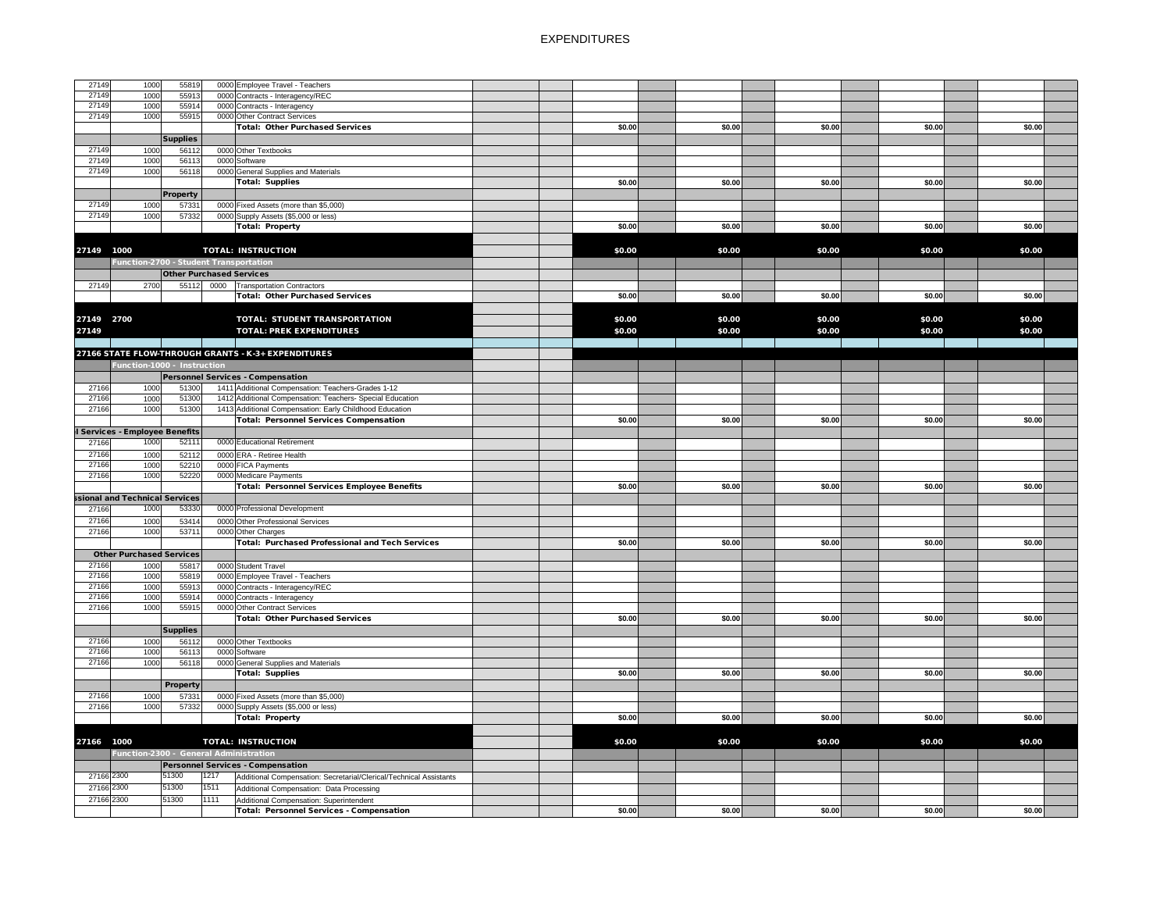| 27149                         | 1000 | 55819                                  |      | 0000 Employee Travel - Teachers                                    |        |        |        |        |        |
|-------------------------------|------|----------------------------------------|------|--------------------------------------------------------------------|--------|--------|--------|--------|--------|
| 27149                         | 1000 | 55913                                  |      | 0000 Contracts - Interagency/REC                                   |        |        |        |        |        |
| 27149                         | 1000 | 55914                                  |      | 0000 Contracts - Interagency                                       |        |        |        |        |        |
|                               |      |                                        |      |                                                                    |        |        |        |        |        |
| 27149                         | 1000 | 55915                                  |      | 0000 Other Contract Services                                       |        |        |        |        |        |
|                               |      |                                        |      | Total: Other Purchased Services                                    | \$0.00 | \$0.00 | \$0.00 | \$0.00 | \$0.00 |
|                               |      | <b>Supplies</b>                        |      |                                                                    |        |        |        |        |        |
| 27149                         | 1000 | 56112                                  |      | 0000 Other Textbooks                                               |        |        |        |        |        |
| 27149                         | 1000 | 56113                                  |      | 0000 Software                                                      |        |        |        |        |        |
| 27149                         | 1000 | 56118                                  |      | 0000 General Supplies and Materials                                |        |        |        |        |        |
|                               |      |                                        |      |                                                                    |        |        |        |        |        |
|                               |      |                                        |      | Total: Supplies                                                    | \$0.00 | \$0.00 | \$0.00 | \$0.00 | \$0.00 |
|                               |      | <b>Property</b>                        |      |                                                                    |        |        |        |        |        |
| 27149                         | 1000 | 57331                                  |      | 0000 Fixed Assets (more than \$5,000)                              |        |        |        |        |        |
| 27149                         | 1000 | 57332                                  |      | 0000 Supply Assets (\$5,000 or less)                               |        |        |        |        |        |
|                               |      |                                        |      | <b>Total: Property</b>                                             | \$0.00 | \$0.00 | \$0.00 | \$0.00 | \$0.00 |
|                               |      |                                        |      |                                                                    |        |        |        |        |        |
|                               |      |                                        |      |                                                                    |        |        |        |        |        |
| 27149<br>1000                 |      |                                        |      | <b>TOTAL: INSTRUCTION</b>                                          | \$0.00 | \$0.00 | \$0.00 | \$0.00 | \$0.00 |
|                               |      | Function-2700 - Student Transportation |      |                                                                    |        |        |        |        |        |
|                               |      | <b>Other Purchased Services</b>        |      |                                                                    |        |        |        |        |        |
| 27149                         | 2700 |                                        |      | 55112 0000 Transportation Contractors                              |        |        |        |        |        |
|                               |      |                                        |      |                                                                    |        |        |        |        |        |
|                               |      |                                        |      | <b>Total: Other Purchased Services</b>                             | \$0.00 | \$0.00 | \$0.00 | \$0.00 | \$0.00 |
|                               |      |                                        |      |                                                                    |        |        |        |        |        |
| 27149 2700                    |      |                                        |      | <b>TOTAL: STUDENT TRANSPORTATION</b>                               | \$0.00 | \$0.00 | \$0.00 | \$0.00 | \$0.00 |
| 27149                         |      |                                        |      | <b>TOTAL: PREK EXPENDITURES</b>                                    | \$0.00 | \$0.00 | \$0.00 | \$0.00 | \$0.00 |
|                               |      |                                        |      |                                                                    |        |        |        |        |        |
|                               |      |                                        |      |                                                                    |        |        |        |        |        |
|                               |      |                                        |      | 27166 STATE FLOW-THROUGH GRANTS - K-3+ EXPENDITURES                |        |        |        |        |        |
|                               |      | Function-1000 - Instruction            |      |                                                                    |        |        |        |        |        |
|                               |      |                                        |      | Personnel Services - Compensation                                  |        |        |        |        |        |
| 27166                         | 1000 | 51300                                  |      | 1411 Additional Compensation: Teachers-Grades 1-12                 |        |        |        |        |        |
| 27166                         | 1000 | 51300                                  |      | 1412 Additional Compensation: Teachers- Special Education          |        |        |        |        |        |
|                               |      |                                        |      |                                                                    |        |        |        |        |        |
| 27166                         | 1000 | 51300                                  |      | 1413 Additional Compensation: Early Childhood Education            |        |        |        |        |        |
|                               |      |                                        |      | <b>Total: Personnel Services Compensation</b>                      | \$0.00 | \$0.00 | \$0.00 | \$0.00 | \$0.00 |
| Services - Employee Benefits  |      |                                        |      |                                                                    |        |        |        |        |        |
| 27166                         | 1000 | 52111                                  |      | 0000 Educational Retirement                                        |        |        |        |        |        |
| 27166                         | 1000 | 52112                                  |      | 0000 ERA - Retiree Health                                          |        |        |        |        |        |
| 27166                         | 1000 | 52210                                  |      | 0000 FICA Payments                                                 |        |        |        |        |        |
|                               |      |                                        |      |                                                                    |        |        |        |        |        |
| 27166                         | 1000 | 52220                                  |      | 0000 Medicare Payments                                             |        |        |        |        |        |
|                               |      |                                        |      | Total: Personnel Services Employee Benefits                        | \$0.00 | \$0.00 | \$0.00 | \$0.00 | \$0.00 |
| sional and Technical Services |      |                                        |      |                                                                    |        |        |        |        |        |
| 27166                         | 1000 | 53330                                  |      | 0000 Professional Development                                      |        |        |        |        |        |
| 27166                         | 1000 | 53414                                  |      | 0000 Other Professional Services                                   |        |        |        |        |        |
| 27166                         | 1000 | 53711                                  |      | 0000 Other Charges                                                 |        |        |        |        |        |
|                               |      |                                        |      |                                                                    |        |        |        |        |        |
|                               |      |                                        |      | Total: Purchased Professional and Tech Services                    | \$0.00 | \$0.00 | \$0.00 | \$0.00 | \$0.00 |
|                               |      | <b>Other Purchased Services</b>        |      |                                                                    |        |        |        |        |        |
| 27166                         | 1000 | 55817                                  |      | 0000 Student Travel                                                |        |        |        |        |        |
| 27166                         | 1000 | 55819                                  |      | 0000 Employee Travel - Teachers                                    |        |        |        |        |        |
| 27166                         | 1000 | 55913                                  |      | 0000 Contracts - Interagency/REC                                   |        |        |        |        |        |
| 27166                         | 1000 | 55914                                  |      | 0000 Contracts - Interagency                                       |        |        |        |        |        |
| 27166                         | 1000 | 55915                                  |      | 0000 Other Contract Services                                       |        |        |        |        |        |
|                               |      |                                        |      |                                                                    |        |        |        |        |        |
|                               |      |                                        |      | <b>Total: Other Purchased Services</b>                             | \$0.00 | \$0.00 | \$0.00 | \$0.00 | \$0.00 |
|                               |      | <b>Supplies</b>                        |      |                                                                    |        |        |        |        |        |
| 27166                         | 1000 | 56112                                  |      | 0000 Other Textbooks                                               |        |        |        |        |        |
| 27166                         | 1000 | 56113                                  |      | 0000 Software                                                      |        |        |        |        |        |
| 27166                         | 1000 | 56118                                  |      | 0000 General Supplies and Materials                                |        |        |        |        |        |
|                               |      |                                        |      | Total: Supplies                                                    | \$0.00 | \$0.00 | \$0.00 | \$0.00 | \$0.00 |
|                               |      |                                        |      |                                                                    |        |        |        |        |        |
|                               |      | <b>Property</b>                        |      |                                                                    |        |        |        |        |        |
| 27166                         | 1000 | 57331                                  |      | 0000 Fixed Assets (more than \$5,000)                              |        |        |        |        |        |
| 27166                         | 1000 | 57332                                  |      | 0000 Supply Assets (\$5,000 or less)                               |        |        |        |        |        |
|                               |      |                                        |      | Total: Property                                                    | \$0.00 | \$0.00 | \$0.00 | \$0.00 | \$0.00 |
|                               |      |                                        |      |                                                                    |        |        |        |        |        |
|                               |      |                                        |      |                                                                    |        |        |        |        |        |
| 27166 1000                    |      |                                        |      | <b>TOTAL: INSTRUCTION</b>                                          | \$0.00 | \$0.00 | \$0.00 | \$0.00 | \$0.00 |
|                               |      |                                        |      | Function-2300 - General Administration                             |        |        |        |        |        |
|                               |      |                                        |      | Personnel Services - Compensation                                  |        |        |        |        |        |
| 27166 2300                    |      | 51300                                  | 1217 | Additional Compensation: Secretarial/Clerical/Technical Assistants |        |        |        |        |        |
| 27166 2300                    |      | 51300                                  | 1511 | Additional Compensation: Data Processing                           |        |        |        |        |        |
|                               |      |                                        |      |                                                                    |        |        |        |        |        |
| 27166 2300                    |      | 51300                                  | 1111 | Additional Compensation: Superintendent                            |        |        |        |        |        |
|                               |      |                                        |      | <b>Total: Personnel Services - Compensation</b>                    | \$0.00 | \$0.00 | \$0.00 | \$0.00 | \$0.00 |
|                               |      |                                        |      |                                                                    |        |        |        |        |        |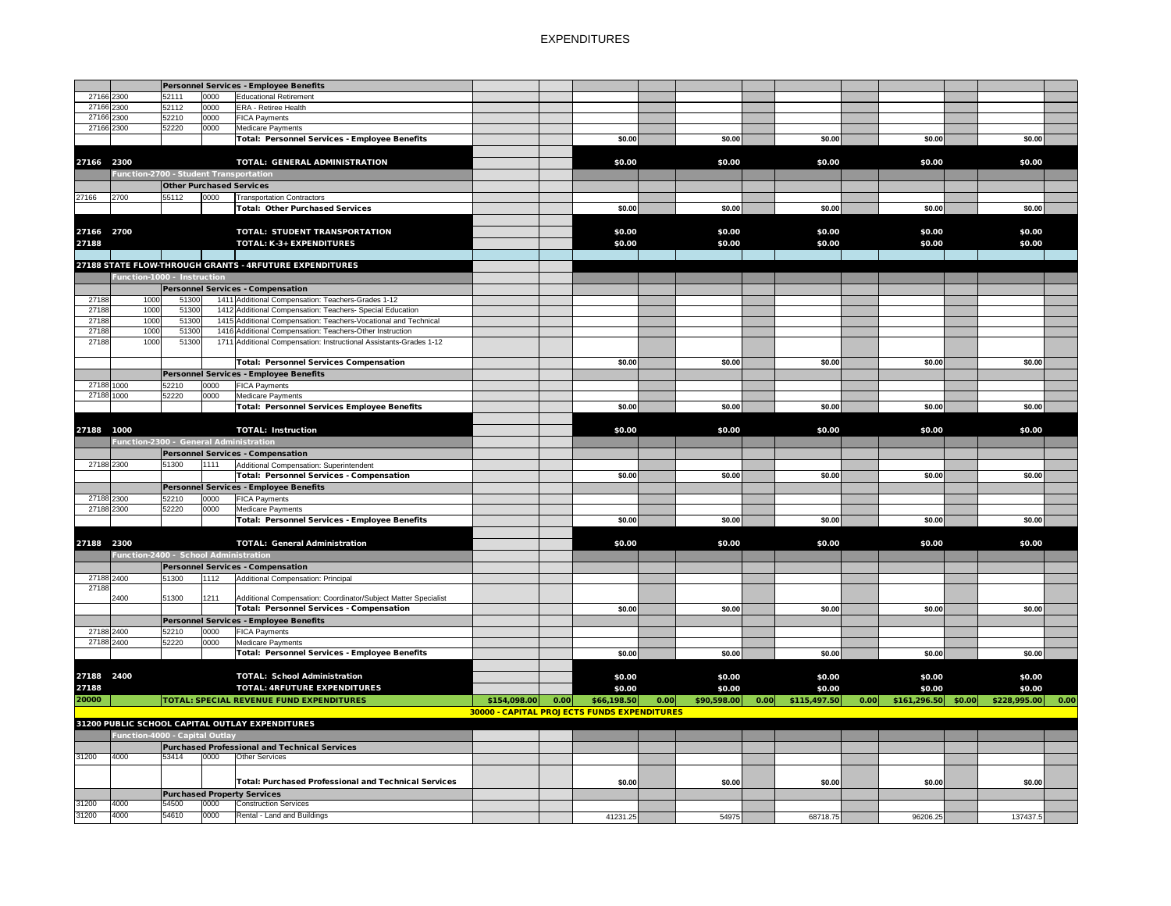|            |                                        |                                 |      | Personnel Services - Employee Benefits                             |              |      |                                             |                     |                      |      |                      |              |      |
|------------|----------------------------------------|---------------------------------|------|--------------------------------------------------------------------|--------------|------|---------------------------------------------|---------------------|----------------------|------|----------------------|--------------|------|
| 27166 2300 |                                        | 52111                           | 0000 | <b>Educational Retirement</b>                                      |              |      |                                             |                     |                      |      |                      |              |      |
| 27166 2300 |                                        | 52112                           | 0000 | <b>ERA</b> - Retiree Health                                        |              |      |                                             |                     |                      |      |                      |              |      |
| 27166 2300 |                                        | 52210                           | 0000 | <b>FICA Payments</b>                                               |              |      |                                             |                     |                      |      |                      |              |      |
| 27166 2300 |                                        | 52220                           | 0000 | <b>Medicare Payments</b>                                           |              |      |                                             |                     |                      |      |                      |              |      |
|            |                                        |                                 |      | Total: Personnel Services - Employee Benefits                      |              |      | \$0.00                                      | \$0.00              | \$0.00               |      | \$0.00               | \$0.00       |      |
|            |                                        |                                 |      |                                                                    |              |      |                                             |                     |                      |      |                      |              |      |
| 27166 2300 |                                        |                                 |      | <b>TOTAL: GENERAL ADMINISTRATION</b>                               |              |      | \$0.00                                      | \$0.00              | \$0.00               |      | \$0.00               | \$0.00       |      |
|            | Function-2700 - Student Transportation |                                 |      |                                                                    |              |      |                                             |                     |                      |      |                      |              |      |
|            |                                        |                                 |      |                                                                    |              |      |                                             |                     |                      |      |                      |              |      |
|            |                                        | <b>Other Purchased Services</b> |      |                                                                    |              |      |                                             |                     |                      |      |                      |              |      |
| 27166      | 2700                                   | 55112                           | 0000 | <b>Transportation Contractors</b>                                  |              |      |                                             |                     |                      |      |                      |              |      |
|            |                                        |                                 |      | <b>Total: Other Purchased Services</b>                             |              |      | \$0.00                                      | \$0.00              | \$0.00               |      | \$0.00               | \$0.00       |      |
|            |                                        |                                 |      |                                                                    |              |      |                                             |                     |                      |      |                      |              |      |
| 27166 2700 |                                        |                                 |      | <b>TOTAL: STUDENT TRANSPORTATION</b>                               |              |      | \$0.00                                      | \$0.00              | \$0.00               |      | \$0.00               | \$0.00       |      |
| 27188      |                                        |                                 |      | <b>TOTAL: K-3+ EXPENDITURES</b>                                    |              |      | \$0.00                                      | \$0.00              | \$0.00               |      | \$0.00               | \$0.00       |      |
|            |                                        |                                 |      |                                                                    |              |      |                                             |                     |                      |      |                      |              |      |
|            |                                        |                                 |      |                                                                    |              |      |                                             |                     |                      |      |                      |              |      |
|            |                                        |                                 |      | 27188 STATE FLOW-THROUGH GRANTS - 4RFUTURE EXPENDITURES            |              |      |                                             |                     |                      |      |                      |              |      |
|            | Function-1000 - Instruction            |                                 |      |                                                                    |              |      |                                             |                     |                      |      |                      |              |      |
|            |                                        |                                 |      | Personnel Services - Compensation                                  |              |      |                                             |                     |                      |      |                      |              |      |
| 27188      | 1000                                   | 51300                           |      | 1411 Additional Compensation: Teachers-Grades 1-12                 |              |      |                                             |                     |                      |      |                      |              |      |
| 27188      | 1000                                   | 51300                           |      | 1412 Additional Compensation: Teachers- Special Education          |              |      |                                             |                     |                      |      |                      |              |      |
| 27188      | 1000                                   | 51300                           |      | 1415 Additional Compensation: Teachers-Vocational and Technical    |              |      |                                             |                     |                      |      |                      |              |      |
| 27188      | 1000                                   | 51300                           |      | 1416 Additional Compensation: Teachers-Other Instruction           |              |      |                                             |                     |                      |      |                      |              |      |
| 27188      | 1000                                   | 51300                           |      | 1711 Additional Compensation: Instructional Assistants-Grades 1-12 |              |      |                                             |                     |                      |      |                      |              |      |
|            |                                        |                                 |      |                                                                    |              |      |                                             |                     |                      |      |                      |              |      |
|            |                                        |                                 |      | Total: Personnel Services Compensation                             |              |      | \$0.00                                      | \$0.00              | \$0.00               |      | \$0.00               | \$0.00       |      |
|            |                                        |                                 |      | Personnel Services - Employee Benefits                             |              |      |                                             |                     |                      |      |                      |              |      |
| 27188 1000 |                                        | 52210                           | 0000 | <b>FICA Payments</b>                                               |              |      |                                             |                     |                      |      |                      |              |      |
| 27188 1000 |                                        | 52220                           | 0000 | <b>Medicare Payments</b>                                           |              |      |                                             |                     |                      |      |                      |              |      |
|            |                                        |                                 |      |                                                                    |              |      |                                             |                     |                      |      |                      |              |      |
|            |                                        |                                 |      | <b>Total: Personnel Services Employee Benefits</b>                 |              |      | \$0.00                                      | \$0.00              | \$0.00               |      | \$0.00               | \$0.00       |      |
|            |                                        |                                 |      |                                                                    |              |      |                                             |                     |                      |      |                      |              |      |
| 27188      | 1000                                   |                                 |      | <b>TOTAL: Instruction</b>                                          |              |      | \$0.00                                      | \$0.00              | \$0.00               |      | \$0.00               | \$0.00       |      |
|            | Function-2300 - General Administration |                                 |      |                                                                    |              |      |                                             |                     |                      |      |                      |              |      |
|            |                                        |                                 |      | Personnel Services - Compensation                                  |              |      |                                             |                     |                      |      |                      |              |      |
| 27188 2300 |                                        | 51300                           | 1111 | Additional Compensation: Superintendent                            |              |      |                                             |                     |                      |      |                      |              |      |
|            |                                        |                                 |      | Total: Personnel Services - Compensation                           |              |      | \$0.00                                      | \$0.00              | \$0.00               |      | \$0.00               | \$0.00       |      |
|            |                                        |                                 |      |                                                                    |              |      |                                             |                     |                      |      |                      |              |      |
|            |                                        |                                 |      | Personnel Services - Employee Benefits                             |              |      |                                             |                     |                      |      |                      |              |      |
| 27188 2300 |                                        | 52210                           | 0000 | <b>FICA Payments</b>                                               |              |      |                                             |                     |                      |      |                      |              |      |
| 27188 2300 |                                        | 52220                           | 0000 | Medicare Payments                                                  |              |      |                                             |                     |                      |      |                      |              |      |
|            |                                        |                                 |      | Total: Personnel Services - Employee Benefits                      |              |      | \$0.00                                      | \$0.00              | \$0.00               |      | \$0.00               | \$0.00       |      |
|            |                                        |                                 |      |                                                                    |              |      |                                             |                     |                      |      |                      |              |      |
| 27188 2300 |                                        |                                 |      | <b>TOTAL: General Administration</b>                               |              |      | \$0.00                                      | \$0.00              | \$0.00               |      | \$0.00               | \$0.00       |      |
|            | Function-2400 - School Administration  |                                 |      |                                                                    |              |      |                                             |                     |                      |      |                      |              |      |
|            |                                        |                                 |      | Personnel Services - Compensation                                  |              |      |                                             |                     |                      |      |                      |              |      |
|            |                                        |                                 |      |                                                                    |              |      |                                             |                     |                      |      |                      |              |      |
| 27188 2400 |                                        | 51300                           | 1112 | Additional Compensation: Principal                                 |              |      |                                             |                     |                      |      |                      |              |      |
| 27188      |                                        |                                 |      |                                                                    |              |      |                                             |                     |                      |      |                      |              |      |
|            | 2400                                   | 51300                           | 1211 | Additional Compensation: Coordinator/Subject Matter Specialist     |              |      |                                             |                     |                      |      |                      |              |      |
|            |                                        |                                 |      | Total: Personnel Services - Compensation                           |              |      | \$0.00                                      | \$0.00              | \$0.00               |      | \$0.00               | \$0.00       |      |
|            |                                        |                                 |      | Personnel Services - Employee Benefits                             |              |      |                                             |                     |                      |      |                      |              |      |
| 27188 2400 |                                        | 52210                           | 0000 | <b>FICA Payments</b>                                               |              |      |                                             |                     |                      |      |                      |              |      |
| 27188 2400 |                                        | 52220                           | 0000 | Medicare Payments                                                  |              |      |                                             |                     |                      |      |                      |              |      |
|            |                                        |                                 |      | Total: Personnel Services - Employee Benefits                      |              |      | \$0.00                                      | \$0.00              | \$0.00               |      | \$0.00               | \$0.00       |      |
|            |                                        |                                 |      |                                                                    |              |      |                                             |                     |                      |      |                      |              |      |
| 27188 2400 |                                        |                                 |      | <b>TOTAL: School Administration</b>                                |              |      | \$0.00                                      | \$0.00              | \$0.00               |      | \$0.00               | \$0.00       |      |
| 27188      |                                        |                                 |      | <b>TOTAL: 4RFUTURE EXPENDITURES</b>                                |              |      | \$0.00                                      | \$0.00              | \$0.00               |      | \$0.00               | \$0.00       |      |
|            |                                        |                                 |      |                                                                    |              |      |                                             |                     |                      |      |                      |              |      |
| 20000      |                                        |                                 |      | <b>TOTAL: SPECIAL REVENUE FUND EXPENDITURES</b>                    | \$154,098.00 | 0.00 | \$66,198.50                                 | 0.00<br>\$90,598.00 | 0.00<br>\$115,497.50 | 0.00 | $$161,296.50$ \$0.00 | \$228,995.00 | 0.00 |
|            |                                        |                                 |      |                                                                    |              |      | 30000 - CAPITAL PROJECTS FUNDS EXPENDITURES |                     |                      |      |                      |              |      |
|            |                                        |                                 |      | 31200 PUBLIC SCHOOL CAPITAL OUTLAY EXPENDITURES                    |              |      |                                             |                     |                      |      |                      |              |      |
|            | <b>Function-4000 - Capital Outlay</b>  |                                 |      |                                                                    |              |      |                                             |                     |                      |      |                      |              |      |
|            |                                        |                                 |      | Purchased Professional and Technical Services                      |              |      |                                             |                     |                      |      |                      |              |      |
| 31200      | 4000                                   | 53414                           | 0000 | <b>Other Services</b>                                              |              |      |                                             |                     |                      |      |                      |              |      |
|            |                                        |                                 |      |                                                                    |              |      |                                             |                     |                      |      |                      |              |      |
|            |                                        |                                 |      |                                                                    |              |      |                                             |                     |                      |      |                      |              |      |
|            |                                        |                                 |      | Total: Purchased Professional and Technical Services               |              |      | \$0.00                                      | \$0.00              | \$0.00               |      | \$0.00               | \$0.00       |      |
|            |                                        |                                 |      | <b>Purchased Property Services</b>                                 |              |      |                                             |                     |                      |      |                      |              |      |
| 31200      | 4000                                   | 54500                           | 0000 | <b>Construction Services</b>                                       |              |      |                                             |                     |                      |      |                      |              |      |
| 31200      | 4000                                   | 54610                           | 0000 | Rental - Land and Buildings                                        |              |      | 41231.25                                    | 54975               | 68718.75             |      | 96206.25             | 137437.5     |      |
|            |                                        |                                 |      |                                                                    |              |      |                                             |                     |                      |      |                      |              |      |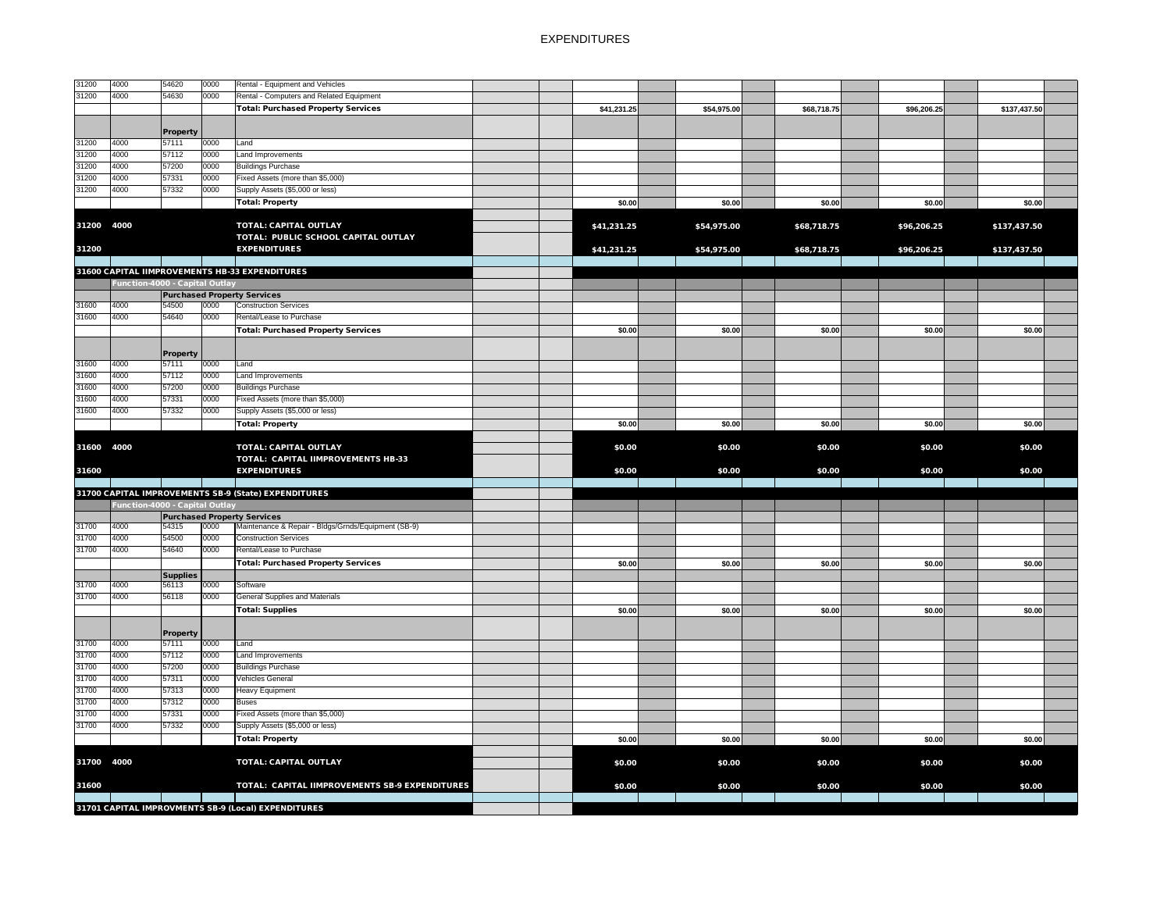| 31200      | 4000                                  | 54620           | 0000 | Rental - Equipment and Vehicles                      |  |             |             |             |             |              |  |
|------------|---------------------------------------|-----------------|------|------------------------------------------------------|--|-------------|-------------|-------------|-------------|--------------|--|
| 31200      | 4000                                  | 54630           | 0000 | Rental - Computers and Related Equipment             |  |             |             |             |             |              |  |
|            |                                       |                 |      | <b>Total: Purchased Property Services</b>            |  | \$41,231.25 | \$54,975.00 | \$68,718.75 | \$96,206.25 | \$137,437.50 |  |
|            |                                       |                 |      |                                                      |  |             |             |             |             |              |  |
|            |                                       | <b>Property</b> |      |                                                      |  |             |             |             |             |              |  |
| 31200      | 4000                                  | 57111           | 0000 | Land                                                 |  |             |             |             |             |              |  |
| 31200      | 4000                                  | 57112           | 0000 | Land Improvements                                    |  |             |             |             |             |              |  |
| 31200      | 4000                                  | 57200           | 0000 | <b>Buildings Purchase</b>                            |  |             |             |             |             |              |  |
| 31200      | 4000                                  | 57331           | 0000 | Fixed Assets (more than \$5,000)                     |  |             |             |             |             |              |  |
| 31200      | 4000                                  | 57332           | 0000 | Supply Assets (\$5,000 or less)                      |  |             |             |             |             |              |  |
|            |                                       |                 |      |                                                      |  |             |             |             |             |              |  |
|            |                                       |                 |      | Total: Property                                      |  | \$0.00      | \$0.00      | \$0.00      | \$0.00      | \$0.00       |  |
|            |                                       |                 |      |                                                      |  |             |             |             |             |              |  |
| 31200      | 4000                                  |                 |      | <b>TOTAL: CAPITAL OUTLAY</b>                         |  | \$41,231.25 | \$54,975.00 | \$68,718.75 | \$96,206.25 | \$137,437.50 |  |
|            |                                       |                 |      | TOTAL: PUBLIC SCHOOL CAPITAL OUTLAY                  |  |             |             |             |             |              |  |
| 31200      |                                       |                 |      | <b>EXPENDITURES</b>                                  |  | \$41,231.25 | \$54,975.00 | \$68,718.75 | \$96,206.25 | \$137,437.50 |  |
|            |                                       |                 |      |                                                      |  |             |             |             |             |              |  |
|            |                                       |                 |      | 31600 CAPITAL IIMPROVEMENTS HB-33 EXPENDITURES       |  |             |             |             |             |              |  |
|            | Function-4000 - Capital Outlay        |                 |      |                                                      |  |             |             |             |             |              |  |
|            |                                       |                 |      | <b>Purchased Property Services</b>                   |  |             |             |             |             |              |  |
| 31600      | 4000                                  | 54500           | 0000 | <b>Construction Services</b>                         |  |             |             |             |             |              |  |
| 31600      | 4000                                  | 54640           | 0000 | Rental/Lease to Purchase                             |  |             |             |             |             |              |  |
|            |                                       |                 |      |                                                      |  |             |             |             |             |              |  |
|            |                                       |                 |      | <b>Total: Purchased Property Services</b>            |  | \$0.00      | \$0.00      | \$0.00      | \$0.00      | \$0.00       |  |
|            |                                       |                 |      |                                                      |  |             |             |             |             |              |  |
|            |                                       | <b>Property</b> |      |                                                      |  |             |             |             |             |              |  |
| 31600      | 4000                                  | 57111           | 0000 | Land                                                 |  |             |             |             |             |              |  |
| 31600      | 4000                                  | 57112           | 0000 | Land Improvements                                    |  |             |             |             |             |              |  |
| 31600      | 4000                                  | 57200           | 0000 | <b>Buildings Purchase</b>                            |  |             |             |             |             |              |  |
| 31600      | 4000                                  | 57331           | 0000 | Fixed Assets (more than \$5,000)                     |  |             |             |             |             |              |  |
| 31600      | 4000                                  | 57332           | 0000 | Supply Assets (\$5,000 or less)                      |  |             |             |             |             |              |  |
|            |                                       |                 |      | Total: Property                                      |  | \$0.00      | \$0.00      | \$0.00      | \$0.00      | \$0.00       |  |
|            |                                       |                 |      |                                                      |  |             |             |             |             |              |  |
| 31600 4000 |                                       |                 |      | <b>TOTAL: CAPITAL OUTLAY</b>                         |  | \$0.00      | \$0.00      | \$0.00      | \$0.00      | \$0.00       |  |
|            |                                       |                 |      |                                                      |  |             |             |             |             |              |  |
|            |                                       |                 |      | <b>TOTAL: CAPITAL IIMPROVEMENTS HB-33</b>            |  |             |             |             |             |              |  |
| 31600      |                                       |                 |      | <b>EXPENDITURES</b>                                  |  | \$0.00      | \$0.00      | \$0.00      | \$0.00      | \$0.00       |  |
|            |                                       |                 |      |                                                      |  |             |             |             |             |              |  |
|            |                                       |                 |      | 31700 CAPITAL IMPROVEMENTS SB-9 (State) EXPENDITURES |  |             |             |             |             |              |  |
|            | <b>Function-4000 - Capital Outlay</b> |                 |      |                                                      |  |             |             |             |             |              |  |
|            |                                       |                 |      | <b>Purchased Property Services</b>                   |  |             |             |             |             |              |  |
| 31700      | 4000                                  | 54315           | 0000 | Maintenance & Repair - Bldgs/Grnds/Equipment (SB-9)  |  |             |             |             |             |              |  |
| 31700      | 4000                                  | 54500           | 0000 | <b>Construction Services</b>                         |  |             |             |             |             |              |  |
| 31700      | 4000                                  | 54640           | 0000 | Rental/Lease to Purchase                             |  |             |             |             |             |              |  |
|            |                                       |                 |      | <b>Total: Purchased Property Services</b>            |  | \$0.00      | \$0.00      | \$0.00      | \$0.00      | \$0.00       |  |
|            |                                       | <b>Supplies</b> |      |                                                      |  |             |             |             |             |              |  |
| 31700      | 4000                                  | 56113           | 0000 | Software                                             |  |             |             |             |             |              |  |
| 31700      | 4000                                  | 56118           | 0000 | <b>General Supplies and Materials</b>                |  |             |             |             |             |              |  |
|            |                                       |                 |      |                                                      |  | \$0.00      | \$0.00      | \$0.00      | \$0.00      | \$0.00       |  |
|            |                                       |                 |      | <b>Total: Supplies</b>                               |  |             |             |             |             |              |  |
|            |                                       |                 |      |                                                      |  |             |             |             |             |              |  |
|            |                                       | <b>Property</b> |      |                                                      |  |             |             |             |             |              |  |
| 31700      | 4000                                  | 57111           | 0000 | Land                                                 |  |             |             |             |             |              |  |
| 31700      | 4000                                  | 57112           | 0000 | Land Improvements                                    |  |             |             |             |             |              |  |
| 31700      | 4000                                  | 57200           | 0000 | <b>Buildings Purchase</b>                            |  |             |             |             |             |              |  |
| 31700      | 4000                                  | 57311           | 0000 | Vehicles General                                     |  |             |             |             |             |              |  |
| 31700      | 4000                                  | 57313           | 0000 | Heavy Equipment                                      |  |             |             |             |             |              |  |
| 31700      | 4000                                  | 57312           | 0000 | Buses                                                |  |             |             |             |             |              |  |
| 31700      | 4000                                  | 57331           | 0000 | Fixed Assets (more than \$5,000)                     |  |             |             |             |             |              |  |
| 31700      | 4000                                  | 57332           | 0000 | Supply Assets (\$5,000 or less)                      |  |             |             |             |             |              |  |
|            |                                       |                 |      | Total: Property                                      |  | \$0.00      | \$0.00      | \$0.00      | \$0.00      | \$0.00       |  |
|            |                                       |                 |      |                                                      |  |             |             |             |             |              |  |
|            |                                       |                 |      |                                                      |  |             |             |             |             |              |  |
| 31700 4000 |                                       |                 |      | <b>TOTAL: CAPITAL OUTLAY</b>                         |  | \$0.00      | \$0.00      | \$0.00      | \$0.00      | \$0.00       |  |
|            |                                       |                 |      |                                                      |  |             |             |             |             |              |  |
| 31600      |                                       |                 |      | TOTAL: CAPITAL IIMPROVEMENTS SB-9 EXPENDITURES       |  | \$0.00      | \$0.00      | \$0.00      | \$0.00      | \$0.00       |  |
|            |                                       |                 |      |                                                      |  |             |             |             |             |              |  |
|            |                                       |                 |      | 31701 CAPITAL IMPROVMENTS SB-9 (Local) EXPENDITURES  |  |             |             |             |             |              |  |